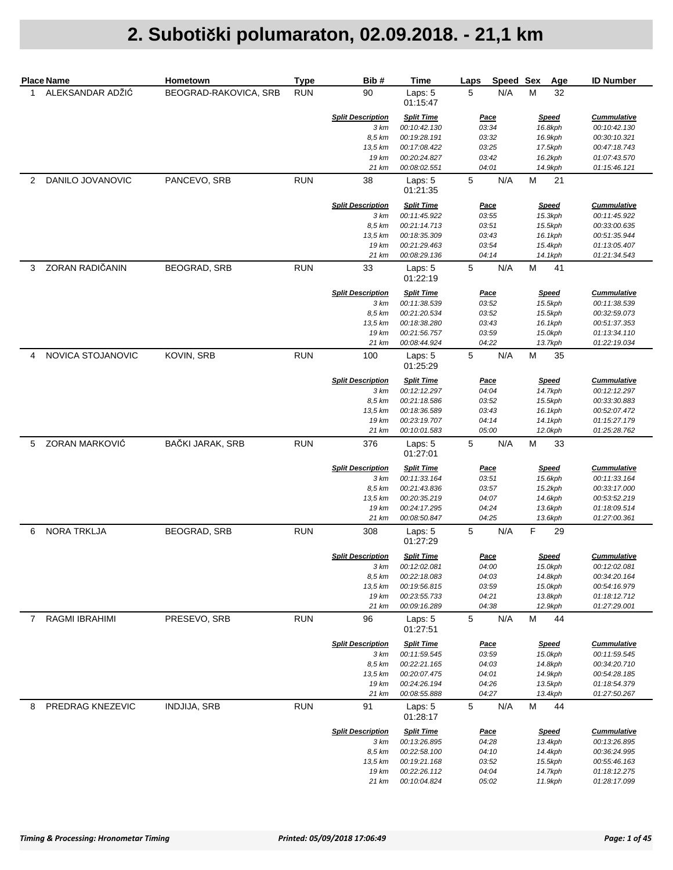|              | <b>Place Name</b> | Hometown              | <b>Type</b> | Bib#                             | Time                              | Laps                 | Speed Sex |   | <b>Age</b>              | <b>ID Number</b>                   |
|--------------|-------------------|-----------------------|-------------|----------------------------------|-----------------------------------|----------------------|-----------|---|-------------------------|------------------------------------|
| $\mathbf{1}$ | ALEKSANDAR ADŽIĆ  | BEOGRAD-RAKOVICA, SRB | <b>RUN</b>  | 90                               | Laps: 5<br>01:15:47               | 5                    | N/A       | М | 32                      |                                    |
|              |                   |                       |             | <b>Split Description</b>         | <b>Split Time</b>                 | <u>Pace</u>          |           |   | <b>Speed</b>            | <b>Cummulative</b>                 |
|              |                   |                       |             | 3 km                             | 00:10:42.130                      | 03:34                |           |   | 16.8kph                 | 00:10:42.130                       |
|              |                   |                       |             | 8,5 km                           | 00:19:28.191                      | 03:32                |           |   | 16.9kph                 | 00:30:10.321                       |
|              |                   |                       |             | 13,5 km                          | 00:17:08.422                      | 03:25                |           |   | 17.5kph                 | 00:47:18.743                       |
|              |                   |                       |             | 19 km<br>21 km                   | 00:20:24.827<br>00:08:02.551      | 03:42<br>04:01       |           |   | 16.2kph<br>14.9kph      | 01:07:43.570<br>01:15:46.121       |
| 2            | DANILO JOVANOVIC  | PANCEVO, SRB          | <b>RUN</b>  | 38                               |                                   | 5                    | N/A       | M | 21                      |                                    |
|              |                   |                       |             |                                  | Laps: 5<br>01:21:35               |                      |           |   |                         |                                    |
|              |                   |                       |             | <b>Split Description</b><br>3 km | <b>Split Time</b><br>00:11:45.922 | <u>Pace</u><br>03:55 |           |   | <b>Speed</b><br>15.3kph | <b>Cummulative</b><br>00:11:45.922 |
|              |                   |                       |             | 8,5 km                           | 00:21:14.713                      | 03:51                |           |   | 15.5kph                 | 00:33:00.635                       |
|              |                   |                       |             | 13,5 km                          | 00:18:35.309                      | 03:43                |           |   | 16.1kph                 | 00:51:35.944                       |
|              |                   |                       |             | 19 km<br>21 km                   | 00:21:29.463<br>00:08:29.136      | 03:54<br>04:14       |           |   | 15.4kph<br>14.1kph      | 01:13:05.407<br>01:21:34.543       |
| 3            | ZORAN RADIČANIN   | <b>BEOGRAD, SRB</b>   | <b>RUN</b>  | 33                               | Laps: 5<br>01:22:19               | 5                    | N/A       | M | 41                      |                                    |
|              |                   |                       |             |                                  |                                   |                      |           |   |                         |                                    |
|              |                   |                       |             | <b>Split Description</b><br>3 km | <b>Split Time</b><br>00:11:38.539 | <u>Pace</u><br>03:52 |           |   | <b>Speed</b><br>15.5kph | <b>Cummulative</b><br>00:11:38.539 |
|              |                   |                       |             | 8,5 km                           | 00:21:20.534                      | 03:52                |           |   | 15.5kph                 | 00:32:59.073                       |
|              |                   |                       |             | 13,5 km                          | 00:18:38.280                      | 03:43                |           |   | 16.1kph                 | 00:51:37.353                       |
|              |                   |                       |             | 19 km                            | 00:21:56.757                      | 03:59                |           |   | 15.0kph                 | 01:13:34.110                       |
|              |                   |                       |             | 21 km                            | 00:08:44.924                      | 04:22                |           |   | 13.7kph                 | 01:22:19.034                       |
| 4            | NOVICA STOJANOVIC | KOVIN, SRB            | <b>RUN</b>  | 100                              | Laps: 5<br>01:25:29               | 5                    | N/A       | M | 35                      |                                    |
|              |                   |                       |             | <b>Split Description</b>         | <b>Split Time</b>                 | <u>Pace</u>          |           |   | <b>Speed</b>            | <b>Cummulative</b>                 |
|              |                   |                       |             | 3 km                             | 00:12:12.297                      | 04:04                |           |   | 14.7kph                 | 00:12:12.297                       |
|              |                   |                       |             | 8,5 km                           | 00:21:18.586                      | 03:52                |           |   | 15.5kph                 | 00:33:30.883                       |
|              |                   |                       |             | 13,5 km                          | 00:18:36.589                      | 03:43                |           |   | 16.1kph                 | 00:52:07.472                       |
|              |                   |                       |             | 19 km                            | 00:23:19.707                      | 04:14                |           |   | 14.1kph                 | 01:15:27.179                       |
|              |                   |                       |             | 21 km                            | 00:10:01.583                      | 05:00                |           |   | 12.0kph                 | 01:25:28.762                       |
| 5            | ZORAN MARKOVIĆ    | BAČKI JARAK, SRB      | <b>RUN</b>  | 376                              | Laps: 5<br>01:27:01               | $\sqrt{5}$           | N/A       | M | 33                      |                                    |
|              |                   |                       |             | <b>Split Description</b>         | <b>Split Time</b>                 | <u>Pace</u>          |           |   | <b>Speed</b>            | <b>Cummulative</b>                 |
|              |                   |                       |             | 3 km                             | 00:11:33.164                      | 03:51                |           |   | 15.6kph                 | 00:11:33.164                       |
|              |                   |                       |             | 8,5 km                           | 00:21:43.836                      | 03:57                |           |   | 15.2kph                 | 00:33:17.000                       |
|              |                   |                       |             | 13,5 km                          | 00:20:35.219                      | 04:07                |           |   | 14.6kph                 | 00:53:52.219                       |
|              |                   |                       |             | 19 km<br>21 km                   | 00:24:17.295<br>00:08:50.847      | 04:24<br>04:25       |           |   | 13.6kph                 | 01:18:09.514                       |
| 6            | NORA TRKLJA       | <b>BEOGRAD, SRB</b>   | <b>RUN</b>  | 308                              | Laps: 5                           | 5                    | N/A       | F | 13.6kph<br>29           | 01:27:00.361                       |
|              |                   |                       |             |                                  | 01:27:29                          |                      |           |   |                         |                                    |
|              |                   |                       |             | <b>Split Description</b>         | <b>Split Time</b>                 | Pace                 |           |   | <b>Speed</b>            | <b>Cummulative</b>                 |
|              |                   |                       |             | 3 km                             | 00:12:02.081                      | 04:00                |           |   | 15.0kph                 | 00:12:02.081                       |
|              |                   |                       |             | 8,5 km<br>13,5 km                | 00:22:18.083<br>00:19:56.815      | 04:03<br>03:59       |           |   | 14.8kph<br>15.0kph      | 00:34:20.164<br>00:54:16.979       |
|              |                   |                       |             | 19 km                            | 00:23:55.733                      | 04:21                |           |   | 13.8kph                 | 01:18:12.712                       |
|              |                   |                       |             | 21 km                            | 00:09:16.289                      | 04:38                |           |   | 12.9kph                 | 01:27:29.001                       |
| 7            | RAGMI IBRAHIMI    | PRESEVO, SRB          | <b>RUN</b>  | 96                               | Laps: 5<br>01:27:51               | 5                    | N/A       | М | 44                      |                                    |
|              |                   |                       |             | <b>Split Description</b>         | <b>Split Time</b>                 | <u>Pace</u>          |           |   | <b>Speed</b>            | <b>Cummulative</b>                 |
|              |                   |                       |             | 3 km                             | 00:11:59.545                      | 03:59                |           |   | 15.0kph                 | 00:11:59.545                       |
|              |                   |                       |             | 8,5 km                           | 00:22:21.165                      | 04:03                |           |   | 14.8kph                 | 00:34:20.710                       |
|              |                   |                       |             | 13,5 km                          | 00:20:07.475                      | 04:01                |           |   | 14.9kph                 | 00:54:28.185                       |
|              |                   |                       |             | 19 km                            | 00:24:26.194                      | 04:26                |           |   | 13.5kph                 | 01:18:54.379                       |
|              |                   |                       |             | 21 km                            | 00:08:55.888                      | 04:27                |           |   | 13.4kph                 | 01:27:50.267                       |
| 8            | PREDRAG KNEZEVIC  | <b>INDJIJA, SRB</b>   | <b>RUN</b>  | 91                               | Laps: 5<br>01:28:17               | 5                    | N/A       | M | 44                      |                                    |
|              |                   |                       |             | <b>Split Description</b>         | <b>Split Time</b>                 | <u>Pace</u>          |           |   | <b>Speed</b>            | <b>Cummulative</b>                 |
|              |                   |                       |             | 3 km                             | 00:13:26.895                      | 04:28                |           |   | 13.4kph                 | 00:13:26.895                       |
|              |                   |                       |             | 8,5 km                           | 00:22:58.100                      | 04:10                |           |   | 14.4kph                 | 00:36:24.995                       |
|              |                   |                       |             | 13,5 km                          | 00:19:21.168                      | 03:52                |           |   | 15.5kph                 | 00:55:46.163                       |
|              |                   |                       |             | 19 km                            | 00:22:26.112                      | 04:04                |           |   | 14.7kph                 | 01:18:12.275                       |
|              |                   |                       |             | 21 km                            | 00:10:04.824                      | 05:02                |           |   | 11.9kph                 | 01:28:17.099                       |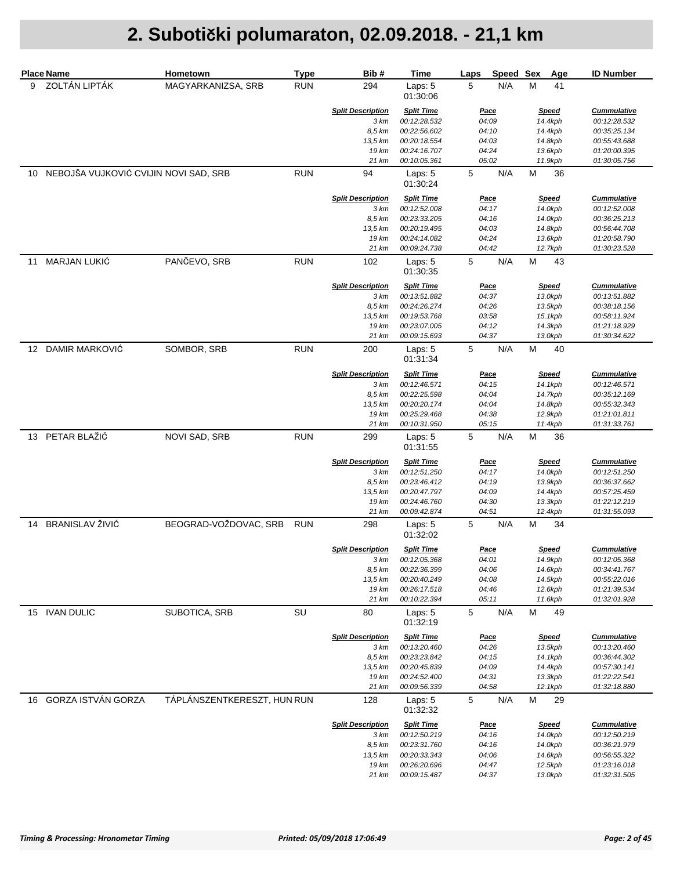|    | <b>Place Name</b>                     | Hometown                    | <b>Type</b> | Bib#                             | Time                              | Laps | Speed Sex            | Age                     | <b>ID Number</b>                   |
|----|---------------------------------------|-----------------------------|-------------|----------------------------------|-----------------------------------|------|----------------------|-------------------------|------------------------------------|
| 9  | ZOLTÁN LIPTÁK                         | MAGYARKANIZSA, SRB          | <b>RUN</b>  | 294                              | Laps: 5<br>01:30:06               | 5    | N/A                  | М<br>41                 |                                    |
|    |                                       |                             |             | <b>Split Description</b>         | <b>Split Time</b>                 |      | <u>Pace</u>          | <b>Speed</b>            | <b>Cummulative</b>                 |
|    |                                       |                             |             | 3 km<br>8,5 km                   | 00:12:28.532<br>00:22:56.602      |      | 04:09<br>04:10       | 14.4kph<br>14.4kph      | 00:12:28.532<br>00:35:25.134       |
|    |                                       |                             |             | 13,5 km                          | 00:20:18.554                      |      | 04:03                | 14.8kph                 | 00:55:43.688                       |
|    |                                       |                             |             | 19 km                            | 00:24:16.707                      |      | 04:24                | 13.6kph                 | 01:20:00.395                       |
|    |                                       |                             |             | 21 km                            | 00:10:05.361                      |      | 05:02                | 11.9kph                 | 01:30:05.756                       |
| 10 | NEBOJŠA VUJKOVIĆ CVIJIN NOVI SAD, SRB |                             | <b>RUN</b>  | 94                               | Laps: 5<br>01:30:24               | 5    | N/A                  | M<br>36                 |                                    |
|    |                                       |                             |             | <b>Split Description</b>         | <b>Split Time</b>                 |      | <u>Pace</u>          | <u>Speed</u>            | <b>Cummulative</b>                 |
|    |                                       |                             |             | 3 km                             | 00:12:52.008                      |      | 04:17                | 14.0kph                 | 00:12:52.008                       |
|    |                                       |                             |             | 8,5 km<br>13,5 km                | 00:23:33.205<br>00:20:19.495      |      | 04:16<br>04:03       | 14.0kph<br>14.8kph      | 00:36:25.213<br>00:56:44.708       |
|    |                                       |                             |             | 19 km                            | 00:24:14.082                      |      | 04:24                | 13.6kph                 | 01:20:58.790                       |
|    |                                       |                             |             | 21 km                            | 00:09:24.738                      |      | 04:42                | 12.7kph                 | 01:30:23.528                       |
| 11 | <b>MARJAN LUKIĆ</b>                   | PANČEVO, SRB                | <b>RUN</b>  | 102                              | Laps: 5<br>01:30:35               | 5    | N/A                  | M<br>43                 |                                    |
|    |                                       |                             |             | <b>Split Description</b>         | <b>Split Time</b>                 |      | <u>Pace</u>          | <b>Speed</b>            | <b>Cummulative</b>                 |
|    |                                       |                             |             | 3 km                             | 00:13:51.882                      |      | 04:37                | 13.0kph                 | 00:13:51.882                       |
|    |                                       |                             |             | 8,5 km                           | 00:24:26.274                      |      | 04:26                | 13.5kph                 | 00:38:18.156                       |
|    |                                       |                             |             | 13,5 km                          | 00:19:53.768                      |      | 03:58                | 15.1kph                 | 00:58:11.924                       |
|    |                                       |                             |             | 19 km<br>21 km                   | 00:23:07.005<br>00:09:15.693      |      | 04:12<br>04:37       | 14.3kph<br>13.0kph      | 01:21:18.929<br>01:30:34.622       |
| 12 | DAMIR MARKOVIĆ                        | SOMBOR, SRB                 | <b>RUN</b>  | 200                              | Laps: 5<br>01:31:34               | 5    | N/A                  | M<br>40                 |                                    |
|    |                                       |                             |             | <b>Split Description</b>         | <b>Split Time</b>                 |      | <u>Pace</u>          | <u>Speed</u>            | <b>Cummulative</b>                 |
|    |                                       |                             |             | 3 km                             | 00:12:46.571                      |      | 04:15                | 14.1kph                 | 00:12:46.571                       |
|    |                                       |                             |             | 8,5 km                           | 00:22:25.598                      |      | 04:04                | 14.7kph                 | 00:35:12.169                       |
|    |                                       |                             |             | 13,5 km                          | 00:20:20.174                      |      | 04:04                | 14.8kph                 | 00:55:32.343                       |
|    |                                       |                             |             | 19 km                            | 00:25:29.468                      |      | 04:38                | 12.9kph                 | 01:21:01.811                       |
| 13 | PETAR BLAŽIĆ                          | NOVI SAD, SRB               | <b>RUN</b>  | 21 km<br>299                     | 00:10:31.950                      | 5    | 05:15<br>N/A         | 11.4kph<br>M<br>36      | 01:31:33.761                       |
|    |                                       |                             |             |                                  | Laps: 5<br>01:31:55               |      |                      |                         |                                    |
|    |                                       |                             |             | <b>Split Description</b>         | <b>Split Time</b>                 |      | <u>Pace</u>          | <b>Speed</b>            | <b>Cummulative</b>                 |
|    |                                       |                             |             | 3 km                             | 00:12:51.250                      |      | 04:17                | 14.0kph                 | 00:12:51.250                       |
|    |                                       |                             |             | 8,5 km<br>13,5 km                | 00:23:46.412<br>00:20:47.797      |      | 04:19<br>04:09       | 13.9kph<br>14.4kph      | 00:36:37.662<br>00:57:25.459       |
|    |                                       |                             |             | 19 km                            | 00:24:46.760                      |      | 04:30                | 13.3kph                 | 01:22:12.219                       |
|    |                                       |                             |             | 21 km                            | 00:09:42.874                      |      | 04:51                | 12.4kph                 | 01:31:55.093                       |
| 14 | <b>BRANISLAV ŽIVIĆ</b>                | BEOGRAD-VOŽDOVAC, SRB       | <b>RUN</b>  | 298                              | Laps: 5<br>01:32:02               | 5    | N/A                  | M<br>34                 |                                    |
|    |                                       |                             |             | <b>Split Description</b>         | <b>Split Time</b>                 |      | <u>Pace</u>          | <b>Speed</b>            | <b>Cummulative</b>                 |
|    |                                       |                             |             | 3 km                             | 00:12:05.368                      |      | 04:01                | 14.9kph                 | 00:12:05.368                       |
|    |                                       |                             |             | 8,5 km                           | 00:22:36.399                      |      | 04:06                | 14.6kph                 | 00:34:41.767                       |
|    |                                       |                             |             | 13,5 km                          | 00:20:40.249                      |      | 04:08                | 14.5kph                 | 00:55:22.016                       |
|    |                                       |                             |             | 19 km                            | 00:26:17.518                      |      | 04:46                | 12.6kph                 | 01:21:39.534                       |
|    | 15 IVAN DULIC                         | SUBOTICA, SRB               | SU          | 21 km<br>80                      | 00:10:22.394<br>Laps: 5           | 5    | 05:11<br>N/A         | 11.6kph<br>м<br>49      | 01:32:01.928                       |
|    |                                       |                             |             |                                  | 01:32:19                          |      |                      |                         |                                    |
|    |                                       |                             |             | <b>Split Description</b><br>3 km | <b>Split Time</b><br>00:13:20.460 |      | <u>Pace</u><br>04:26 | <u>Speed</u><br>13.5kph | <b>Cummulative</b><br>00:13:20.460 |
|    |                                       |                             |             | 8,5 km                           | 00:23:23.842                      |      | 04:15                | 14.1kph                 | 00:36:44.302                       |
|    |                                       |                             |             | 13,5 km                          | 00:20:45.839                      |      | 04:09                | 14.4kph                 | 00:57:30.141                       |
|    |                                       |                             |             | 19 km                            | 00:24:52.400                      |      | 04:31                | 13.3kph                 | 01:22:22.541                       |
|    |                                       |                             |             | 21 km                            | 00:09:56.339                      |      | 04:58                | 12.1kph                 | 01:32:18.880                       |
|    | 16 GORZA ISTVÁN GORZA                 | TÁPLÁNSZENTKERESZT, HUN RUN |             | 128                              | Laps: 5<br>01:32:32               | 5    | N/A                  | M<br>29                 |                                    |
|    |                                       |                             |             | <b>Split Description</b>         | <b>Split Time</b>                 |      | <u>Pace</u>          | <b>Speed</b>            | <b>Cummulative</b>                 |
|    |                                       |                             |             | 3 km                             | 00:12:50.219                      |      | 04:16                | 14.0kph                 | 00:12:50.219                       |
|    |                                       |                             |             | 8,5 km                           | 00:23:31.760                      |      | 04:16                | 14.0kph                 | 00:36:21.979                       |
|    |                                       |                             |             | 13,5 km                          | 00:20:33.343                      |      | 04:06                | 14.6kph                 | 00:56:55.322                       |
|    |                                       |                             |             | 19 km<br>21 km                   | 00:26:20.696<br>00:09:15.487      |      | 04:47<br>04:37       | 12.5kph<br>13.0kph      | 01:23:16.018<br>01:32:31.505       |
|    |                                       |                             |             |                                  |                                   |      |                      |                         |                                    |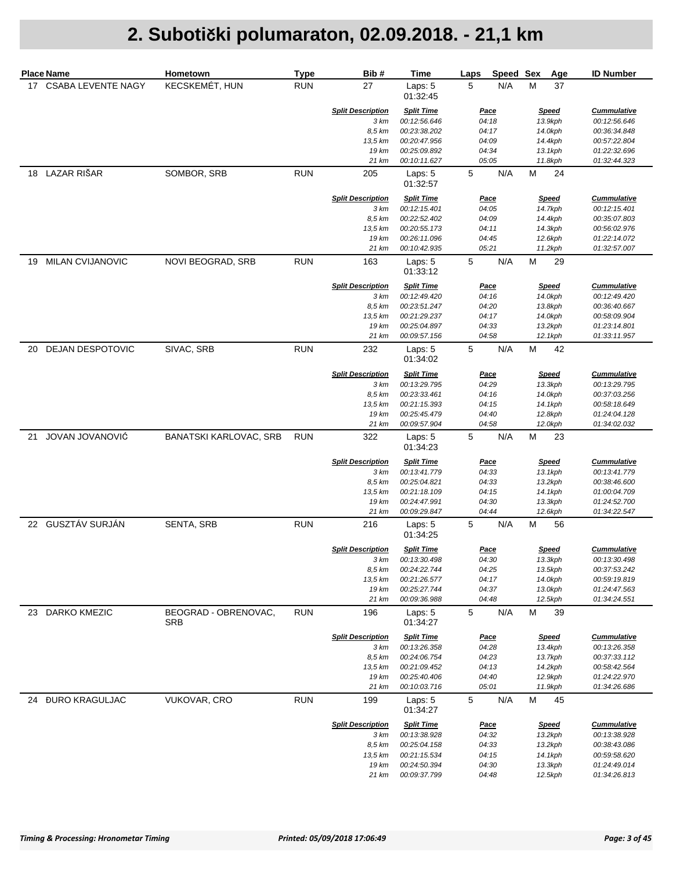|    | <b>Place Name</b>      | Hometown                           | <b>Type</b> | Bib#                             | Time                                | Speed Sex<br>Laps    | Age                     | <b>ID Number</b>                   |
|----|------------------------|------------------------------------|-------------|----------------------------------|-------------------------------------|----------------------|-------------------------|------------------------------------|
|    | 17 CSABA LEVENTE NAGY  | KECSKEMÉT, HUN                     | <b>RUN</b>  | 27                               | Laps: 5<br>01:32:45                 | 5<br>N/A             | M<br>37                 |                                    |
|    |                        |                                    |             | <b>Split Description</b>         | <b>Split Time</b>                   | Pace                 | <b>Speed</b>            | <b>Cummulative</b>                 |
|    |                        |                                    |             | 3 km                             | 00:12:56.646                        | 04:18                | 13.9kph                 | 00:12:56.646                       |
|    |                        |                                    |             | 8,5 km<br>13,5 km                | 00:23:38.202<br>00:20:47.956        | 04:17<br>04:09       | 14.0kph<br>14.4kph      | 00:36:34.848<br>00:57:22.804       |
|    |                        |                                    |             | 19 km                            | 00:25:09.892                        | 04:34                | 13.1kph                 | 01:22:32.696                       |
|    |                        |                                    |             | 21 km                            | 00:10:11.627                        | 05:05                | 11.8kph                 | 01:32:44.323                       |
| 18 | LAZAR RIŠAR            | SOMBOR, SRB                        | <b>RUN</b>  | 205                              | Laps: 5<br>01:32:57                 | 5<br>N/A             | M<br>24                 |                                    |
|    |                        |                                    |             | <b>Split Description</b><br>3 km | <b>Split Time</b><br>00:12:15.401   | Pace<br>04:05        | <b>Speed</b><br>14.7kph | <b>Cummulative</b><br>00:12:15.401 |
|    |                        |                                    |             | 8,5 km                           | 00:22:52.402                        | 04:09                | 14.4kph                 | 00:35:07.803                       |
|    |                        |                                    |             | 13,5 km                          | 00:20:55.173                        | 04:11                | 14.3kph                 | 00:56:02.976                       |
|    |                        |                                    |             | 19 km                            | 00:26:11.096                        | 04:45                | 12.6kph                 | 01:22:14.072                       |
|    |                        |                                    |             | 21 km                            | 00:10:42.935                        | 05:21                | 11.2kph                 | 01:32:57.007                       |
| 19 | MILAN CVIJANOVIC       | NOVI BEOGRAD, SRB                  | <b>RUN</b>  | 163                              | Laps: 5<br>01:33:12                 | 5<br>N/A             | M<br>29                 |                                    |
|    |                        |                                    |             | <b>Split Description</b>         | <b>Split Time</b>                   | <u>Pace</u>          | <b>Speed</b>            | <b>Cummulative</b>                 |
|    |                        |                                    |             | 3 km                             | 00:12:49.420                        | 04:16                | 14.0kph                 | 00:12:49.420                       |
|    |                        |                                    |             | 8,5 km<br>13,5 km                | 00:23:51.247<br>00:21:29.237        | 04:20<br>04:17       | 13.8kph<br>14.0kph      | 00:36:40.667                       |
|    |                        |                                    |             | 19 km                            | 00:25:04.897                        | 04:33                | 13.2kph                 | 00:58:09.904<br>01:23:14.801       |
|    |                        |                                    |             | 21 km                            | 00:09:57.156                        | 04:58                | 12.1kph                 | 01:33:11.957                       |
| 20 | DEJAN DESPOTOVIC       | SIVAC, SRB                         | <b>RUN</b>  | 232                              | Laps: 5<br>01:34:02                 | 5<br>N/A             | M<br>42                 |                                    |
|    |                        |                                    |             | <b>Split Description</b>         | <b>Split Time</b>                   | <u>Pace</u>          | <b>Speed</b>            | <b>Cummulative</b>                 |
|    |                        |                                    |             | 3 km                             | 00:13:29.795                        | 04:29                | 13.3kph                 | 00:13:29.795                       |
|    |                        |                                    |             | 8,5 km                           | 00:23:33.461                        | 04:16                | 14.0kph                 | 00:37:03.256                       |
|    |                        |                                    |             | 13,5 km                          | 00:21:15.393                        | 04:15                | 14.1kph                 | 00:58:18.649                       |
|    |                        |                                    |             | 19 km                            | 00:25:45.479                        | 04:40                | 12.8kph                 | 01:24:04.128                       |
| 21 | <b>JOVAN JOVANOVIĆ</b> | <b>BANATSKI KARLOVAC, SRB</b>      | <b>RUN</b>  | 21 km<br>322                     | 00:09:57.904<br>Laps: 5<br>01:34:23 | 04:58<br>5<br>N/A    | 12.0kph<br>M<br>23      | 01:34:02.032                       |
|    |                        |                                    |             |                                  |                                     |                      |                         |                                    |
|    |                        |                                    |             | <b>Split Description</b><br>3 km | <b>Split Time</b><br>00:13:41.779   | <u>Pace</u><br>04:33 | <b>Speed</b><br>13.1kph | <b>Cummulative</b><br>00:13:41.779 |
|    |                        |                                    |             | 8,5 km                           | 00:25:04.821                        | 04:33                | 13.2kph                 | 00:38:46.600                       |
|    |                        |                                    |             | 13,5 km                          | 00:21:18.109                        | 04:15                | 14.1kph                 | 01:00:04.709                       |
|    |                        |                                    |             | 19 km                            | 00:24:47.991                        | 04:30                | 13.3kph                 | 01:24:52.700                       |
|    |                        |                                    |             | 21 km                            | 00:09:29.847                        | 04:44                | 12.6kph                 | 01:34:22.547                       |
|    | 22 GUSZTÁV SURJÁN      | <b>SENTA, SRB</b>                  | <b>RUN</b>  | 216                              | Laps: 5<br>01:34:25                 | 5<br>N/A             | M<br>56                 |                                    |
|    |                        |                                    |             | <b>Split Description</b>         | <b>Split Time</b>                   | Pace                 | <u>Speed</u>            | <b>Cummulative</b>                 |
|    |                        |                                    |             | 3 km                             | 00:13:30.498                        | 04:30                | 13.3kph                 | 00:13:30.498                       |
|    |                        |                                    |             | 8,5 km                           | 00:24:22.744                        | 04:25                | 13.5kph                 | 00:37:53.242                       |
|    |                        |                                    |             | 13,5 km<br>19 km                 | 00:21:26.577<br>00:25:27.744        | 04:17<br>04:37       | 14.0kph<br>13.0kph      | 00:59:19.819<br>01:24:47.563       |
|    |                        |                                    |             | 21 km                            | 00:09:36.988                        | 04:48                | 12.5kph                 | 01:34:24.551                       |
| 23 | DARKO KMEZIC           | BEOGRAD - OBRENOVAC,<br><b>SRB</b> | <b>RUN</b>  | 196                              | Laps: 5<br>01:34:27                 | 5<br>N/A             | М<br>39                 |                                    |
|    |                        |                                    |             | <b>Split Description</b>         | <b>Split Time</b>                   | <u>Pace</u>          | <u>Speed</u>            | <b>Cummulative</b>                 |
|    |                        |                                    |             | 3 km                             | 00:13:26.358                        | 04:28                | 13.4kph                 | 00:13:26.358                       |
|    |                        |                                    |             | 8,5 km                           | 00:24:06.754                        | 04:23                | 13.7kph                 | 00:37:33.112                       |
|    |                        |                                    |             | 13,5 km                          | 00:21:09.452                        | 04:13                | 14.2kph                 | 00:58:42.564                       |
|    |                        |                                    |             | 19 km                            | 00:25:40.406                        | 04:40                | 12.9kph                 | 01:24:22.970                       |
|    |                        |                                    |             | 21 km                            | 00:10:03.716                        | 05:01                | 11.9kph                 | 01:34:26.686                       |
|    | 24 ĐURO KRAGULJAC      | <b>VUKOVAR, CRO</b>                | <b>RUN</b>  | 199                              | Laps: 5<br>01:34:27                 | 5<br>N/A             | M<br>45                 |                                    |
|    |                        |                                    |             | <b>Split Description</b>         | <b>Split Time</b>                   | <u>Pace</u>          | <b>Speed</b>            | <b>Cummulative</b>                 |
|    |                        |                                    |             | 3 km                             | 00:13:38.928                        | 04:32                | 13.2kph                 | 00:13:38.928                       |
|    |                        |                                    |             | 8,5 km                           | 00:25:04.158                        | 04:33                | 13.2kph                 | 00:38:43.086                       |
|    |                        |                                    |             | 13,5 km                          | 00:21:15.534                        | 04:15                | 14.1kph                 | 00:59:58.620                       |
|    |                        |                                    |             | 19 km<br>21 km                   | 00:24:50.394<br>00:09:37.799        | 04:30<br>04:48       | 13.3kph<br>12.5kph      | 01:24:49.014<br>01:34:26.813       |
|    |                        |                                    |             |                                  |                                     |                      |                         |                                    |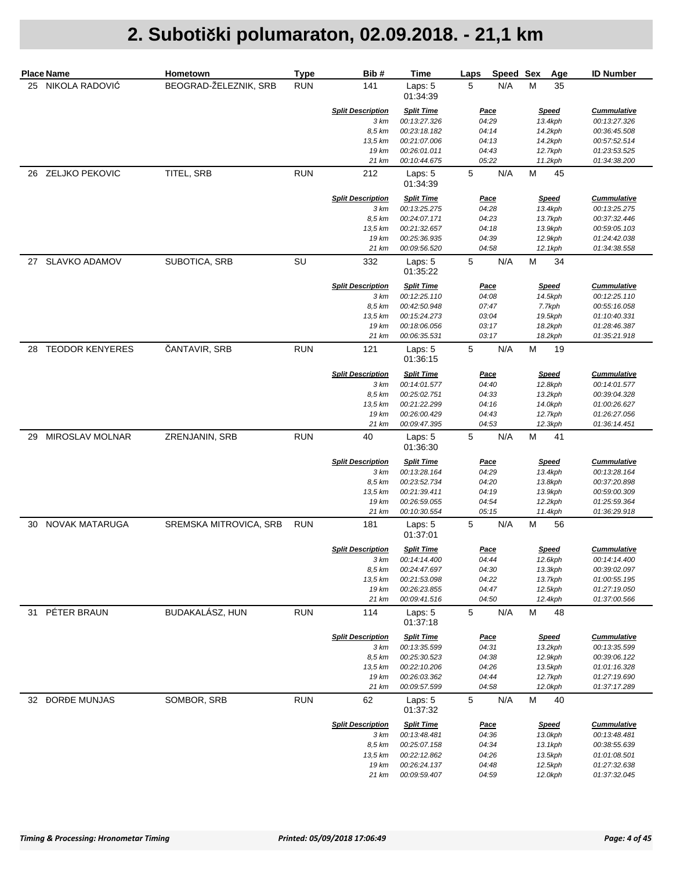|    | <b>Place Name</b>      | Hometown               | <b>Type</b> | Bib#                             | Time                              | Speed Sex<br>Laps    | Age                     | <b>ID Number</b>                   |
|----|------------------------|------------------------|-------------|----------------------------------|-----------------------------------|----------------------|-------------------------|------------------------------------|
|    | 25 NIKOLA RADOVIĆ      | BEOGRAD-ŽELEZNIK, SRB  | <b>RUN</b>  | 141                              | Laps: 5<br>01:34:39               | N/A<br>5             | м<br>35                 |                                    |
|    |                        |                        |             | <b>Split Description</b>         | <b>Split Time</b>                 | <b>Pace</b>          | <b>Speed</b>            | <b>Cummulative</b>                 |
|    |                        |                        |             | 3 km                             | 00:13:27.326                      | 04:29                | 13.4kph                 | 00:13:27.326                       |
|    |                        |                        |             | 8,5 km<br>13,5 km                | 00:23:18.182<br>00:21:07.006      | 04:14<br>04:13       | 14.2kph<br>14.2kph      | 00:36:45.508<br>00:57:52.514       |
|    |                        |                        |             | 19 km                            | 00:26:01.011                      | 04:43                | 12.7kph                 | 01:23:53.525                       |
|    |                        |                        |             | 21 km                            | 00:10:44.675                      | 05:22                | 11.2kph                 | 01:34:38.200                       |
| 26 | ZELJKO PEKOVIC         | TITEL, SRB             | <b>RUN</b>  | 212                              | Laps: 5<br>01:34:39               | 5<br>N/A             | M<br>45                 |                                    |
|    |                        |                        |             | <b>Split Description</b><br>3 km | <b>Split Time</b><br>00:13:25.275 | <b>Pace</b><br>04:28 | <b>Speed</b><br>13.4kph | <b>Cummulative</b><br>00:13:25.275 |
|    |                        |                        |             | 8,5 km                           | 00:24:07.171                      | 04:23                | 13.7kph                 | 00:37:32.446                       |
|    |                        |                        |             | 13,5 km                          | 00:21:32.657                      | 04:18                | 13.9kph                 | 00:59:05.103                       |
|    |                        |                        |             | 19 km                            | 00:25:36.935                      | 04:39                | 12.9kph                 | 01:24:42.038                       |
|    |                        |                        |             | 21 km                            | 00:09:56.520                      | 04:58                | 12.1kph                 | 01:34:38.558                       |
| 27 | <b>SLAVKO ADAMOV</b>   | SUBOTICA, SRB          | SU          | 332                              | Laps: 5<br>01:35:22               | 5<br>N/A             | M<br>34                 |                                    |
|    |                        |                        |             | <b>Split Description</b>         | <b>Split Time</b>                 | <u>Pace</u>          | <b>Speed</b>            | <b>Cummulative</b>                 |
|    |                        |                        |             | 3 km<br>8,5 km                   | 00:12:25.110<br>00:42:50.948      | 04:08<br>07:47       | 14.5kph<br>7.7kph       | 00:12:25.110<br>00:55:16.058       |
|    |                        |                        |             | 13,5 km                          | 00:15:24.273                      | 03:04                | 19.5kph                 | 01:10:40.331                       |
|    |                        |                        |             | 19 km                            | 00:18:06.056                      | 03:17                | 18.2kph                 | 01:28:46.387                       |
|    |                        |                        |             | 21 km                            | 00:06:35.531                      | 03:17                | 18.2kph                 | 01:35:21.918                       |
| 28 | <b>TEODOR KENYERES</b> | ČANTAVIR, SRB          | <b>RUN</b>  | 121                              | Laps: 5<br>01:36:15               | 5<br>N/A             | M<br>19                 |                                    |
|    |                        |                        |             | <b>Split Description</b>         | <b>Split Time</b>                 | <u>Pace</u>          | <b>Speed</b>            | <b>Cummulative</b>                 |
|    |                        |                        |             | 3 km                             | 00:14:01.577                      | 04:40                | 12.8kph                 | 00:14:01.577                       |
|    |                        |                        |             | 8,5 km                           | 00:25:02.751                      | 04:33                | 13.2kph                 | 00:39:04.328                       |
|    |                        |                        |             | 13,5 km                          | 00:21:22.299                      | 04:16                | 14.0kph                 | 01:00:26.627                       |
|    |                        |                        |             | 19 km<br>21 km                   | 00:26:00.429<br>00:09:47.395      | 04:43<br>04:53       | 12.7kph<br>12.3kph      | 01:26:27.056<br>01:36:14.451       |
| 29 | MIROSLAV MOLNAR        | ZRENJANIN, SRB         | <b>RUN</b>  | 40                               | Laps: 5<br>01:36:30               | 5<br>N/A             | M<br>41                 |                                    |
|    |                        |                        |             | <b>Split Description</b>         | <b>Split Time</b>                 | <b>Pace</b>          | <b>Speed</b>            | <b>Cummulative</b>                 |
|    |                        |                        |             | 3 km                             | 00:13:28.164                      | 04:29                | 13.4kph                 | 00:13:28.164                       |
|    |                        |                        |             | 8,5 km                           | 00:23:52.734                      | 04:20                | 13.8kph                 | 00:37:20.898                       |
|    |                        |                        |             | 13,5 km                          | 00:21:39.411                      | 04:19                | 13.9kph                 | 00:59:00.309                       |
|    |                        |                        |             | 19 km                            | 00:26:59.055                      | 04:54                | 12.2kph                 | 01:25:59.364                       |
| 30 | <b>NOVAK MATARUGA</b>  | SREMSKA MITROVICA, SRB | <b>RUN</b>  | 21 km<br>181                     | 00:10:30.554<br>Laps: 5           | 05:15<br>5<br>N/A    | 11.4kph<br>M<br>56      | 01:36:29.918                       |
|    |                        |                        |             |                                  | 01:37:01                          |                      |                         |                                    |
|    |                        |                        |             | <b>Split Description</b>         | <b>Split Time</b>                 | <b>Pace</b>          | <b>Speed</b>            | <b>Cummulative</b>                 |
|    |                        |                        |             | 3 km<br>8,5 km                   | 00:14:14.400<br>00:24:47.697      | 04:44<br>04:30       | 12.6kph<br>13.3kph      | 00:14:14.400<br>00:39:02.097       |
|    |                        |                        |             | 13,5 km                          | 00:21:53.098                      | 04:22                | 13.7kph                 | 01:00:55.195                       |
|    |                        |                        |             | 19 km                            | 00:26:23.855                      | 04:47                | 12.5kph                 | 01:27:19.050                       |
|    |                        |                        |             | 21 km                            | 00:09:41.516                      | 04:50                | 12.4kph                 | 01:37:00.566                       |
| 31 | PÉTER BRAUN            | BUDAKALÁSZ, HUN        | <b>RUN</b>  | 114                              | Laps: 5<br>01:37:18               | 5<br>N/A             | м<br>48                 |                                    |
|    |                        |                        |             | <b>Split Description</b>         | <b>Split Time</b>                 | <u>Pace</u>          | <b>Speed</b>            | <b>Cummulative</b>                 |
|    |                        |                        |             | 3 km                             | 00:13:35.599                      | 04:31                | 13.2kph                 | 00:13:35.599                       |
|    |                        |                        |             | 8,5 km                           | 00:25:30.523                      | 04:38                | 12.9kph                 | 00:39:06.122                       |
|    |                        |                        |             | 13,5 km<br>19 km                 | 00:22:10.206<br>00:26:03.362      | 04:26<br>04:44       | 13.5kph<br>12.7kph      | 01:01:16.328<br>01:27:19.690       |
|    |                        |                        |             | 21 km                            | 00:09:57.599                      | 04:58                | 12.0kph                 | 01:37:17.289                       |
|    | 32 ĐORĐE MUNJAS        | SOMBOR, SRB            | <b>RUN</b>  | 62                               | Laps: 5<br>01:37:32               | 5<br>N/A             | M<br>40                 |                                    |
|    |                        |                        |             | <b>Split Description</b>         | <b>Split Time</b>                 | <u>Pace</u>          | <b>Speed</b>            | <b>Cummulative</b>                 |
|    |                        |                        |             | 3 km                             | 00:13:48.481                      | 04:36                | 13.0kph                 | 00:13:48.481                       |
|    |                        |                        |             | 8,5 km                           | 00:25:07.158                      | 04:34                | 13.1kph                 | 00:38:55.639                       |
|    |                        |                        |             | 13,5 km                          | 00:22:12.862                      | 04:26                | 13.5kph                 | 01:01:08.501                       |
|    |                        |                        |             | 19 km                            | 00:26:24.137                      | 04:48                | 12.5kph                 | 01:27:32.638                       |
|    |                        |                        |             | 21 km                            | 00:09:59.407                      | 04:59                | 12.0kph                 | 01:37:32.045                       |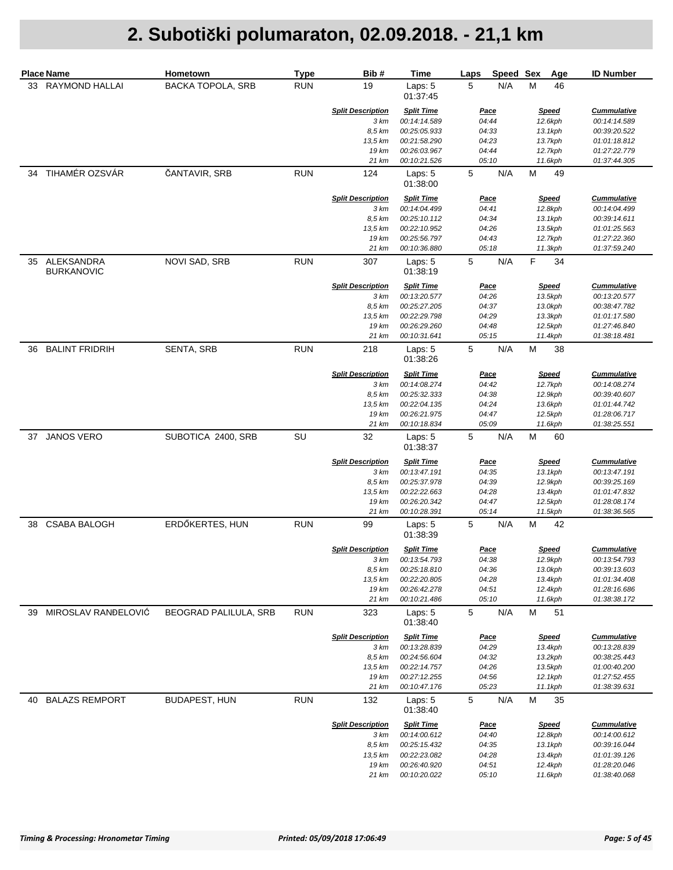|    | <b>Place Name</b>               | Hometown                     | <b>Type</b> | Bib#                             | Time                              | Speed Sex<br>Laps    | Age                     | <b>ID Number</b>                   |
|----|---------------------------------|------------------------------|-------------|----------------------------------|-----------------------------------|----------------------|-------------------------|------------------------------------|
|    | 33 RAYMOND HALLAI               | <b>BACKA TOPOLA, SRB</b>     | <b>RUN</b>  | 19                               | Laps: 5<br>01:37:45               | 5<br>N/A             | M<br>46                 |                                    |
|    |                                 |                              |             | <b>Split Description</b>         | <b>Split Time</b>                 | <b>Pace</b>          | <b>Speed</b>            | <b>Cummulative</b>                 |
|    |                                 |                              |             | 3 km                             | 00:14:14.589                      | 04:44                | 12.6kph                 | 00:14:14.589                       |
|    |                                 |                              |             | 8,5 km<br>13,5 km                | 00:25:05.933<br>00:21:58.290      | 04:33                | 13.1kph                 | 00:39:20.522                       |
|    |                                 |                              |             | 19 km                            | 00:26:03.967                      | 04:23<br>04:44       | 13.7kph<br>12.7kph      | 01:01:18.812<br>01:27:22.779       |
|    |                                 |                              |             | 21 km                            | 00:10:21.526                      | 05:10                | 11.6kph                 | 01:37:44.305                       |
| 34 | TIHAMÉR OZSVÁR                  | ČANTAVIR, SRB                | <b>RUN</b>  | 124                              | Laps: 5<br>01:38:00               | 5<br>N/A             | M<br>49                 |                                    |
|    |                                 |                              |             | <b>Split Description</b><br>3 km | <b>Split Time</b><br>00:14:04.499 | <u>Pace</u><br>04:41 | <b>Speed</b><br>12.8kph | <b>Cummulative</b><br>00:14:04.499 |
|    |                                 |                              |             | 8,5 km                           | 00:25:10.112                      | 04:34                | 13.1kph                 | 00:39:14.611                       |
|    |                                 |                              |             | 13,5 km                          | 00:22:10.952                      | 04:26                | 13.5kph                 | 01:01:25.563                       |
|    |                                 |                              |             | 19 km                            | 00:25:56.797                      | 04:43                | 12.7kph                 | 01:27:22.360                       |
|    |                                 |                              |             | 21 km                            | 00:10:36.880                      | 05:18                | 11.3kph                 | 01:37:59.240                       |
| 35 | ALEKSANDRA<br><b>BURKANOVIC</b> | NOVI SAD, SRB                | <b>RUN</b>  | 307                              | Laps: 5<br>01:38:19               | $\mathbf 5$<br>N/A   | F<br>34                 |                                    |
|    |                                 |                              |             | <b>Split Description</b>         | <b>Split Time</b>                 | <u>Pace</u>          | <b>Speed</b>            | <b>Cummulative</b>                 |
|    |                                 |                              |             | 3 km                             | 00:13:20.577                      | 04:26                | 13.5kph                 | 00:13:20.577                       |
|    |                                 |                              |             | 8,5 km                           | 00:25:27.205                      | 04:37                | 13.0kph                 | 00:38:47.782                       |
|    |                                 |                              |             | 13,5 km<br>19 km                 | 00:22:29.798<br>00:26:29.260      | 04:29<br>04:48       | 13.3kph<br>12.5kph      | 01:01:17.580<br>01:27:46.840       |
|    |                                 |                              |             | 21 km                            | 00:10:31.641                      | 05:15                | 11.4kph                 | 01:38:18.481                       |
| 36 | <b>BALINT FRIDRIH</b>           | SENTA, SRB                   | <b>RUN</b>  | 218                              | Laps: 5<br>01:38:26               | 5<br>N/A             | M<br>38                 |                                    |
|    |                                 |                              |             | <b>Split Description</b>         | <b>Split Time</b>                 | <u>Pace</u>          | <b>Speed</b>            | <b>Cummulative</b>                 |
|    |                                 |                              |             | 3 km                             | 00:14:08.274                      | 04:42                | 12.7kph                 | 00:14:08.274                       |
|    |                                 |                              |             | 8,5 km                           | 00:25:32.333                      | 04:38                | 12.9kph                 | 00:39:40.607                       |
|    |                                 |                              |             | 13,5 km                          | 00:22:04.135                      | 04:24                | 13.6kph                 | 01:01:44.742                       |
|    |                                 |                              |             | 19 km                            | 00:26:21.975                      | 04:47                | 12.5kph                 | 01:28:06.717                       |
|    |                                 |                              |             | 21 km                            | 00:10:18.834                      | 05:09                | 11.6kph                 | 01:38:25.551                       |
| 37 | <b>JANOS VERO</b>               | SUBOTICA 2400, SRB           | SU          | 32                               | Laps: 5<br>01:38:37               | 5<br>N/A             | M<br>60                 |                                    |
|    |                                 |                              |             | <b>Split Description</b>         | <b>Split Time</b>                 | <u>Pace</u>          | <b>Speed</b>            | <b>Cummulative</b>                 |
|    |                                 |                              |             | 3 km                             | 00:13:47.191                      | 04:35                | 13.1kph                 | 00:13:47.191                       |
|    |                                 |                              |             | 8,5 km                           | 00:25:37.978                      | 04:39                | 12.9kph                 | 00:39:25.169                       |
|    |                                 |                              |             | 13,5 km<br>19 km                 | 00:22:22.663<br>00:26:20.342      | 04:28<br>04:47       | 13.4kph<br>12.5kph      | 01:01:47.832<br>01:28:08.174       |
|    |                                 |                              |             | 21 km                            | 00:10:28.391                      | 05:14                | 11.5kph                 | 01:38:36.565                       |
| 38 | <b>CSABA BALOGH</b>             | ERDŐKERTES, HUN              | <b>RUN</b>  | 99                               | Laps: 5<br>01:38:39               | 5<br>N/A             | M<br>42                 |                                    |
|    |                                 |                              |             | <b>Split Description</b>         | <b>Split Time</b>                 | <u>Pace</u>          | <b>Speed</b>            | <b>Cummulative</b>                 |
|    |                                 |                              |             | 3 km                             | 00:13:54.793                      | 04:38                | 12.9kph                 | 00:13:54.793                       |
|    |                                 |                              |             | 8,5 km                           | 00:25:18.810                      | 04:36                | 13.0kph                 | 00:39:13.603                       |
|    |                                 |                              |             | 13,5 km                          | 00:22:20.805                      | 04:28                | 13.4kph                 | 01:01:34.408                       |
|    |                                 |                              |             | 19 km                            | 00:26:42.278                      | 04:51                | 12.4kph                 | 01:28:16.686                       |
|    |                                 |                              |             | 21 km                            | 00:10:21.486                      | 05:10                | 11.6kph                 | 01:38:38.172                       |
| 39 | MIROSLAV RANĐELOVIĆ             | <b>BEOGRAD PALILULA, SRB</b> | <b>RUN</b>  | 323                              | Laps: 5<br>01:38:40               | 5<br>N/A             | M<br>51                 |                                    |
|    |                                 |                              |             | <b>Split Description</b>         | <b>Split Time</b>                 | <u>Pace</u>          | <u>Speed</u>            | <b>Cummulative</b>                 |
|    |                                 |                              |             | 3 km                             | 00:13:28.839                      | 04:29                | 13.4kph                 | 00:13:28.839                       |
|    |                                 |                              |             | 8,5 km                           | 00:24:56.604                      | 04:32                | 13.2kph                 | 00:38:25.443                       |
|    |                                 |                              |             | 13,5 km<br>19 km                 | 00:22:14.757<br>00:27:12.255      | 04:26<br>04:56       | 13.5kph<br>12.1kph      | 01:00:40.200<br>01:27:52.455       |
|    |                                 |                              |             | 21 km                            | 00:10:47.176                      | 05:23                | 11.1kph                 | 01:38:39.631                       |
| 40 | <b>BALAZS REMPORT</b>           | <b>BUDAPEST, HUN</b>         | <b>RUN</b>  | 132                              | Laps: 5<br>01:38:40               | $\mathbf 5$<br>N/A   | M<br>35                 |                                    |
|    |                                 |                              |             | <b>Split Description</b>         | <b>Split Time</b>                 | <u>Pace</u>          | <u>Speed</u>            | <b>Cummulative</b>                 |
|    |                                 |                              |             | 3 km                             | 00:14:00.612                      | 04:40                | 12.8kph                 | 00:14:00.612                       |
|    |                                 |                              |             | 8,5 km                           | 00:25:15.432                      | 04:35                | 13.1kph                 | 00:39:16.044                       |
|    |                                 |                              |             | 13,5 km                          | 00:22:23.082                      | 04:28                | 13.4kph                 | 01:01:39.126                       |
|    |                                 |                              |             | 19 km                            | 00:26:40.920                      | 04:51                | 12.4kph                 | 01:28:20.046                       |
|    |                                 |                              |             | 21 km                            | 00:10:20.022                      | 05:10                | 11.6kph                 | 01:38:40.068                       |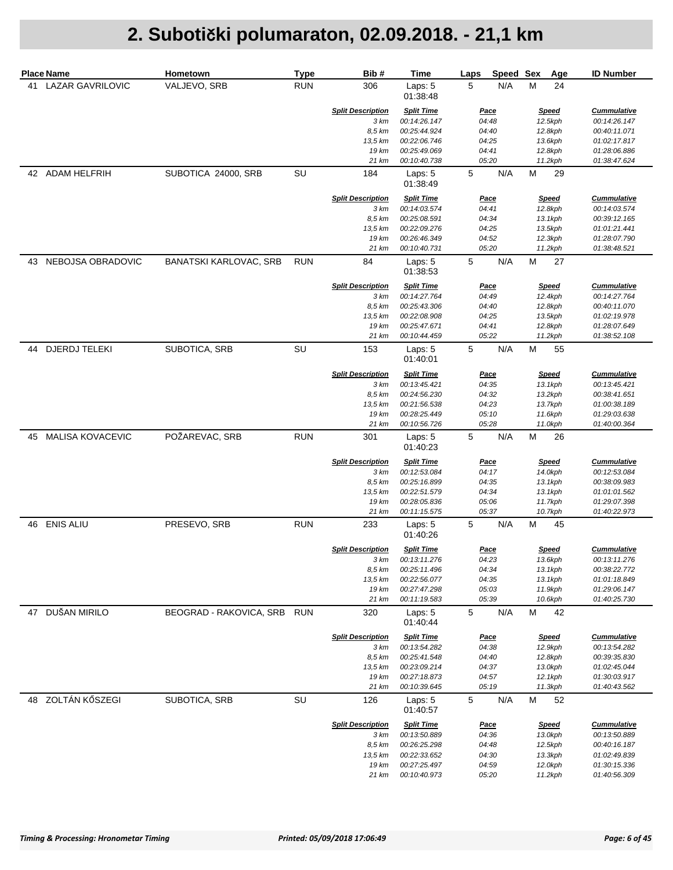|    | <b>Place Name</b>       | Hometown                      | <b>Type</b> | Bib#                     | Time                         | Laps        | Speed Sex            |   | Age                     | <b>ID Number</b>             |
|----|-------------------------|-------------------------------|-------------|--------------------------|------------------------------|-------------|----------------------|---|-------------------------|------------------------------|
| 41 | <b>LAZAR GAVRILOVIC</b> | VALJEVO, SRB                  | <b>RUN</b>  | 306                      | Laps: 5<br>01:38:48          | 5           | N/A                  | М | 24                      |                              |
|    |                         |                               |             | <b>Split Description</b> | <b>Split Time</b>            |             | <u>Pace</u>          |   | <b>Speed</b>            | <b>Cummulative</b>           |
|    |                         |                               |             | 3 km                     | 00:14:26.147                 |             | 04:48                |   | 12.5kph                 | 00:14:26.147                 |
|    |                         |                               |             | 8,5 km<br>13,5 km        | 00:25:44.924<br>00:22:06.746 |             | 04:40<br>04:25       |   | 12.8kph<br>13.6kph      | 00:40:11.071<br>01:02:17.817 |
|    |                         |                               |             | 19 km                    | 00:25:49.069                 |             | 04:41                |   | 12.8kph                 | 01:28:06.886                 |
|    |                         |                               |             | 21 km                    | 00:10:40.738                 |             | 05:20                |   | 11.2kph                 | 01:38:47.624                 |
| 42 | <b>ADAM HELFRIH</b>     | SUBOTICA 24000, SRB           | SU          | 184                      | Laps: 5<br>01:38:49          | $\mathbf 5$ | N/A                  | M | 29                      |                              |
|    |                         |                               |             | <b>Split Description</b> | <b>Split Time</b>            |             | <b>Pace</b>          |   | <b>Speed</b>            | <b>Cummulative</b>           |
|    |                         |                               |             | 3 km<br>8,5 km           | 00:14:03.574<br>00:25:08.591 |             | 04:41<br>04:34       |   | 12.8kph<br>13.1kph      | 00:14:03.574<br>00:39:12.165 |
|    |                         |                               |             | 13,5 km                  | 00:22:09.276                 |             | 04:25                |   | 13.5kph                 | 01:01:21.441                 |
|    |                         |                               |             | 19 km                    | 00:26:46.349                 |             | 04:52                |   | 12.3kph                 | 01:28:07.790                 |
|    |                         |                               |             | 21 km                    | 00:10:40.731                 |             | 05:20                |   | 11.2kph                 | 01:38:48.521                 |
| 43 | NEBOJSA OBRADOVIC       | <b>BANATSKI KARLOVAC, SRB</b> | <b>RUN</b>  | 84                       | Laps: 5<br>01:38:53          | 5           | N/A                  | M | 27                      |                              |
|    |                         |                               |             | <b>Split Description</b> | <b>Split Time</b>            |             | <u>Pace</u>          |   | <b>Speed</b>            | <b>Cummulative</b>           |
|    |                         |                               |             | 3 km                     | 00:14:27.764                 |             | 04:49                |   | 12.4kph                 | 00:14:27.764                 |
|    |                         |                               |             | 8,5 km                   | 00:25:43.306                 |             | 04:40                |   | 12.8kph                 | 00:40:11.070                 |
|    |                         |                               |             | 13,5 km                  | 00:22:08.908                 |             | 04:25                |   | 13.5kph                 | 01:02:19.978                 |
|    |                         |                               |             | 19 km<br>21 km           | 00:25:47.671<br>00:10:44.459 |             | 04:41<br>05:22       |   | 12.8kph<br>11.2kph      | 01:28:07.649<br>01:38:52.108 |
| 44 | <b>DJERDJ TELEKI</b>    | SUBOTICA, SRB                 | SU          | 153                      | Laps: 5<br>01:40:01          | 5           | N/A                  | M | 55                      |                              |
|    |                         |                               |             | <b>Split Description</b> | <b>Split Time</b>            |             |                      |   |                         | <b>Cummulative</b>           |
|    |                         |                               |             | 3 km                     | 00:13:45.421                 |             | <b>Pace</b><br>04:35 |   | <b>Speed</b><br>13.1kph | 00:13:45.421                 |
|    |                         |                               |             | 8,5 km                   | 00:24:56.230                 |             | 04:32                |   | 13.2kph                 | 00:38:41.651                 |
|    |                         |                               |             | 13,5 km                  | 00:21:56.538                 |             | 04:23                |   | 13.7kph                 | 01:00:38.189                 |
|    |                         |                               |             | 19 km                    | 00:28:25.449                 |             | 05:10                |   | 11.6kph                 | 01:29:03.638                 |
|    |                         |                               |             | 21 km                    | 00:10:56.726                 |             | 05:28                |   | 11.0kph                 | 01:40:00.364                 |
| 45 | <b>MALISA KOVACEVIC</b> | POŽAREVAC, SRB                | <b>RUN</b>  | 301                      | Laps: 5<br>01:40:23          | 5           | N/A                  | M | 26                      |                              |
|    |                         |                               |             | <b>Split Description</b> | <b>Split Time</b>            |             | <u>Pace</u>          |   | <b>Speed</b>            | <b>Cummulative</b>           |
|    |                         |                               |             | 3 km                     | 00:12:53.084                 |             | 04:17                |   | 14.0kph                 | 00:12:53.084                 |
|    |                         |                               |             | 8,5 km                   | 00:25:16.899                 |             | 04:35                |   | 13.1kph                 | 00:38:09.983                 |
|    |                         |                               |             | 13,5 km<br>19 km         | 00:22:51.579<br>00:28:05.836 |             | 04:34<br>05:06       |   | 13.1kph<br>11.7kph      | 01:01:01.562<br>01:29:07.398 |
|    |                         |                               |             | 21 km                    | 00:11:15.575                 |             | 05:37                |   | 10.7kph                 | 01:40:22.973                 |
| 46 | <b>ENIS ALIU</b>        | PRESEVO, SRB                  | <b>RUN</b>  | 233                      | Laps: 5<br>01:40:26          | 5           | N/A                  | M | 45                      |                              |
|    |                         |                               |             | <b>Split Description</b> | <b>Split Time</b>            |             | <b>Pace</b>          |   | <b>Speed</b>            | <b>Cummulative</b>           |
|    |                         |                               |             | 3 km                     | 00:13:11.276                 |             | 04:23                |   | 13.6kph                 | 00:13:11.276                 |
|    |                         |                               |             | 8,5 km                   | 00:25:11.496                 |             | 04:34                |   | 13.1kph                 | 00:38:22.772                 |
|    |                         |                               |             | 13,5 km                  | 00:22:56.077                 |             | 04:35                |   | 13.1kph                 | 01:01:18.849                 |
|    |                         |                               |             | 19 km                    | 00:27:47.298                 |             | 05:03                |   | 11.9kph                 | 01:29:06.147                 |
|    |                         |                               |             | 21 km                    | 00:11:19.583                 |             | 05:39                |   | 10.6kph                 | 01:40:25.730                 |
| 47 | DUŠAN MIRILO            | BEOGRAD - RAKOVICA, SRB RUN   |             | 320                      | Laps: 5<br>01:40:44          | 5           | N/A                  | M | 42                      |                              |
|    |                         |                               |             | <b>Split Description</b> | <b>Split Time</b>            |             | <u>Pace</u>          |   | <b>Speed</b>            | <b>Cummulative</b>           |
|    |                         |                               |             | 3 km                     | 00:13:54.282                 |             | 04:38                |   | 12.9kph                 | 00:13:54.282                 |
|    |                         |                               |             | 8,5 km                   | 00:25:41.548                 |             | 04:40                |   | 12.8kph                 | 00:39:35.830                 |
|    |                         |                               |             | 13,5 km<br>19 km         | 00:23:09.214<br>00:27:18.873 |             | 04:37<br>04:57       |   | 13.0kph<br>12.1kph      | 01:02:45.044<br>01:30:03.917 |
|    |                         |                               |             | 21 km                    | 00:10:39.645                 |             | 05:19                |   | 11.3kph                 | 01:40:43.562                 |
|    | 48 ZOLTÁN KŐSZEGI       | SUBOTICA, SRB                 | SU          | 126                      | Laps: 5<br>01:40:57          | 5           | N/A                  | M | 52                      |                              |
|    |                         |                               |             | <b>Split Description</b> | <b>Split Time</b>            |             | <u>Pace</u>          |   | <b>Speed</b>            | <b>Cummulative</b>           |
|    |                         |                               |             | 3 km                     | 00:13:50.889                 |             | 04:36                |   | 13.0kph                 | 00:13:50.889                 |
|    |                         |                               |             | 8,5 km                   | 00:26:25.298                 |             | 04:48                |   | 12.5kph                 | 00:40:16.187                 |
|    |                         |                               |             | 13,5 km                  | 00:22:33.652                 |             | 04:30                |   | 13.3kph                 | 01:02:49.839                 |
|    |                         |                               |             | 19 km                    | 00:27:25.497                 |             | 04:59                |   | 12.0kph                 | 01:30:15.336                 |
|    |                         |                               |             | 21 km                    | 00:10:40.973                 |             | 05:20                |   | 11.2kph                 | 01:40:56.309                 |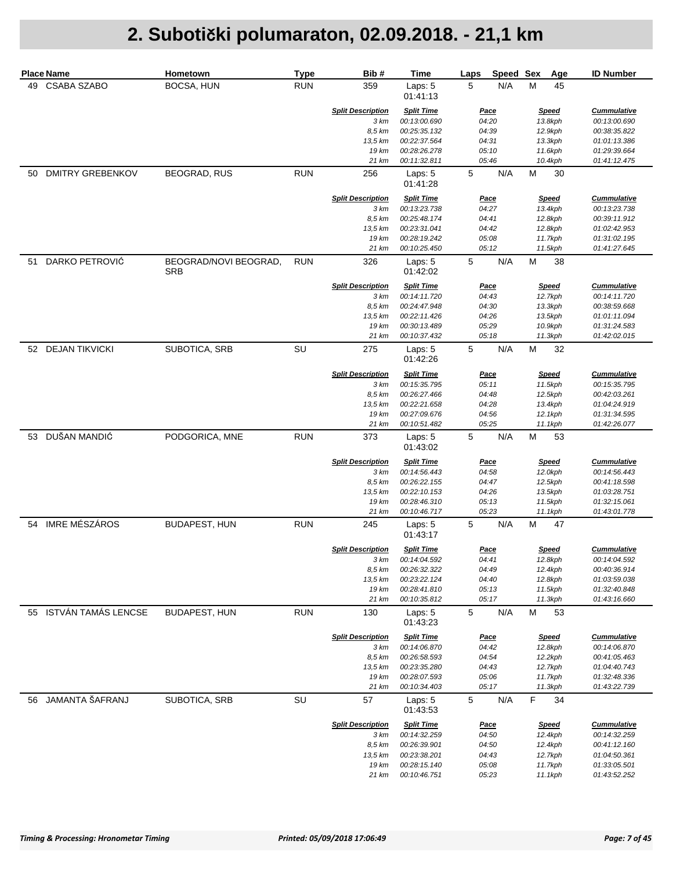|    | <b>Place Name</b>       | Hometown                            | <b>Type</b> | Bib#                     | Time                         | Speed Sex<br>Laps  | Age                | <b>ID Number</b>             |
|----|-------------------------|-------------------------------------|-------------|--------------------------|------------------------------|--------------------|--------------------|------------------------------|
| 49 | <b>CSABA SZABO</b>      | BOCSA, HUN                          | <b>RUN</b>  | 359                      | Laps: 5<br>01:41:13          | N/A<br>5           | M<br>45            |                              |
|    |                         |                                     |             | <b>Split Description</b> | <b>Split Time</b>            | <u>Pace</u>        | <b>Speed</b>       | <b>Cummulative</b>           |
|    |                         |                                     |             | 3 km<br>8,5 km           | 00:13:00.690<br>00:25:35.132 | 04:20<br>04:39     | 13.8kph<br>12.9kph | 00:13:00.690<br>00:38:35.822 |
|    |                         |                                     |             | 13,5 km                  | 00:22:37.564                 | 04:31              | 13.3kph            | 01:01:13.386                 |
|    |                         |                                     |             | 19 km                    | 00:28:26.278                 | 05:10              | 11.6kph            | 01:29:39.664                 |
|    |                         |                                     |             | 21 km                    | 00:11:32.811                 | 05:46              | 10.4kph            | 01:41:12.475                 |
| 50 | <b>DMITRY GREBENKOV</b> | <b>BEOGRAD, RUS</b>                 | <b>RUN</b>  | 256                      | Laps: 5<br>01:41:28          | $\mathbf 5$<br>N/A | M<br>30            |                              |
|    |                         |                                     |             | <b>Split Description</b> | <b>Split Time</b>            | <u>Pace</u>        | <b>Speed</b>       | <b>Cummulative</b>           |
|    |                         |                                     |             | 3 km                     | 00:13:23.738                 | 04:27              | 13.4kph            | 00:13:23.738                 |
|    |                         |                                     |             | 8,5 km                   | 00:25:48.174                 | 04:41              | 12.8kph            | 00:39:11.912                 |
|    |                         |                                     |             | 13,5 km                  | 00:23:31.041                 | 04:42              | 12.8kph            | 01:02:42.953                 |
|    |                         |                                     |             | 19 km<br>21 km           | 00:28:19.242<br>00:10:25.450 | 05:08<br>05:12     | 11.7kph<br>11.5kph | 01:31:02.195<br>01:41:27.645 |
| 51 | DARKO PETROVIĆ          | BEOGRAD/NOVI BEOGRAD,<br><b>SRB</b> | <b>RUN</b>  | 326                      | Laps: 5<br>01:42:02          | 5<br>N/A           | M<br>38            |                              |
|    |                         |                                     |             | <b>Split Description</b> | <b>Split Time</b>            | <u>Pace</u>        | <b>Speed</b>       | <b>Cummulative</b>           |
|    |                         |                                     |             | 3 km                     | 00:14:11.720                 | 04:43              | 12.7kph            | 00:14:11.720                 |
|    |                         |                                     |             | 8,5 km                   | 00:24:47.948                 | 04:30              | 13.3kph            | 00:38:59.668                 |
|    |                         |                                     |             | 13,5 km                  | 00:22:11.426                 | 04:26              | 13.5kph            | 01:01:11.094                 |
|    |                         |                                     |             | 19 km                    | 00:30:13.489                 | 05:29              | 10.9kph            | 01:31:24.583                 |
|    |                         |                                     |             | 21 km                    | 00:10:37.432                 | 05:18              | 11.3kph            | 01:42:02.015                 |
| 52 | <b>DEJAN TIKVICKI</b>   | SUBOTICA, SRB                       | SU          | 275                      | Laps: 5<br>01:42:26          | 5<br>N/A           | M<br>32            |                              |
|    |                         |                                     |             | <b>Split Description</b> | <b>Split Time</b>            | <u>Pace</u>        | <b>Speed</b>       | <b>Cummulative</b>           |
|    |                         |                                     |             | 3 km                     | 00:15:35.795                 | 05:11              | 11.5kph            | 00:15:35.795                 |
|    |                         |                                     |             | 8,5 km                   | 00:26:27.466                 | 04:48              | 12.5kph            | 00:42:03.261                 |
|    |                         |                                     |             | 13,5 km                  | 00:22:21.658                 | 04:28              | 13.4kph            | 01:04:24.919                 |
|    |                         |                                     |             | 19 km<br>21 km           | 00:27:09.676<br>00:10:51.482 | 04:56<br>05:25     | 12.1kph            | 01:31:34.595                 |
| 53 | DUŠAN MANDIĆ            | PODGORICA, MNE                      | <b>RUN</b>  | 373                      | Laps: 5<br>01:43:02          | 5<br>N/A           | 11.1kph<br>M<br>53 | 01:42:26.077                 |
|    |                         |                                     |             | <b>Split Description</b> | <b>Split Time</b>            | <u>Pace</u>        | <b>Speed</b>       | <b>Cummulative</b>           |
|    |                         |                                     |             | 3 km                     | 00:14:56.443                 | 04:58              | 12.0kph            | 00:14:56.443                 |
|    |                         |                                     |             | 8,5 km                   | 00:26:22.155                 | 04:47              | 12.5kph            | 00:41:18.598                 |
|    |                         |                                     |             | 13,5 km                  | 00:22:10.153                 | 04:26              | 13.5kph            | 01:03:28.751                 |
|    |                         |                                     |             | 19 km                    | 00:28:46.310                 | 05:13              | 11.5kph            | 01:32:15.061                 |
|    |                         |                                     |             | 21 km                    | 00:10:46.717                 | 05:23              | 11.1kph            | 01:43:01.778                 |
| 54 | IMRE MÉSZÁROS           | <b>BUDAPEST, HUN</b>                | <b>RUN</b>  | 245                      | Laps: 5<br>01:43:17          | 5<br>N/A           | M<br>47            |                              |
|    |                         |                                     |             | <b>Split Description</b> | <b>Split Time</b>            | Pace               | <b>Speed</b>       | <b>Cummulative</b>           |
|    |                         |                                     |             | 3 km                     | 00:14:04.592                 | 04:41              | 12.8kph            | 00:14:04.592                 |
|    |                         |                                     |             | 8,5 km                   | 00:26:32.322                 | 04:49              | 12.4kph            | 00:40:36.914                 |
|    |                         |                                     |             | 13,5 km                  | 00:23:22.124                 | 04:40              | 12.8kph            | 01:03:59.038                 |
|    |                         |                                     |             | 19 km                    | 00:28:41.810                 | 05:13              | 11.5kph            | 01:32:40.848                 |
|    | ISTVÁN TAMÁS LENCSE     |                                     |             | 21 km                    | 00:10:35.812                 | 05:17              | 11.3kph<br>M       | 01:43:16.660                 |
| 55 |                         | <b>BUDAPEST, HUN</b>                | <b>RUN</b>  | 130                      | Laps: 5<br>01:43:23          | 5<br>N/A           | 53                 |                              |
|    |                         |                                     |             | <b>Split Description</b> | <b>Split Time</b>            | <u>Pace</u>        | <b>Speed</b>       | <b>Cummulative</b>           |
|    |                         |                                     |             | 3 km                     | 00:14:06.870                 | 04:42              | 12.8kph            | 00:14:06.870                 |
|    |                         |                                     |             | 8,5 km                   | 00:26:58.593<br>00:23:35.280 | 04:54              | 12.2kph            | 00:41:05.463<br>01:04:40.743 |
|    |                         |                                     |             | 13,5 km<br>19 km         | 00:28:07.593                 | 04:43<br>05:06     | 12.7kph<br>11.7kph | 01:32:48.336                 |
|    |                         |                                     |             | 21 km                    | 00:10:34.403                 | 05:17              | 11.3kph            | 01:43:22.739                 |
|    | 56 JAMANTA ŠAFRANJ      | SUBOTICA, SRB                       | SU          | 57                       | Laps: 5<br>01:43:53          | 5<br>N/A           | F<br>34            |                              |
|    |                         |                                     |             | <b>Split Description</b> | <b>Split Time</b>            | <u>Pace</u>        | <b>Speed</b>       | <b>Cummulative</b>           |
|    |                         |                                     |             | 3 km                     | 00:14:32.259                 | 04:50              | 12.4kph            | 00:14:32.259                 |
|    |                         |                                     |             | 8,5 km                   | 00:26:39.901                 | 04:50              | 12.4kph            | 00:41:12.160                 |
|    |                         |                                     |             | 13,5 km                  | 00:23:38.201                 | 04:43              | 12.7kph            | 01:04:50.361                 |
|    |                         |                                     |             | 19 km                    | 00:28:15.140                 | 05:08              | 11.7kph            | 01:33:05.501                 |
|    |                         |                                     |             | 21 km                    | 00:10:46.751                 | 05:23              | 11.1kph            | 01:43:52.252                 |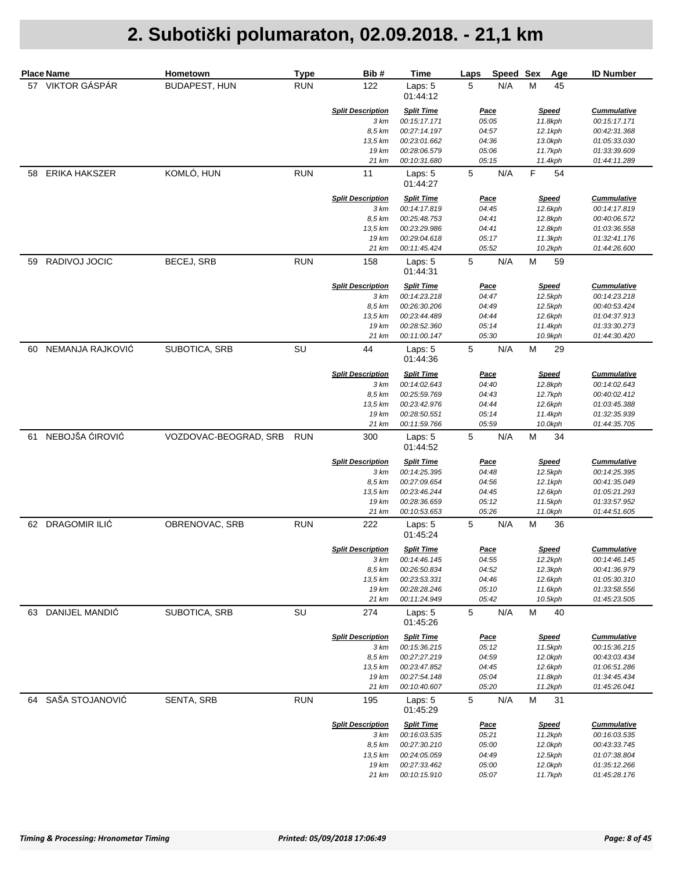|    | <b>Place Name</b>    | Hometown              | <b>Type</b> | Bib#                             | Time                                | Laps                 | Speed Sex<br>Age        | <b>ID Number</b>                   |
|----|----------------------|-----------------------|-------------|----------------------------------|-------------------------------------|----------------------|-------------------------|------------------------------------|
|    | 57 VIKTOR GÁSPÁR     | <b>BUDAPEST, HUN</b>  | <b>RUN</b>  | 122                              | Laps: 5<br>01:44:12                 | N/A<br>5             | М<br>45                 |                                    |
|    |                      |                       |             | <b>Split Description</b>         | <b>Split Time</b>                   | <b>Pace</b>          | <b>Speed</b>            | <b>Cummulative</b>                 |
|    |                      |                       |             | 3 km                             | 00:15:17.171                        | 05:05                | 11.8kph                 | 00:15:17.171                       |
|    |                      |                       |             | 8,5 km                           | 00:27:14.197                        | 04:57                | 12.1kph                 | 00:42:31.368                       |
|    |                      |                       |             | 13,5 km<br>19 km                 | 00:23:01.662<br>00:28:06.579        | 04:36<br>05:06       | 13.0kph<br>11.7kph      | 01:05:33.030<br>01:33:39.609       |
|    |                      |                       |             | 21 km                            | 00:10:31.680                        | 05:15                | 11.4kph                 | 01:44:11.289                       |
| 58 | <b>ERIKA HAKSZER</b> | KOMLÓ, HUN            | <b>RUN</b>  | 11                               | Laps: 5<br>01:44:27                 | 5<br>N/A             | F<br>54                 |                                    |
|    |                      |                       |             | <b>Split Description</b><br>3 km | <b>Split Time</b><br>00:14:17.819   | <b>Pace</b><br>04:45 | <b>Speed</b><br>12.6kph | <b>Cummulative</b><br>00:14:17.819 |
|    |                      |                       |             | 8,5 km                           | 00:25:48.753                        | 04:41                | 12.8kph                 | 00:40:06.572                       |
|    |                      |                       |             | 13,5 km                          | 00:23:29.986                        | 04:41                | 12.8kph                 | 01:03:36.558                       |
|    |                      |                       |             | 19 km                            | 00:29:04.618                        | 05:17                | 11.3kph                 | 01:32:41.176                       |
|    |                      |                       |             | 21 km                            | 00:11:45.424                        | 05:52                | 10.2kph                 | 01:44:26.600                       |
| 59 | RADIVOJ JOCIC        | <b>BECEJ, SRB</b>     | <b>RUN</b>  | 158                              | Laps: 5<br>01:44:31                 | 5<br>N/A             | M<br>59                 |                                    |
|    |                      |                       |             | <b>Split Description</b>         | <b>Split Time</b>                   | <u>Pace</u>          | <b>Speed</b>            | <b>Cummulative</b>                 |
|    |                      |                       |             | 3 km                             | 00:14:23.218                        | 04:47                | 12.5kph                 | 00:14:23.218                       |
|    |                      |                       |             | 8,5 km                           | 00:26:30.206                        | 04:49                | 12.5kph                 | 00:40:53.424                       |
|    |                      |                       |             | 13,5 km<br>19 km                 | 00:23:44.489<br>00:28:52.360        | 04:44<br>05:14       | 12.6kph<br>11.4kph      | 01:04:37.913<br>01:33:30.273       |
|    |                      |                       |             | 21 km                            | 00:11:00.147                        | 05:30                | 10.9kph                 | 01:44:30.420                       |
| 60 | NEMANJA RAJKOVIĆ     | SUBOTICA, SRB         | SU          | 44                               | Laps: 5<br>01:44:36                 | 5<br>N/A             | M<br>29                 |                                    |
|    |                      |                       |             | <b>Split Description</b>         | <b>Split Time</b>                   | <u>Pace</u>          | <b>Speed</b>            | <b>Cummulative</b>                 |
|    |                      |                       |             | 3 km                             | 00:14:02.643                        | 04:40                | 12.8kph                 | 00:14:02.643                       |
|    |                      |                       |             | 8,5 km                           | 00:25:59.769                        | 04:43                | 12.7kph                 | 00:40:02.412                       |
|    |                      |                       |             | 13,5 km                          | 00:23:42.976                        | 04:44                | 12.6kph                 | 01:03:45.388                       |
|    |                      |                       |             | 19 km                            | 00:28:50.551                        | 05:14                | 11.4kph                 | 01:32:35.939                       |
| 61 | NEBOJŠA ĆIROVIĆ      | VOZDOVAC-BEOGRAD, SRB | <b>RUN</b>  | 21 km<br>300                     | 00:11:59.766<br>Laps: 5<br>01:44:52 | 05:59<br>5<br>N/A    | 10.0kph<br>M<br>34      | 01:44:35.705                       |
|    |                      |                       |             | <b>Split Description</b>         | <b>Split Time</b>                   |                      |                         | <b>Cummulative</b>                 |
|    |                      |                       |             | 3 km                             | 00:14:25.395                        | <u>Pace</u><br>04:48 | <b>Speed</b><br>12.5kph | 00:14:25.395                       |
|    |                      |                       |             | 8,5 km                           | 00:27:09.654                        | 04:56                | 12.1kph                 | 00:41:35.049                       |
|    |                      |                       |             | 13,5 km                          | 00:23:46.244                        | 04:45                | 12.6kph                 | 01:05:21.293                       |
|    |                      |                       |             | 19 km                            | 00:28:36.659                        | 05:12                | 11.5kph                 | 01:33:57.952                       |
|    |                      |                       |             | 21 km                            | 00:10:53.653                        | 05:26                | 11.0kph                 | 01:44:51.605                       |
|    | 62 DRAGOMIR ILIĆ     | OBRENOVAC, SRB        | <b>RUN</b>  | 222                              | Laps: 5<br>01:45:24                 | 5<br>N/A             | M<br>36                 |                                    |
|    |                      |                       |             | <b>Split Description</b>         | <b>Split Time</b>                   | <b>Pace</b>          | <b>Speed</b>            | <b>Cummulative</b>                 |
|    |                      |                       |             | 3 km                             | 00:14:46.145                        | 04:55                | 12.2kph                 | 00:14:46.145                       |
|    |                      |                       |             | 8,5 km                           | 00:26:50.834                        | 04:52                | 12.3kph                 | 00:41:36.979                       |
|    |                      |                       |             | 13,5 km                          | 00:23:53.331                        | 04:46                | 12.6kph                 | 01:05:30.310                       |
|    |                      |                       |             | 19 km<br>21 km                   | 00:28:28.246<br>00:11:24.949        | 05:10<br>05:42       | 11.6kph<br>10.5kph      | 01:33:58.556<br>01:45:23.505       |
| 63 | DANIJEL MANDIĆ       | SUBOTICA, SRB         | SU          | 274                              | Laps: 5<br>01:45:26                 | 5<br>N/A             | M<br>40                 |                                    |
|    |                      |                       |             | <b>Split Description</b>         | <b>Split Time</b>                   | <u>Pace</u>          | <b>Speed</b>            | <b>Cummulative</b>                 |
|    |                      |                       |             | 3 km                             | 00:15:36.215                        | 05:12                | 11.5kph                 | 00:15:36.215                       |
|    |                      |                       |             | 8,5 km                           | 00:27:27.219                        | 04:59                | 12.0kph                 | 00:43:03.434                       |
|    |                      |                       |             | 13,5 km                          | 00:23:47.852                        | 04:45                | 12.6kph                 | 01:06:51.286                       |
|    |                      |                       |             | 19 km<br>21 km                   | 00:27:54.148<br>00:10:40.607        | 05:04<br>05:20       | 11.8kph<br>11.2kph      | 01:34:45.434<br>01:45:26.041       |
|    | 64 SAŠA STOJANOVIĆ   | SENTA, SRB            | <b>RUN</b>  | 195                              | Laps: 5<br>01:45:29                 | 5<br>N/A             | M<br>31                 |                                    |
|    |                      |                       |             | <b>Split Description</b>         | <b>Split Time</b>                   |                      | <u>Speed</u>            | <b>Cummulative</b>                 |
|    |                      |                       |             | 3 km                             | 00:16:03.535                        | <u>Pace</u><br>05:21 | 11.2kph                 | 00:16:03.535                       |
|    |                      |                       |             | 8,5 km                           | 00:27:30.210                        | 05:00                | 12.0kph                 | 00:43:33.745                       |
|    |                      |                       |             | 13,5 km                          | 00:24:05.059                        | 04:49                | 12.5kph                 | 01:07:38.804                       |
|    |                      |                       |             | 19 km                            | 00:27:33.462                        | 05:00                | 12.0kph                 | 01:35:12.266                       |
|    |                      |                       |             | 21 km                            | 00:10:15.910                        | 05:07                | 11.7kph                 | 01:45:28.176                       |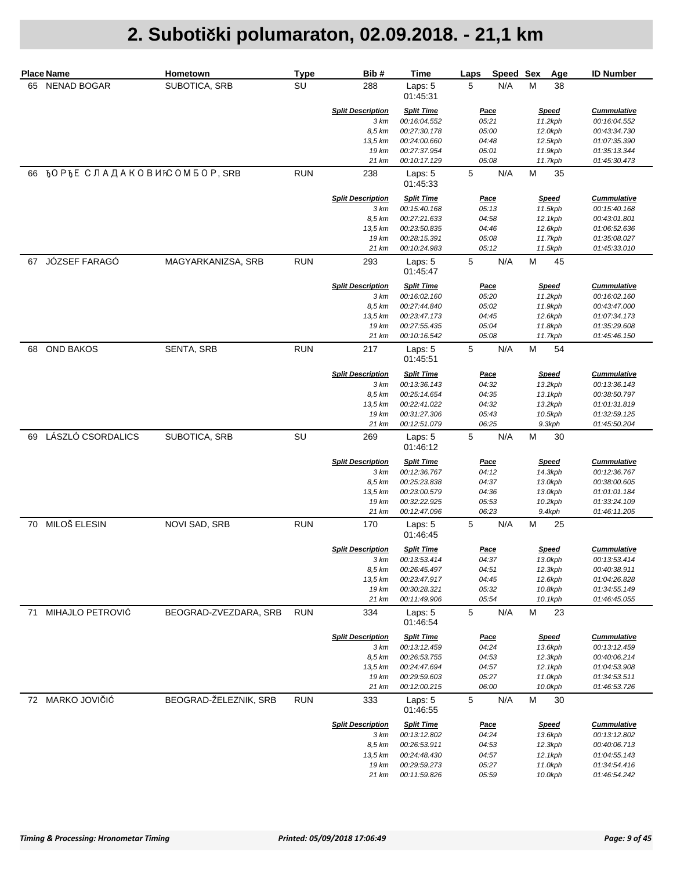|    | <b>Place Name</b>                   | Hometown              | <b>Type</b> | Bib#                     | Time                         | Laps        | Speed Sex      |   | Age                | <b>ID Number</b>             |
|----|-------------------------------------|-----------------------|-------------|--------------------------|------------------------------|-------------|----------------|---|--------------------|------------------------------|
|    | 65 NENAD BOGAR                      | SUBOTICA, SRB         | SU          | 288                      | Laps: 5<br>01:45:31          | 5           | N/A            | М | 38                 |                              |
|    |                                     |                       |             | <b>Split Description</b> | <b>Split Time</b>            |             | <b>Pace</b>    |   | <b>Speed</b>       | <b>Cummulative</b>           |
|    |                                     |                       |             | 3 km                     | 00:16:04.552                 |             | 05:21          |   | 11.2kph            | 00:16:04.552                 |
|    |                                     |                       |             | 8,5 km<br>13,5 km        | 00:27:30.178<br>00:24:00.660 |             | 05:00<br>04:48 |   | 12.0kph<br>12.5kph | 00:43:34.730<br>01:07:35.390 |
|    |                                     |                       |             | 19 km                    | 00:27:37.954                 |             | 05:01          |   | 11.9kph            | 01:35:13.344                 |
|    |                                     |                       |             | 21 km                    | 00:10:17.129                 |             | 05:08          |   | 11.7kph            | 01:45:30.473                 |
| 66 | <b>ЂО РЂЕ СЛАДАКОВИЋСОМБОР, SRB</b> |                       | <b>RUN</b>  | 238                      | Laps: 5<br>01:45:33          | $\mathbf 5$ | N/A            | M | 35                 |                              |
|    |                                     |                       |             | <b>Split Description</b> | <b>Split Time</b>            |             | <u>Pace</u>    |   | <b>Speed</b>       | <b>Cummulative</b>           |
|    |                                     |                       |             | 3 km                     | 00:15:40.168                 |             | 05:13          |   | 11.5kph            | 00:15:40.168                 |
|    |                                     |                       |             | 8,5 km                   | 00:27:21.633                 |             | 04:58          |   | 12.1kph            | 00:43:01.801                 |
|    |                                     |                       |             | 13,5 km<br>19 km         | 00:23:50.835<br>00:28:15.391 |             | 04:46<br>05:08 |   | 12.6kph<br>11.7kph | 01:06:52.636<br>01:35:08.027 |
|    |                                     |                       |             | 21 km                    | 00:10:24.983                 |             | 05:12          |   | 11.5kph            | 01:45:33.010                 |
| 67 | JÓZSEF FARAGÓ                       | MAGYARKANIZSA, SRB    | <b>RUN</b>  | 293                      | Laps: 5<br>01:45:47          | 5           | N/A            | M | 45                 |                              |
|    |                                     |                       |             | <b>Split Description</b> | <b>Split Time</b>            |             | <u>Pace</u>    |   | <b>Speed</b>       | <b>Cummulative</b>           |
|    |                                     |                       |             | 3 km                     | 00:16:02.160                 |             | 05:20          |   | 11.2kph            | 00:16:02.160                 |
|    |                                     |                       |             | 8,5 km                   | 00:27:44.840                 |             | 05:02          |   | 11.9kph            | 00:43:47.000                 |
|    |                                     |                       |             | 13,5 km                  | 00:23:47.173                 |             | 04:45          |   | 12.6kph            | 01:07:34.173                 |
|    |                                     |                       |             | 19 km                    | 00:27:55.435                 |             | 05:04          |   | 11.8kph            | 01:35:29.608                 |
|    |                                     |                       |             | 21 km                    | 00:10:16.542                 |             | 05:08          |   | 11.7kph            | 01:45:46.150                 |
| 68 | <b>OND BAKOS</b>                    | SENTA, SRB            | <b>RUN</b>  | 217                      | Laps: 5<br>01:45:51          | 5           | N/A            | M | 54                 |                              |
|    |                                     |                       |             | <b>Split Description</b> | <b>Split Time</b>            |             | <b>Pace</b>    |   | <b>Speed</b>       | <b>Cummulative</b>           |
|    |                                     |                       |             | 3 km                     | 00:13:36.143                 |             | 04:32          |   | 13.2kph            | 00:13:36.143                 |
|    |                                     |                       |             | 8,5 km                   | 00:25:14.654                 |             | 04:35          |   | 13.1kph            | 00:38:50.797                 |
|    |                                     |                       |             | 13,5 km                  | 00:22:41.022                 |             | 04:32          |   | 13.2kph            | 01:01:31.819                 |
|    |                                     |                       |             | 19 km<br>21 km           | 00:31:27.306<br>00:12:51.079 |             | 05:43<br>06:25 |   | 10.5kph<br>9.3kph  | 01:32:59.125<br>01:45:50.204 |
| 69 | LÁSZLÓ CSORDALICS                   | SUBOTICA, SRB         | SU          | 269                      | Laps: 5<br>01:46:12          | $\mathbf 5$ | N/A            | M | 30                 |                              |
|    |                                     |                       |             | <b>Split Description</b> | <b>Split Time</b>            |             | <u>Pace</u>    |   | <b>Speed</b>       | <b>Cummulative</b>           |
|    |                                     |                       |             | 3 km                     | 00:12:36.767                 |             | 04:12          |   | 14.3kph            | 00:12:36.767                 |
|    |                                     |                       |             | 8,5 km                   | 00:25:23.838                 |             | 04:37          |   | 13.0kph            | 00:38:00.605                 |
|    |                                     |                       |             | 13,5 km                  | 00:23:00.579                 |             | 04:36          |   | 13.0kph            | 01:01:01.184                 |
|    |                                     |                       |             | 19 km                    | 00:32:22.925                 |             | 05:53          |   | 10.2kph            | 01:33:24.109                 |
|    |                                     |                       |             | 21 km                    | 00:12:47.096                 |             | 06:23          |   | 9.4kph             | 01:46:11.205                 |
| 70 | MILOŠ ELESIN                        | NOVI SAD, SRB         | <b>RUN</b>  | 170                      | Laps: 5<br>01:46:45          | 5           | N/A            | M | 25                 |                              |
|    |                                     |                       |             | <b>Split Description</b> | <b>Split Time</b>            |             | <u>Pace</u>    |   | <u>Speed</u>       | <b>Cummulative</b>           |
|    |                                     |                       |             | 3 km                     | 00:13:53.414                 |             | 04:37          |   | 13.0kph            | 00:13:53.414                 |
|    |                                     |                       |             | 8,5 km                   | 00:26:45.497                 |             | 04:51          |   | 12.3kph            | 00:40:38.911                 |
|    |                                     |                       |             | 13,5 km<br>19 km         | 00:23:47.917<br>00:30:28.321 |             | 04:45<br>05:32 |   | 12.6kph<br>10.8kph | 01:04:26.828<br>01:34:55.149 |
|    |                                     |                       |             | 21 km                    | 00:11:49.906                 |             | 05:54          |   | 10.1kph            | 01:46:45.055                 |
| 71 | MIHAJLO PETROVIĆ                    | BEOGRAD-ZVEZDARA, SRB | <b>RUN</b>  | 334                      | Laps: 5<br>01:46:54          | 5           | N/A            | м | 23                 |                              |
|    |                                     |                       |             | <b>Split Description</b> | <b>Split Time</b>            |             | <u>Pace</u>    |   | <b>Speed</b>       | <b>Cummulative</b>           |
|    |                                     |                       |             | 3 km                     | 00:13:12.459                 |             | 04:24          |   | 13.6kph            | 00:13:12.459                 |
|    |                                     |                       |             | 8,5 km                   | 00:26:53.755                 |             | 04:53          |   | 12.3kph            | 00:40:06.214                 |
|    |                                     |                       |             | 13,5 km                  | 00:24:47.694                 |             | 04:57          |   | 12.1kph            | 01:04:53.908                 |
|    |                                     |                       |             | 19 km                    | 00:29:59.603                 |             | 05:27          |   | 11.0kph            | 01:34:53.511                 |
|    |                                     |                       |             | 21 km                    | 00:12:00.215                 |             | 06:00          |   | 10.0kph            | 01:46:53.726                 |
|    | 72 MARKO JOVIČIĆ                    | BEOGRAD-ŽELEZNIK, SRB | <b>RUN</b>  | 333                      | Laps: 5<br>01:46:55          | 5           | N/A            | M | 30                 |                              |
|    |                                     |                       |             | <b>Split Description</b> | <b>Split Time</b>            |             | <u>Pace</u>    |   | <b>Speed</b>       | <b>Cummulative</b>           |
|    |                                     |                       |             | 3 km                     | 00:13:12.802                 |             | 04:24          |   | 13.6kph            | 00:13:12.802                 |
|    |                                     |                       |             | 8,5 km                   | 00:26:53.911                 |             | 04:53          |   | 12.3kph            | 00:40:06.713                 |
|    |                                     |                       |             | 13,5 km                  | 00:24:48.430                 |             | 04:57          |   | 12.1kph            | 01:04:55.143                 |
|    |                                     |                       |             | 19 km                    | 00:29:59.273                 |             | 05:27          |   | 11.0kph            | 01:34:54.416                 |
|    |                                     |                       |             | 21 km                    | 00:11:59.826                 |             | 05:59          |   | 10.0kph            | 01:46:54.242                 |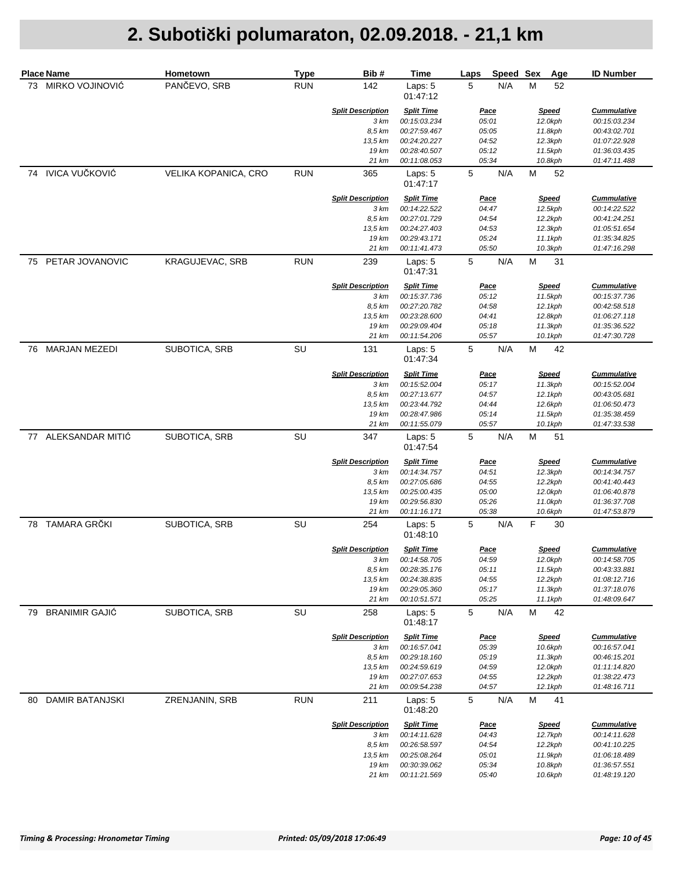|    | <b>Place Name</b>      | Hometown             | <b>Type</b> | Bib#                             | Time                                | Laps | Speed Sex            |   | Age                | <b>ID Number</b>                   |
|----|------------------------|----------------------|-------------|----------------------------------|-------------------------------------|------|----------------------|---|--------------------|------------------------------------|
|    | 73 MIRKO VOJINOVIĆ     | PANČEVO, SRB         | <b>RUN</b>  | 142                              | Laps: 5<br>01:47:12                 | 5    | N/A                  | М | 52                 |                                    |
|    |                        |                      |             | <b>Split Description</b>         | <b>Split Time</b>                   |      | <b>Pace</b>          |   | <b>Speed</b>       | <b>Cummulative</b>                 |
|    |                        |                      |             | 3 km                             | 00:15:03.234                        |      | 05:01                |   | 12.0kph            | 00:15:03.234                       |
|    |                        |                      |             | 8,5 km                           | 00:27:59.467                        |      | 05:05                |   | 11.8kph            | 00:43:02.701                       |
|    |                        |                      |             | 13,5 km<br>19 km                 | 00:24:20.227<br>00:28:40.507        |      | 04:52<br>05:12       |   | 12.3kph<br>11.5kph | 01:07:22.928<br>01:36:03.435       |
|    |                        |                      |             | 21 km                            | 00:11:08.053                        |      | 05:34                |   | 10.8kph            | 01:47:11.488                       |
| 74 | IVICA VUČKOVIĆ         | VELIKA KOPANICA, CRO | <b>RUN</b>  | 365                              | Laps: 5<br>01:47:17                 | 5    | N/A                  | M | 52                 |                                    |
|    |                        |                      |             | <b>Split Description</b>         | <b>Split Time</b>                   |      | <b>Pace</b>          |   | <b>Speed</b>       | <b>Cummulative</b><br>00:14:22.522 |
|    |                        |                      |             | 3 km<br>8,5 km                   | 00:14:22.522<br>00:27:01.729        |      | 04:47<br>04:54       |   | 12.5kph<br>12.2kph | 00:41:24.251                       |
|    |                        |                      |             | 13,5 km                          | 00:24:27.403                        |      | 04:53                |   | 12.3kph            | 01:05:51.654                       |
|    |                        |                      |             | 19 km                            | 00:29:43.171                        |      | 05:24                |   | 11.1kph            | 01:35:34.825                       |
|    |                        |                      |             | 21 km                            | 00:11:41.473                        |      | 05:50                |   | 10.3kph            | 01:47:16.298                       |
|    | 75 PETAR JOVANOVIC     | KRAGUJEVAC, SRB      | <b>RUN</b>  | 239                              | Laps: 5<br>01:47:31                 | 5    | N/A                  | M | 31                 |                                    |
|    |                        |                      |             | <b>Split Description</b>         | <b>Split Time</b>                   |      | <u>Pace</u>          |   | <b>Speed</b>       | <b>Cummulative</b>                 |
|    |                        |                      |             | 3 km                             | 00:15:37.736                        |      | 05:12                |   | 11.5kph            | 00:15:37.736                       |
|    |                        |                      |             | 8,5 km                           | 00:27:20.782                        |      | 04:58                |   | 12.1kph            | 00:42:58.518                       |
|    |                        |                      |             | 13,5 km                          | 00:23:28.600                        |      | 04:41                |   | 12.8kph            | 01:06:27.118                       |
|    |                        |                      |             | 19 km<br>21 km                   | 00:29:09.404                        |      | 05:18<br>05:57       |   | 11.3kph            | 01:35:36.522<br>01:47:30.728       |
| 76 | MARJAN MEZEDI          | SUBOTICA, SRB        | SU          | 131                              | 00:11:54.206<br>Laps: 5<br>01:47:34 | 5    | N/A                  | M | 10.1kph<br>42      |                                    |
|    |                        |                      |             |                                  |                                     |      |                      |   |                    |                                    |
|    |                        |                      |             | <b>Split Description</b><br>3 km | <b>Split Time</b><br>00:15:52.004   |      | <u>Pace</u><br>05:17 |   | <b>Speed</b>       | <b>Cummulative</b><br>00:15:52.004 |
|    |                        |                      |             | 8,5 km                           | 00:27:13.677                        |      | 04:57                |   | 11.3kph<br>12.1kph | 00:43:05.681                       |
|    |                        |                      |             | 13,5 km                          | 00:23:44.792                        |      | 04:44                |   | 12.6kph            | 01:06:50.473                       |
|    |                        |                      |             | 19 km                            | 00:28:47.986                        |      | 05:14                |   | 11.5kph            | 01:35:38.459                       |
|    |                        |                      |             | 21 km                            | 00:11:55.079                        |      | 05:57                |   | 10.1kph            | 01:47:33.538                       |
|    | 77 ALEKSANDAR MITIĆ    | SUBOTICA, SRB        | SU          | 347                              | Laps: 5<br>01:47:54                 | 5    | N/A                  | M | 51                 |                                    |
|    |                        |                      |             | <b>Split Description</b>         | <b>Split Time</b>                   |      | <u>Pace</u>          |   | <b>Speed</b>       | <b>Cummulative</b>                 |
|    |                        |                      |             | 3 km                             | 00:14:34.757                        |      | 04:51                |   | 12.3kph            | 00:14:34.757                       |
|    |                        |                      |             | 8,5 km                           | 00:27:05.686                        |      | 04:55                |   | 12.2kph            | 00:41:40.443                       |
|    |                        |                      |             | 13,5 km<br>19 km                 | 00:25:00.435<br>00:29:56.830        |      | 05:00<br>05:26       |   | 12.0kph            | 01:06:40.878<br>01:36:37.708       |
|    |                        |                      |             | 21 km                            | 00:11:16.171                        |      | 05:38                |   | 11.0kph<br>10.6kph | 01:47:53.879                       |
|    | 78 TAMARA GRČKI        | SUBOTICA, SRB        | SU          | 254                              | Laps: 5<br>01:48:10                 | 5    | N/A                  | F | 30                 |                                    |
|    |                        |                      |             | <b>Split Description</b>         | <b>Split Time</b>                   |      | <b>Pace</b>          |   | <b>Speed</b>       | <b>Cummulative</b>                 |
|    |                        |                      |             | 3 km                             | 00:14:58.705                        |      | 04:59                |   | 12.0kph            | 00:14:58.705                       |
|    |                        |                      |             | 8,5 km                           | 00:28:35.176                        |      | 05:11                |   | 11.5kph            | 00:43:33.881                       |
|    |                        |                      |             | 13.5 km                          | 00:24:38.835                        |      | 04:55                |   | 12.2kph            | 01:08:12.716                       |
|    |                        |                      |             | 19 km                            | 00:29:05.360                        |      | 05:17                |   | 11.3kph            | 01:37:18.076                       |
|    |                        |                      |             | 21 km                            | 00:10:51.571                        |      | 05:25                |   | 11.1kph            | 01:48:09.647                       |
| 79 | <b>BRANIMIR GAJIĆ</b>  | SUBOTICA, SRB        | SU          | 258                              | Laps: 5<br>01:48:17                 | 5    | N/A                  | M | 42                 |                                    |
|    |                        |                      |             | <b>Split Description</b>         | <b>Split Time</b>                   |      | <u>Pace</u>          |   | <b>Speed</b>       | <b>Cummulative</b>                 |
|    |                        |                      |             | 3 km                             | 00:16:57.041                        |      | 05:39                |   | 10.6kph            | 00:16:57.041                       |
|    |                        |                      |             | 8,5 km                           | 00:29:18.160                        |      | 05:19                |   | 11.3kph            | 00:46:15.201                       |
|    |                        |                      |             | 13,5 km<br>19 km                 | 00:24:59.619<br>00:27:07.653        |      | 04:59<br>04:55       |   | 12.0kph<br>12.2kph | 01:11:14.820<br>01:38:22.473       |
|    |                        |                      |             | 21 km                            | 00:09:54.238                        |      | 04:57                |   | 12.1kph            | 01:48:16.711                       |
| 80 | <b>DAMIR BATANJSKI</b> | ZRENJANIN, SRB       | <b>RUN</b>  | 211                              | Laps: 5<br>01:48:20                 | 5    | N/A                  | M | 41                 |                                    |
|    |                        |                      |             | <b>Split Description</b>         | <b>Split Time</b>                   |      | <u>Pace</u>          |   | <u>Speed</u>       | <b>Cummulative</b>                 |
|    |                        |                      |             | 3 km                             | 00:14:11.628                        |      | 04:43                |   | 12.7kph            | 00:14:11.628                       |
|    |                        |                      |             | 8,5 km                           | 00:26:58.597                        |      | 04:54                |   | 12.2kph            | 00:41:10.225                       |
|    |                        |                      |             | 13,5 km                          | 00:25:08.264                        |      | 05:01                |   | 11.9kph            | 01:06:18.489                       |
|    |                        |                      |             | 19 km                            | 00:30:39.062                        |      | 05:34                |   | 10.8kph            | 01:36:57.551                       |
|    |                        |                      |             | 21 km                            | 00:11:21.569                        |      | 05:40                |   | 10.6kph            | 01:48:19.120                       |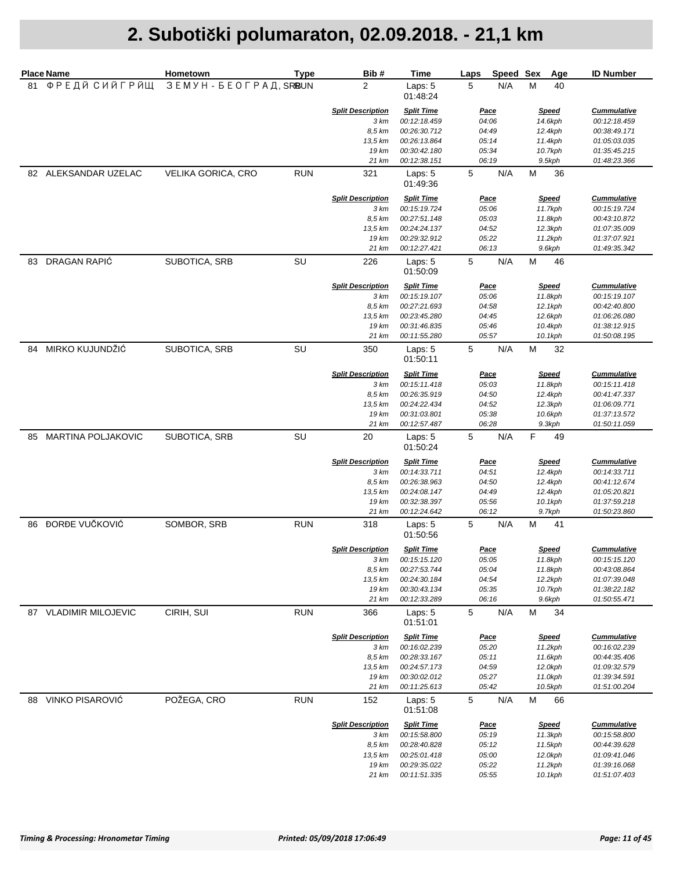|    | <b>Place Name</b>     | Hometown               | <b>Type</b> | Bib#                             | Time                              | Laps        | Speed Sex      |   | Age                     | <b>ID Number</b>                   |
|----|-----------------------|------------------------|-------------|----------------------------------|-----------------------------------|-------------|----------------|---|-------------------------|------------------------------------|
| 81 | ФРЕДЙ СИЙГРЙЩ         | ЗЕМУН - БЕОГРАД, SRBUN |             | $\overline{2}$                   | Laps: 5<br>01:48:24               | 5           | N/A            | M | 40                      |                                    |
|    |                       |                        |             | <b>Split Description</b>         | <b>Split Time</b>                 |             | Pace           |   | <b>Speed</b>            | <b>Cummulative</b>                 |
|    |                       |                        |             | 3 km                             | 00:12:18.459                      |             | 04:06          |   | 14.6kph                 | 00:12:18.459                       |
|    |                       |                        |             | 8,5 km                           | 00:26:30.712                      |             | 04:49          |   | 12.4kph                 | 00:38:49.171                       |
|    |                       |                        |             | 13,5 km<br>19 km                 | 00:26:13.864                      |             | 05:14<br>05:34 |   | 11.4kph                 | 01:05:03.035                       |
|    |                       |                        |             | 21 km                            | 00:30:42.180<br>00:12:38.151      |             | 06:19          |   | 10.7kph<br>9.5kph       | 01:35:45.215<br>01:48:23.366       |
| 82 | ALEKSANDAR UZELAC     | VELIKA GORICA, CRO     | <b>RUN</b>  | 321                              | Laps: 5<br>01:49:36               | $\mathbf 5$ | N/A            | M | 36                      |                                    |
|    |                       |                        |             | <b>Split Description</b><br>3 km | <b>Split Time</b><br>00:15:19.724 |             | Pace<br>05:06  |   | <b>Speed</b><br>11.7kph | <b>Cummulative</b><br>00:15:19.724 |
|    |                       |                        |             | 8,5 km                           | 00:27:51.148                      |             | 05:03          |   | 11.8kph                 | 00:43:10.872                       |
|    |                       |                        |             | 13,5 km                          | 00:24:24.137                      |             | 04:52          |   | 12.3kph                 | 01:07:35.009                       |
|    |                       |                        |             | 19 km                            | 00:29:32.912                      |             | 05:22          |   | 11.2kph                 | 01:37:07.921                       |
|    |                       |                        |             | 21 km                            | 00:12:27.421                      |             | 06:13          |   | 9.6kph                  | 01:49:35.342                       |
| 83 | <b>DRAGAN RAPIĆ</b>   | SUBOTICA, SRB          | SU          | 226                              | Laps: 5<br>01:50:09               | $\mathbf 5$ | N/A            | M | 46                      |                                    |
|    |                       |                        |             | <b>Split Description</b>         | <b>Split Time</b>                 |             | <u>Pace</u>    |   | <b>Speed</b>            | <b>Cummulative</b>                 |
|    |                       |                        |             | 3 km                             | 00:15:19.107                      |             | 05:06          |   | 11.8kph                 | 00:15:19.107                       |
|    |                       |                        |             | 8,5 km                           | 00:27:21.693                      |             | 04:58          |   | 12.1kph                 | 00:42:40.800                       |
|    |                       |                        |             | 13,5 km                          | 00:23:45.280                      |             | 04:45          |   | 12.6kph                 | 01:06:26.080                       |
|    |                       |                        |             | 19 km<br>21 km                   | 00:31:46.835<br>00:11:55.280      |             | 05:46<br>05:57 |   | 10.4kph<br>10.1kph      | 01:38:12.915<br>01:50:08.195       |
| 84 | MIRKO KUJUNDŽIĆ       | SUBOTICA, SRB          | SU          | 350                              | Laps: 5                           | 5           | N/A            | M | 32                      |                                    |
|    |                       |                        |             |                                  | 01:50:11                          |             |                |   |                         |                                    |
|    |                       |                        |             | <b>Split Description</b>         | <b>Split Time</b>                 |             | <u>Pace</u>    |   | <b>Speed</b>            | <b>Cummulative</b>                 |
|    |                       |                        |             | 3 km                             | 00:15:11.418                      |             | 05:03          |   | 11.8kph                 | 00:15:11.418                       |
|    |                       |                        |             | 8,5 km<br>13,5 km                | 00:26:35.919<br>00:24:22.434      |             | 04:50<br>04:52 |   | 12.4kph                 | 00:41:47.337<br>01:06:09.771       |
|    |                       |                        |             | 19 km                            | 00:31:03.801                      |             | 05:38          |   | 12.3kph<br>10.6kph      | 01:37:13.572                       |
|    |                       |                        |             | 21 km                            | 00:12:57.487                      |             | 06:28          |   | 9.3kph                  | 01:50:11.059                       |
| 85 | MARTINA POLJAKOVIC    | SUBOTICA, SRB          | SU          | 20                               | Laps: 5<br>01:50:24               | 5           | N/A            | F | 49                      |                                    |
|    |                       |                        |             | <b>Split Description</b>         | <b>Split Time</b>                 |             | Pace           |   | <b>Speed</b>            | <b>Cummulative</b>                 |
|    |                       |                        |             | 3 km                             | 00:14:33.711                      |             | 04:51          |   | 12.4kph                 | 00:14:33.711                       |
|    |                       |                        |             | 8,5 km                           | 00:26:38.963                      |             | 04:50          |   | 12.4kph                 | 00:41:12.674                       |
|    |                       |                        |             | 13,5 km                          | 00:24:08.147                      |             | 04:49          |   | 12.4kph                 | 01:05:20.821                       |
|    |                       |                        |             | 19 km                            | 00:32:38.397                      |             | 05:56          |   | 10.1kph                 | 01:37:59.218                       |
|    |                       |                        |             | 21 km                            | 00:12:24.642                      |             | 06:12          |   | 9.7kph                  | 01:50:23.860                       |
| 86 | ĐORĐE VUČKOVIĆ        | SOMBOR, SRB            | <b>RUN</b>  | 318                              | Laps: 5<br>01:50:56               | 5           | N/A            | M | 41                      |                                    |
|    |                       |                        |             | <b>Split Description</b>         | <b>Split Time</b>                 |             | <u>Pace</u>    |   | <b>Speed</b>            | <b>Cummulative</b>                 |
|    |                       |                        |             | 3 km                             | 00:15:15.120                      |             | 05:05          |   | 11.8kph                 | 00:15:15.120                       |
|    |                       |                        |             | 8,5 km                           | 00:27:53.744                      |             | 05:04          |   | 11.8kph                 | 00:43:08.864                       |
|    |                       |                        |             | 13,5 km<br>19 km                 | 00:24:30.184<br>00:30:43.134      |             | 04:54<br>05:35 |   | 12.2kph                 | 01:07:39.048<br>01:38:22.182       |
|    |                       |                        |             | 21 km                            | 00:12:33.289                      |             | 06:16          |   | 10.7kph<br>9.6kph       | 01:50:55.471                       |
|    | 87 VLADIMIR MILOJEVIC | CIRIH, SUI             | <b>RUN</b>  | 366                              | Laps: 5<br>01:51:01               | 5           | N/A            | M | 34                      |                                    |
|    |                       |                        |             | <b>Split Description</b>         | <b>Split Time</b>                 |             | <u>Pace</u>    |   | <b>Speed</b>            | <b>Cummulative</b>                 |
|    |                       |                        |             | 3 km                             | 00:16:02.239                      |             | 05:20          |   | 11.2kph                 | 00:16:02.239                       |
|    |                       |                        |             | 8,5 km<br>13,5 km                | 00:28:33.167<br>00:24:57.173      |             | 05:11          |   | 11.6kph                 | 00:44:35.406<br>01:09:32.579       |
|    |                       |                        |             | 19 km                            | 00:30:02.012                      |             | 04:59<br>05:27 |   | 12.0kph<br>11.0kph      | 01:39:34.591                       |
|    |                       |                        |             | 21 km                            | 00:11:25.613                      |             | 05:42          |   | 10.5kph                 | 01:51:00.204                       |
| 88 | VINKO PISAROVIĆ       | POŽEGA, CRO            | <b>RUN</b>  | 152                              | Laps: 5<br>01:51:08               | 5           | N/A            | M | 66                      |                                    |
|    |                       |                        |             | <b>Split Description</b>         | <b>Split Time</b>                 |             | <u>Pace</u>    |   | <b>Speed</b>            | <b>Cummulative</b>                 |
|    |                       |                        |             | 3 km                             | 00:15:58.800                      |             | 05:19          |   | 11.3kph                 | 00:15:58.800                       |
|    |                       |                        |             | 8,5 km                           | 00:28:40.828                      |             | 05:12          |   | 11.5kph                 | 00:44:39.628                       |
|    |                       |                        |             | 13,5 km                          | 00:25:01.418                      |             | 05:00          |   | 12.0kph                 | 01:09:41.046                       |
|    |                       |                        |             | 19 km                            | 00:29:35.022                      |             | 05:22          |   | 11.2kph                 | 01:39:16.068                       |
|    |                       |                        |             | 21 km                            | 00:11:51.335                      |             | 05:55          |   | 10.1kph                 | 01:51:07.403                       |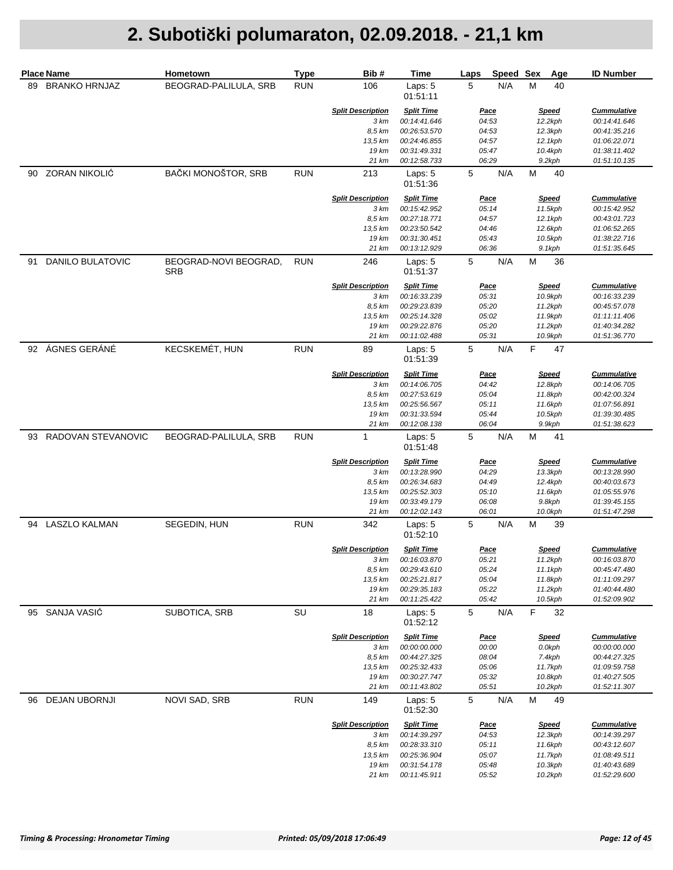|    | <b>Place Name</b>       | Hometown                            | <b>Type</b> | Bib#                             | Time                              | Laps | Speed Sex            |   | Age                     | <b>ID Number</b>                   |
|----|-------------------------|-------------------------------------|-------------|----------------------------------|-----------------------------------|------|----------------------|---|-------------------------|------------------------------------|
| 89 | <b>BRANKO HRNJAZ</b>    | BEOGRAD-PALILULA, SRB               | <b>RUN</b>  | 106                              | Laps: 5<br>01:51:11               | 5    | N/A                  | M | 40                      |                                    |
|    |                         |                                     |             | <b>Split Description</b>         | <b>Split Time</b>                 |      | <b>Pace</b>          |   | <u>Speed</u>            | <b>Cummulative</b>                 |
|    |                         |                                     |             | 3 km                             | 00:14:41.646                      |      | 04:53                |   | 12.2kph                 | 00:14:41.646                       |
|    |                         |                                     |             | 8,5 km                           | 00:26:53.570                      |      | 04:53                |   | 12.3kph                 | 00:41:35.216                       |
|    |                         |                                     |             | 13,5 km<br>19 km                 | 00:24:46.855<br>00:31:49.331      |      | 04:57<br>05:47       |   | 12.1kph<br>10.4kph      | 01:06:22.071<br>01:38:11.402       |
|    |                         |                                     |             | 21 km                            | 00:12:58.733                      |      | 06:29                |   | 9.2kph                  | 01:51:10.135                       |
| 90 | <b>ZORAN NIKOLIĆ</b>    | BAČKI MONOŠTOR, SRB                 | <b>RUN</b>  | 213                              | Laps: 5<br>01:51:36               | 5    | N/A                  | M | 40                      |                                    |
|    |                         |                                     |             | <b>Split Description</b>         | <b>Split Time</b><br>00:15:42.952 |      | <b>Pace</b><br>05:14 |   | <b>Speed</b>            | <b>Cummulative</b>                 |
|    |                         |                                     |             | 3 km<br>8,5 km                   | 00:27:18.771                      |      | 04:57                |   | 11.5kph<br>12.1kph      | 00:15:42.952<br>00:43:01.723       |
|    |                         |                                     |             | 13,5 km                          | 00:23:50.542                      |      | 04:46                |   | 12.6kph                 | 01:06:52.265                       |
|    |                         |                                     |             | 19 km                            | 00:31:30.451                      |      | 05:43                |   | 10.5kph                 | 01:38:22.716                       |
|    |                         |                                     |             | 21 km                            | 00:13:12.929                      |      | 06:36                |   | 9.1kph                  | 01:51:35.645                       |
| 91 | <b>DANILO BULATOVIC</b> | BEOGRAD-NOVI BEOGRAD,<br><b>SRB</b> | <b>RUN</b>  | 246                              | Laps: 5<br>01:51:37               | 5    | N/A                  | M | 36                      |                                    |
|    |                         |                                     |             | <b>Split Description</b>         | <b>Split Time</b>                 |      | <u>Pace</u>          |   | <b>Speed</b>            | <b>Cummulative</b>                 |
|    |                         |                                     |             | 3 km                             | 00:16:33.239                      |      | 05:31                |   | 10.9kph                 | 00:16:33.239                       |
|    |                         |                                     |             | 8,5 km                           | 00:29:23.839                      |      | 05:20                |   | 11.2kph                 | 00:45:57.078                       |
|    |                         |                                     |             | 13,5 km<br>19 km                 | 00:25:14.328<br>00:29:22.876      |      | 05:02<br>05:20       |   | 11.9kph                 | 01:11:11.406                       |
|    |                         |                                     |             | 21 km                            | 00:11:02.488                      |      | 05:31                |   | 11.2kph<br>10.9kph      | 01:40:34.282<br>01:51:36.770       |
| 92 | ÁGNES GERÁNÉ            | KECSKEMÉT, HUN                      | <b>RUN</b>  | 89                               | Laps: 5<br>01:51:39               | 5    | N/A                  | F | 47                      |                                    |
|    |                         |                                     |             | <b>Split Description</b>         | <b>Split Time</b>                 |      | <u>Pace</u>          |   | <b>Speed</b>            | <b>Cummulative</b>                 |
|    |                         |                                     |             | 3 km                             | 00:14:06.705                      |      | 04:42                |   | 12.8kph                 | 00:14:06.705                       |
|    |                         |                                     |             | 8,5 km                           | 00:27:53.619                      |      | 05:04                |   | 11.8kph                 | 00:42:00.324                       |
|    |                         |                                     |             | 13,5 km                          | 00:25:56.567                      |      | 05:11                |   | 11.6kph                 | 01:07:56.891                       |
|    |                         |                                     |             | 19 km                            | 00:31:33.594                      |      | 05:44                |   | 10.5kph                 | 01:39:30.485                       |
|    |                         |                                     |             | 21 km                            | 00:12:08.138                      |      | 06:04                |   | 9.9kph                  | 01:51:38.623                       |
| 93 | RADOVAN STEVANOVIC      | BEOGRAD-PALILULA, SRB               | <b>RUN</b>  | $\mathbf{1}$                     | Laps: 5<br>01:51:48               | 5    | N/A                  | M | 41                      |                                    |
|    |                         |                                     |             | <b>Split Description</b>         | <b>Split Time</b>                 |      | <u>Pace</u>          |   | <b>Speed</b>            | <b>Cummulative</b>                 |
|    |                         |                                     |             | 3 km                             | 00:13:28.990                      |      | 04:29                |   | 13.3kph                 | 00:13:28.990                       |
|    |                         |                                     |             | 8,5 km                           | 00:26:34.683                      |      | 04:49                |   | 12.4kph                 | 00:40:03.673                       |
|    |                         |                                     |             | 13,5 km<br>19 km                 | 00:25:52.303<br>00:33:49.179      |      | 05:10                |   | 11.6kph                 | 01:05:55.976                       |
|    |                         |                                     |             | 21 km                            | 00:12:02.143                      |      | 06:08<br>06:01       |   | 9.8kph<br>10.0kph       | 01:39:45.155<br>01:51:47.298       |
| 94 | <b>LASZLO KALMAN</b>    | SEGEDIN, HUN                        | <b>RUN</b>  | 342                              | Laps: 5<br>01:52:10               | 5    | N/A                  | M | 39                      |                                    |
|    |                         |                                     |             | <b>Split Description</b>         | <b>Split Time</b>                 |      | <b>Pace</b>          |   | <b>Speed</b>            | <b>Cummulative</b>                 |
|    |                         |                                     |             | 3 km                             | 00:16:03.870                      |      | 05:21                |   | 11.2kph                 | 00:16:03.870                       |
|    |                         |                                     |             | 8,5 km                           | 00:29:43.610                      |      | 05:24                |   | 11.1kph                 | 00:45:47.480                       |
|    |                         |                                     |             | 13,5 km                          | 00:25:21.817                      |      | 05:04                |   | 11.8kph                 | 01:11:09.297                       |
|    |                         |                                     |             | 19 km                            | 00:29:35.183                      |      | 05:22                |   | 11.2kph                 | 01:40:44.480                       |
|    |                         |                                     |             | 21 km                            | 00:11:25.422                      |      | 05:42                |   | 10.5kph                 | 01:52:09.902                       |
| 95 | SANJA VASIĆ             | SUBOTICA, SRB                       | SU          | 18                               | Laps: 5<br>01:52:12               | 5    | N/A                  | F | 32                      |                                    |
|    |                         |                                     |             | <b>Split Description</b>         | <b>Split Time</b>                 |      | <u>Pace</u>          |   | <b>Speed</b>            | <b>Cummulative</b>                 |
|    |                         |                                     |             | 3 km                             | 00:00:00.000                      |      | 00:00                |   | 0.0kph                  | 00:00:00.000                       |
|    |                         |                                     |             | 8,5 km                           | 00:44:27.325                      |      | 08:04                |   | 7.4kph                  | 00:44:27.325                       |
|    |                         |                                     |             | 13,5 km<br>19 km                 | 00:25:32.433<br>00:30:27.747      |      | 05:06<br>05:32       |   | 11.7kph<br>10.8kph      | 01:09:59.758<br>01:40:27.505       |
|    |                         |                                     |             | 21 km                            | 00:11:43.802                      |      | 05:51                |   | 10.2kph                 | 01:52:11.307                       |
| 96 | <b>DEJAN UBORNJI</b>    | NOVI SAD, SRB                       | <b>RUN</b>  | 149                              | Laps: 5<br>01:52:30               | 5    | N/A                  | M | 49                      |                                    |
|    |                         |                                     |             |                                  |                                   |      |                      |   |                         |                                    |
|    |                         |                                     |             | <b>Split Description</b><br>3 km | <b>Split Time</b><br>00:14:39.297 |      | <u>Pace</u><br>04:53 |   | <u>Speed</u><br>12.3kph | <b>Cummulative</b><br>00:14:39.297 |
|    |                         |                                     |             | 8,5 km                           | 00:28:33.310                      |      | 05:11                |   | 11.6kph                 | 00:43:12.607                       |
|    |                         |                                     |             | 13,5 km                          | 00:25:36.904                      |      | 05:07                |   | 11.7kph                 | 01:08:49.511                       |
|    |                         |                                     |             | 19 km                            | 00:31:54.178                      |      | 05:48                |   | 10.3kph                 | 01:40:43.689                       |
|    |                         |                                     |             | 21 km                            | 00:11:45.911                      |      | 05:52                |   | 10.2kph                 | 01:52:29.600                       |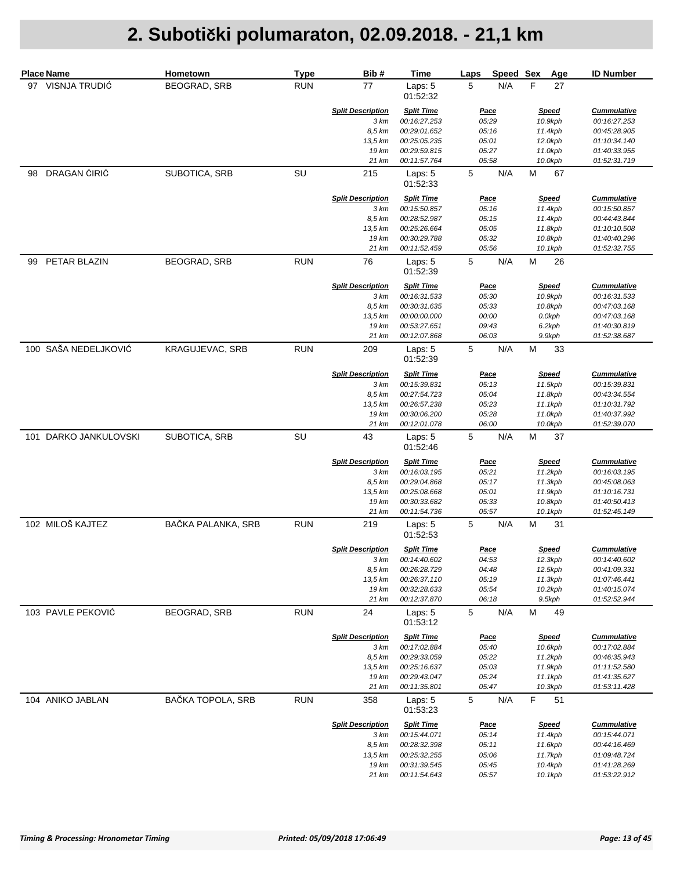| <b>Place Name</b>     | Hometown            | <b>Type</b> | Bib#                             | Time                              | Speed Sex<br>Laps    | <u>Age</u>              | <b>ID Number</b>                   |
|-----------------------|---------------------|-------------|----------------------------------|-----------------------------------|----------------------|-------------------------|------------------------------------|
| 97 VISNJA TRUDIĆ      | <b>BEOGRAD, SRB</b> | <b>RUN</b>  | 77                               | Laps: 5<br>01:52:32               | 5<br>N/A             | F<br>27                 |                                    |
|                       |                     |             | <b>Split Description</b>         | <b>Split Time</b>                 | <u>Pace</u>          | <u>Speed</u>            | <b>Cummulative</b>                 |
|                       |                     |             | 3 km                             | 00:16:27.253                      | 05:29                | 10.9kph                 | 00:16:27.253                       |
|                       |                     |             | 8,5 km                           | 00:29:01.652                      | 05:16                | 11.4kph                 | 00:45:28.905                       |
|                       |                     |             | 13,5 km<br>19 km                 | 00:25:05.235<br>00:29:59.815      | 05:01<br>05:27       | 12.0kph<br>11.0kph      | 01:10:34.140<br>01:40:33.955       |
|                       |                     |             | 21 km                            | 00:11:57.764                      | 05:58                | 10.0kph                 | 01:52:31.719                       |
| DRAGAN ĆIRIĆ<br>98    | SUBOTICA, SRB       | SU          | 215                              | Laps: 5<br>01:52:33               | 5<br>N/A             | M<br>67                 |                                    |
|                       |                     |             | <b>Split Description</b><br>3 km | <b>Split Time</b><br>00:15:50.857 | <b>Pace</b><br>05:16 | <b>Speed</b><br>11.4kph | <b>Cummulative</b><br>00:15:50.857 |
|                       |                     |             | 8,5 km                           | 00:28:52.987                      | 05:15                | 11.4kph                 | 00:44:43.844                       |
|                       |                     |             | 13,5 km                          | 00:25:26.664                      | 05:05                | 11.8kph                 | 01:10:10.508                       |
|                       |                     |             | 19 km                            | 00:30:29.788                      | 05:32                | 10.8kph                 | 01:40:40.296                       |
|                       |                     |             | 21 km                            | 00:11:52.459                      | 05:56                | 10.1kph                 | 01:52:32.755                       |
| PETAR BLAZIN<br>99    | <b>BEOGRAD, SRB</b> | <b>RUN</b>  | 76                               | Laps: 5<br>01:52:39               | $\mathbf 5$<br>N/A   | M<br>26                 |                                    |
|                       |                     |             | <b>Split Description</b>         | <b>Split Time</b>                 | <u>Pace</u>          | <b>Speed</b>            | <b>Cummulative</b>                 |
|                       |                     |             | 3 km                             | 00:16:31.533                      | 05:30                | 10.9kph                 | 00:16:31.533                       |
|                       |                     |             | 8,5 km                           | 00:30:31.635                      | 05:33                | 10.8kph                 | 00:47:03.168                       |
|                       |                     |             | 13,5 km                          | 00:00:00.000                      | 00:00                | 0.0kph                  | 00:47:03.168                       |
|                       |                     |             | 19 km<br>21 km                   | 00:53:27.651<br>00:12:07.868      | 09:43<br>06:03       | 6.2kph<br>9.9kph        | 01:40:30.819<br>01:52:38.687       |
| 100 SAŠA NEDELJKOVIĆ  | KRAGUJEVAC, SRB     | <b>RUN</b>  | 209                              | Laps: 5<br>01:52:39               | 5<br>N/A             | M<br>33                 |                                    |
|                       |                     |             | <b>Split Description</b>         | <b>Split Time</b>                 | <u>Pace</u>          | <b>Speed</b>            | <b>Cummulative</b>                 |
|                       |                     |             | 3 km                             | 00:15:39.831                      | 05:13                | 11.5kph                 | 00:15:39.831                       |
|                       |                     |             | 8,5 km                           | 00:27:54.723                      | 05:04                | 11.8kph                 | 00:43:34.554                       |
|                       |                     |             | 13,5 km                          | 00:26:57.238                      | 05:23                | 11.1kph                 | 01:10:31.792                       |
|                       |                     |             | 19 km                            | 00:30:06.200                      | 05:28                | 11.0kph                 | 01:40:37.992                       |
|                       |                     |             | 21 km                            | 00:12:01.078                      | 06:00                | 10.0kph                 | 01:52:39.070                       |
| 101 DARKO JANKULOVSKI | SUBOTICA, SRB       | SU          | 43                               | Laps: 5<br>01:52:46               | 5<br>N/A             | M<br>37                 |                                    |
|                       |                     |             | <b>Split Description</b>         | <b>Split Time</b>                 | <u>Pace</u>          | <b>Speed</b>            | <b>Cummulative</b>                 |
|                       |                     |             | 3 km                             | 00:16:03.195                      | 05:21                | 11.2kph                 | 00:16:03.195                       |
|                       |                     |             | 8,5 km                           | 00:29:04.868                      | 05:17                | 11.3kph                 | 00:45:08.063                       |
|                       |                     |             | 13,5 km<br>19 km                 | 00:25:08.668<br>00:30:33.682      | 05:01<br>05:33       | 11.9kph<br>10.8kph      | 01:10:16.731<br>01:40:50.413       |
|                       |                     |             | 21 km                            | 00:11:54.736                      | 05:57                | 10.1kph                 | 01:52:45.149                       |
| 102 MILOŠ KAJTEZ      | BAČKA PALANKA, SRB  | <b>RUN</b>  | 219                              | Laps: 5<br>01:52:53               | $\mathbf 5$<br>N/A   | M<br>31                 |                                    |
|                       |                     |             | <b>Split Description</b>         | <b>Split Time</b>                 | <b>Pace</b>          | <b>Speed</b>            | <b>Cummulative</b>                 |
|                       |                     |             | 3 km                             | 00:14:40.602                      | 04:53                | 12.3kph                 | 00:14:40.602                       |
|                       |                     |             | 8,5 km                           | 00:26:28.729                      | 04:48                | 12.5kph                 | 00:41:09.331                       |
|                       |                     |             | 13,5 km                          | 00:26:37.110                      | 05:19                | 11.3kph                 | 01:07:46.441                       |
|                       |                     |             | 19 km                            | 00:32:28.633                      | 05:54                | 10.2kph                 | 01:40:15.074                       |
|                       |                     |             | 21 km                            | 00:12:37.870                      | 06:18                | 9.5kph                  | 01:52:52.944                       |
| 103 PAVLE PEKOVIĆ     | <b>BEOGRAD, SRB</b> | <b>RUN</b>  | 24                               | Laps: 5<br>01:53:12               | 5<br>N/A             | M<br>49                 |                                    |
|                       |                     |             | <b>Split Description</b>         | <b>Split Time</b>                 | <u>Pace</u>          | <b>Speed</b>            | <b>Cummulative</b>                 |
|                       |                     |             | 3 km                             | 00:17:02.884                      | 05:40                | 10.6kph                 | 00:17:02.884                       |
|                       |                     |             | 8,5 km<br>13,5 km                | 00:29:33.059<br>00:25:16.637      | 05:22<br>05:03       | 11.2kph<br>11.9kph      | 00:46:35.943<br>01:11:52.580       |
|                       |                     |             | 19 km                            | 00:29:43.047                      | 05:24                | 11.1kph                 | 01:41:35.627                       |
|                       |                     |             | 21 km                            | 00:11:35.801                      | 05:47                | 10.3kph                 | 01:53:11.428                       |
| 104 ANIKO JABLAN      | BAČKA TOPOLA, SRB   | <b>RUN</b>  | 358                              | Laps: 5<br>01:53:23               | 5<br>N/A             | F<br>51                 |                                    |
|                       |                     |             | <b>Split Description</b>         | <b>Split Time</b>                 | <u>Pace</u>          | <b>Speed</b>            | <b>Cummulative</b>                 |
|                       |                     |             | 3 km                             | 00:15:44.071                      | 05:14                | 11.4kph                 | 00:15:44.071                       |
|                       |                     |             | 8,5 km                           | 00:28:32.398                      | 05:11                | 11.6kph                 | 00:44:16.469                       |
|                       |                     |             | 13,5 km                          | 00:25:32.255                      | 05:06                | 11.7kph                 | 01:09:48.724                       |
|                       |                     |             | 19 km                            | 00:31:39.545                      | 05:45                | 10.4kph                 | 01:41:28.269                       |
|                       |                     |             | 21 km                            | 00:11:54.643                      | 05:57                | 10.1kph                 | 01:53:22.912                       |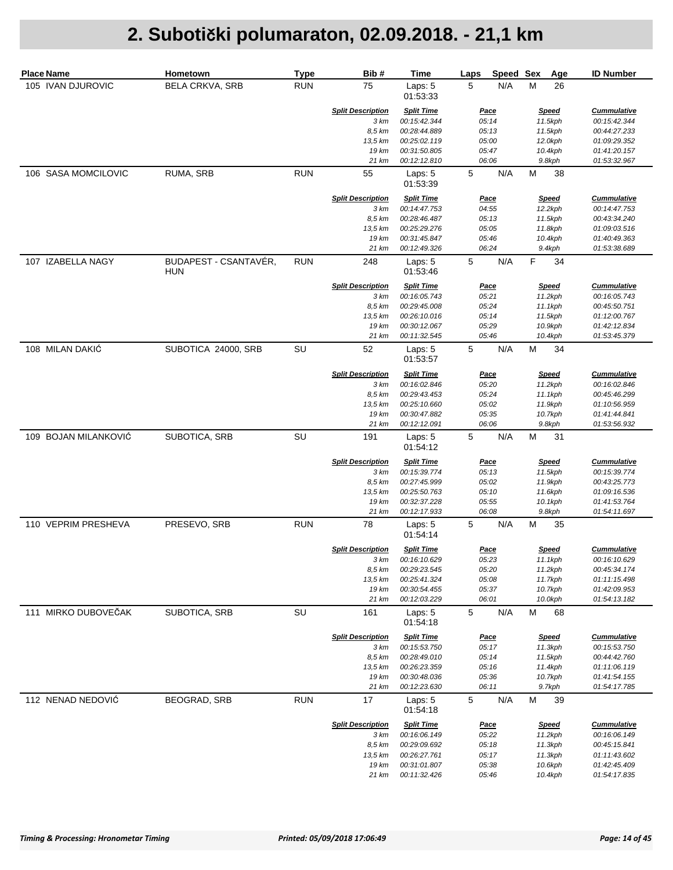| <b>Place Name</b>             | Hometown                            | <b>Type</b> | Bib#                             | Time                              | Laps                 | Speed Sex |   | Age                     | <b>ID Number</b>                   |
|-------------------------------|-------------------------------------|-------------|----------------------------------|-----------------------------------|----------------------|-----------|---|-------------------------|------------------------------------|
| 105 IVAN DJUROVIC             | <b>BELA CRKVA, SRB</b>              | <b>RUN</b>  | 75                               | Laps: 5<br>01:53:33               | 5                    | N/A       | М | 26                      |                                    |
|                               |                                     |             | <b>Split Description</b>         | <b>Split Time</b>                 | <u>Pace</u>          |           |   | <u>Speed</u>            | <b>Cummulative</b>                 |
|                               |                                     |             | 3 km                             | 00:15:42.344                      | 05:14                |           |   | 11.5kph                 | 00:15:42.344                       |
|                               |                                     |             | 8,5 km                           | 00:28:44.889                      | 05:13                |           |   | 11.5kph                 | 00:44:27.233                       |
|                               |                                     |             | 13,5 km<br>19 km                 | 00:25:02.119<br>00:31:50.805      | 05:00<br>05:47       |           |   | 12.0kph<br>10.4kph      | 01:09:29.352<br>01:41:20.157       |
|                               |                                     |             | 21 km                            | 00:12:12.810                      | 06:06                |           |   | 9.8kph                  | 01:53:32.967                       |
| <b>SASA MOMCILOVIC</b><br>106 | RUMA, SRB                           | <b>RUN</b>  | 55                               | Laps: 5<br>01:53:39               | 5                    | N/A       | M | 38                      |                                    |
|                               |                                     |             | <b>Split Description</b><br>3 km | <b>Split Time</b><br>00:14:47.753 | <b>Pace</b><br>04:55 |           |   | <b>Speed</b><br>12.2kph | <b>Cummulative</b><br>00:14:47.753 |
|                               |                                     |             | 8,5 km                           | 00:28:46.487                      | 05:13                |           |   | 11.5kph                 | 00:43:34.240                       |
|                               |                                     |             | 13,5 km                          | 00:25:29.276                      | 05:05                |           |   | 11.8kph                 | 01:09:03.516                       |
|                               |                                     |             | 19 km                            | 00:31:45.847                      | 05:46                |           |   | 10.4kph                 | 01:40:49.363                       |
|                               |                                     |             | 21 km                            | 00:12:49.326                      | 06:24                |           |   | 9.4kph                  | 01:53:38.689                       |
| 107 IZABELLA NAGY             | BUDAPEST - CSANTAVÉR,<br><b>HUN</b> | <b>RUN</b>  | 248                              | Laps: 5<br>01:53:46               | $\mathbf 5$          | N/A       | F | 34                      |                                    |
|                               |                                     |             | <b>Split Description</b>         | <b>Split Time</b>                 | <u>Pace</u>          |           |   | <b>Speed</b>            | <b>Cummulative</b>                 |
|                               |                                     |             | 3 km                             | 00:16:05.743                      | 05:21                |           |   | 11.2kph                 | 00:16:05.743                       |
|                               |                                     |             | 8,5 km                           | 00:29:45.008                      | 05:24                |           |   | 11.1kph                 | 00:45:50.751                       |
|                               |                                     |             | 13,5 km<br>19 km                 | 00:26:10.016<br>00:30:12.067      | 05:14<br>05:29       |           |   | 11.5kph<br>10.9kph      | 01:12:00.767<br>01:42:12.834       |
|                               |                                     |             | 21 km                            | 00:11:32.545                      | 05:46                |           |   | 10.4kph                 | 01:53:45.379                       |
| 108 MILAN DAKIĆ               | SUBOTICA 24000, SRB                 | SU          | 52                               | Laps: 5<br>01:53:57               | 5                    | N/A       | M | 34                      |                                    |
|                               |                                     |             | <b>Split Description</b>         | <b>Split Time</b>                 | <u>Pace</u>          |           |   | <b>Speed</b>            | <b>Cummulative</b>                 |
|                               |                                     |             | 3 km                             | 00:16:02.846                      | 05:20                |           |   | 11.2kph                 | 00:16:02.846                       |
|                               |                                     |             | 8,5 km                           | 00:29:43.453                      | 05:24                |           |   | 11.1kph                 | 00:45:46.299                       |
|                               |                                     |             | 13,5 km                          | 00:25:10.660                      | 05:02                |           |   | 11.9kph                 | 01:10:56.959                       |
|                               |                                     |             | 19 km                            | 00:30:47.882                      | 05:35                |           |   | 10.7kph                 | 01:41:44.841                       |
|                               |                                     |             | 21 km                            | 00:12:12.091                      | 06:06                |           |   | 9.8kph                  | 01:53:56.932                       |
| 109 BOJAN MILANKOVIĆ          | SUBOTICA, SRB                       | SU          | 191                              | Laps: 5<br>01:54:12               | 5                    | N/A       | M | 31                      |                                    |
|                               |                                     |             | <b>Split Description</b>         | <b>Split Time</b>                 | <u>Pace</u>          |           |   | <b>Speed</b>            | <b>Cummulative</b>                 |
|                               |                                     |             | 3 km                             | 00:15:39.774                      | 05:13                |           |   | 11.5kph                 | 00:15:39.774                       |
|                               |                                     |             | 8,5 km                           | 00:27:45.999                      | 05:02                |           |   | 11.9kph                 | 00:43:25.773                       |
|                               |                                     |             | 13,5 km<br>19 km                 | 00:25:50.763<br>00:32:37.228      | 05:10<br>05:55       |           |   | 11.6kph                 | 01:09:16.536                       |
|                               |                                     |             | 21 km                            | 00:12:17.933                      | 06:08                |           |   | 10.1kph<br>9.8kph       | 01:41:53.764<br>01:54:11.697       |
| 110 VEPRIM PRESHEVA           | PRESEVO, SRB                        | <b>RUN</b>  | 78                               | Laps: 5<br>01:54:14               | 5                    | N/A       | M | 35                      |                                    |
|                               |                                     |             | <b>Split Description</b>         | <b>Split Time</b>                 | <b>Pace</b>          |           |   | <b>Speed</b>            | <b>Cummulative</b>                 |
|                               |                                     |             | 3 km                             | 00:16:10.629                      | 05:23                |           |   | 11.1kph                 | 00:16:10.629                       |
|                               |                                     |             | 8,5 km                           | 00:29:23.545                      | 05:20                |           |   | 11.2kph                 | 00:45:34.174                       |
|                               |                                     |             | 13.5 km                          | 00:25:41.324                      | 05:08                |           |   | 11.7kph                 | 01:11:15.498                       |
|                               |                                     |             | 19 km                            | 00:30:54.455                      | 05:37                |           |   | 10.7kph                 | 01:42:09.953                       |
|                               |                                     |             | 21 km                            | 00:12:03.229                      | 06:01                |           |   | 10.0kph                 | 01:54:13.182                       |
| 111 MIRKO DUBOVEČAK           | SUBOTICA, SRB                       | SU          | 161                              | Laps: 5<br>01:54:18               | 5                    | N/A       | M | 68                      |                                    |
|                               |                                     |             | <b>Split Description</b>         | <b>Split Time</b>                 | <u>Pace</u>          |           |   | <b>Speed</b>            | <b>Cummulative</b>                 |
|                               |                                     |             | 3 km                             | 00:15:53.750                      | 05:17                |           |   | 11.3kph                 | 00:15:53.750                       |
|                               |                                     |             | 8,5 km                           | 00:28:49.010                      | 05:14                |           |   | 11.5kph                 | 00:44:42.760                       |
|                               |                                     |             | 13,5 km                          | 00:26:23.359                      | 05:16                |           |   | 11.4kph                 | 01:11:06.119                       |
|                               |                                     |             | 19 km<br>21 km                   | 00:30:48.036<br>00:12:23.630      | 05:36<br>06:11       |           |   | 10.7kph<br>9.7kph       | 01:41:54.155<br>01:54:17.785       |
| 112 NENAD NEDOVIĆ             | BEOGRAD, SRB                        | <b>RUN</b>  | 17                               |                                   | 5                    |           | M | 39                      |                                    |
|                               |                                     |             |                                  | Laps: 5<br>01:54:18               |                      | N/A       |   |                         |                                    |
|                               |                                     |             | <b>Split Description</b>         | <b>Split Time</b>                 | <u>Pace</u>          |           |   | <u>Speed</u>            | <b>Cummulative</b>                 |
|                               |                                     |             | 3 km                             | 00:16:06.149                      | 05:22                |           |   | 11.2kph                 | 00:16:06.149                       |
|                               |                                     |             | 8,5 km                           | 00:29:09.692                      | 05:18                |           |   | 11.3kph                 | 00:45:15.841                       |
|                               |                                     |             | 13,5 km<br>19 km                 | 00:26:27.761<br>00:31:01.807      | 05:17<br>05:38       |           |   | 11.3kph<br>10.6kph      | 01:11:43.602<br>01:42:45.409       |
|                               |                                     |             | 21 km                            | 00:11:32.426                      | 05:46                |           |   | 10.4kph                 | 01:54:17.835                       |
|                               |                                     |             |                                  |                                   |                      |           |   |                         |                                    |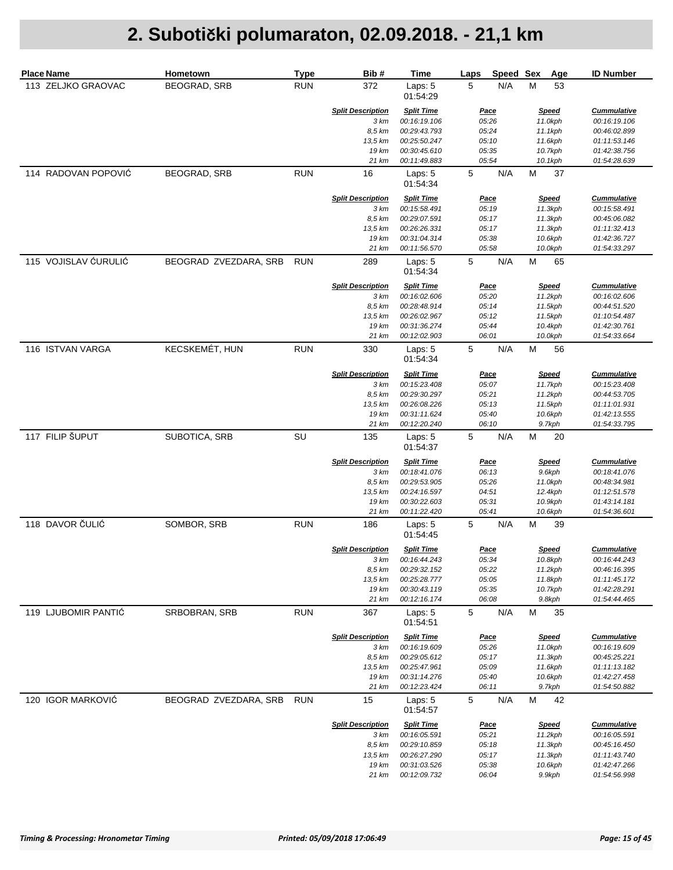| <b>Place Name</b>    | Hometown              | <b>Type</b> | Bib#                     | Time                              | Speed Sex<br>Laps    | Age                     | <b>ID Number</b>                   |
|----------------------|-----------------------|-------------|--------------------------|-----------------------------------|----------------------|-------------------------|------------------------------------|
| 113 ZELJKO GRAOVAC   | <b>BEOGRAD, SRB</b>   | <b>RUN</b>  | 372                      | Laps: 5<br>01:54:29               | N/A<br>5             | М<br>53                 |                                    |
|                      |                       |             | <b>Split Description</b> | <b>Split Time</b>                 | <b>Pace</b>          | <b>Speed</b>            | <b>Cummulative</b>                 |
|                      |                       |             | 3 km                     | 00:16:19.106                      | 05:26                | 11.0kph                 | 00:16:19.106                       |
|                      |                       |             | 8,5 km<br>13,5 km        | 00:29:43.793<br>00:25:50.247      | 05:24<br>05:10       | 11.1kph<br>11.6kph      | 00:46:02.899<br>01:11:53.146       |
|                      |                       |             | 19 km                    | 00:30:45.610                      | 05:35                | 10.7kph                 | 01:42:38.756                       |
|                      |                       |             | 21 km                    | 00:11:49.883                      | 05:54                | 10.1kph                 | 01:54:28.639                       |
| 114 RADOVAN POPOVIĆ  | BEOGRAD, SRB          | <b>RUN</b>  | 16                       | Laps: 5<br>01:54:34               | 5<br>N/A             | M<br>37                 |                                    |
|                      |                       |             | <b>Split Description</b> | <b>Split Time</b>                 | <u>Pace</u>          | <b>Speed</b>            | <b>Cummulative</b>                 |
|                      |                       |             | 3 km                     | 00:15:58.491                      | 05:19                | 11.3kph                 | 00:15:58.491                       |
|                      |                       |             | 8,5 km                   | 00:29:07.591                      | 05:17                | 11.3kph                 | 00:45:06.082                       |
|                      |                       |             | 13,5 km                  | 00:26:26.331                      | 05:17                | 11.3kph                 | 01:11:32.413                       |
|                      |                       |             | 19 km                    | 00:31:04.314                      | 05:38                | 10.6kph                 | 01:42:36.727                       |
|                      |                       |             | 21 km                    | 00:11:56.570                      | 05:58                | 10.0kph                 | 01:54:33.297                       |
| 115 VOJISLAV ĆURULIĆ | BEOGRAD ZVEZDARA, SRB | <b>RUN</b>  | 289                      | Laps: 5<br>01:54:34               | 5<br>N/A             | M<br>65                 |                                    |
|                      |                       |             | <b>Split Description</b> | <b>Split Time</b>                 | Pace                 | <b>Speed</b>            | <b>Cummulative</b>                 |
|                      |                       |             | 3 km                     | 00:16:02.606                      | 05:20                | 11.2kph                 | 00:16:02.606                       |
|                      |                       |             | 8,5 km                   | 00:28:48.914                      | 05:14                | 11.5kph                 | 00:44:51.520                       |
|                      |                       |             | 13,5 km                  | 00:26:02.967                      | 05:12                | 11.5kph                 | 01:10:54.487                       |
|                      |                       |             | 19 km<br>21 km           | 00:31:36.274                      | 05:44<br>06:01       | 10.4kph                 | 01:42:30.761                       |
| 116 ISTVAN VARGA     | KECSKEMÉT, HUN        | <b>RUN</b>  | 330                      | 00:12:02.903<br>Laps: 5           | 5<br>N/A             | 10.0kph<br>M<br>56      | 01:54:33.664                       |
|                      |                       |             | <b>Split Description</b> | 01:54:34                          |                      |                         |                                    |
|                      |                       |             | 3 km                     | <b>Split Time</b><br>00:15:23.408 | <u>Pace</u><br>05:07 | <b>Speed</b><br>11.7kph | <b>Cummulative</b><br>00:15:23.408 |
|                      |                       |             | 8,5 km                   | 00:29:30.297                      | 05:21                | 11.2kph                 | 00:44:53.705                       |
|                      |                       |             | 13,5 km                  | 00:26:08.226                      | 05:13                | 11.5kph                 | 01:11:01.931                       |
|                      |                       |             | 19 km                    | 00:31:11.624                      | 05:40                | 10.6kph                 | 01:42:13.555                       |
|                      |                       |             | 21 km                    | 00:12:20.240                      | 06:10                | 9.7kph                  | 01:54:33.795                       |
| 117 FILIP ŠUPUT      | SUBOTICA, SRB         | SU          | 135                      | Laps: 5<br>01:54:37               | 5<br>N/A             | M<br>20                 |                                    |
|                      |                       |             | <b>Split Description</b> | <b>Split Time</b>                 | <u>Pace</u>          | <b>Speed</b>            | <b>Cummulative</b>                 |
|                      |                       |             | 3 km                     | 00:18:41.076                      | 06:13                | 9.6kph                  | 00:18:41.076                       |
|                      |                       |             | 8,5 km                   | 00:29:53.905                      | 05:26                | 11.0kph                 | 00:48:34.981                       |
|                      |                       |             | 13,5 km                  | 00:24:16.597                      | 04:51                | 12.4kph                 | 01:12:51.578                       |
|                      |                       |             | 19 km                    | 00:30:22.603                      | 05:31                | 10.9kph                 | 01:43:14.181                       |
|                      |                       |             | 21 km                    | 00:11:22.420                      | 05:41                | 10.6kph                 | 01:54:36.601                       |
| 118 DAVOR ČULIĆ      | SOMBOR, SRB           | <b>RUN</b>  | 186                      | Laps: 5<br>01:54:45               | 5<br>N/A             | M<br>39                 |                                    |
|                      |                       |             | <b>Split Description</b> | <b>Split Time</b>                 | Pace                 | <b>Speed</b>            | <b>Cummulative</b>                 |
|                      |                       |             | 3 km                     | 00:16:44.243                      | 05:34                | 10.8kph                 | 00:16:44.243                       |
|                      |                       |             | 8,5 km                   | 00:29:32.152                      | 05:22                | 11.2kph                 | 00:46:16.395                       |
|                      |                       |             | 13,5 km                  | 00:25:28.777                      | 05:05                | 11.8kph                 | 01:11:45.172                       |
|                      |                       |             | 19 km                    | 00:30:43.119                      | 05:35                | 10.7kph                 | 01:42:28.291                       |
|                      |                       |             | 21 km                    | 00:12:16.174                      | 06:08                | 9.8kph                  | 01:54:44.465                       |
| 119 LJUBOMIR PANTIĆ  | <b>SRBOBRAN, SRB</b>  | <b>RUN</b>  | 367                      | Laps: 5<br>01:54:51               | 5<br>N/A             | M<br>35                 |                                    |
|                      |                       |             | <b>Split Description</b> | <b>Split Time</b>                 | <u>Pace</u>          | <b>Speed</b>            | <b>Cummulative</b>                 |
|                      |                       |             | 3 km                     | 00:16:19.609                      | 05:26                | 11.0kph                 | 00:16:19.609                       |
|                      |                       |             | 8,5 km                   | 00:29:05.612                      | 05:17                | 11.3kph                 | 00:45:25.221                       |
|                      |                       |             | 13,5 km                  | 00:25:47.961                      | 05:09                | 11.6kph                 | 01:11:13.182                       |
|                      |                       |             | 19 km<br>21 km           | 00:31:14.276<br>00:12:23.424      | 05:40<br>06:11       | 10.6kph<br>9.7kph       | 01:42:27.458<br>01:54:50.882       |
|                      |                       |             |                          |                                   |                      |                         |                                    |
| 120 IGOR MARKOVIĆ    | BEOGRAD ZVEZDARA, SRB | <b>RUN</b>  | 15                       | Laps: 5<br>01:54:57               | 5<br>N/A             | M<br>42                 |                                    |
|                      |                       |             | <b>Split Description</b> | <b>Split Time</b>                 | <u>Pace</u>          | <b>Speed</b>            | <b>Cummulative</b>                 |
|                      |                       |             | 3 km                     | 00:16:05.591                      | 05:21                | 11.2kph                 | 00:16:05.591                       |
|                      |                       |             | 8,5 km                   | 00:29:10.859                      | 05:18                | 11.3kph                 | 00:45:16.450                       |
|                      |                       |             | 13,5 km                  | 00:26:27.290                      | 05:17                | 11.3kph                 | 01:11:43.740                       |
|                      |                       |             | 19 km                    | 00:31:03.526                      | 05:38                | 10.6kph                 | 01:42:47.266                       |
|                      |                       |             | 21 km                    | 00:12:09.732                      | 06:04                | 9.9kph                  | 01:54:56.998                       |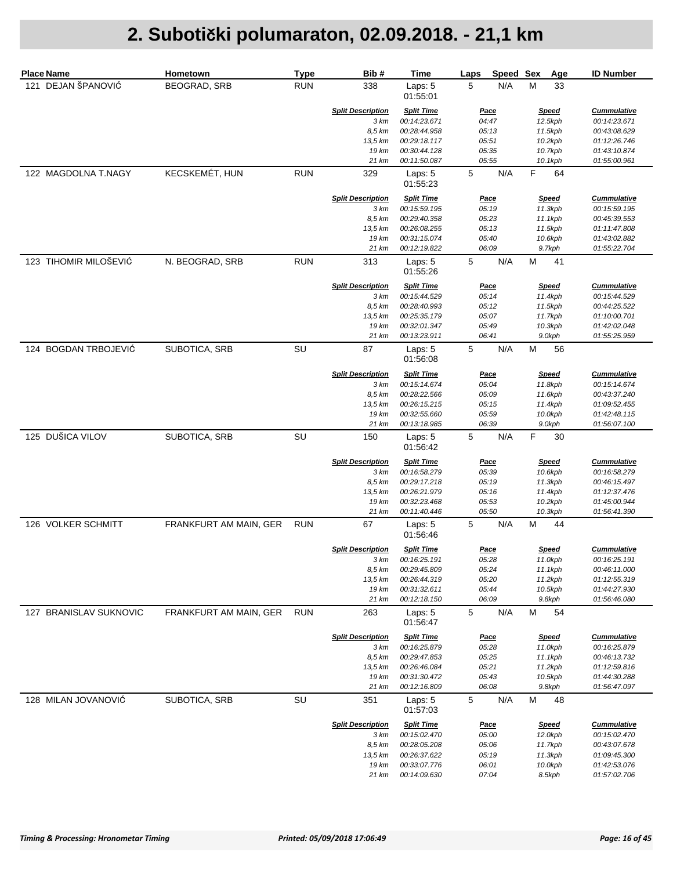| <b>Place Name</b>      | Hometown               | <b>Type</b> | Bib#                             | Time                              | Laps                 | Speed Sex |   | Age                     | <b>ID Number</b>                   |
|------------------------|------------------------|-------------|----------------------------------|-----------------------------------|----------------------|-----------|---|-------------------------|------------------------------------|
| 121 DEJAN ŠPANOVIĆ     | BEOGRAD, SRB           | <b>RUN</b>  | 338                              | Laps: 5<br>01:55:01               | 5                    | N/A       | M | 33                      |                                    |
|                        |                        |             | <b>Split Description</b>         | <b>Split Time</b>                 | <u>Pace</u>          |           |   | <b>Speed</b>            | <b>Cummulative</b>                 |
|                        |                        |             | 3 km                             | 00:14:23.671                      | 04:47                |           |   | 12.5kph                 | 00:14:23.671                       |
|                        |                        |             | 8,5 km                           | 00:28:44.958                      | 05:13                |           |   | 11.5kph                 | 00:43:08.629                       |
|                        |                        |             | 13,5 km<br>19 km                 | 00:29:18.117<br>00:30:44.128      | 05:51<br>05:35       |           |   | 10.2kph<br>10.7kph      | 01:12:26.746<br>01:43:10.874       |
|                        |                        |             | 21 km                            | 00:11:50.087                      | 05:55                |           |   | 10.1kph                 | 01:55:00.961                       |
| 122 MAGDOLNA T.NAGY    | KECSKEMÉT, HUN         | <b>RUN</b>  | 329                              | Laps: 5<br>01:55:23               | 5                    | N/A       | F | 64                      |                                    |
|                        |                        |             | <b>Split Description</b>         | <b>Split Time</b><br>00:15:59.195 | <u>Pace</u>          |           |   | <b>Speed</b>            | <b>Cummulative</b>                 |
|                        |                        |             | 3 km<br>8,5 km                   | 00:29:40.358                      | 05:19<br>05:23       |           |   | 11.3kph<br>11.1kph      | 00:15:59.195<br>00:45:39.553       |
|                        |                        |             | 13,5 km                          | 00:26:08.255                      | 05:13                |           |   | 11.5kph                 | 01:11:47.808                       |
|                        |                        |             | 19 km                            | 00:31:15.074                      | 05:40                |           |   | 10.6kph                 | 01:43:02.882                       |
|                        |                        |             | 21 km                            | 00:12:19.822                      | 06:09                |           |   | 9.7kph                  | 01:55:22.704                       |
| 123 TIHOMIR MILOŠEVIĆ  | N. BEOGRAD, SRB        | <b>RUN</b>  | 313                              | Laps: 5<br>01:55:26               | 5                    | N/A       | M | 41                      |                                    |
|                        |                        |             | <b>Split Description</b>         | <b>Split Time</b>                 | <u>Pace</u>          |           |   | <b>Speed</b>            | <b>Cummulative</b>                 |
|                        |                        |             | 3 km                             | 00:15:44.529                      | 05:14                |           |   | 11.4kph                 | 00:15:44.529                       |
|                        |                        |             | 8,5 km                           | 00:28:40.993                      | 05:12                |           |   | 11.5kph                 | 00:44:25.522                       |
|                        |                        |             | 13,5 km                          | 00:25:35.179                      | 05:07                |           |   | 11.7kph                 | 01:10:00.701                       |
|                        |                        |             | 19 km<br>21 km                   | 00:32:01.347<br>00:13:23.911      | 05:49<br>06:41       |           |   | 10.3kph<br>9.0kph       | 01:42:02.048<br>01:55:25.959       |
| 124 BOGDAN TRBOJEVIĆ   | SUBOTICA, SRB          | SU          | 87                               | Laps: 5<br>01:56:08               | 5                    | N/A       | M | 56                      |                                    |
|                        |                        |             | <b>Split Description</b>         | <b>Split Time</b>                 |                      |           |   | <b>Speed</b>            | <b>Cummulative</b>                 |
|                        |                        |             | 3 km                             | 00:15:14.674                      | <u>Pace</u><br>05:04 |           |   | 11.8kph                 | 00:15:14.674                       |
|                        |                        |             | 8,5 km                           | 00:28:22.566                      | 05:09                |           |   | 11.6kph                 | 00:43:37.240                       |
|                        |                        |             | 13,5 km                          | 00:26:15.215                      | 05:15                |           |   | 11.4kph                 | 01:09:52.455                       |
|                        |                        |             | 19 km                            | 00:32:55.660                      | 05:59                |           |   | 10.0kph                 | 01:42:48.115                       |
|                        |                        |             | 21 km                            | 00:13:18.985                      | 06:39                |           |   | 9.0kph                  | 01:56:07.100                       |
| 125 DUŠICA VILOV       | SUBOTICA, SRB          | SU          | 150                              | Laps: 5<br>01:56:42               | 5                    | N/A       | F | 30                      |                                    |
|                        |                        |             | <b>Split Description</b>         | <b>Split Time</b>                 | <u>Pace</u>          |           |   | <b>Speed</b>            | <b>Cummulative</b>                 |
|                        |                        |             | 3 km                             | 00:16:58.279                      | 05:39                |           |   | 10.6kph                 | 00:16:58.279                       |
|                        |                        |             | 8,5 km                           | 00:29:17.218                      | 05:19                |           |   | 11.3kph                 | 00:46:15.497                       |
|                        |                        |             | 13,5 km                          | 00:26:21.979                      | 05:16                |           |   | 11.4kph                 | 01:12:37.476                       |
|                        |                        |             | 19 km<br>21 km                   | 00:32:23.468<br>00:11:40.446      | 05:53<br>05:50       |           |   | 10.2kph<br>10.3kph      | 01:45:00.944<br>01:56:41.390       |
| 126 VOLKER SCHMITT     | FRANKFURT AM MAIN, GER | <b>RUN</b>  | 67                               | Laps: 5<br>01:56:46               | 5                    | N/A       | M | 44                      |                                    |
|                        |                        |             | <b>Split Description</b>         | <b>Split Time</b>                 | <u>Pace</u>          |           |   | <b>Speed</b>            | <b>Cummulative</b>                 |
|                        |                        |             | 3 km                             | 00:16:25.191                      | 05:28                |           |   | 11.0kph                 | 00:16:25.191                       |
|                        |                        |             | 8,5 km                           | 00:29:45.809                      | 05:24                |           |   | 11.1kph                 | 00:46:11.000                       |
|                        |                        |             | 13,5 km                          | 00:26:44.319                      | 05:20                |           |   | 11.2kph                 | 01:12:55.319                       |
|                        |                        |             | 19 km                            | 00:31:32.611                      | 05:44                |           |   | 10.5kph                 | 01:44:27.930                       |
|                        |                        |             | 21 km                            | 00:12:18.150                      | 06:09                |           |   | 9.8kph                  | 01:56:46.080                       |
| 127 BRANISLAV SUKNOVIC | FRANKFURT AM MAIN, GER | <b>RUN</b>  | 263                              | Laps: $5$<br>01:56:47             | 5                    | N/A       | М | 54                      |                                    |
|                        |                        |             | <b>Split Description</b>         | <b>Split Time</b>                 | <u>Pace</u>          |           |   | <b>Speed</b>            | <b>Cummulative</b>                 |
|                        |                        |             | 3 km                             | 00:16:25.879                      | 05:28                |           |   | 11.0kph                 | 00:16:25.879                       |
|                        |                        |             | 8,5 km                           | 00:29:47.853                      | 05:25                |           |   | 11.1kph                 | 00:46:13.732                       |
|                        |                        |             | 13,5 km<br>19 km                 | 00:26:46.084<br>00:31:30.472      | 05:21<br>05:43       |           |   | 11.2kph<br>10.5kph      | 01:12:59.816<br>01:44:30.288       |
|                        |                        |             | 21 km                            | 00:12:16.809                      | 06:08                |           |   | 9.8kph                  | 01:56:47.097                       |
| 128 MILAN JOVANOVIĆ    | SUBOTICA, SRB          | SU          | 351                              | Laps: 5                           | 5                    | N/A       | M | 48                      |                                    |
|                        |                        |             |                                  | 01:57:03                          |                      |           |   |                         |                                    |
|                        |                        |             | <b>Split Description</b><br>3 km | <b>Split Time</b><br>00:15:02.470 | <u>Pace</u><br>05:00 |           |   | <b>Speed</b><br>12.0kph | <b>Cummulative</b><br>00:15:02.470 |
|                        |                        |             | 8,5 km                           | 00:28:05.208                      | 05:06                |           |   | 11.7kph                 | 00:43:07.678                       |
|                        |                        |             | 13,5 km                          | 00:26:37.622                      | 05:19                |           |   | 11.3kph                 | 01:09:45.300                       |
|                        |                        |             | 19 km                            | 00:33:07.776                      | 06:01                |           |   | 10.0kph                 | 01:42:53.076                       |
|                        |                        |             | 21 km                            | 00:14:09.630                      | 07:04                |           |   | 8.5kph                  | 01:57:02.706                       |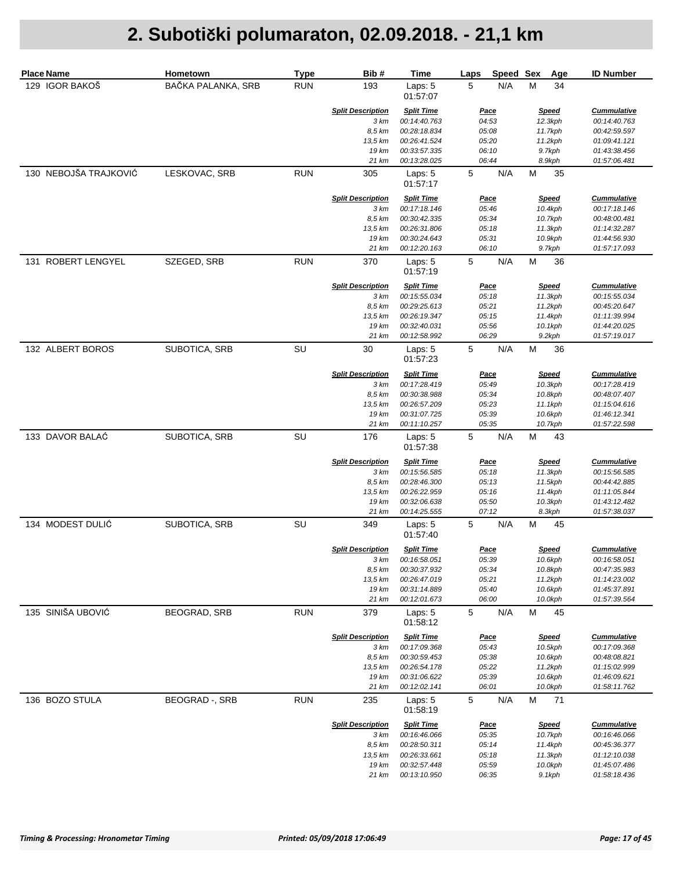| <b>Place Name</b> |                       | Hometown              | <b>Type</b> | Bib#                             | Time                                | Laps           | Speed Sex |   | Age                     | <b>ID Number</b>                   |
|-------------------|-----------------------|-----------------------|-------------|----------------------------------|-------------------------------------|----------------|-----------|---|-------------------------|------------------------------------|
| 129 IGOR BAKOŠ    |                       | BAČKA PALANKA, SRB    | <b>RUN</b>  | 193                              | Laps: 5<br>01:57:07                 | 5              | N/A       | M | 34                      |                                    |
|                   |                       |                       |             | <b>Split Description</b>         | <b>Split Time</b>                   | <b>Pace</b>    |           |   | <b>Speed</b>            | <b>Cummulative</b>                 |
|                   |                       |                       |             | 3 km                             | 00:14:40.763                        | 04:53          |           |   | 12.3kph                 | 00:14:40.763                       |
|                   |                       |                       |             | 8,5 km<br>13,5 km                | 00:28:18.834<br>00:26:41.524        | 05:08<br>05:20 |           |   | 11.7kph<br>11.2kph      | 00:42:59.597<br>01:09:41.121       |
|                   |                       |                       |             | 19 km                            | 00:33:57.335                        | 06:10          |           |   | 9.7kph                  | 01:43:38.456                       |
|                   |                       |                       |             | 21 km                            | 00:13:28.025                        | 06:44          |           |   | 8.9kph                  | 01:57:06.481                       |
|                   | 130 NEBOJŠA TRAJKOVIĆ | LESKOVAC, SRB         | <b>RUN</b>  | 305                              | Laps: 5<br>01:57:17                 | 5              | N/A       | M | 35                      |                                    |
|                   |                       |                       |             | <b>Split Description</b><br>3 km | <b>Split Time</b><br>00:17:18.146   | Pace<br>05:46  |           |   | <b>Speed</b><br>10.4kph | <b>Cummulative</b><br>00:17:18.146 |
|                   |                       |                       |             | 8,5 km                           | 00:30:42.335                        | 05:34          |           |   | 10.7kph                 | 00:48:00.481                       |
|                   |                       |                       |             | 13,5 km                          | 00:26:31.806                        | 05:18          |           |   | 11.3kph                 | 01:14:32.287                       |
|                   |                       |                       |             | 19 km<br>21 km                   | 00:30:24.643                        | 05:31<br>06:10 |           |   | 10.9kph                 | 01:44:56.930                       |
|                   | 131 ROBERT LENGYEL    | SZEGED, SRB           | <b>RUN</b>  | 370                              | 00:12:20.163<br>Laps: 5<br>01:57:19 | $\,$ 5 $\,$    | N/A       | M | 9.7kph<br>36            | 01:57:17.093                       |
|                   |                       |                       |             | <b>Split Description</b>         | <b>Split Time</b>                   | <u>Pace</u>    |           |   | <b>Speed</b>            | <b>Cummulative</b>                 |
|                   |                       |                       |             | 3 km                             | 00:15:55.034                        | 05:18          |           |   | 11.3kph                 | 00:15:55.034                       |
|                   |                       |                       |             | 8,5 km<br>13,5 km                | 00:29:25.613                        | 05:21          |           |   | 11.2kph                 | 00:45:20.647                       |
|                   |                       |                       |             | 19 km                            | 00:26:19.347<br>00:32:40.031        | 05:15<br>05:56 |           |   | 11.4kph<br>10.1kph      | 01:11:39.994<br>01:44:20.025       |
|                   |                       |                       |             | 21 km                            | 00:12:58.992                        | 06:29          |           |   | $9.2$ kph               | 01:57:19.017                       |
| 132 ALBERT BOROS  |                       | SUBOTICA, SRB         | SU          | 30                               | Laps: 5<br>01:57:23                 | 5              | N/A       | M | 36                      |                                    |
|                   |                       |                       |             | <b>Split Description</b>         | <b>Split Time</b>                   | <u>Pace</u>    |           |   | <b>Speed</b>            | <b>Cummulative</b>                 |
|                   |                       |                       |             | 3 km                             | 00:17:28.419                        | 05:49          |           |   | 10.3kph                 | 00:17:28.419                       |
|                   |                       |                       |             | 8,5 km                           | 00:30:38.988                        | 05:34          |           |   | 10.8kph                 | 00:48:07.407                       |
|                   |                       |                       |             | 13,5 km<br>19 km                 | 00:26:57.209                        | 05:23<br>05:39 |           |   | 11.1kph                 | 01:15:04.616                       |
|                   |                       |                       |             | 21 km                            | 00:31:07.725<br>00:11:10.257        | 05:35          |           |   | 10.6kph<br>10.7kph      | 01:46:12.341<br>01:57:22.598       |
| 133 DAVOR BALAĆ   |                       | SUBOTICA, SRB         | SU          | 176                              | Laps: 5<br>01:57:38                 | $\mathbf 5$    | N/A       | M | 43                      |                                    |
|                   |                       |                       |             | <b>Split Description</b>         | <b>Split Time</b>                   | <u>Pace</u>    |           |   | <b>Speed</b>            | <b>Cummulative</b>                 |
|                   |                       |                       |             | 3 km                             | 00:15:56.585                        | 05:18          |           |   | 11.3kph                 | 00:15:56.585                       |
|                   |                       |                       |             | 8,5 km                           | 00:28:46.300                        | 05:13          |           |   | 11.5kph                 | 00:44:42.885                       |
|                   |                       |                       |             | 13,5 km<br>19 km                 | 00:26:22.959<br>00:32:06.638        | 05:16<br>05:50 |           |   | 11.4kph                 | 01:11:05.844                       |
|                   |                       |                       |             | 21 km                            | 00:14:25.555                        | 07:12          |           |   | 10.3kph<br>8.3kph       | 01:43:12.482<br>01:57:38.037       |
| 134 MODEST DULIĆ  |                       | SUBOTICA, SRB         | SU          | 349                              | Laps: 5<br>01:57:40                 | 5              | N/A       | M | 45                      |                                    |
|                   |                       |                       |             | <b>Split Description</b>         | <b>Split Time</b>                   | <b>Pace</b>    |           |   | <b>Speed</b>            | <b>Cummulative</b>                 |
|                   |                       |                       |             | 3 km                             | 00:16:58.051                        | 05:39          |           |   | 10.6kph                 | 00:16:58.051                       |
|                   |                       |                       |             | 8,5 km                           | 00:30:37.932                        | 05:34          |           |   | 10.8kph                 | 00:47:35.983                       |
|                   |                       |                       |             | 13,5 km                          | 00:26:47.019                        | 05:21          |           |   | 11.2kph                 | 01:14:23.002                       |
|                   |                       |                       |             | 19 km<br>21 km                   | 00:31:14.889<br>00:12:01.673        | 05:40<br>06:00 |           |   | 10.6kph<br>10.0kph      | 01:45:37.891<br>01:57:39.564       |
| 135 SINIŠA UBOVIĆ |                       | BEOGRAD, SRB          | <b>RUN</b>  | 379                              | Laps: 5<br>01:58:12                 | 5              | N/A       | M | 45                      |                                    |
|                   |                       |                       |             | <b>Split Description</b>         | <b>Split Time</b>                   | <u>Pace</u>    |           |   | <b>Speed</b>            | <b>Cummulative</b>                 |
|                   |                       |                       |             | 3 km<br>8,5 km                   | 00:17:09.368<br>00:30:59.453        | 05:43<br>05:38 |           |   | 10.5kph<br>10.6kph      | 00:17:09.368<br>00:48:08.821       |
|                   |                       |                       |             | 13,5 km                          | 00:26:54.178                        | 05:22          |           |   | 11.2kph                 | 01:15:02.999                       |
|                   |                       |                       |             | 19 km                            | 00:31:06.622                        | 05:39          |           |   | 10.6kph                 | 01:46:09.621                       |
|                   |                       |                       |             | 21 km                            | 00:12:02.141                        | 06:01          |           |   | 10.0kph                 | 01:58:11.762                       |
| 136 BOZO STULA    |                       | <b>BEOGRAD</b> -, SRB | <b>RUN</b>  | 235                              | Laps: 5<br>01:58:19                 | $\mathbf 5$    | N/A       | M | 71                      |                                    |
|                   |                       |                       |             | <b>Split Description</b>         | <b>Split Time</b>                   | <u>Pace</u>    |           |   | <b>Speed</b>            | <b>Cummulative</b>                 |
|                   |                       |                       |             | 3 km                             | 00:16:46.066                        | 05:35          |           |   | 10.7kph                 | 00:16:46.066                       |
|                   |                       |                       |             | 8,5 km<br>13,5 km                | 00:28:50.311<br>00:26:33.661        | 05:14<br>05:18 |           |   | 11.4kph<br>11.3kph      | 00:45:36.377<br>01:12:10.038       |
|                   |                       |                       |             | 19 km                            | 00:32:57.448                        | 05:59          |           |   | 10.0kph                 | 01:45:07.486                       |
|                   |                       |                       |             | 21 km                            | 00:13:10.950                        | 06:35          |           |   | 9.1kph                  | 01:58:18.436                       |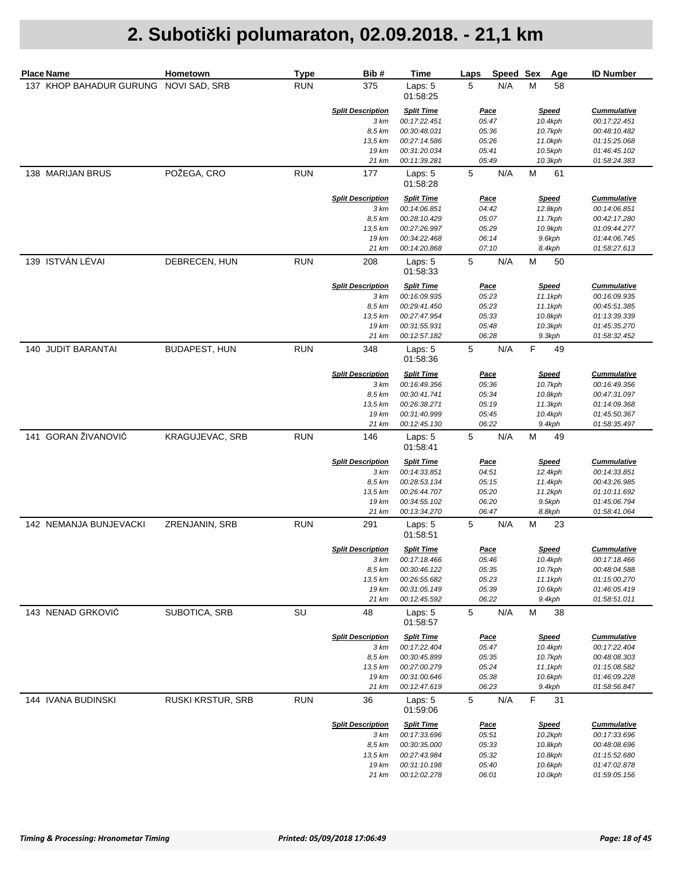| <b>Place Name</b>                     | Hometown                 | <b>Type</b> | Bib#                     | Time                         | Laps               |     | Speed Sex | Age                | <b>ID Number</b>                   |
|---------------------------------------|--------------------------|-------------|--------------------------|------------------------------|--------------------|-----|-----------|--------------------|------------------------------------|
| 137 KHOP BAHADUR GURUNG NOVI SAD, SRB |                          | <b>RUN</b>  | 375                      | Laps: 5<br>01:58:25          | 5                  | N/A | М         | 58                 |                                    |
|                                       |                          |             | <b>Split Description</b> | <b>Split Time</b>            | <u>Pace</u>        |     |           | <b>Speed</b>       | <b>Cummulative</b>                 |
|                                       |                          |             | 3 km                     | 00:17:22.451                 | 05:47              |     |           | 10.4kph            | 00:17:22.451                       |
|                                       |                          |             | 8,5 km                   | 00:30:48.031                 | 05:36              |     |           | 10.7kph            | 00:48:10.482                       |
|                                       |                          |             | 13,5 km<br>19 km         | 00:27:14.586<br>00:31:20.034 | 05:26<br>05:41     |     |           | 11.0kph<br>10.5kph | 01:15:25.068<br>01:46:45.102       |
|                                       |                          |             | 21 km                    | 00:11:39.281                 | 05:49              |     |           | 10.3kph            | 01:58:24.383                       |
| 138 MARIJAN BRUS                      | POŽEGA, CRO              | <b>RUN</b>  | 177                      | Laps: 5<br>01:58:28          | 5<br>N/A           |     | M         | 61                 |                                    |
|                                       |                          |             | <b>Split Description</b> | <b>Split Time</b>            | <u>Pace</u>        |     |           | <b>Speed</b>       | <b>Cummulative</b><br>00:14:06.851 |
|                                       |                          |             | 3 km<br>8,5 km           | 00:14:06.851<br>00:28:10.429 | 04:42<br>05:07     |     |           | 12.8kph<br>11.7kph | 00:42:17.280                       |
|                                       |                          |             | 13,5 km                  | 00:27:26.997                 | 05:29              |     |           | 10.9kph            | 01:09:44.277                       |
|                                       |                          |             | 19 km                    | 00:34:22.468                 | 06:14              |     |           | 9.6kph             | 01:44:06.745                       |
|                                       |                          |             | 21 km                    | 00:14:20.868                 | 07:10              |     |           | 8.4kph             | 01:58:27.613                       |
| 139 ISTVÁN LÉVAI                      | DEBRECEN, HUN            | <b>RUN</b>  | 208                      | Laps: 5<br>01:58:33          | 5<br>N/A           |     | M         | 50                 |                                    |
|                                       |                          |             | <b>Split Description</b> | <b>Split Time</b>            | <u>Pace</u>        |     |           | <b>Speed</b>       | <b>Cummulative</b>                 |
|                                       |                          |             | 3 km                     | 00:16:09.935                 | 05:23              |     |           | 11.1kph            | 00:16:09.935                       |
|                                       |                          |             | 8,5 km                   | 00:29:41.450                 | 05:23              |     |           | 11.1kph            | 00:45:51.385                       |
|                                       |                          |             | 13,5 km                  | 00:27:47.954                 | 05:33              |     |           | 10.8kph            | 01:13:39.339                       |
|                                       |                          |             | 19 km<br>21 km           | 00:31:55.931<br>00:12:57.182 | 05:48<br>06:28     |     |           | 10.3kph<br>9.3kph  | 01:45:35.270<br>01:58:32.452       |
| 140 JUDIT BARANTAI                    | <b>BUDAPEST, HUN</b>     | <b>RUN</b>  | 348                      | Laps: 5<br>01:58:36          | 5<br>N/A           |     | F         | 49                 |                                    |
|                                       |                          |             | <b>Split Description</b> | <b>Split Time</b>            | <u>Pace</u>        |     |           | <b>Speed</b>       | <b>Cummulative</b>                 |
|                                       |                          |             | 3 km                     | 00:16:49.356                 | 05:36              |     |           | 10.7kph            | 00:16:49.356                       |
|                                       |                          |             | 8,5 km                   | 00:30:41.741                 | 05:34              |     |           | 10.8kph            | 00:47:31.097                       |
|                                       |                          |             | 13,5 km                  | 00:26:38.271                 | 05:19              |     |           | 11.3kph            | 01:14:09.368                       |
|                                       |                          |             | 19 km                    | 00:31:40.999                 | 05:45              |     |           | 10.4kph            | 01:45:50.367                       |
|                                       |                          |             | 21 km                    | 00:12:45.130                 | 06:22              |     |           | 9.4kph             | 01:58:35.497                       |
| 141 GORAN ŽIVANOVIĆ                   | KRAGUJEVAC, SRB          | <b>RUN</b>  | 146                      | Laps: 5<br>01:58:41          | $\mathbf 5$<br>N/A |     | M         | 49                 |                                    |
|                                       |                          |             | <b>Split Description</b> | <b>Split Time</b>            | <u>Pace</u>        |     |           | <b>Speed</b>       | <b>Cummulative</b>                 |
|                                       |                          |             | 3 km                     | 00:14:33.851                 | 04:51              |     |           | 12.4kph            | 00:14:33.851                       |
|                                       |                          |             | 8,5 km                   | 00:28:53.134                 | 05:15              |     |           | 11.4kph            | 00:43:26.985                       |
|                                       |                          |             | 13,5 km<br>19 km         | 00:26:44.707<br>00:34:55.102 | 05:20<br>06:20     |     |           | 11.2kph<br>9.5kph  | 01:10:11.692<br>01:45:06.794       |
|                                       |                          |             | 21 km                    | 00:13:34.270                 | 06:47              |     |           | 8.8kph             | 01:58:41.064                       |
| 142 NEMANJA BUNJEVACKI                | ZRENJANIN, SRB           | <b>RUN</b>  | 291                      | Laps: 5<br>01:58:51          | 5<br>N/A           |     | M         | 23                 |                                    |
|                                       |                          |             | <b>Split Description</b> | <b>Split Time</b>            | <u>Pace</u>        |     |           | <b>Speed</b>       | <b>Cummulative</b>                 |
|                                       |                          |             | 3 km                     | 00:17:18.466                 | 05:46              |     |           | 10.4kph            | 00:17:18.466                       |
|                                       |                          |             | 8,5 km                   | 00:30:46.122                 | 05:35              |     |           | 10.7kph            | 00:48:04.588                       |
|                                       |                          |             | 13,5 km                  | 00:26:55.682                 | 05:23              |     |           | 11.1kph            | 01:15:00.270                       |
|                                       |                          |             | 19 km                    | 00:31:05.149                 | 05:39              |     |           | 10.6kph            | 01:46:05.419                       |
|                                       |                          |             | 21 km                    | 00:12:45.592                 | 06:22              |     |           | 9.4kph             | 01:58:51.011                       |
| 143 NENAD GRKOVIĆ                     | SUBOTICA, SRB            | SU          | 48                       | Laps: 5<br>01:58:57          | 5<br>N/A           |     | M         | 38                 |                                    |
|                                       |                          |             | <b>Split Description</b> | <b>Split Time</b>            | <u>Pace</u>        |     |           | <b>Speed</b>       | <b>Cummulative</b>                 |
|                                       |                          |             | 3 km                     | 00:17:22.404                 | 05:47              |     |           | 10.4kph            | 00:17:22.404                       |
|                                       |                          |             | 8,5 km<br>13,5 km        | 00:30:45.899<br>00:27:00.279 | 05:35<br>05:24     |     |           | 10.7kph<br>11.1kph | 00:48:08.303<br>01:15:08.582       |
|                                       |                          |             | 19 km                    | 00:31:00.646                 | 05:38              |     |           | 10.6kph            | 01:46:09.228                       |
|                                       |                          |             | 21 km                    | 00:12:47.619                 | 06:23              |     |           | 9.4kph             | 01:58:56.847                       |
| 144 IVANA BUDINSKI                    | <b>RUSKI KRSTUR, SRB</b> | <b>RUN</b>  | 36                       | Laps: 5<br>01:59:06          | 5<br>N/A           |     | F         | 31                 |                                    |
|                                       |                          |             | <b>Split Description</b> | <b>Split Time</b>            | <u>Pace</u>        |     |           | <u>Speed</u>       | <b>Cummulative</b>                 |
|                                       |                          |             | 3 km                     | 00:17:33.696                 | 05:51              |     |           | 10.2kph            | 00:17:33.696                       |
|                                       |                          |             | 8,5 km                   | 00:30:35.000                 | 05:33              |     |           | 10.8kph            | 00:48:08.696                       |
|                                       |                          |             | 13,5 km                  | 00:27:43.984                 | 05:32              |     |           | 10.8kph            | 01:15:52.680                       |
|                                       |                          |             | 19 km                    | 00:31:10.198                 | 05:40              |     |           | 10.6kph            | 01:47:02.878                       |
|                                       |                          |             | 21 km                    | 00:12:02.278                 | 06:01              |     |           | 10.0kph            | 01:59:05.156                       |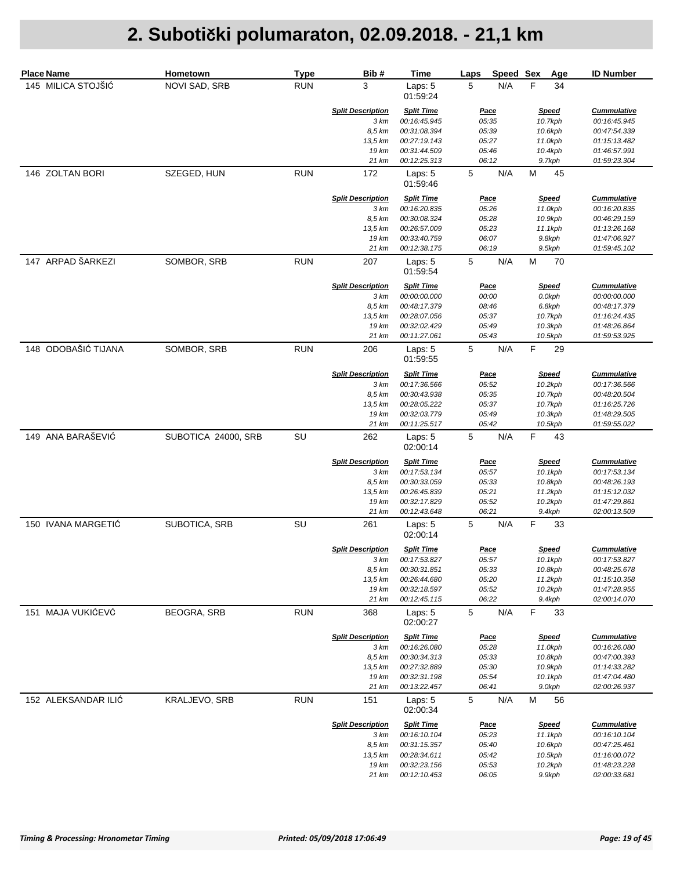| <b>Place Name</b>   | Hometown            | <b>Type</b> | Bib#                     | Time                         | Speed Sex<br>Laps  | Age                | <b>ID Number</b>             |
|---------------------|---------------------|-------------|--------------------------|------------------------------|--------------------|--------------------|------------------------------|
| 145 MILICA STOJŠIĆ  | NOVI SAD, SRB       | <b>RUN</b>  | 3                        | Laps: 5<br>01:59:24          | N/A<br>5           | F<br>34            |                              |
|                     |                     |             | <b>Split Description</b> | <b>Split Time</b>            | Pace               | <b>Speed</b>       | <b>Cummulative</b>           |
|                     |                     |             | 3 km<br>8,5 km           | 00:16:45.945                 | 05:35<br>05:39     | 10.7kph            | 00:16:45.945<br>00:47:54.339 |
|                     |                     |             | 13,5 km                  | 00:31:08.394<br>00:27:19.143 | 05:27              | 10.6kph<br>11.0kph | 01:15:13.482                 |
|                     |                     |             | 19 km                    | 00:31:44.509                 | 05:46              | 10.4kph            | 01:46:57.991                 |
|                     |                     |             | 21 km                    | 00:12:25.313                 | 06:12              | 9.7kph             | 01:59:23.304                 |
| 146 ZOLTAN BORI     | SZEGED, HUN         | <b>RUN</b>  | 172                      | Laps: 5<br>01:59:46          | $\mathbf 5$<br>N/A | M<br>45            |                              |
|                     |                     |             | <b>Split Description</b> | <b>Split Time</b>            | <u>Pace</u>        | <b>Speed</b>       | <b>Cummulative</b>           |
|                     |                     |             | 3 km                     | 00:16:20.835                 | 05:26              | 11.0kph            | 00:16:20.835                 |
|                     |                     |             | 8,5 km                   | 00:30:08.324                 | 05:28              | 10.9kph            | 00:46:29.159                 |
|                     |                     |             | 13,5 km                  | 00:26:57.009                 | 05:23              | 11.1kph            | 01:13:26.168                 |
|                     |                     |             | 19 km<br>21 km           | 00:33:40.759<br>00:12:38.175 | 06:07<br>06:19     | 9.8kph<br>9.5kph   | 01:47:06.927<br>01:59:45.102 |
|                     |                     |             |                          |                              |                    |                    |                              |
| 147 ARPAD ŠARKEZI   | SOMBOR, SRB         | <b>RUN</b>  | 207                      | Laps: 5<br>01:59:54          | 5<br>N/A           | M<br>70            |                              |
|                     |                     |             | <b>Split Description</b> | <b>Split Time</b>            | <b>Pace</b>        | <b>Speed</b>       | <b>Cummulative</b>           |
|                     |                     |             | 3 km                     | 00:00:00.000                 | 00:00              | 0.0kph             | 00:00:00.000                 |
|                     |                     |             | 8,5 km                   | 00:48:17.379                 | 08:46              | 6.8kph             | 00:48:17.379                 |
|                     |                     |             | 13,5 km                  | 00:28:07.056                 | 05:37              | 10.7kph            | 01:16:24.435                 |
|                     |                     |             | 19 km<br>21 km           | 00:32:02.429<br>00:11:27.061 | 05:49<br>05:43     | 10.3kph<br>10.5kph | 01:48:26.864<br>01:59:53.925 |
| 148 ODOBAŠIĆ TIJANA | SOMBOR, SRB         | <b>RUN</b>  | 206                      | Laps: 5<br>01:59:55          | 5<br>N/A           | F<br>29            |                              |
|                     |                     |             | <b>Split Description</b> | <b>Split Time</b>            | Pace               | <b>Speed</b>       | <b>Cummulative</b>           |
|                     |                     |             | 3 km                     | 00:17:36.566                 | 05:52              | 10.2kph            | 00:17:36.566                 |
|                     |                     |             | 8,5 km                   | 00:30:43.938                 | 05:35              | 10.7kph            | 00:48:20.504                 |
|                     |                     |             | 13,5 km                  | 00:28:05.222                 | 05:37              | 10.7kph            | 01:16:25.726                 |
|                     |                     |             | 19 km                    | 00:32:03.779                 | 05:49              | 10.3kph            | 01:48:29.505                 |
|                     |                     |             | 21 km                    | 00:11:25.517                 | 05:42              | 10.5kph            | 01:59:55.022                 |
| 149 ANA BARAŠEVIĆ   | SUBOTICA 24000, SRB | SU          | 262                      | Laps: 5<br>02:00:14          | 5<br>N/A           | F<br>43            |                              |
|                     |                     |             | <b>Split Description</b> | <b>Split Time</b>            | <u>Pace</u>        | <b>Speed</b>       | <b>Cummulative</b>           |
|                     |                     |             | 3 km                     | 00:17:53.134                 | 05:57              | 10.1kph            | 00:17:53.134                 |
|                     |                     |             | 8,5 km                   | 00:30:33.059                 | 05:33              | 10.8kph            | 00:48:26.193                 |
|                     |                     |             | 13,5 km                  | 00:26:45.839                 | 05:21              | 11.2kph            | 01:15:12.032                 |
|                     |                     |             | 19 km                    | 00:32:17.829                 | 05:52              | 10.2kph            | 01:47:29.861                 |
|                     |                     |             | 21 km                    | 00:12:43.648                 | 06:21              | 9.4kph             | 02:00:13.509                 |
| 150 IVANA MARGETIĆ  | SUBOTICA, SRB       | SU          | 261                      | Laps: 5<br>02:00:14          | 5<br>N/A           | F<br>33            |                              |
|                     |                     |             | <b>Split Description</b> | <b>Split Time</b>            | Pace               | <b>Speed</b>       | <b>Cummulative</b>           |
|                     |                     |             | 3 km                     | 00:17:53.827                 | 05:57              | 10.1kph            | 00:17:53.827                 |
|                     |                     |             | 8,5 km                   | 00:30:31.851                 | 05:33              | 10.8kph            | 00:48:25.678                 |
|                     |                     |             | 13,5 km                  | 00:26:44.680<br>00:32:18.597 | 05:20              | 11.2kph            | 01:15:10.358                 |
|                     |                     |             | 19 km<br>21 km           | 00:12:45.115                 | 05:52<br>06:22     | 10.2kph<br>9.4kph  | 01:47:28.955<br>02:00:14.070 |
| 151 MAJA VUKIĆEVĆ   | <b>BEOGRA, SRB</b>  | <b>RUN</b>  | 368                      | Laps: 5<br>02:00:27          | 5<br>N/A           | F<br>33            |                              |
|                     |                     |             | <b>Split Description</b> | <b>Split Time</b>            | <u>Pace</u>        | <b>Speed</b>       | <b>Cummulative</b>           |
|                     |                     |             | 3 km                     | 00:16:26.080                 | 05:28              | 11.0kph            | 00:16:26.080                 |
|                     |                     |             | 8,5 km                   | 00:30:34.313                 | 05:33              | 10.8kph            | 00:47:00.393                 |
|                     |                     |             | 13,5 km                  | 00:27:32.889                 | 05:30              | 10.9kph            | 01:14:33.282                 |
|                     |                     |             | 19 km                    | 00:32:31.198                 | 05:54              | 10.1kph            | 01:47:04.480                 |
|                     |                     |             | 21 km                    | 00:13:22.457                 | 06:41              | 9.0kph             | 02:00:26.937                 |
| 152 ALEKSANDAR ILIĆ | KRALJEVO, SRB       | <b>RUN</b>  | 151                      | Laps: 5<br>02:00:34          | 5<br>N/A           | M<br>56            |                              |
|                     |                     |             | <b>Split Description</b> | <b>Split Time</b>            | <u>Pace</u>        | <b>Speed</b>       | <b>Cummulative</b>           |
|                     |                     |             | 3 km                     | 00:16:10.104                 | 05:23              | 11.1kph            | 00:16:10.104                 |
|                     |                     |             | 8,5 km                   | 00:31:15.357                 | 05:40              | 10.6kph            | 00:47:25.461                 |
|                     |                     |             | 13,5 km                  | 00:28:34.611                 | 05:42              | 10.5kph            | 01:16:00.072                 |
|                     |                     |             | 19 km                    | 00:32:23.156                 | 05:53              | 10.2kph            | 01:48:23.228                 |
|                     |                     |             | 21 km                    | 00:12:10.453                 | 06:05              | 9.9kph             | 02:00:33.681                 |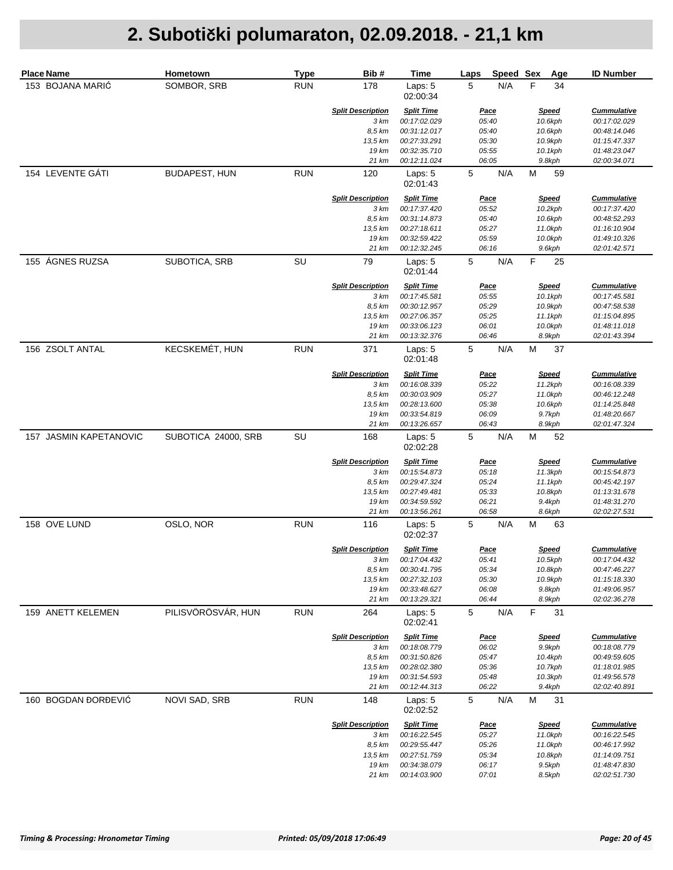| <b>Place Name</b>      | Hometown             | <b>Type</b> | Bib#                     | <b>Time</b>                  | Laps<br>Speed  | Sex<br>Age         | <b>ID Number</b>             |
|------------------------|----------------------|-------------|--------------------------|------------------------------|----------------|--------------------|------------------------------|
| 153 BOJANA MARIĆ       | SOMBOR, SRB          | <b>RUN</b>  | 178                      | Laps: 5<br>02:00:34          | N/A<br>5       | F<br>34            |                              |
|                        |                      |             | <b>Split Description</b> | <b>Split Time</b>            | <b>Pace</b>    | <b>Speed</b>       | <b>Cummulative</b>           |
|                        |                      |             | 3 km<br>8,5 km           | 00:17:02.029<br>00:31:12.017 | 05:40<br>05:40 | 10.6kph<br>10.6kph | 00:17:02.029<br>00:48:14.046 |
|                        |                      |             | 13,5 km                  | 00:27:33.291                 | 05:30          | 10.9kph            | 01:15:47.337                 |
|                        |                      |             | 19 km                    | 00:32:35.710                 | 05:55          | 10.1kph            | 01:48:23.047                 |
|                        |                      |             | 21 km                    | 00:12:11.024                 | 06:05          | 9.8kph             | 02:00:34.071                 |
| 154 LEVENTE GÁTI       | <b>BUDAPEST, HUN</b> | <b>RUN</b>  | 120                      | Laps: 5<br>02:01:43          | 5<br>N/A       | M<br>59            |                              |
|                        |                      |             | <b>Split Description</b> | <b>Split Time</b>            | <b>Pace</b>    | <b>Speed</b>       | <b>Cummulative</b>           |
|                        |                      |             | 3 km                     | 00:17:37.420                 | 05:52          | 10.2kph            | 00:17:37.420                 |
|                        |                      |             | 8.5 km                   | 00:31:14.873                 | 05:40          | 10.6kph            | 00:48:52.293                 |
|                        |                      |             | 13,5 km                  | 00:27:18.611                 | 05:27          | 11.0kph            | 01:16:10.904                 |
|                        |                      |             | 19 km<br>21 km           | 00:32:59.422<br>00:12:32.245 | 05:59<br>06:16 | 10.0kph<br>9.6kph  | 01:49:10.326<br>02:01:42.571 |
| 155 ÁGNES RUZSA        | SUBOTICA, SRB        | SU          | 79                       |                              | 5<br>N/A       | F<br>25            |                              |
|                        |                      |             |                          | Laps: 5<br>02:01:44          |                |                    |                              |
|                        |                      |             | <b>Split Description</b> | <b>Split Time</b>            | <u>Pace</u>    | <b>Speed</b>       | <b>Cummulative</b>           |
|                        |                      |             | 3 km                     | 00:17:45.581                 | 05:55          | 10.1kph            | 00:17:45.581                 |
|                        |                      |             | 8,5 km<br>13,5 km        | 00:30:12.957                 | 05:29          | 10.9kph            | 00:47:58.538                 |
|                        |                      |             | 19 km                    | 00:27:06.357<br>00:33:06.123 | 05:25<br>06:01 | 11.1kph<br>10.0kph | 01:15:04.895<br>01:48:11.018 |
|                        |                      |             | 21 km                    | 00:13:32.376                 | 06:46          | 8.9kph             | 02:01:43.394                 |
| 156 ZSOLT ANTAL        | KECSKEMÉT, HUN       | <b>RUN</b>  | 371                      | Laps: 5<br>02:01:48          | 5<br>N/A       | M<br>37            |                              |
|                        |                      |             | <b>Split Description</b> | <b>Split Time</b>            | <u>Pace</u>    | <b>Speed</b>       | <b>Cummulative</b>           |
|                        |                      |             | 3 km                     | 00:16:08.339                 | 05:22          | 11.2kph            | 00:16:08.339                 |
|                        |                      |             | 8,5 km                   | 00:30:03.909                 | 05:27          | 11.0kph            | 00:46:12.248                 |
|                        |                      |             | 13,5 km                  | 00:28:13.600                 | 05:38          | 10.6kph            | 01:14:25.848                 |
|                        |                      |             | 19 km                    | 00:33:54.819                 | 06:09          | 9.7kph             | 01:48:20.667                 |
|                        |                      |             | 21 km                    | 00:13:26.657                 | 06:43          | 8.9kph             | 02:01:47.324                 |
| 157 JASMIN KAPETANOVIC | SUBOTICA 24000, SRB  | SU          | 168                      | Laps: 5<br>02:02:28          | 5<br>N/A       | M<br>52            |                              |
|                        |                      |             | <b>Split Description</b> | <b>Split Time</b>            | Pace           | <b>Speed</b>       | <b>Cummulative</b>           |
|                        |                      |             | 3 km                     | 00:15:54.873                 | 05:18          | 11.3kph            | 00:15:54.873                 |
|                        |                      |             | 8,5 km                   | 00:29:47.324                 | 05:24          | 11.1kph            | 00:45:42.197                 |
|                        |                      |             | 13,5 km                  | 00:27:49.481<br>00:34:59.592 | 05:33          | 10.8kph            | 01:13:31.678                 |
|                        |                      |             | 19 km<br>21 km           | 00:13:56.261                 | 06:21<br>06:58 | 9.4kph<br>8.6kph   | 01:48:31.270<br>02:02:27.531 |
| 158 OVE LUND           | OSLO, NOR            | <b>RUN</b>  | 116                      | Laps: 5<br>02:02:37          | 5<br>N/A       | M<br>63            |                              |
|                        |                      |             |                          |                              |                |                    |                              |
|                        |                      |             | <b>Split Description</b> | <b>Split Time</b>            | Pace           | <b>Speed</b>       | <b>Cummulative</b>           |
|                        |                      |             | 3 km<br>8,5 km           | 00:17:04.432<br>00:30:41.795 | 05:41<br>05:34 | 10.5kph<br>10.8kph | 00:17:04.432<br>00:47:46.227 |
|                        |                      |             | 13,5 km                  | 00:27:32.103                 | 05:30          | 10.9kph            | 01:15:18.330                 |
|                        |                      |             | 19 km                    | 00:33:48.627                 | 06:08          | 9.8kph             | 01:49:06.957                 |
|                        |                      |             | 21 km                    | 00:13:29.321                 | 06:44          | 8.9kph             | 02:02:36.278                 |
| 159 ANETT KELEMEN      | PILISVÖRÖSVÁR, HUN   | <b>RUN</b>  | 264                      | Laps: 5<br>02:02:41          | 5<br>N/A       | F<br>31            |                              |
|                        |                      |             | <b>Split Description</b> | <b>Split Time</b>            | <u>Pace</u>    | <b>Speed</b>       | <b>Cummulative</b>           |
|                        |                      |             | 3 km                     | 00:18:08.779                 | 06:02          | 9.9kph             | 00:18:08.779                 |
|                        |                      |             | 8,5 km                   | 00:31:50.826                 | 05:47          | 10.4kph            | 00:49:59.605                 |
|                        |                      |             | 13,5 km                  | 00:28:02.380                 | 05:36          | 10.7kph            | 01:18:01.985                 |
|                        |                      |             | 19 km                    | 00:31:54.593                 | 05:48          | 10.3kph            | 01:49:56.578                 |
|                        |                      |             | 21 km                    | 00:12:44.313                 | 06:22          | 9.4kph             | 02:02:40.891                 |
| 160 BOGDAN ĐORĐEVIĆ    | NOVI SAD, SRB        | <b>RUN</b>  | 148                      | Laps: 5<br>02:02:52          | 5<br>N/A       | M<br>31            |                              |
|                        |                      |             | <b>Split Description</b> | <b>Split Time</b>            | <u>Pace</u>    | <b>Speed</b>       | <b>Cummulative</b>           |
|                        |                      |             | 3 km                     | 00:16:22.545                 | 05:27          | 11.0kph            | 00:16:22.545                 |
|                        |                      |             | 8,5 km                   | 00:29:55.447                 | 05:26          | 11.0kph            | 00:46:17.992                 |
|                        |                      |             | 13,5 km                  | 00:27:51.759                 | 05:34          | 10.8kph            | 01:14:09.751                 |
|                        |                      |             | 19 km                    | 00:34:38.079                 | 06:17          | 9.5kph             | 01:48:47.830                 |
|                        |                      |             | 21 km                    | 00:14:03.900                 | 07:01          | 8.5kph             | 02:02:51.730                 |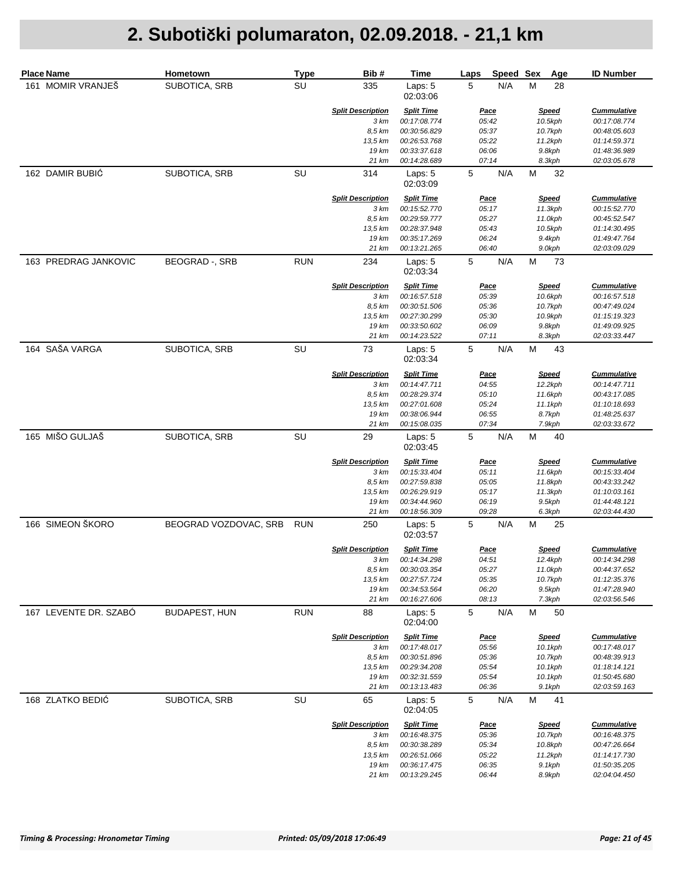| <b>Place Name</b>     | Hometown              | <b>Type</b> | Bib#                     | Time                         | Speed Sex<br>Laps | Age                | <b>ID Number</b>             |
|-----------------------|-----------------------|-------------|--------------------------|------------------------------|-------------------|--------------------|------------------------------|
| 161 MOMIR VRANJEŠ     | SUBOTICA, SRB         | SU          | 335                      | Laps: 5<br>02:03:06          | N/A<br>5          | М<br>28            |                              |
|                       |                       |             | <b>Split Description</b> | <b>Split Time</b>            | <u>Pace</u>       | <b>Speed</b>       | <b>Cummulative</b>           |
|                       |                       |             | 3 km<br>8,5 km           | 00:17:08.774<br>00:30:56.829 | 05:42<br>05:37    | 10.5kph            | 00:17:08.774<br>00:48:05.603 |
|                       |                       |             | 13,5 km                  | 00:26:53.768                 | 05:22             | 10.7kph<br>11.2kph | 01:14:59.371                 |
|                       |                       |             | 19 km                    | 00:33:37.618                 | 06:06             | 9.8kph             | 01:48:36.989                 |
|                       |                       |             | 21 km                    | 00:14:28.689                 | 07:14             | 8.3kph             | 02:03:05.678                 |
| 162 DAMIR BUBIĆ       | SUBOTICA, SRB         | SU          | 314                      | Laps: 5<br>02:03:09          | 5<br>N/A          | M<br>32            |                              |
|                       |                       |             | <b>Split Description</b> | <b>Split Time</b>            | <u>Pace</u>       | <b>Speed</b>       | <b>Cummulative</b>           |
|                       |                       |             | 3 km                     | 00:15:52.770                 | 05:17             | 11.3kph            | 00:15:52.770                 |
|                       |                       |             | 8,5 km                   | 00:29:59.777                 | 05:27             | 11.0kph            | 00:45:52.547                 |
|                       |                       |             | 13,5 km<br>19 km         | 00:28:37.948<br>00:35:17.269 | 05:43<br>06:24    | 10.5kph<br>9.4kph  | 01:14:30.495<br>01:49:47.764 |
|                       |                       |             | 21 km                    | 00:13:21.265                 | 06:40             | 9.0kph             | 02:03:09.029                 |
| 163 PREDRAG JANKOVIC  | <b>BEOGRAD</b> -, SRB | <b>RUN</b>  | 234                      | Laps: 5<br>02:03:34          | 5<br>N/A          | M<br>73            |                              |
|                       |                       |             | <b>Split Description</b> | <b>Split Time</b>            | <b>Pace</b>       | <b>Speed</b>       | <b>Cummulative</b>           |
|                       |                       |             | 3 km                     | 00:16:57.518                 | 05:39             | 10.6kph            | 00:16:57.518                 |
|                       |                       |             | 8,5 km                   | 00:30:51.506                 | 05:36             | 10.7kph            | 00:47:49.024                 |
|                       |                       |             | 13,5 km                  | 00:27:30.299                 | 05:30             | 10.9kph            | 01:15:19.323                 |
|                       |                       |             | 19 km                    | 00:33:50.602                 | 06:09             | 9.8kph             | 01:49:09.925                 |
| 164 SAŠA VARGA        | SUBOTICA, SRB         | SU          | 21 km<br>73              | 00:14:23.522<br>Laps: 5      | 07:11<br>5<br>N/A | 8.3kph<br>M<br>43  | 02:03:33.447                 |
|                       |                       |             |                          | 02:03:34                     |                   |                    |                              |
|                       |                       |             | <b>Split Description</b> | <b>Split Time</b>            | <u>Pace</u>       | <b>Speed</b>       | <b>Cummulative</b>           |
|                       |                       |             | 3 km<br>8,5 km           | 00:14:47.711<br>00:28:29.374 | 04:55<br>05:10    | 12.2kph<br>11.6kph | 00:14:47.711<br>00:43:17.085 |
|                       |                       |             | 13,5 km                  | 00:27:01.608                 | 05:24             | 11.1kph            | 01:10:18.693                 |
|                       |                       |             | 19 km                    | 00:38:06.944                 | 06:55             | 8.7kph             | 01:48:25.637                 |
|                       |                       |             | 21 km                    | 00:15:08.035                 | 07:34             | 7.9kph             | 02:03:33.672                 |
| 165 MIŠO GULJAŠ       | SUBOTICA, SRB         | SU          | 29                       | Laps: 5<br>02:03:45          | 5<br>N/A          | M<br>40            |                              |
|                       |                       |             | <b>Split Description</b> | <b>Split Time</b>            | <u>Pace</u>       | <b>Speed</b>       | <b>Cummulative</b>           |
|                       |                       |             | 3 km                     | 00:15:33.404                 | 05:11             | 11.6kph            | 00:15:33.404                 |
|                       |                       |             | 8,5 km                   | 00:27:59.838                 | 05:05             | 11.8kph            | 00:43:33.242                 |
|                       |                       |             | 13,5 km                  | 00:26:29.919                 | 05:17             | 11.3kph            | 01:10:03.161                 |
|                       |                       |             | 19 km<br>21 km           | 00:34:44.960<br>00:18:56.309 | 06:19<br>09:28    | 9.5kph<br>6.3kph   | 01:44:48.121<br>02:03:44.430 |
| 166 SIMEON ŠKORO      | BEOGRAD VOZDOVAC, SRB | <b>RUN</b>  | 250                      | Laps: 5<br>02:03:57          | 5<br>N/A          | M<br>25            |                              |
|                       |                       |             | <b>Split Description</b> | <b>Split Time</b>            | Pace              | <b>Speed</b>       | <b>Cummulative</b>           |
|                       |                       |             | 3 km                     | 00:14:34.298                 | 04:51             | 12.4kph            | 00:14:34.298                 |
|                       |                       |             | 8,5 km                   | 00:30:03.354                 | 05:27             | 11.0kph            | 00:44:37.652                 |
|                       |                       |             | 13,5 km                  | 00:27:57.724                 | 05:35             | 10.7kph            | 01:12:35.376                 |
|                       |                       |             | 19 km                    | 00:34:53.564                 | 06:20             | 9.5kph             | 01:47:28.940                 |
|                       |                       |             | 21 km                    | 00:16:27.606                 | 08:13             | 7.3kph             | 02:03:56.546                 |
| 167 LEVENTE DR. SZABÓ | <b>BUDAPEST, HUN</b>  | <b>RUN</b>  | 88                       | Laps: 5<br>02:04:00          | 5<br>N/A          | M<br>50            |                              |
|                       |                       |             | <b>Split Description</b> | <b>Split Time</b>            | <u>Pace</u>       | <b>Speed</b>       | <b>Cummulative</b>           |
|                       |                       |             | 3 km                     | 00:17:48.017                 | 05:56             | 10.1kph            | 00:17:48.017<br>00:48:39.913 |
|                       |                       |             | 8,5 km<br>13,5 km        | 00:30:51.896<br>00:29:34.208 | 05:36<br>05:54    | 10.7kph<br>10.1kph | 01:18:14.121                 |
|                       |                       |             | 19 km                    | 00:32:31.559                 | 05:54             | 10.1kph            | 01:50:45.680                 |
|                       |                       |             | 21 km                    | 00:13:13.483                 | 06:36             | 9.1kph             | 02:03:59.163                 |
| 168 ZLATKO BEDIĆ      | SUBOTICA, SRB         | SU          | 65                       | Laps: 5<br>02:04:05          | 5<br>N/A          | M<br>41            |                              |
|                       |                       |             | <b>Split Description</b> | <b>Split Time</b>            | <u>Pace</u>       | <b>Speed</b>       | <b>Cummulative</b>           |
|                       |                       |             | 3 km                     | 00:16:48.375                 | 05:36             | 10.7kph            | 00:16:48.375                 |
|                       |                       |             | 8,5 km                   | 00:30:38.289                 | 05:34             | 10.8kph            | 00:47:26.664                 |
|                       |                       |             | 13,5 km                  | 00:26:51.066                 | 05:22             | 11.2kph            | 01:14:17.730                 |
|                       |                       |             | 19 km                    | 00:36:17.475                 | 06:35             | 9.1kph             | 01:50:35.205                 |
|                       |                       |             | 21 km                    | 00:13:29.245                 | 06:44             | 8.9kph             | 02:04:04.450                 |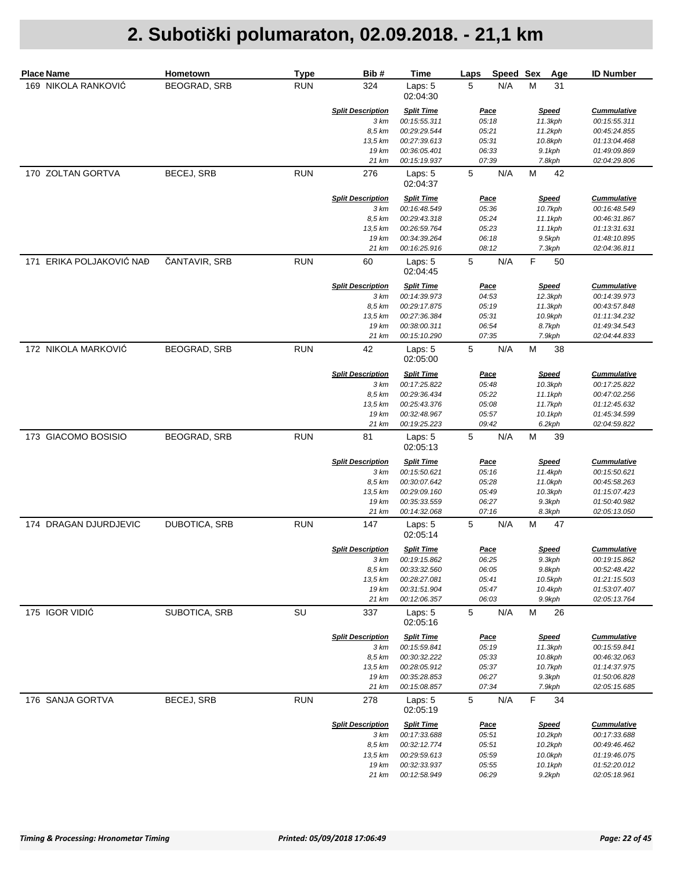| <b>Place Name</b>        | Hometown             | <b>Type</b> | Bib#                     | Time                         | Speed Sex<br>Laps | Age                | <b>ID Number</b>             |
|--------------------------|----------------------|-------------|--------------------------|------------------------------|-------------------|--------------------|------------------------------|
| 169 NIKOLA RANKOVIĆ      | <b>BEOGRAD, SRB</b>  | <b>RUN</b>  | 324                      | Laps: 5<br>02:04:30          | N/A<br>5          | М<br>31            |                              |
|                          |                      |             | <b>Split Description</b> | <b>Split Time</b>            | <b>Pace</b>       | <b>Speed</b>       | <b>Cummulative</b>           |
|                          |                      |             | 3 km                     | 00:15:55.311                 | 05:18             | 11.3kph            | 00:15:55.311                 |
|                          |                      |             | 8,5 km                   | 00:29:29.544                 | 05:21             | 11.2kph            | 00:45:24.855                 |
|                          |                      |             | 13,5 km<br>19 km         | 00:27:39.613<br>00:36:05.401 | 05:31<br>06:33    | 10.8kph            | 01:13:04.468<br>01:49:09.869 |
|                          |                      |             | 21 km                    | 00:15:19.937                 | 07:39             | 9.1kph<br>7.8kph   | 02:04:29.806                 |
| 170 ZOLTAN GORTVA        | <b>BECEJ, SRB</b>    | <b>RUN</b>  | 276                      |                              | 5<br>N/A          | M<br>42            |                              |
|                          |                      |             |                          | Laps: 5<br>02:04:37          |                   |                    |                              |
|                          |                      |             | <b>Split Description</b> | <b>Split Time</b>            | <b>Pace</b>       | <b>Speed</b>       | <b>Cummulative</b>           |
|                          |                      |             | 3 km<br>8,5 km           | 00:16:48.549<br>00:29:43.318 | 05:36<br>05:24    | 10.7kph<br>11.1kph | 00:16:48.549<br>00:46:31.867 |
|                          |                      |             | 13,5 km                  | 00:26:59.764                 | 05:23             | 11.1kph            | 01:13:31.631                 |
|                          |                      |             | 19 km                    | 00:34:39.264                 | 06:18             | 9.5kph             | 01:48:10.895                 |
|                          |                      |             | 21 km                    | 00:16:25.916                 | 08:12             | 7.3kph             | 02:04:36.811                 |
| 171 ERIKA POLJAKOVIĆ NAĐ | ČANTAVIR, SRB        | <b>RUN</b>  | 60                       | Laps: 5<br>02:04:45          | 5<br>N/A          | F<br>50            |                              |
|                          |                      |             | <b>Split Description</b> | <b>Split Time</b>            | <u>Pace</u>       | <b>Speed</b>       | <b>Cummulative</b>           |
|                          |                      |             | 3 km                     | 00:14:39.973                 | 04:53             | 12.3kph            | 00:14:39.973                 |
|                          |                      |             | 8,5 km                   | 00:29:17.875                 | 05:19             | 11.3kph            | 00:43:57.848                 |
|                          |                      |             | 13,5 km                  | 00:27:36.384                 | 05:31             | 10.9kph            | 01:11:34.232                 |
|                          |                      |             | 19 km                    | 00:38:00.311                 | 06:54             | 8.7kph             | 01:49:34.543                 |
|                          |                      |             | 21 km                    | 00:15:10.290                 | 07:35             | 7.9kph             | 02:04:44.833                 |
| 172 NIKOLA MARKOVIĆ      | <b>BEOGRAD, SRB</b>  | <b>RUN</b>  | 42                       | Laps: 5<br>02:05:00          | 5<br>N/A          | M<br>38            |                              |
|                          |                      |             | <b>Split Description</b> | <b>Split Time</b>            | <u>Pace</u>       | <b>Speed</b>       | <b>Cummulative</b>           |
|                          |                      |             | 3 km                     | 00:17:25.822                 | 05:48             | 10.3kph            | 00:17:25.822                 |
|                          |                      |             | 8,5 km                   | 00:29:36.434                 | 05:22             | 11.1kph            | 00:47:02.256                 |
|                          |                      |             | 13,5 km<br>19 km         | 00:25:43.376<br>00:32:48.967 | 05:08<br>05:57    | 11.7kph            | 01:12:45.632<br>01:45:34.599 |
|                          |                      |             | 21 km                    | 00:19:25.223                 | 09:42             | 10.1kph<br>6.2kph  | 02:04:59.822                 |
| 173 GIACOMO BOSISIO      | <b>BEOGRAD, SRB</b>  | <b>RUN</b>  | 81                       | Laps: 5<br>02:05:13          | 5<br>N/A          | M<br>39            |                              |
|                          |                      |             | <b>Split Description</b> | <b>Split Time</b>            | <u>Pace</u>       | <b>Speed</b>       | <b>Cummulative</b>           |
|                          |                      |             | 3 km                     | 00:15:50.621                 | 05:16             | 11.4kph            | 00:15:50.621                 |
|                          |                      |             | 8,5 km                   | 00:30:07.642                 | 05:28             | 11.0kph            | 00:45:58.263                 |
|                          |                      |             | 13,5 km                  | 00:29:09.160                 | 05:49             | 10.3kph            | 01:15:07.423                 |
|                          |                      |             | 19 km                    | 00:35:33.559                 | 06:27             | 9.3kph             | 01:50:40.982                 |
|                          |                      |             | 21 km                    | 00:14:32.068                 | 07:16             | 8.3kph             | 02:05:13.050                 |
| 174 DRAGAN DJURDJEVIC    | <b>DUBOTICA, SRB</b> | <b>RUN</b>  | 147                      | Laps: 5<br>02:05:14          | 5<br>N/A          | M<br>47            |                              |
|                          |                      |             | <b>Split Description</b> | <b>Split Time</b>            | <u>Pace</u>       | <b>Speed</b>       | <b>Cummulative</b>           |
|                          |                      |             | 3 km                     | 00:19:15.862                 | 06:25             | 9.3kph             | 00:19:15.862                 |
|                          |                      |             | 8,5 km                   | 00:33:32.560                 | 06:05             | 9.8kph             | 00:52:48.422                 |
|                          |                      |             | 13,5 km                  | 00:28:27.081                 | 05:41             | 10.5kph            | 01:21:15.503                 |
|                          |                      |             | 19 km<br>21 km           | 00:31:51.904                 | 05:47             | 10.4kph            | 01:53:07.407                 |
| 175 IGOR VIDIÓ           | SUBOTICA, SRB        | SU          | 337                      | 00:12:06.357<br>Laps: 5      | 06:03<br>5<br>N/A | 9.9kph<br>М<br>26  | 02:05:13.764                 |
|                          |                      |             |                          | 02:05:16                     |                   |                    |                              |
|                          |                      |             | <b>Split Description</b> | <b>Split Time</b>            | <u>Pace</u>       | <b>Speed</b>       | <b>Cummulative</b>           |
|                          |                      |             | 3 km<br>8,5 km           | 00:15:59.841<br>00:30:32.222 | 05:19<br>05:33    | 11.3kph<br>10.8kph | 00:15:59.841<br>00:46:32.063 |
|                          |                      |             | 13,5 km                  | 00:28:05.912                 | 05:37             | 10.7kph            | 01:14:37.975                 |
|                          |                      |             | 19 km                    | 00:35:28.853                 | 06:27             | 9.3kph             | 01:50:06.828                 |
|                          |                      |             | 21 km                    | 00:15:08.857                 | 07:34             | 7.9kph             | 02:05:15.685                 |
| 176 SANJA GORTVA         | <b>BECEJ, SRB</b>    | <b>RUN</b>  | 278                      | Laps: 5<br>02:05:19          | 5<br>N/A          | F<br>34            |                              |
|                          |                      |             | <b>Split Description</b> | <b>Split Time</b>            | <u>Pace</u>       | <b>Speed</b>       | <b>Cummulative</b>           |
|                          |                      |             | 3 km                     | 00:17:33.688                 | 05:51             | 10.2kph            | 00:17:33.688                 |
|                          |                      |             | 8,5 km                   | 00:32:12.774                 | 05:51             | 10.2kph            | 00:49:46.462                 |
|                          |                      |             | 13,5 km                  | 00:29:59.613                 | 05:59             | 10.0kph            | 01:19:46.075                 |
|                          |                      |             | 19 km                    | 00:32:33.937                 | 05:55             | 10.1kph            | 01:52:20.012                 |
|                          |                      |             | 21 km                    | 00:12:58.949                 | 06:29             | 9.2kph             | 02:05:18.961                 |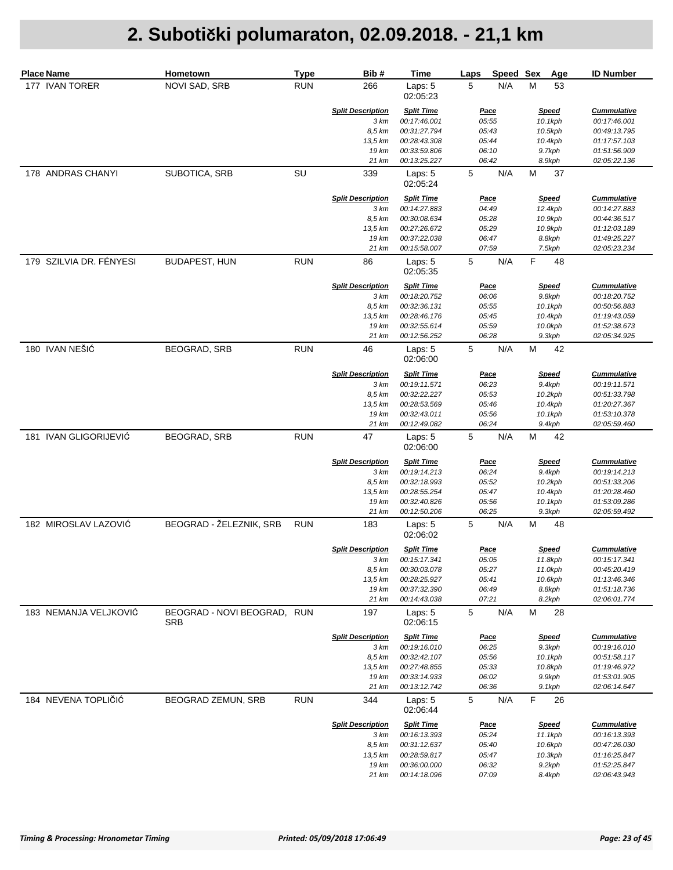| <b>Place Name</b>       | Hometown                                  | <b>Type</b> | Bib#                             | Time                              | Laps        | Speed Sex            |   | <b>Age</b>              | <b>ID Number</b>                   |
|-------------------------|-------------------------------------------|-------------|----------------------------------|-----------------------------------|-------------|----------------------|---|-------------------------|------------------------------------|
| 177 IVAN TORER          | NOVI SAD, SRB                             | <b>RUN</b>  | 266                              | Laps: 5<br>02:05:23               | 5           | N/A                  | М | 53                      |                                    |
|                         |                                           |             | <b>Split Description</b>         | <b>Split Time</b>                 |             | <u>Pace</u>          |   | <b>Speed</b>            | <b>Cummulative</b>                 |
|                         |                                           |             | 3 km                             | 00:17:46.001                      |             | 05:55                |   | 10.1kph                 | 00:17:46.001                       |
|                         |                                           |             | 8,5 km                           | 00:31:27.794                      |             | 05:43                |   | 10.5kph                 | 00:49:13.795                       |
|                         |                                           |             | 13,5 km<br>19 km                 | 00:28:43.308<br>00:33:59.806      |             | 05:44<br>06:10       |   | 10.4kph<br>9.7kph       | 01:17:57.103<br>01:51:56.909       |
|                         |                                           |             | 21 km                            | 00:13:25.227                      |             | 06:42                |   | 8.9kph                  | 02:05:22.136                       |
| 178 ANDRAS CHANYI       | SUBOTICA, SRB                             | SU          | 339                              | Laps: 5<br>02:05:24               | 5           | N/A                  | M | 37                      |                                    |
|                         |                                           |             | <b>Split Description</b>         | <b>Split Time</b>                 |             | <u>Pace</u>          |   | <b>Speed</b>            | <b>Cummulative</b><br>00:14:27.883 |
|                         |                                           |             | 3 km<br>8,5 km                   | 00:14:27.883<br>00:30:08.634      |             | 04:49<br>05:28       |   | 12.4kph<br>10.9kph      | 00:44:36.517                       |
|                         |                                           |             | 13,5 km                          | 00:27:26.672                      |             | 05:29                |   | 10.9kph                 | 01:12:03.189                       |
|                         |                                           |             | 19 km                            | 00:37:22.038                      |             | 06:47                |   | 8.8kph                  | 01:49:25.227                       |
|                         |                                           |             | 21 km                            | 00:15:58.007                      |             | 07:59                |   | 7.5kph                  | 02:05:23.234                       |
| 179 SZILVIA DR. FÉNYESI | <b>BUDAPEST, HUN</b>                      | <b>RUN</b>  | 86                               | Laps: 5<br>02:05:35               | 5           | N/A                  | F | 48                      |                                    |
|                         |                                           |             | <b>Split Description</b>         | <b>Split Time</b>                 |             | <u>Pace</u>          |   | <b>Speed</b>            | <b>Cummulative</b>                 |
|                         |                                           |             | 3 km                             | 00:18:20.752                      |             | 06:06                |   | 9.8kph                  | 00:18:20.752                       |
|                         |                                           |             | 8,5 km                           | 00:32:36.131                      |             | 05:55                |   | 10.1kph                 | 00:50:56.883                       |
|                         |                                           |             | 13,5 km                          | 00:28:46.176                      |             | 05:45                |   | 10.4kph                 | 01:19:43.059                       |
|                         |                                           |             | 19 km<br>21 km                   | 00:32:55.614<br>00:12:56.252      |             | 05:59<br>06:28       |   | 10.0kph<br>9.3kph       | 01:52:38.673<br>02:05:34.925       |
| 180 IVAN NEŠIĆ          | BEOGRAD, SRB                              | <b>RUN</b>  | 46                               | Laps: 5<br>02:06:00               | 5           | N/A                  | M | 42                      |                                    |
|                         |                                           |             | <b>Split Description</b>         | <b>Split Time</b>                 |             |                      |   |                         |                                    |
|                         |                                           |             | 3 km                             | 00:19:11.571                      |             | <u>Pace</u><br>06:23 |   | <b>Speed</b><br>9.4kph  | <b>Cummulative</b><br>00:19:11.571 |
|                         |                                           |             | 8,5 km                           | 00:32:22.227                      |             | 05:53                |   | 10.2kph                 | 00:51:33.798                       |
|                         |                                           |             | 13,5 km                          | 00:28:53.569                      |             | 05:46                |   | 10.4kph                 | 01:20:27.367                       |
|                         |                                           |             | 19 km                            | 00:32:43.011                      |             | 05:56                |   | 10.1kph                 | 01:53:10.378                       |
|                         |                                           |             | 21 km                            | 00:12:49.082                      |             | 06:24                |   | 9.4kph                  | 02:05:59.460                       |
| 181 IVAN GLIGORIJEVIĆ   | BEOGRAD, SRB                              | <b>RUN</b>  | 47                               | Laps: 5<br>02:06:00               | $\mathbf 5$ | N/A                  | M | 42                      |                                    |
|                         |                                           |             | <b>Split Description</b>         | <b>Split Time</b>                 |             | <u>Pace</u>          |   | <b>Speed</b>            | <b>Cummulative</b>                 |
|                         |                                           |             | 3 km                             | 00:19:14.213                      |             | 06:24                |   | 9.4kph                  | 00:19:14.213                       |
|                         |                                           |             | 8,5 km                           | 00:32:18.993                      |             | 05:52                |   | 10.2kph                 | 00:51:33.206                       |
|                         |                                           |             | 13,5 km                          | 00:28:55.254                      |             | 05:47                |   | 10.4kph                 | 01:20:28.460                       |
|                         |                                           |             | 19 km<br>21 km                   | 00:32:40.826<br>00:12:50.206      |             | 05:56<br>06:25       |   | 10.1kph<br>9.3kph       | 01:53:09.286<br>02:05:59.492       |
| 182 MIROSLAV LAZOVIĆ    | BEOGRAD - ŽELEZNIK, SRB                   | <b>RUN</b>  | 183                              | Laps: 5<br>02:06:02               | 5           | N/A                  | M | 48                      |                                    |
|                         |                                           |             |                                  |                                   |             |                      |   |                         |                                    |
|                         |                                           |             | <b>Split Description</b><br>3 km | <b>Split Time</b><br>00:15:17.341 |             | <u>Pace</u><br>05:05 |   | <b>Speed</b><br>11.8kph | <b>Cummulative</b><br>00:15:17.341 |
|                         |                                           |             | 8,5 km                           | 00:30:03.078                      |             | 05:27                |   | 11.0kph                 | 00:45:20.419                       |
|                         |                                           |             | 13,5 km                          | 00:28:25.927                      |             | 05:41                |   | 10.6kph                 | 01:13:46.346                       |
|                         |                                           |             | 19 km                            | 00:37:32.390                      |             | 06:49                |   | 8.8kph                  | 01:51:18.736                       |
|                         |                                           |             | 21 km                            | 00:14:43.038                      |             | 07:21                |   | 8.2kph                  | 02:06:01.774                       |
| 183 NEMANJA VELJKOVIĆ   | BEOGRAD - NOVI BEOGRAD, RUN<br><b>SRB</b> |             | 197                              | Laps: 5<br>02:06:15               | 5           | N/A                  | M | 28                      |                                    |
|                         |                                           |             | <b>Split Description</b>         | <b>Split Time</b>                 |             | <u>Pace</u>          |   | <b>Speed</b>            | <b>Cummulative</b>                 |
|                         |                                           |             | 3 km                             | 00:19:16.010                      |             | 06:25                |   | 9.3kph                  | 00:19:16.010                       |
|                         |                                           |             | 8,5 km                           | 00:32:42.107                      |             | 05:56                |   | 10.1kph                 | 00:51:58.117                       |
|                         |                                           |             | 13,5 km                          | 00:27:48.855                      |             | 05:33                |   | 10.8kph                 | 01:19:46.972                       |
|                         |                                           |             | 19 km<br>21 km                   | 00:33:14.933                      |             | 06:02<br>06:36       |   | 9.9kph                  | 01:53:01.905                       |
|                         |                                           |             |                                  | 00:13:12.742                      |             |                      |   | 9.1kph                  | 02:06:14.647                       |
| 184 NEVENA TOPLIČIĆ     | BEOGRAD ZEMUN, SRB                        | <b>RUN</b>  | 344                              | Laps: 5<br>02:06:44               | 5           | N/A                  | F | 26                      |                                    |
|                         |                                           |             | <b>Split Description</b>         | <b>Split Time</b>                 |             | <u>Pace</u>          |   | <b>Speed</b>            | <b>Cummulative</b>                 |
|                         |                                           |             | 3 km                             | 00:16:13.393                      |             | 05:24                |   | 11.1kph                 | 00:16:13.393                       |
|                         |                                           |             | 8,5 km                           | 00:31:12.637                      |             | 05:40                |   | 10.6kph                 | 00:47:26.030                       |
|                         |                                           |             | 13,5 km                          | 00:28:59.817                      |             | 05:47                |   | 10.3kph                 | 01:16:25.847                       |
|                         |                                           |             | 19 km<br>21 km                   | 00:36:00.000<br>00:14:18.096      |             | 06:32<br>07:09       |   | 9.2kph<br>8.4kph        | 01:52:25.847<br>02:06:43.943       |
|                         |                                           |             |                                  |                                   |             |                      |   |                         |                                    |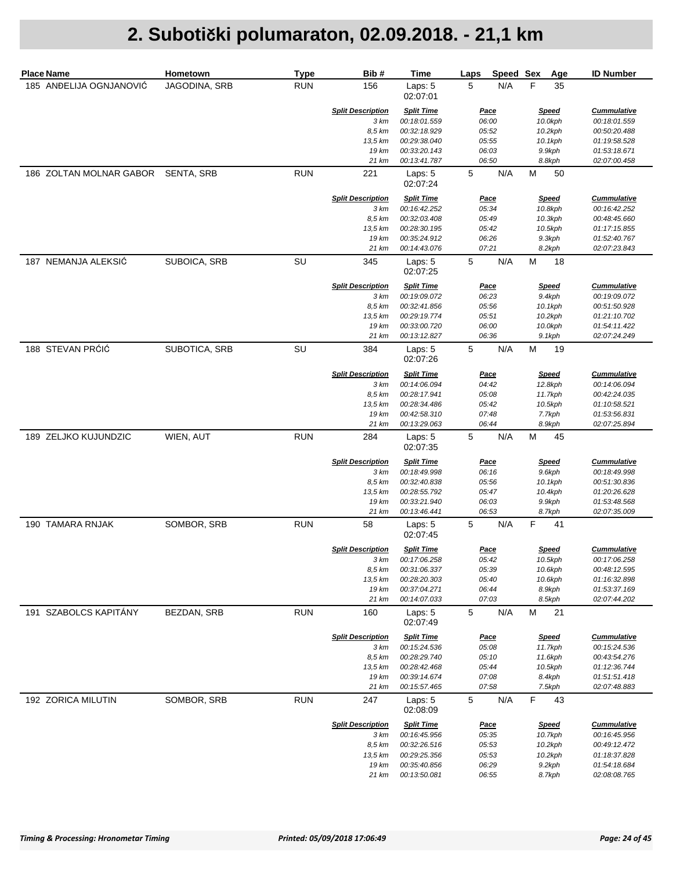| <b>Place Name</b>       | Hometown          | <b>Type</b> | Bib#                             | Time                              | Speed Sex<br>Laps | Age                         | <b>ID Number</b>                   |
|-------------------------|-------------------|-------------|----------------------------------|-----------------------------------|-------------------|-----------------------------|------------------------------------|
| 185 ANDELIJA OGNJANOVIĆ | JAGODINA, SRB     | <b>RUN</b>  | 156                              | Laps: 5<br>02:07:01               | 5<br>N/A          | F<br>35                     |                                    |
|                         |                   |             | <b>Split Description</b>         | <b>Split Time</b>                 | Pace              | <b>Speed</b>                | <b>Cummulative</b>                 |
|                         |                   |             | 3 km                             | 00:18:01.559                      | 06:00             | 10.0kph                     | 00:18:01.559                       |
|                         |                   |             | 8,5 km                           | 00:32:18.929                      | 05:52             | 10.2kph                     | 00:50:20.488                       |
|                         |                   |             | 13,5 km<br>19 km                 | 00:29:38.040<br>00:33:20.143      | 05:55<br>06:03    | 10.1kph<br>9.9kph           | 01:19:58.528<br>01:53:18.671       |
|                         |                   |             | 21 km                            | 00:13:41.787                      | 06:50             | 8.8kph                      | 02:07:00.458                       |
| 186 ZOLTAN MOLNAR GABOR | <b>SENTA, SRB</b> | <b>RUN</b>  | 221                              | Laps: 5<br>02:07:24               | 5<br>N/A          | M<br>50                     |                                    |
|                         |                   |             | <b>Split Description</b>         | <b>Split Time</b>                 | <u>Pace</u>       | <b>Speed</b>                | <b>Cummulative</b>                 |
|                         |                   |             | 3 km<br>8,5 km                   | 00:16:42.252                      | 05:34             | 10.8kph                     | 00:16:42.252                       |
|                         |                   |             | 13,5 km                          | 00:32:03.408<br>00:28:30.195      | 05:49<br>05:42    | 10.3kph<br>10.5kph          | 00:48:45.660<br>01:17:15.855       |
|                         |                   |             | 19 km                            | 00:35:24.912                      | 06:26             | 9.3kph                      | 01:52:40.767                       |
|                         |                   |             | 21 km                            | 00:14:43.076                      | 07:21             | 8.2kph                      | 02:07:23.843                       |
| 187 NEMANJA ALEKSIĆ     | SUBOICA, SRB      | SU          | 345                              | Laps: 5<br>02:07:25               | 5<br>N/A          | M<br>18                     |                                    |
|                         |                   |             | <b>Split Description</b>         | <b>Split Time</b>                 | <u>Pace</u>       | <b>Speed</b>                | <b>Cummulative</b>                 |
|                         |                   |             | 3 km                             | 00:19:09.072                      | 06:23             | 9.4kph                      | 00:19:09.072                       |
|                         |                   |             | 8,5 km                           | 00:32:41.856                      | 05:56             | 10.1kph                     | 00:51:50.928                       |
|                         |                   |             | 13,5 km                          | 00:29:19.774                      | 05:51             | 10.2kph                     | 01:21:10.702                       |
|                         |                   |             | 19 km                            | 00:33:00.720                      | 06:00             | 10.0kph                     | 01:54:11.422                       |
| 188 STEVAN PRÓIÓ        | SUBOTICA, SRB     | SU          | 21 km<br>384                     | 00:13:12.827<br>Laps: 5           | 06:36<br>5<br>N/A | 9.1kph<br>M<br>19           | 02:07:24.249                       |
|                         |                   |             |                                  | 02:07:26                          |                   |                             |                                    |
|                         |                   |             | <b>Split Description</b>         | <b>Split Time</b>                 | <u>Pace</u>       | <b>Speed</b>                | <b>Cummulative</b>                 |
|                         |                   |             | 3 km<br>8,5 km                   | 00:14:06.094<br>00:28:17.941      | 04:42<br>05:08    | 12.8kph<br>11.7kph          | 00:14:06.094<br>00:42:24.035       |
|                         |                   |             | 13,5 km                          | 00:28:34.486                      | 05:42             | 10.5kph                     | 01:10:58.521                       |
|                         |                   |             | 19 km                            | 00:42:58.310                      | 07:48             | 7.7kph                      | 01:53:56.831                       |
|                         |                   |             | 21 km                            | 00:13:29.063                      | 06:44             | 8.9kph                      | 02:07:25.894                       |
| 189 ZELJKO KUJUNDZIC    | WIEN, AUT         | <b>RUN</b>  | 284                              | Laps: 5<br>02:07:35               | 5<br>N/A          | M<br>45                     |                                    |
|                         |                   |             | <b>Split Description</b>         | <b>Split Time</b>                 | <u>Pace</u>       | <b>Speed</b>                | <b>Cummulative</b>                 |
|                         |                   |             | 3 km                             | 00:18:49.998                      | 06:16             | 9.6kph                      | 00:18:49.998                       |
|                         |                   |             | 8,5 km                           | 00:32:40.838                      | 05:56             | 10.1kph                     | 00:51:30.836                       |
|                         |                   |             | 13,5 km                          | 00:28:55.792                      | 05:47             | 10.4kph                     | 01:20:26.628                       |
|                         |                   |             | 19 km                            | 00:33:21.940                      | 06:03<br>06:53    | 9.9kph                      | 01:53:48.568                       |
| 190 TAMARA RNJAK        | SOMBOR, SRB       | <b>RUN</b>  | 21 km<br>58                      | 00:13:46.441<br>Laps: 5           | 5<br>N/A          | 8.7kph<br>$\mathsf F$<br>41 | 02:07:35.009                       |
|                         |                   |             |                                  | 02:07:45                          |                   |                             |                                    |
|                         |                   |             | <b>Split Description</b><br>3 km | <b>Split Time</b><br>00:17:06.258 | Pace<br>05:42     | <b>Speed</b><br>10.5kph     | <b>Cummulative</b><br>00:17:06.258 |
|                         |                   |             | 8,5 km                           | 00:31:06.337                      | 05:39             | 10.6kph                     | 00:48:12.595                       |
|                         |                   |             | 13,5 km                          | 00:28:20.303                      | 05:40             | 10.6kph                     | 01:16:32.898                       |
|                         |                   |             | 19 km                            | 00:37:04.271                      | 06:44             | 8.9kph                      | 01:53:37.169                       |
|                         |                   |             | 21 km                            | 00:14:07.033                      | 07:03             | 8.5kph                      | 02:07:44.202                       |
| 191 SZABOLCS KAPITÁNY   | BEZDAN, SRB       | <b>RUN</b>  | 160                              | Laps: 5<br>02:07:49               | 5<br>N/A          | M<br>21                     |                                    |
|                         |                   |             | <b>Split Description</b>         | <b>Split Time</b>                 | <u>Pace</u>       | <b>Speed</b>                | <b>Cummulative</b>                 |
|                         |                   |             | 3 km                             | 00:15:24.536                      | 05:08             | 11.7kph                     | 00:15:24.536                       |
|                         |                   |             | 8,5 km                           | 00:28:29.740                      | 05:10             | 11.6kph                     | 00:43:54.276                       |
|                         |                   |             | 13,5 km                          | 00:28:42.468                      | 05:44             | 10.5kph                     | 01:12:36.744                       |
|                         |                   |             | 19 km<br>21 km                   | 00:39:14.674<br>00:15:57.465      | 07:08<br>07:58    | 8.4kph<br>7.5kph            | 01:51:51.418<br>02:07:48.883       |
| 192 ZORICA MILUTIN      |                   |             |                                  |                                   |                   | F                           |                                    |
|                         | SOMBOR, SRB       | <b>RUN</b>  | 247                              | Laps: 5<br>02:08:09               | 5<br>N/A          | 43                          |                                    |
|                         |                   |             | <b>Split Description</b>         | <b>Split Time</b>                 | <u>Pace</u>       | <b>Speed</b>                | <b>Cummulative</b>                 |
|                         |                   |             | 3 km                             | 00:16:45.956                      | 05:35             | 10.7kph                     | 00:16:45.956                       |
|                         |                   |             | 8,5 km                           | 00:32:26.516                      | 05:53             | 10.2kph                     | 00:49:12.472                       |
|                         |                   |             | 13,5 km<br>19 km                 | 00:29:25.356<br>00:35:40.856      | 05:53<br>06:29    | 10.2kph<br>9.2kph           | 01:18:37.828<br>01:54:18.684       |
|                         |                   |             | 21 km                            | 00:13:50.081                      | 06:55             | 8.7kph                      | 02:08:08.765                       |
|                         |                   |             |                                  |                                   |                   |                             |                                    |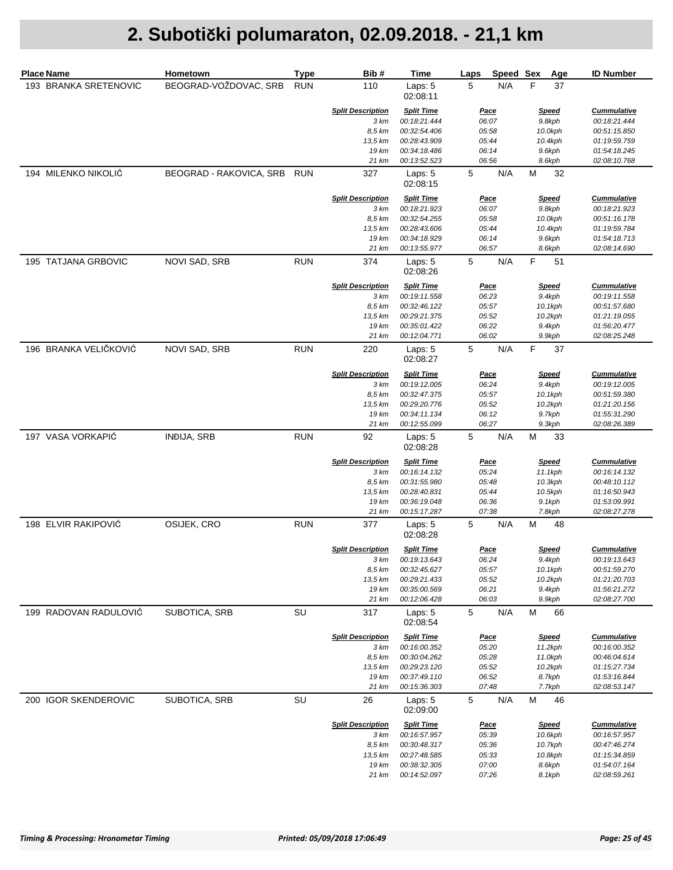| <b>Place Name</b>     | Hometown                | <b>Type</b> | Bib#                     | Time                              | Laps           |     | Speed Sex   | Age               | <b>ID Number</b>             |
|-----------------------|-------------------------|-------------|--------------------------|-----------------------------------|----------------|-----|-------------|-------------------|------------------------------|
| 193 BRANKA SRETENOVIC | BEOGRAD-VOŽDOVAC, SRB   | <b>RUN</b>  | 110                      | Laps: 5<br>02:08:11               | 5              | N/A | F           | 37                |                              |
|                       |                         |             | <b>Split Description</b> | <b>Split Time</b>                 | <u>Pace</u>    |     |             | <u>Speed</u>      | <b>Cummulative</b>           |
|                       |                         |             | 3 km                     | 00:18:21.444                      | 06:07          |     |             | 9.8kph            | 00:18:21.444                 |
|                       |                         |             | 8,5 km                   | 00:32:54.406                      | 05:58          |     |             | 10.0kph           | 00:51:15.850                 |
|                       |                         |             | 13,5 km<br>19 km         | 00:28:43.909<br>00:34:18.486      | 05:44<br>06:14 |     |             | 10.4kph<br>9.6kph | 01:19:59.759<br>01:54:18.245 |
|                       |                         |             | 21 km                    | 00:13:52.523                      | 06:56          |     |             | 8.6kph            | 02:08:10.768                 |
| 194 MILENKO NIKOLIĆ   | BEOGRAD - RAKOVICA, SRB | <b>RUN</b>  | 327                      | Laps: 5<br>02:08:15               | 5              | N/A | M           | 32                |                              |
|                       |                         |             | <b>Split Description</b> | <b>Split Time</b>                 | <b>Pace</b>    |     |             | <b>Speed</b>      | <b>Cummulative</b>           |
|                       |                         |             | 3 km<br>8,5 km           | 00:18:21.923<br>00:32:54.255      | 06:07<br>05:58 |     |             | 9.8kph<br>10.0kph | 00:18:21.923<br>00:51:16.178 |
|                       |                         |             | 13,5 km                  | 00:28:43.606                      | 05:44          |     |             | 10.4kph           | 01:19:59.784                 |
|                       |                         |             | 19 km                    | 00:34:18.929                      | 06:14          |     |             | 9.6kph            | 01:54:18.713                 |
|                       |                         |             | 21 km                    | 00:13:55.977                      | 06:57          |     |             | 8.6kph            | 02:08:14.690                 |
| 195 TATJANA GRBOVIC   | NOVI SAD, SRB           | <b>RUN</b>  | 374                      | Laps: 5<br>02:08:26               | 5              | N/A | F           | 51                |                              |
|                       |                         |             | <b>Split Description</b> | <b>Split Time</b>                 | <u>Pace</u>    |     |             | <b>Speed</b>      | <b>Cummulative</b>           |
|                       |                         |             | 3 km                     | 00:19:11.558                      | 06:23          |     |             | 9.4kph            | 00:19:11.558                 |
|                       |                         |             | 8,5 km                   | 00:32:46.122                      | 05:57          |     |             | 10.1kph           | 00:51:57.680                 |
|                       |                         |             | 13,5 km                  | 00:29:21.375                      | 05:52          |     |             | 10.2kph           | 01:21:19.055                 |
|                       |                         |             | 19 km                    | 00:35:01.422                      | 06:22          |     |             | 9.4kph            | 01:56:20.477                 |
| 196 BRANKA VELIČKOVIĆ | NOVI SAD, SRB           | <b>RUN</b>  | 21 km<br>220             | 00:12:04.771<br>Laps: 5           | 06:02<br>5     | N/A | $\mathsf F$ | 9.9kph<br>37      | 02:08:25.248                 |
|                       |                         |             | <b>Split Description</b> | 02:08:27<br><b>Split Time</b>     | <u>Pace</u>    |     |             | <u>Speed</u>      | <b>Cummulative</b>           |
|                       |                         |             | 3 km                     | 00:19:12.005                      | 06:24          |     |             | 9.4kph            | 00:19:12.005                 |
|                       |                         |             | 8,5 km                   | 00:32:47.375                      | 05:57          |     |             | 10.1kph           | 00:51:59.380                 |
|                       |                         |             | 13,5 km                  | 00:29:20.776                      | 05:52          |     |             | 10.2kph           | 01:21:20.156                 |
|                       |                         |             | 19 km                    | 00:34:11.134                      | 06:12          |     |             | 9.7kph            | 01:55:31.290                 |
|                       |                         |             | 21 km                    | 00:12:55.099                      | 06:27          |     |             | 9.3kph            | 02:08:26.389                 |
| 197 VASA VORKAPIĆ     | <b>INDIJA, SRB</b>      | <b>RUN</b>  | 92                       | Laps: 5<br>02:08:28               | 5              | N/A | M           | 33                |                              |
|                       |                         |             | <b>Split Description</b> | <b>Split Time</b>                 | <u>Pace</u>    |     |             | <b>Speed</b>      | <b>Cummulative</b>           |
|                       |                         |             | 3 km                     | 00:16:14.132                      | 05:24          |     |             | 11.1kph           | 00:16:14.132                 |
|                       |                         |             | 8,5 km                   | 00:31:55.980                      | 05:48          |     |             | 10.3kph           | 00:48:10.112                 |
|                       |                         |             | 13,5 km                  | 00:28:40.831                      | 05:44          |     |             | 10.5kph           | 01:16:50.943                 |
|                       |                         |             | 19 km<br>21 km           | 00:36:19.048<br>00:15:17.287      | 06:36<br>07:38 |     |             | 9.1kph<br>7.8kph  | 01:53:09.991<br>02:08:27.278 |
| 198 ELVIR RAKIPOVIĆ   | OSIJEK, CRO             | <b>RUN</b>  | 377                      | Laps: 5<br>02:08:28               | 5              | N/A | M           | 48                |                              |
|                       |                         |             |                          |                                   |                |     |             |                   |                              |
|                       |                         |             | <b>Split Description</b> | <b>Split Time</b><br>00:19:13.643 | <b>Pace</b>    |     |             | <b>Speed</b>      | <b>Cummulative</b>           |
|                       |                         |             | 3 km<br>8,5 km           | 00:32:45.627                      | 06:24<br>05:57 |     |             | 9.4kph<br>10.1kph | 00:19:13.643<br>00:51:59.270 |
|                       |                         |             | 13,5 km                  | 00:29:21.433                      | 05:52          |     |             | 10.2kph           | 01:21:20.703                 |
|                       |                         |             | 19 km                    | 00:35:00.569                      | 06:21          |     |             | 9.4kph            | 01:56:21.272                 |
|                       |                         |             | 21 km                    | 00:12:06.428                      | 06:03          |     |             | 9.9kph            | 02:08:27.700                 |
| 199 RADOVAN RADULOVIĆ | SUBOTICA, SRB           | SU          | 317                      | Laps: 5<br>02:08:54               | 5              | N/A | M           | 66                |                              |
|                       |                         |             | <b>Split Description</b> | <b>Split Time</b>                 | <u>Pace</u>    |     |             | <b>Speed</b>      | <b>Cummulative</b>           |
|                       |                         |             | 3 km                     | 00:16:00.352                      | 05:20          |     |             | 11.2kph           | 00:16:00.352                 |
|                       |                         |             | 8,5 km                   | 00:30:04.262                      | 05:28          |     |             | 11.0kph           | 00:46:04.614                 |
|                       |                         |             | 13,5 km                  | 00:29:23.120                      | 05:52          |     |             | 10.2kph           | 01:15:27.734                 |
|                       |                         |             | 19 km                    | 00:37:49.110                      | 06:52          |     |             | 8.7kph            | 01:53:16.844                 |
|                       |                         |             | 21 km                    | 00:15:36.303                      | 07:48          |     |             | 7.7kph            | 02:08:53.147                 |
| 200 IGOR SKENDEROVIC  | SUBOTICA, SRB           | SU          | 26                       | Laps: 5<br>02:09:00               | 5              | N/A | M           | 46                |                              |
|                       |                         |             | <b>Split Description</b> | <b>Split Time</b>                 | <u>Pace</u>    |     |             | <u>Speed</u>      | <b>Cummulative</b>           |
|                       |                         |             | 3 km                     | 00:16:57.957                      | 05:39          |     |             | 10.6kph           | 00:16:57.957                 |
|                       |                         |             | 8,5 km                   | 00:30:48.317                      | 05:36          |     |             | 10.7kph           | 00:47:46.274                 |
|                       |                         |             | 13,5 km                  | 00:27:48.585                      | 05:33          |     |             | 10.8kph           | 01:15:34.859                 |
|                       |                         |             | 19 km                    | 00:38:32.305                      | 07:00          |     |             | 8.6kph            | 01:54:07.164                 |
|                       |                         |             | 21 km                    | 00:14:52.097                      | 07:26          |     |             | 8.1kph            | 02:08:59.261                 |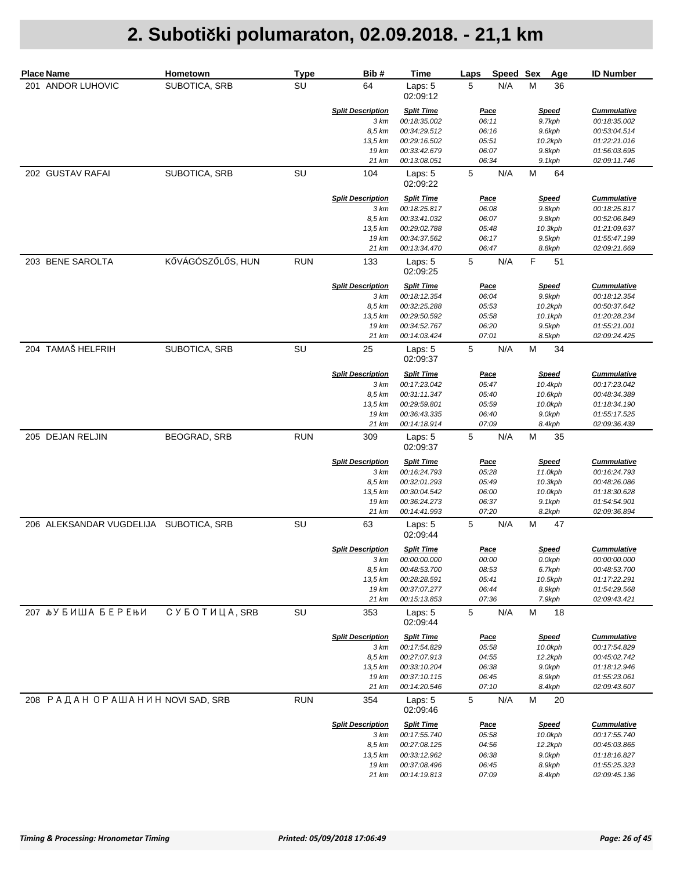| <b>Place Name</b>                      | Hometown            | <b>Type</b> | Bib#                     | Time                                | Speed Sex<br>Laps    | Age               | <b>ID Number</b>             |
|----------------------------------------|---------------------|-------------|--------------------------|-------------------------------------|----------------------|-------------------|------------------------------|
| 201 ANDOR LUHOVIC                      | SUBOTICA, SRB       | SU          | 64                       | Laps: 5<br>02:09:12                 | N/A<br>5             | M<br>36           |                              |
|                                        |                     |             | <b>Split Description</b> | <b>Split Time</b>                   | <u>Pace</u>          | <b>Speed</b>      | <b>Cummulative</b>           |
|                                        |                     |             | 3 km<br>8,5 km           | 00:18:35.002<br>00:34:29.512        | 06:11<br>06:16       | 9.7kph<br>9.6kph  | 00:18:35.002<br>00:53:04.514 |
|                                        |                     |             | 13,5 km                  | 00:29:16.502                        | 05:51                | 10.2kph           | 01:22:21.016                 |
|                                        |                     |             | 19 km                    | 00:33:42.679                        | 06:07                | 9.8kph            | 01:56:03.695                 |
|                                        |                     |             | 21 km                    | 00:13:08.051                        | 06:34                | 9.1kph            | 02:09:11.746                 |
| 202 GUSTAV RAFAI                       | SUBOTICA, SRB       | SU          | 104                      | Laps: 5<br>02:09:22                 | $\mathbf 5$<br>N/A   | M<br>64           |                              |
|                                        |                     |             | <b>Split Description</b> | <b>Split Time</b>                   | <u>Pace</u>          | <b>Speed</b>      | <b>Cummulative</b>           |
|                                        |                     |             | 3 km                     | 00:18:25.817                        | 06:08                | 9.8kph            | 00:18:25.817                 |
|                                        |                     |             | 8,5 km<br>13,5 km        | 00:33:41.032                        | 06:07                | 9.8kph            | 00:52:06.849                 |
|                                        |                     |             | 19 km                    | 00:29:02.788<br>00:34:37.562        | 05:48<br>06:17       | 10.3kph<br>9.5kph | 01:21:09.637<br>01:55:47.199 |
|                                        |                     |             | 21 km                    | 00:13:34.470                        | 06:47                | 8.8kph            | 02:09:21.669                 |
| 203 BENE SAROLTA                       | KŐVÁGÓSZŐLŐS, HUN   | <b>RUN</b>  | 133                      | Laps: 5<br>02:09:25                 | 5<br>N/A             | F<br>51           |                              |
|                                        |                     |             | <b>Split Description</b> | <b>Split Time</b>                   | Pace                 | <b>Speed</b>      | <b>Cummulative</b>           |
|                                        |                     |             | 3 km                     | 00:18:12.354                        | 06:04                | 9.9kph            | 00:18:12.354                 |
|                                        |                     |             | 8,5 km                   | 00:32:25.288                        | 05:53                | 10.2kph           | 00:50:37.642                 |
|                                        |                     |             | 13,5 km                  | 00:29:50.592                        | 05:58                | 10.1kph           | 01:20:28.234                 |
|                                        |                     |             | 19 km<br>21 km           | 00:34:52.767<br>00:14:03.424        | 06:20<br>07:01       | 9.5kph<br>8.5kph  | 01:55:21.001<br>02:09:24.425 |
| 204 TAMAŠ HELFRIH                      | SUBOTICA, SRB       | SU          | 25                       | Laps: 5<br>02:09:37                 | 5<br>N/A             | M<br>34           |                              |
|                                        |                     |             | <b>Split Description</b> | <b>Split Time</b>                   | <u>Pace</u>          | <b>Speed</b>      | <b>Cummulative</b>           |
|                                        |                     |             | 3 km                     | 00:17:23.042                        | 05:47                | 10.4kph           | 00:17:23.042                 |
|                                        |                     |             | 8,5 km                   | 00:31:11.347                        | 05:40                | 10.6kph           | 00:48:34.389                 |
|                                        |                     |             | 13,5 km                  | 00:29:59.801                        | 05:59                | 10.0kph           | 01:18:34.190                 |
|                                        |                     |             | 19 km                    | 00:36:43.335                        | 06:40                | 9.0kph            | 01:55:17.525                 |
| 205 DEJAN RELJIN                       | <b>BEOGRAD, SRB</b> | <b>RUN</b>  | 21 km<br>309             | 00:14:18.914<br>Laps: 5<br>02:09:37 | 07:09<br>5<br>N/A    | 8.4kph<br>M<br>35 | 02:09:36.439                 |
|                                        |                     |             | <b>Split Description</b> | <b>Split Time</b>                   |                      | <b>Speed</b>      | <b>Cummulative</b>           |
|                                        |                     |             | 3 km                     | 00:16:24.793                        | <u>Pace</u><br>05:28 | 11.0kph           | 00:16:24.793                 |
|                                        |                     |             | 8,5 km                   | 00:32:01.293                        | 05:49                | 10.3kph           | 00:48:26.086                 |
|                                        |                     |             | 13,5 km                  | 00:30:04.542                        | 06:00                | 10.0kph           | 01:18:30.628                 |
|                                        |                     |             | 19 km                    | 00:36:24.273                        | 06:37                | 9.1kph            | 01:54:54.901                 |
|                                        |                     |             | 21 km                    | 00:14:41.993                        | 07:20                | 8.2kph            | 02:09:36.894                 |
| 206 ALEKSANDAR VUGDELIJA SUBOTICA, SRB |                     | SU          | 63                       | Laps: 5<br>02:09:44                 | 5<br>N/A             | M<br>47           |                              |
|                                        |                     |             | <b>Split Description</b> | <b>Split Time</b>                   | Pace                 | <b>Speed</b>      | <b>Cummulative</b>           |
|                                        |                     |             | 3 km                     | 00:00:00.000                        | 00:00                | 0.0kph            | 00:00:00.000                 |
|                                        |                     |             | 8,5 km                   | 00:48:53.700                        | 08:53                | 6.7kph            | 00:48:53.700                 |
|                                        |                     |             | 13,5 km<br>19 km         | 00:28:28.591<br>00:37:07.277        | 05:41                | 10.5kph           | 01:17:22.291<br>01:54:29.568 |
|                                        |                     |             | 21 km                    | 00:15:13.853                        | 06:44<br>07:36       | 8.9kph<br>7.9kph  | 02:09:43.421                 |
| 207 ЉУБИША БЕРЕЊИ                      | СУБОТИЦА, SRB       | SU          | 353                      | Laps: 5<br>02:09:44                 | 5<br>N/A             | M<br>18           |                              |
|                                        |                     |             | <b>Split Description</b> | <b>Split Time</b>                   | <u>Pace</u>          | <u>Speed</u>      | <b>Cummulative</b>           |
|                                        |                     |             | 3 km                     | 00:17:54.829                        | 05:58                | 10.0kph           | 00:17:54.829                 |
|                                        |                     |             | 8,5 km                   | 00:27:07.913                        | 04:55                | 12.2kph           | 00:45:02.742                 |
|                                        |                     |             | 13,5 km                  | 00:33:10.204                        | 06:38                | 9.0kph            | 01:18:12.946                 |
|                                        |                     |             | 19 km                    | 00:37:10.115<br>00:14:20.546        | 06:45<br>07:10       | 8.9kph            | 01:55:23.061                 |
|                                        |                     |             | 21 km                    |                                     |                      | 8.4kph            | 02:09:43.607                 |
| 208 РАДАН ОРАШАНИН NOVISAD, SRB        |                     | <b>RUN</b>  | 354                      | Laps: 5<br>02:09:46                 | 5<br>N/A             | M<br>20           |                              |
|                                        |                     |             | <b>Split Description</b> | <b>Split Time</b>                   | <u>Pace</u>          | <b>Speed</b>      | <b>Cummulative</b>           |
|                                        |                     |             | 3 km                     | 00:17:55.740                        | 05:58                | 10.0kph           | 00:17:55.740                 |
|                                        |                     |             | 8,5 km<br>13,5 km        | 00:27:08.125<br>00:33:12.962        | 04:56<br>06:38       | 12.2kph<br>9.0kph | 00:45:03.865<br>01:18:16.827 |
|                                        |                     |             | 19 km                    | 00:37:08.496                        | 06:45                | 8.9kph            | 01:55:25.323                 |
|                                        |                     |             | 21 km                    | 00:14:19.813                        | 07:09                | 8.4kph            | 02:09:45.136                 |
|                                        |                     |             |                          |                                     |                      |                   |                              |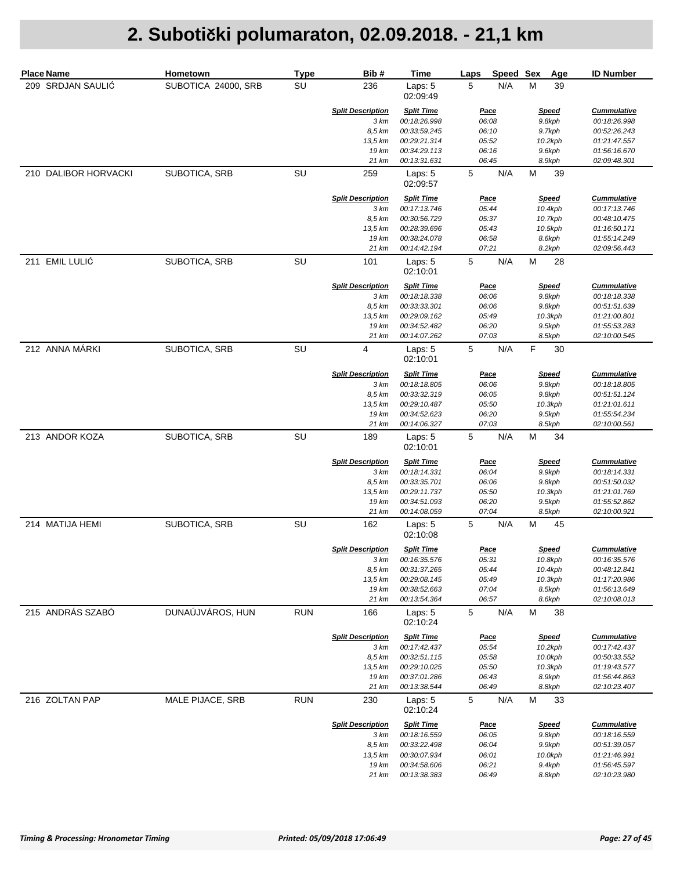| Place Name           | <b>Hometown</b>     | <b>Type</b> | Bib#                             | Time                              | Speed Sex<br>Laps | Age                | <b>ID Number</b>             |
|----------------------|---------------------|-------------|----------------------------------|-----------------------------------|-------------------|--------------------|------------------------------|
| 209 SRDJAN SAULIĆ    | SUBOTICA 24000, SRB | SU          | 236                              | Laps: 5<br>02:09:49               | N/A<br>5          | M<br>39            |                              |
|                      |                     |             | <b>Split Description</b>         | <b>Split Time</b>                 | <b>Pace</b>       | <u>Speed</u>       | <b>Cummulative</b>           |
|                      |                     |             | 3 km<br>8,5 km                   | 00:18:26.998<br>00:33:59.245      | 06:08<br>06:10    | 9.8kph<br>9.7kph   | 00:18:26.998<br>00:52:26.243 |
|                      |                     |             | 13,5 km                          | 00:29:21.314                      | 05:52             | 10.2kph            | 01:21:47.557                 |
|                      |                     |             | 19 km                            | 00:34:29.113                      | 06:16             | 9.6kph             | 01:56:16.670                 |
|                      |                     |             | 21 km                            | 00:13:31.631                      | 06:45             | 8.9kph             | 02:09:48.301                 |
| 210 DALIBOR HORVACKI | SUBOTICA, SRB       | SU          | 259                              | Laps: 5<br>02:09:57               | 5<br>N/A          | M<br>39            |                              |
|                      |                     |             | <b>Split Description</b>         | <b>Split Time</b>                 | <u>Pace</u>       | <b>Speed</b>       | <b>Cummulative</b>           |
|                      |                     |             | 3 km                             | 00:17:13.746                      | 05:44             | 10.4kph            | 00:17:13.746                 |
|                      |                     |             | 8,5 km<br>13,5 km                | 00:30:56.729<br>00:28:39.696      | 05:37<br>05:43    | 10.7kph<br>10.5kph | 00:48:10.475<br>01:16:50.171 |
|                      |                     |             | 19 km                            | 00:38:24.078                      | 06:58             | 8.6kph             | 01:55:14.249                 |
|                      |                     |             | 21 km                            | 00:14:42.194                      | 07:21             | 8.2kph             | 02:09:56.443                 |
| 211 EMIL LULIĆ       | SUBOTICA, SRB       | SU          | 101                              | Laps: 5<br>02:10:01               | 5<br>N/A          | M<br>28            |                              |
|                      |                     |             | <b>Split Description</b>         | <b>Split Time</b>                 | Pace              | <b>Speed</b>       | <b>Cummulative</b>           |
|                      |                     |             | 3 km                             | 00:18:18.338                      | 06:06             | 9.8kph             | 00:18:18.338                 |
|                      |                     |             | 8,5 km                           | 00:33:33.301                      | 06:06             | 9.8kph             | 00:51:51.639                 |
|                      |                     |             | 13,5 km<br>19 km                 | 00:29:09.162<br>00:34:52.482      | 05:49<br>06:20    | 10.3kph            | 01:21:00.801<br>01:55:53.283 |
|                      |                     |             | 21 km                            | 00:14:07.262                      | 07:03             | 9.5kph<br>8.5kph   | 02:10:00.545                 |
| 212 ANNA MÁRKI       | SUBOTICA, SRB       | SU          | 4                                | Laps: 5<br>02:10:01               | 5<br>N/A          | F<br>30            |                              |
|                      |                     |             | <b>Split Description</b>         | <b>Split Time</b>                 | <u>Pace</u>       | <b>Speed</b>       | <b>Cummulative</b>           |
|                      |                     |             | 3 km                             | 00:18:18.805                      | 06:06             | 9.8kph             | 00:18:18.805                 |
|                      |                     |             | 8,5 km                           | 00:33:32.319                      | 06:05             | 9.8kph             | 00:51:51.124                 |
|                      |                     |             | 13,5 km                          | 00:29:10.487                      | 05:50             | 10.3kph            | 01:21:01.611                 |
|                      |                     |             | 19 km<br>21 km                   | 00:34:52.623<br>00:14:06.327      | 06:20<br>07:03    | 9.5kph             | 01:55:54.234<br>02:10:00.561 |
| 213 ANDOR KOZA       | SUBOTICA, SRB       | SU          | 189                              | Laps: 5<br>02:10:01               | 5<br>N/A          | 8.5kph<br>M<br>34  |                              |
|                      |                     |             | <b>Split Description</b>         | <b>Split Time</b>                 | <u>Pace</u>       | <b>Speed</b>       | <b>Cummulative</b>           |
|                      |                     |             | 3 km                             | 00:18:14.331                      | 06:04             | 9.9kph             | 00:18:14.331                 |
|                      |                     |             | 8,5 km                           | 00:33:35.701                      | 06:06             | 9.8kph             | 00:51:50.032                 |
|                      |                     |             | 13,5 km                          | 00:29:11.737                      | 05:50             | 10.3kph            | 01:21:01.769                 |
|                      |                     |             | 19 km                            | 00:34:51.093                      | 06:20             | 9.5kph             | 01:55:52.862                 |
| 214 MATIJA HEMI      | SUBOTICA, SRB       | SU          | 21 km<br>162                     | 00:14:08.059<br>Laps: 5           | 07:04<br>5<br>N/A | 8.5kph<br>M<br>45  | 02:10:00.921                 |
|                      |                     |             |                                  | 02:10:08                          |                   |                    |                              |
|                      |                     |             | <b>Split Description</b><br>3 km | <b>Split Time</b><br>00:16:35.576 | Pace              | <b>Speed</b>       | <b>Cummulative</b>           |
|                      |                     |             | 8,5 km                           | 00:31:37.265                      | 05:31<br>05:44    | 10.8kph<br>10.4kph | 00:16:35.576<br>00:48:12.841 |
|                      |                     |             | 13,5 km                          | 00:29:08.145                      | 05:49             | 10.3kph            | 01:17:20.986                 |
|                      |                     |             | 19 km                            | 00:38:52.663                      | 07:04             | 8.5kph             | 01:56:13.649                 |
|                      |                     |             | 21 km                            | 00:13:54.364                      | 06:57             | 8.6kph             | 02:10:08.013                 |
| 215 ANDRÁS SZABÓ     | DUNAÚJVÁROS, HUN    | <b>RUN</b>  | 166                              | Laps: 5<br>02:10:24               | 5<br>N/A          | M<br>38            |                              |
|                      |                     |             | <b>Split Description</b>         | <b>Split Time</b>                 | <u>Pace</u>       | <b>Speed</b>       | <b>Cummulative</b>           |
|                      |                     |             | 3 km                             | 00:17:42.437                      | 05:54             | 10.2kph            | 00:17:42.437                 |
|                      |                     |             | 8,5 km                           | 00:32:51.115                      | 05:58             | 10.0kph            | 00:50:33.552                 |
|                      |                     |             | 13,5 km<br>19 km                 | 00:29:10.025<br>00:37:01.286      | 05:50<br>06:43    | 10.3kph<br>8.9kph  | 01:19:43.577<br>01:56:44.863 |
|                      |                     |             | 21 km                            | 00:13:38.544                      | 06:49             | 8.8kph             | 02:10:23.407                 |
| 216 ZOLTAN PAP       | MALE PIJACE, SRB    | <b>RUN</b>  | 230                              | Laps: 5<br>02:10:24               | 5<br>N/A          | M<br>33            |                              |
|                      |                     |             | <b>Split Description</b>         | <b>Split Time</b>                 | <u>Pace</u>       | <b>Speed</b>       | <b>Cummulative</b>           |
|                      |                     |             | 3 km                             | 00:18:16.559                      | 06:05             | 9.8kph             | 00:18:16.559                 |
|                      |                     |             | 8,5 km                           | 00:33:22.498                      | 06:04             | 9.9kph             | 00:51:39.057                 |
|                      |                     |             | 13,5 km                          | 00:30:07.934                      | 06:01             | 10.0kph            | 01:21:46.991                 |
|                      |                     |             | 19 km                            | 00:34:58.606                      | 06:21             | 9.4kph             | 01:56:45.597                 |
|                      |                     |             | 21 km                            | 00:13:38.383                      | 06:49             | 8.8kph             | 02:10:23.980                 |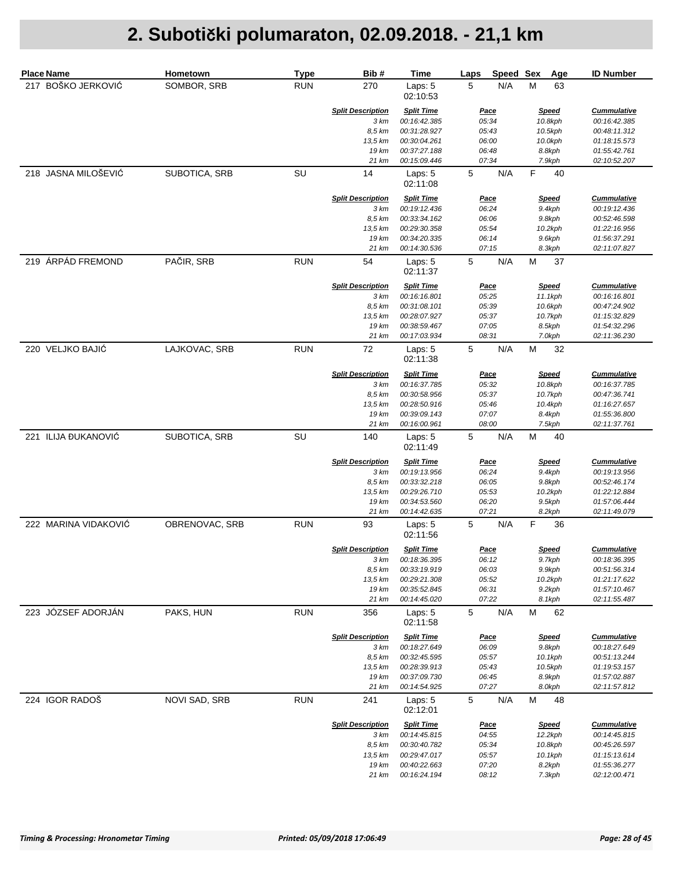| <b>Place Name</b>      | Hometown       | <b>Type</b> | Bib#                     | Time                                | Speed Sex<br>Laps  | Age                     | <b>ID Number</b>                   |
|------------------------|----------------|-------------|--------------------------|-------------------------------------|--------------------|-------------------------|------------------------------------|
| 217 BOŠKO JERKOVIĆ     | SOMBOR, SRB    | <b>RUN</b>  | 270                      | Laps: 5<br>02:10:53                 | N/A<br>5           | М<br>63                 |                                    |
|                        |                |             | <b>Split Description</b> | <b>Split Time</b>                   | <u>Pace</u>        | <b>Speed</b>            | <b>Cummulative</b>                 |
|                        |                |             | 3 km                     | 00:16:42.385                        | 05:34              | 10.8kph                 | 00:16:42.385                       |
|                        |                |             | 8,5 km<br>13,5 km        | 00:31:28.927<br>00:30:04.261        | 05:43<br>06:00     | 10.5kph<br>10.0kph      | 00:48:11.312<br>01:18:15.573       |
|                        |                |             | 19 km                    | 00:37:27.188                        | 06:48              | 8.8kph                  | 01:55:42.761                       |
|                        |                |             | 21 km                    | 00:15:09.446                        | 07:34              | 7.9kph                  | 02:10:52.207                       |
| 218 JASNA MILOŠEVIĆ    | SUBOTICA, SRB  | SU          | 14                       | Laps: 5<br>02:11:08                 | $\mathbf 5$<br>N/A | F<br>40                 |                                    |
|                        |                |             | <b>Split Description</b> | <b>Split Time</b>                   | <u>Pace</u>        | <b>Speed</b>            | <b>Cummulative</b>                 |
|                        |                |             | 3 km                     | 00:19:12.436                        | 06:24              | 9.4kph                  | 00:19:12.436                       |
|                        |                |             | 8,5 km                   | 00:33:34.162                        | 06:06              | 9.8kph                  | 00:52:46.598                       |
|                        |                |             | 13,5 km<br>19 km         | 00:29:30.358<br>00:34:20.335        | 05:54<br>06:14     | 10.2kph<br>9.6kph       | 01:22:16.956<br>01:56:37.291       |
|                        |                |             | 21 km                    | 00:14:30.536                        | 07:15              | 8.3kph                  | 02:11:07.827                       |
| 219 ÁRPÁD FREMOND      | PAČIR, SRB     | <b>RUN</b>  | 54                       | Laps: 5<br>02:11:37                 | 5<br>N/A           | M<br>37                 |                                    |
|                        |                |             | <b>Split Description</b> | <b>Split Time</b>                   | <b>Pace</b>        | <b>Speed</b>            | <b>Cummulative</b>                 |
|                        |                |             | 3 km                     | 00:16:16.801                        | 05:25              | 11.1kph                 | 00:16:16.801                       |
|                        |                |             | 8,5 km                   | 00:31:08.101                        | 05:39              | 10.6kph                 | 00:47:24.902                       |
|                        |                |             | 13,5 km                  | 00:28:07.927                        | 05:37              | 10.7kph                 | 01:15:32.829                       |
|                        |                |             | 19 km                    | 00:38:59.467                        | 07:05              | 8.5kph                  | 01:54:32.296                       |
| 220 VELJKO BAJIĆ       | LAJKOVAC, SRB  | <b>RUN</b>  | 21 km<br>72              | 00:17:03.934<br>Laps: 5<br>02:11:38 | 08:31<br>5<br>N/A  | 7.0kph<br>M<br>32       | 02:11:36.230                       |
|                        |                |             | <b>Split Description</b> |                                     |                    |                         |                                    |
|                        |                |             | 3 km                     | <b>Split Time</b><br>00:16:37.785   | Pace<br>05:32      | <b>Speed</b><br>10.8kph | <b>Cummulative</b><br>00:16:37.785 |
|                        |                |             | 8,5 km                   | 00:30:58.956                        | 05:37              | 10.7kph                 | 00:47:36.741                       |
|                        |                |             | 13,5 km                  | 00:28:50.916                        | 05:46              | 10.4kph                 | 01:16:27.657                       |
|                        |                |             | 19 km                    | 00:39:09.143                        | 07:07              | 8.4kph                  | 01:55:36.800                       |
|                        |                |             | 21 km                    | 00:16:00.961                        | 08:00              | 7.5kph                  | 02:11:37.761                       |
| ILIJA ĐUKANOVIĆ<br>221 | SUBOTICA, SRB  | SU          | 140                      | Laps: 5<br>02:11:49                 | 5<br>N/A           | M<br>40                 |                                    |
|                        |                |             | <b>Split Description</b> | <b>Split Time</b>                   | <u>Pace</u>        | <b>Speed</b>            | <b>Cummulative</b>                 |
|                        |                |             | 3 km                     | 00:19:13.956                        | 06:24              | 9.4kph                  | 00:19:13.956                       |
|                        |                |             | 8,5 km                   | 00:33:32.218                        | 06:05              | 9.8kph                  | 00:52:46.174                       |
|                        |                |             | 13,5 km<br>19 km         | 00:29:26.710<br>00:34:53.560        | 05:53<br>06:20     | 10.2kph<br>9.5kph       | 01:22:12.884<br>01:57:06.444       |
|                        |                |             | 21 km                    | 00:14:42.635                        | 07:21              | 8.2kph                  | 02:11:49.079                       |
| 222 MARINA VIDAKOVIĆ   | OBRENOVAC, SRB | <b>RUN</b>  | 93                       | Laps: 5<br>02:11:56                 | 5<br>N/A           | F<br>36                 |                                    |
|                        |                |             | <b>Split Description</b> | <b>Split Time</b>                   | Pace               | <b>Speed</b>            | <b>Cummulative</b>                 |
|                        |                |             | 3 km                     | 00:18:36.395                        | 06:12              | 9.7kph                  | 00:18:36.395                       |
|                        |                |             | 8,5 km                   | 00:33:19.919                        | 06:03              | 9.9kph                  | 00:51:56.314                       |
|                        |                |             | 13,5 km                  | 00:29:21.308                        | 05:52              | 10.2kph                 | 01:21:17.622                       |
|                        |                |             | 19 km                    | 00:35:52.845                        | 06:31              | 9.2kph                  | 01:57:10.467                       |
|                        |                |             | 21 km                    | 00:14:45.020                        | 07:22              | 8.1kph                  | 02:11:55.487                       |
| 223 JÓZSEF ADORJÁN     | PAKS, HUN      | <b>RUN</b>  | 356                      | Laps: 5<br>02:11:58                 | 5<br>N/A           | M<br>62                 |                                    |
|                        |                |             | <b>Split Description</b> | <b>Split Time</b>                   | <u>Pace</u>        | <b>Speed</b>            | <b>Cummulative</b>                 |
|                        |                |             | 3 km                     | 00:18:27.649                        | 06:09              | 9.8kph                  | 00:18:27.649                       |
|                        |                |             | 8,5 km<br>13,5 km        | 00:32:45.595<br>00:28:39.913        | 05:57<br>05:43     | 10.1kph<br>10.5kph      | 00:51:13.244<br>01:19:53.157       |
|                        |                |             | 19 km                    | 00:37:09.730                        | 06:45              | 8.9kph                  | 01:57:02.887                       |
|                        |                |             | 21 km                    | 00:14:54.925                        | 07:27              | 8.0kph                  | 02:11:57.812                       |
| 224 IGOR RADOŠ         | NOVI SAD, SRB  | <b>RUN</b>  | 241                      | Laps: 5<br>02:12:01                 | 5<br>N/A           | M<br>48                 |                                    |
|                        |                |             | <b>Split Description</b> | <b>Split Time</b>                   | <u>Pace</u>        | <b>Speed</b>            | <b>Cummulative</b>                 |
|                        |                |             | 3 km                     | 00:14:45.815                        | 04:55              | 12.2kph                 | 00:14:45.815                       |
|                        |                |             | 8,5 km                   | 00:30:40.782                        | 05:34              | 10.8kph                 | 00:45:26.597                       |
|                        |                |             | 13,5 km                  | 00:29:47.017                        | 05:57              | 10.1kph                 | 01:15:13.614                       |
|                        |                |             | 19 km                    | 00:40:22.663                        | 07:20              | 8.2kph                  | 01:55:36.277                       |
|                        |                |             | 21 km                    | 00:16:24.194                        | 08:12              | 7.3kph                  | 02:12:00.471                       |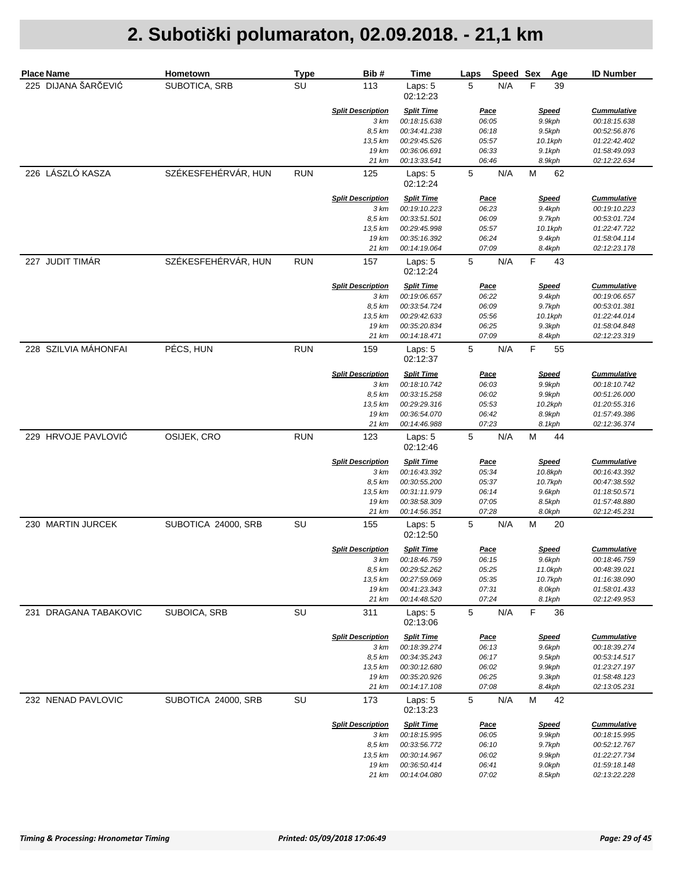| <b>Place Name</b>     | Hometown            | <b>Type</b> | Bib#                     | Time                          | Speed Sex<br>Laps  | Age               | <b>ID Number</b>             |
|-----------------------|---------------------|-------------|--------------------------|-------------------------------|--------------------|-------------------|------------------------------|
| 225 DIJANA ŠARČEVIĆ   | SUBOTICA, SRB       | SU          | 113                      | Laps: 5<br>02:12:23           | 5<br>N/A           | F<br>39           |                              |
|                       |                     |             | <b>Split Description</b> | <b>Split Time</b>             | <u>Pace</u>        | <b>Speed</b>      | <b>Cummulative</b>           |
|                       |                     |             | 3 km                     | 00:18:15.638                  | 06:05              | 9.9kph            | 00:18:15.638                 |
|                       |                     |             | 8,5 km                   | 00:34:41.238                  | 06:18              | 9.5kph            | 00:52:56.876                 |
|                       |                     |             | 13,5 km<br>19 km         | 00:29:45.526<br>00:36:06.691  | 05:57<br>06:33     | 10.1kph           | 01:22:42.402<br>01:58:49.093 |
|                       |                     |             | 21 km                    | 00:13:33.541                  | 06:46              | 9.1kph<br>8.9kph  | 02:12:22.634                 |
| LÁSZLÓ KASZA<br>226   | SZÉKESFEHÉRVÁR, HUN | <b>RUN</b>  | 125                      |                               | 5<br>N/A           | M<br>62           |                              |
|                       |                     |             |                          | Laps: 5<br>02:12:24           |                    |                   |                              |
|                       |                     |             | <b>Split Description</b> | <b>Split Time</b>             | <u>Pace</u>        | <b>Speed</b>      | <b>Cummulative</b>           |
|                       |                     |             | 3 km<br>8,5 km           | 00:19:10.223<br>00:33:51.501  | 06:23<br>06:09     | 9.4kph<br>9.7kph  | 00:19:10.223<br>00:53:01.724 |
|                       |                     |             | 13,5 km                  | 00:29:45.998                  | 05:57              | 10.1kph           | 01:22:47.722                 |
|                       |                     |             | 19 km                    | 00:35:16.392                  | 06:24              | 9.4kph            | 01:58:04.114                 |
|                       |                     |             | 21 km                    | 00:14:19.064                  | 07:09              | 8.4kph            | 02:12:23.178                 |
| 227 JUDIT TIMÁR       | SZÉKESFEHÉRVÁR, HUN | <b>RUN</b>  | 157                      | Laps: 5<br>02:12:24           | 5<br>N/A           | F<br>43           |                              |
|                       |                     |             | <b>Split Description</b> | <b>Split Time</b>             | <u>Pace</u>        | <u>Speed</u>      | <b>Cummulative</b>           |
|                       |                     |             | 3 km                     | 00:19:06.657                  | 06:22              | 9.4kph            | 00:19:06.657                 |
|                       |                     |             | 8,5 km                   | 00:33:54.724                  | 06:09              | 9.7kph            | 00:53:01.381                 |
|                       |                     |             | 13,5 km                  | 00:29:42.633                  | 05:56              | 10.1kph           | 01:22:44.014                 |
|                       |                     |             | 19 km                    | 00:35:20.834                  | 06:25              | 9.3kph            | 01:58:04.848                 |
|                       |                     |             | 21 km                    | 00:14:18.471                  | 07:09              | 8.4kph            | 02:12:23.319                 |
| 228 SZILVIA MÁHONFAI  | PÉCS, HUN           | <b>RUN</b>  | 159                      | Laps: 5<br>02:12:37           | 5<br>N/A           | F<br>55           |                              |
|                       |                     |             | <b>Split Description</b> | <b>Split Time</b>             | <u>Pace</u>        | <b>Speed</b>      | <b>Cummulative</b>           |
|                       |                     |             | 3 km                     | 00:18:10.742                  | 06:03              | 9.9kph            | 00:18:10.742                 |
|                       |                     |             | 8,5 km                   | 00:33:15.258                  | 06:02              | 9.9kph            | 00:51:26.000                 |
|                       |                     |             | 13,5 km                  | 00:29:29.316                  | 05:53              | 10.2kph           | 01:20:55.316                 |
|                       |                     |             | 19 km<br>21 km           | 00:36:54.070<br>00:14:46.988  | 06:42<br>07:23     | 8.9kph            | 01:57:49.386<br>02:12:36.374 |
| 229 HRVOJE PAVLOVIĆ   | OSIJEK, CRO         | <b>RUN</b>  | 123                      | Laps: 5                       | $\mathbf 5$<br>N/A | 8.1kph<br>M<br>44 |                              |
|                       |                     |             | <b>Split Description</b> | 02:12:46<br><b>Split Time</b> | <u>Pace</u>        | <b>Speed</b>      | <b>Cummulative</b>           |
|                       |                     |             | 3 km                     | 00:16:43.392                  | 05:34              | 10.8kph           | 00:16:43.392                 |
|                       |                     |             | 8,5 km                   | 00:30:55.200                  | 05:37              | 10.7kph           | 00:47:38.592                 |
|                       |                     |             | 13,5 km                  | 00:31:11.979                  | 06:14              | 9.6kph            | 01:18:50.571                 |
|                       |                     |             | 19 km                    | 00:38:58.309                  | 07:05              | 8.5kph            | 01:57:48.880                 |
|                       |                     |             | 21 km                    | 00:14:56.351                  | 07:28              | 8.0kph            | 02:12:45.231                 |
| 230 MARTIN JURCEK     | SUBOTICA 24000, SRB | SU          | 155                      | Laps: 5<br>02:12:50           | 5<br>N/A           | M<br>20           |                              |
|                       |                     |             | <b>Split Description</b> | <b>Split Time</b>             | <u>Pace</u>        | <b>Speed</b>      | <b>Cummulative</b>           |
|                       |                     |             | 3 km                     | 00:18:46.759                  | 06:15              | 9.6kph            | 00:18:46.759                 |
|                       |                     |             | 8,5 km                   | 00:29:52.262                  | 05:25              | 11.0kph           | 00:48:39.021                 |
|                       |                     |             | 13,5 km                  | 00:27:59.069                  | 05:35              | 10.7kph           | 01:16:38.090                 |
|                       |                     |             | 19 km                    | 00:41:23.343                  | 07:31              | 8.0kph            | 01:58:01.433                 |
|                       |                     |             | 21 km                    | 00:14:48.520                  | 07:24              | 8.1kph            | 02:12:49.953                 |
| 231 DRAGANA TABAKOVIC | SUBOICA, SRB        | SU          | 311                      | Laps: 5<br>02:13:06           | 5<br>N/A           | F<br>36           |                              |
|                       |                     |             | <b>Split Description</b> | <b>Split Time</b>             | <u>Pace</u>        | <b>Speed</b>      | <b>Cummulative</b>           |
|                       |                     |             | 3 km                     | 00:18:39.274                  | 06:13              | 9.6kph            | 00:18:39.274                 |
|                       |                     |             | 8,5 km                   | 00:34:35.243                  | 06:17              | 9.5kph            | 00:53:14.517                 |
|                       |                     |             | 13,5 km                  | 00:30:12.680                  | 06:02              | 9.9kph            | 01:23:27.197                 |
|                       |                     |             | 19 km<br>21 km           | 00:35:20.926<br>00:14:17.108  | 06:25<br>07:08     | 9.3kph<br>8.4kph  | 01:58:48.123<br>02:13:05.231 |
|                       |                     |             |                          |                               |                    |                   |                              |
| 232 NENAD PAVLOVIC    | SUBOTICA 24000, SRB | SU          | 173                      | Laps: 5<br>02:13:23           | 5<br>N/A           | M<br>42           |                              |
|                       |                     |             | <b>Split Description</b> | <b>Split Time</b>             | <u>Pace</u>        | <u>Speed</u>      | <b>Cummulative</b>           |
|                       |                     |             | 3 km                     | 00:18:15.995                  | 06:05              | 9.9kph            | 00:18:15.995                 |
|                       |                     |             | 8,5 km                   | 00:33:56.772                  | 06:10              | 9.7kph            | 00:52:12.767                 |
|                       |                     |             | 13,5 km                  | 00:30:14.967                  | 06:02              | 9.9kph            | 01:22:27.734                 |
|                       |                     |             | 19 km<br>21 km           | 00:36:50.414<br>00:14:04.080  | 06:41<br>07:02     | 9.0kph            | 01:59:18.148<br>02:13:22.228 |
|                       |                     |             |                          |                               |                    | 8.5kph            |                              |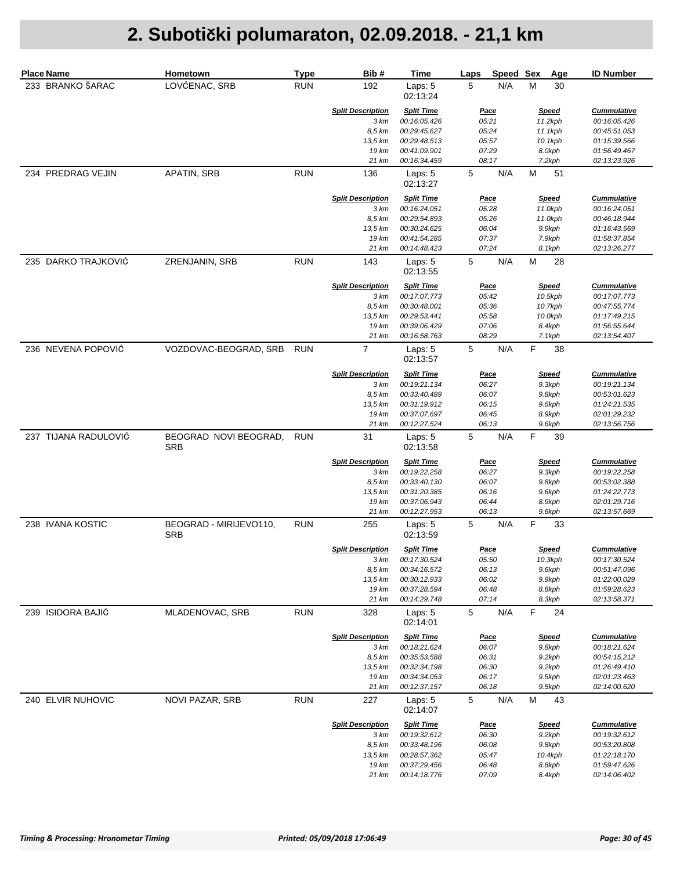| Place Name           | Hometown                             | <b>Type</b> | Bib#                     | Time                         | Laps | Speed Sex            |   | Age                    | <b>ID Number</b>             |
|----------------------|--------------------------------------|-------------|--------------------------|------------------------------|------|----------------------|---|------------------------|------------------------------|
| 233 BRANKO ŠARAC     | LOVĆENAC, SRB                        | <b>RUN</b>  | 192                      | Laps: 5<br>02:13:24          | 5    | N/A                  | М | 30                     |                              |
|                      |                                      |             | <b>Split Description</b> | <b>Split Time</b>            |      | <b>Pace</b>          |   | <b>Speed</b>           | <b>Cummulative</b>           |
|                      |                                      |             | 3 km                     | 00:16:05.426                 |      | 05:21                |   | 11.2kph                | 00:16:05.426                 |
|                      |                                      |             | 8,5 km                   | 00:29:45.627                 |      | 05:24                |   | 11.1kph                | 00:45:51.053                 |
|                      |                                      |             | 13,5 km<br>19 km         | 00:29:48.513<br>00:41:09.901 |      | 05:57<br>07:29       |   | 10.1kph<br>8.0kph      | 01:15:39.566<br>01:56:49.467 |
|                      |                                      |             | 21 km                    | 00:16:34.459                 |      | 08:17                |   | 7.2kph                 | 02:13:23.926                 |
| 234 PREDRAG VEJIN    | APATIN, SRB                          | <b>RUN</b>  | 136                      | Laps: 5<br>02:13:27          | 5    | N/A                  | M | 51                     |                              |
|                      |                                      |             | <b>Split Description</b> | <b>Split Time</b>            |      | <b>Pace</b>          |   | <b>Speed</b>           | <b>Cummulative</b>           |
|                      |                                      |             | 3 km<br>8,5 km           | 00:16:24.051<br>00:29:54.893 |      | 05:28<br>05:26       |   | 11.0kph<br>11.0kph     | 00:16:24.051<br>00:46:18.944 |
|                      |                                      |             | 13,5 km                  | 00:30:24.625                 |      | 06:04                |   | 9.9kph                 | 01:16:43.569                 |
|                      |                                      |             | 19 km                    | 00:41:54.285                 |      | 07:37                |   | 7.9kph                 | 01:58:37.854                 |
|                      |                                      |             | 21 km                    | 00:14:48.423                 |      | 07:24                |   | 8.1kph                 | 02:13:26.277                 |
| 235 DARKO TRAJKOVIĆ  | ZRENJANIN, SRB                       | <b>RUN</b>  | 143                      | Laps: 5<br>02:13:55          | 5    | N/A                  | M | 28                     |                              |
|                      |                                      |             | <b>Split Description</b> | <b>Split Time</b>            |      | <u>Pace</u>          |   | <b>Speed</b>           | <b>Cummulative</b>           |
|                      |                                      |             | 3 km                     | 00:17:07.773                 |      | 05:42                |   | 10.5kph                | 00:17:07.773                 |
|                      |                                      |             | 8,5 km                   | 00:30:48.001                 |      | 05:36                |   | 10.7kph                | 00:47:55.774                 |
|                      |                                      |             | 13.5 km                  | 00:29:53.441                 |      | 05:58                |   | 10.0kph                | 01:17:49.215                 |
|                      |                                      |             | 19 km<br>21 km           | 00:39:06.429<br>00:16:58.763 |      | 07:06<br>08:29       |   | 8.4kph<br>7.1kph       | 01:56:55.644<br>02:13:54.407 |
| 236 NEVENA POPOVIĆ   | VOZDOVAC-BEOGRAD, SRB                | <b>RUN</b>  | $\overline{7}$           | Laps: 5<br>02:13:57          | 5    | N/A                  | F | 38                     |                              |
|                      |                                      |             | <b>Split Description</b> | <b>Split Time</b>            |      |                      |   |                        | <b>Cummulative</b>           |
|                      |                                      |             | 3 km                     | 00:19:21.134                 |      | <u>Pace</u><br>06:27 |   | <u>Speed</u><br>9.3kph | 00:19:21.134                 |
|                      |                                      |             | 8,5 km                   | 00:33:40.489                 |      | 06:07                |   | 9.8kph                 | 00:53:01.623                 |
|                      |                                      |             | 13,5 km                  | 00:31:19.912                 |      | 06:15                |   | 9.6kph                 | 01:24:21.535                 |
|                      |                                      |             | 19 km                    | 00:37:07.697                 |      | 06:45                |   | 8.9kph                 | 02:01:29.232                 |
|                      |                                      |             | 21 km                    | 00:12:27.524                 |      | 06:13                |   | 9.6kph                 | 02:13:56.756                 |
| 237 TIJANA RADULOVIĆ | BEOGRAD NOVI BEOGRAD,<br><b>SRB</b>  | <b>RUN</b>  | 31                       | Laps: 5<br>02:13:58          | 5    | N/A                  | F | 39                     |                              |
|                      |                                      |             | <b>Split Description</b> | <b>Split Time</b>            |      | <u>Pace</u>          |   | <b>Speed</b>           | <b>Cummulative</b>           |
|                      |                                      |             | 3 km                     | 00:19:22.258                 |      | 06:27                |   | 9.3kph                 | 00:19:22.258                 |
|                      |                                      |             | 8,5 km                   | 00:33:40.130                 |      | 06:07                |   | 9.8kph                 | 00:53:02.388                 |
|                      |                                      |             | 13,5 km<br>19 km         | 00:31:20.385<br>00:37:06.943 |      | 06:16                |   | 9.6kph                 | 01:24:22.773<br>02:01:29.716 |
|                      |                                      |             | 21 km                    | 00:12:27.953                 |      | 06:44<br>06:13       |   | 8.9kph<br>9.6kph       | 02:13:57.669                 |
| 238 IVANA KOSTIC     | BEOGRAD - MIRIJEVO110,<br><b>SRB</b> | <b>RUN</b>  | 255                      | Laps: 5<br>02:13:59          | 5    | N/A                  | F | 33                     |                              |
|                      |                                      |             | <b>Split Description</b> | <b>Split Time</b>            |      | <b>Pace</b>          |   | <b>Speed</b>           | <b>Cummulative</b>           |
|                      |                                      |             | 3 km                     | 00:17:30.524                 |      | 05:50                |   | 10.3kph                | 00:17:30.524                 |
|                      |                                      |             | 8,5 km                   | 00:34:16.572                 |      | 06:13                |   | 9.6kph                 | 00:51:47.096                 |
|                      |                                      |             | 13.5 km                  | 00:30:12.933                 |      | 06:02                |   | 9.9kph                 | 01:22:00.029                 |
|                      |                                      |             | 19 km                    | 00:37:28.594                 |      | 06:48                |   | 8.8kph                 | 01:59:28.623                 |
|                      |                                      |             | 21 km                    | 00:14:29.748                 |      | 07:14                |   | 8.3kph                 | 02:13:58.371                 |
| 239 ISIDORA BAJIĆ    | MLADENOVAC, SRB                      | <b>RUN</b>  | 328                      | Laps: 5<br>02:14:01          | 5    | N/A                  | F | 24                     |                              |
|                      |                                      |             | <b>Split Description</b> | <b>Split Time</b>            |      | <u>Pace</u>          |   | <b>Speed</b>           | <b>Cummulative</b>           |
|                      |                                      |             | 3 km                     | 00:18:21.624                 |      | 06:07                |   | 9.8kph                 | 00:18:21.624                 |
|                      |                                      |             | 8,5 km                   | 00:35:53.588                 |      | 06:31                |   | 9.2kph                 | 00:54:15.212                 |
|                      |                                      |             | 13,5 km<br>19 km         | 00:32:34.198<br>00:34:34.053 |      | 06:30<br>06:17       |   | 9.2kph<br>9.5kph       | 01:26:49.410<br>02:01:23.463 |
|                      |                                      |             | 21 km                    | 00:12:37.157                 |      | 06:18                |   | 9.5kph                 | 02:14:00.620                 |
| 240 ELVIR NUHOVIC    | <b>NOVI PAZAR, SRB</b>               | <b>RUN</b>  | 227                      | Laps: 5                      | 5    | N/A                  | M | 43                     |                              |
|                      |                                      |             |                          | 02:14:07                     |      |                      |   |                        |                              |
|                      |                                      |             | <b>Split Description</b> | <b>Split Time</b>            |      | <u>Pace</u>          |   | <u>Speed</u>           | <b>Cummulative</b>           |
|                      |                                      |             | 3 km                     | 00:19:32.612                 |      | 06:30                |   | 9.2kph                 | 00:19:32.612                 |
|                      |                                      |             | 8,5 km<br>13,5 km        | 00:33:48.196<br>00:28:57.362 |      | 06:08<br>05:47       |   | 9.8kph<br>10.4kph      | 00:53:20.808<br>01:22:18.170 |
|                      |                                      |             | 19 km                    | 00:37:29.456                 |      | 06:48                |   | 8.8kph                 | 01:59:47.626                 |
|                      |                                      |             | 21 km                    | 00:14:18.776                 |      | 07:09                |   | 8.4kph                 | 02:14:06.402                 |
|                      |                                      |             |                          |                              |      |                      |   |                        |                              |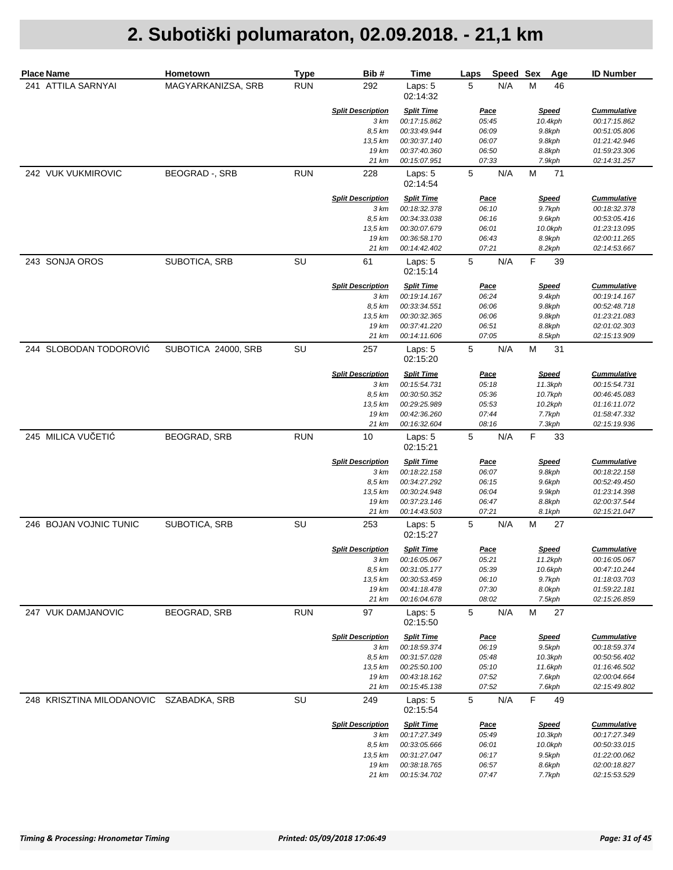| <b>Place Name</b>                       | Hometown              | <b>Type</b> | Bib#                             | Time                              | Speed Sex<br>Laps    | Age                    | <b>ID Number</b>                   |
|-----------------------------------------|-----------------------|-------------|----------------------------------|-----------------------------------|----------------------|------------------------|------------------------------------|
| 241 ATTILA SARNYAI                      | MAGYARKANIZSA, SRB    | <b>RUN</b>  | 292                              | Laps: 5<br>02:14:32               | N/A<br>5             | М<br>46                |                                    |
|                                         |                       |             | <b>Split Description</b>         | <b>Split Time</b>                 | <u>Pace</u>          | <b>Speed</b>           | <b>Cummulative</b>                 |
|                                         |                       |             | 3 km                             | 00:17:15.862                      | 05:45                | 10.4kph                | 00:17:15.862                       |
|                                         |                       |             | 8,5 km                           | 00:33:49.944                      | 06:09                | 9.8kph                 | 00:51:05.806                       |
|                                         |                       |             | 13,5 km<br>19 km                 | 00:30:37.140<br>00:37:40.360      | 06:07<br>06:50       | 9.8kph                 | 01:21:42.946<br>01:59:23.306       |
|                                         |                       |             | 21 km                            | 00:15:07.951                      | 07:33                | 8.8kph<br>7.9kph       | 02:14:31.257                       |
| 242 VUK VUKMIROVIC                      | <b>BEOGRAD</b> -, SRB | <b>RUN</b>  | 228                              |                                   | 5<br>N/A             | M<br>71                |                                    |
|                                         |                       |             |                                  | Laps: 5<br>02:14:54               |                      |                        |                                    |
|                                         |                       |             | <b>Split Description</b><br>3 km | <b>Split Time</b><br>00:18:32.378 | <u>Pace</u><br>06:10 | <b>Speed</b><br>9.7kph | <b>Cummulative</b><br>00:18:32.378 |
|                                         |                       |             | 8,5 km                           | 00:34:33.038                      | 06:16                | 9.6kph                 | 00:53:05.416                       |
|                                         |                       |             | 13,5 km                          | 00:30:07.679                      | 06:01                | 10.0kph                | 01:23:13.095                       |
|                                         |                       |             | 19 km                            | 00:36:58.170                      | 06:43                | 8.9kph                 | 02:00:11.265                       |
|                                         |                       |             | 21 km                            | 00:14:42.402                      | 07:21                | 8.2kph                 | 02:14:53.667                       |
| 243 SONJA OROS                          | SUBOTICA, SRB         | SU          | 61                               | Laps: 5<br>02:15:14               | 5<br>N/A             | F<br>39                |                                    |
|                                         |                       |             | <b>Split Description</b>         | <b>Split Time</b>                 | <u>Pace</u>          | <u>Speed</u>           | <b>Cummulative</b>                 |
|                                         |                       |             | 3 km                             | 00:19:14.167                      | 06:24                | 9.4kph                 | 00:19:14.167                       |
|                                         |                       |             | 8,5 km                           | 00:33:34.551                      | 06:06                | 9.8kph                 | 00:52:48.718                       |
|                                         |                       |             | 13,5 km                          | 00:30:32.365                      | 06:06                | 9.8kph                 | 01:23:21.083                       |
|                                         |                       |             | 19 km                            | 00:37:41.220                      | 06:51                | 8.8kph                 | 02:01:02.303                       |
|                                         |                       |             | 21 km                            | 00:14:11.606                      | 07:05                | 8.5kph                 | 02:15:13.909                       |
| 244 SLOBODAN TODOROVIĆ                  | SUBOTICA 24000, SRB   | SU          | 257                              | Laps: 5<br>02:15:20               | 5<br>N/A             | M<br>31                |                                    |
|                                         |                       |             | <b>Split Description</b>         | <b>Split Time</b>                 | <u>Pace</u>          | <b>Speed</b>           | <b>Cummulative</b>                 |
|                                         |                       |             | 3 km                             | 00:15:54.731                      | 05:18                | 11.3kph                | 00:15:54.731                       |
|                                         |                       |             | 8,5 km                           | 00:30:50.352                      | 05:36                | 10.7kph                | 00:46:45.083                       |
|                                         |                       |             | 13,5 km                          | 00:29:25.989                      | 05:53                | 10.2kph                | 01:16:11.072                       |
|                                         |                       |             | 19 km                            | 00:42:36.260                      | 07:44                | 7.7kph                 | 01:58:47.332                       |
|                                         |                       |             | 21 km                            | 00:16:32.604                      | 08:16                | 7.3kph                 | 02:15:19.936                       |
| 245 MILICA VUČETIĆ                      | BEOGRAD, SRB          | <b>RUN</b>  | 10                               | Laps: 5<br>02:15:21               | $\mathbf 5$<br>N/A   | F<br>33                |                                    |
|                                         |                       |             | <b>Split Description</b>         | <b>Split Time</b>                 | <u>Pace</u>          | <u>Speed</u>           | <b>Cummulative</b>                 |
|                                         |                       |             | 3 km                             | 00:18:22.158                      | 06:07                | 9.8kph                 | 00:18:22.158                       |
|                                         |                       |             | 8,5 km                           | 00:34:27.292                      | 06:15                | 9.6kph                 | 00:52:49.450                       |
|                                         |                       |             | 13,5 km                          | 00:30:24.948                      | 06:04                | 9.9kph                 | 01:23:14.398                       |
|                                         |                       |             | 19 km<br>21 km                   | 00:37:23.146<br>00:14:43.503      | 06:47<br>07:21       | 8.8kph                 | 02:00:37.544<br>02:15:21.047       |
| 246 BOJAN VOJNIC TUNIC                  | SUBOTICA, SRB         | SU          | 253                              | Laps: 5                           | 5<br>N/A             | 8.1kph<br>M<br>27      |                                    |
|                                         |                       |             |                                  | 02:15:27                          |                      |                        |                                    |
|                                         |                       |             | <b>Split Description</b>         | <b>Split Time</b>                 | <u>Pace</u>          | <b>Speed</b>           | <b>Cummulative</b>                 |
|                                         |                       |             | 3 km<br>8,5 km                   | 00:16:05.067<br>00:31:05.177      | 05:21<br>05:39       | 11.2kph<br>10.6kph     | 00:16:05.067<br>00:47:10.244       |
|                                         |                       |             | 13,5 km                          | 00:30:53.459                      | 06:10                | 9.7kph                 | 01:18:03.703                       |
|                                         |                       |             | 19 km                            | 00:41:18.478                      | 07:30                | 8.0kph                 | 01:59:22.181                       |
|                                         |                       |             | 21 km                            | 00:16:04.678                      | 08:02                | 7.5kph                 | 02:15:26.859                       |
| 247 VUK DAMJANOVIC                      | BEOGRAD, SRB          | <b>RUN</b>  | 97                               | Laps: 5<br>02:15:50               | 5<br>N/A             | M<br>27                |                                    |
|                                         |                       |             | <b>Split Description</b>         | <b>Split Time</b>                 | <u>Pace</u>          | <b>Speed</b>           | <b>Cummulative</b>                 |
|                                         |                       |             | 3 km                             | 00:18:59.374                      | 06:19                | 9.5kph                 | 00:18:59.374                       |
|                                         |                       |             | 8,5 km                           | 00:31:57.028                      | 05:48                | 10.3kph                | 00:50:56.402                       |
|                                         |                       |             | 13,5 km                          | 00:25:50.100                      | 05:10                | 11.6kph                | 01:16:46.502                       |
|                                         |                       |             | 19 km                            | 00:43:18.162                      | 07:52                | 7.6kph                 | 02:00:04.664                       |
|                                         |                       |             | 21 km                            | 00:15:45.138                      | 07:52                | 7.6kph                 | 02:15:49.802                       |
| 248 KRISZTINA MILODANOVIC SZABADKA, SRB |                       | SU          | 249                              | Laps: 5<br>02:15:54               | 5<br>N/A             | F<br>49                |                                    |
|                                         |                       |             | <b>Split Description</b>         | <b>Split Time</b>                 | <u>Pace</u>          | <b>Speed</b>           | <b>Cummulative</b>                 |
|                                         |                       |             | 3 km                             | 00:17:27.349                      | 05:49                | 10.3kph                | 00:17:27.349                       |
|                                         |                       |             | 8,5 km                           | 00:33:05.666                      | 06:01                | 10.0kph                | 00:50:33.015                       |
|                                         |                       |             | 13,5 km                          | 00:31:27.047                      | 06:17                | 9.5kph                 | 01:22:00.062                       |
|                                         |                       |             | 19 km<br>21 km                   | 00:38:18.765<br>00:15:34.702      | 06:57<br>07:47       | 8.6kph                 | 02:00:18.827<br>02:15:53.529       |
|                                         |                       |             |                                  |                                   |                      | 7.7kph                 |                                    |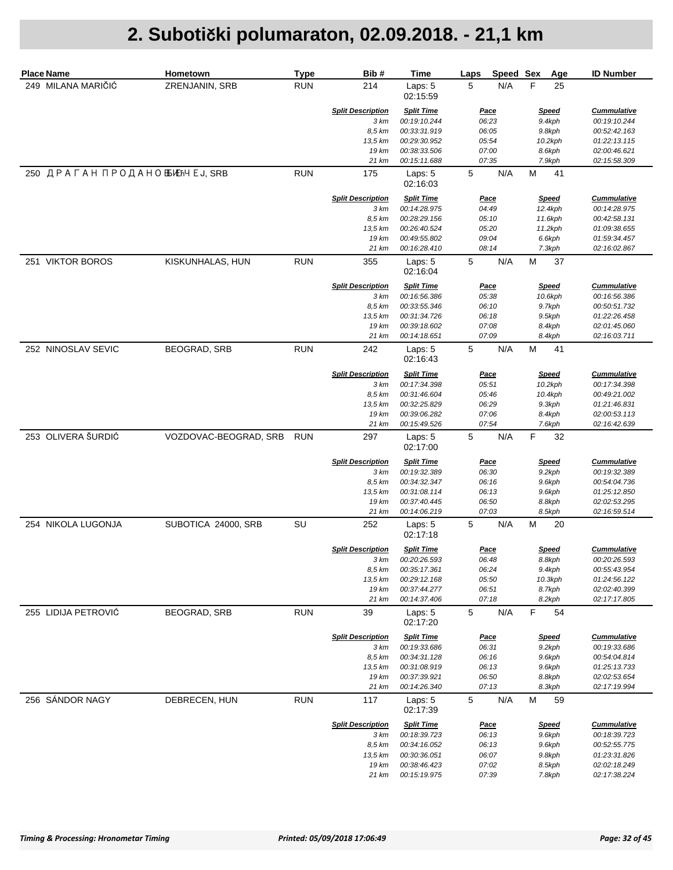| <b>Place Name</b>                 | Hometown              | <b>Type</b> | Bib#                     | Time                         | Laps        | Speed Sex      |             | Age                | <b>ID Number</b>             |
|-----------------------------------|-----------------------|-------------|--------------------------|------------------------------|-------------|----------------|-------------|--------------------|------------------------------|
| 249 MILANA MARIČIĆ                | ZRENJANIN, SRB        | <b>RUN</b>  | 214                      | Laps: 5<br>02:15:59          | 5           | N/A            | F           | 25                 |                              |
|                                   |                       |             | <b>Split Description</b> | <b>Split Time</b>            |             | <b>Pace</b>    |             | <u>Speed</u>       | <b>Cummulative</b>           |
|                                   |                       |             | 3 km                     | 00:19:10.244                 |             | 06:23          |             | 9.4kph             | 00:19:10.244                 |
|                                   |                       |             | 8,5 km                   | 00:33:31.919                 |             | 06:05          |             | 9.8kph             | 00:52:42.163                 |
|                                   |                       |             | 13,5 km<br>19 km         | 00:29:30.952<br>00:38:33.506 |             | 05:54<br>07:00 |             | 10.2kph<br>8.6kph  | 01:22:13.115<br>02:00:46.621 |
|                                   |                       |             | 21 km                    | 00:15:11.688                 |             | 07:35          |             | 7.9kph             | 02:15:58.309                 |
| 250 ДРАГАН ПРОДАНО БЫЕЋЧ Е Ј, SRB |                       | <b>RUN</b>  | 175                      | Laps: 5<br>02:16:03          | 5           | N/A            | M           | 41                 |                              |
|                                   |                       |             | <b>Split Description</b> | <b>Split Time</b>            |             | <b>Pace</b>    |             | <b>Speed</b>       | <b>Cummulative</b>           |
|                                   |                       |             | 3 km                     | 00:14:28.975                 |             | 04:49          |             | 12.4kph            | 00:14:28.975                 |
|                                   |                       |             | 8,5 km<br>13,5 km        | 00:28:29.156<br>00:26:40.524 |             | 05:10<br>05:20 |             | 11.6kph<br>11.2kph | 00:42:58.131<br>01:09:38.655 |
|                                   |                       |             | 19 km                    | 00:49:55.802                 |             | 09:04          |             | 6.6kph             | 01:59:34.457                 |
|                                   |                       |             | 21 km                    | 00:16:28.410                 |             | 08:14          |             | 7.3kph             | 02:16:02.867                 |
| 251 VIKTOR BOROS                  | KISKUNHALAS, HUN      | <b>RUN</b>  | 355                      | Laps: 5<br>02:16:04          | 5           | N/A            | M           | 37                 |                              |
|                                   |                       |             | <b>Split Description</b> | <b>Split Time</b>            |             | <u>Pace</u>    |             | <b>Speed</b>       | <b>Cummulative</b>           |
|                                   |                       |             | 3 km                     | 00:16:56.386                 |             | 05:38          |             | 10.6kph            | 00:16:56.386                 |
|                                   |                       |             | 8,5 km                   | 00:33:55.346                 |             | 06:10          |             | 9.7kph             | 00:50:51.732                 |
|                                   |                       |             | 13,5 km                  | 00:31:34.726                 |             | 06:18          |             | 9.5kph             | 01:22:26.458                 |
|                                   |                       |             | 19 km                    | 00:39:18.602                 |             | 07:08          |             | 8.4kph             | 02:01:45.060                 |
|                                   |                       |             | 21 km                    | 00:14:18.651                 |             | 07:09          |             | 8.4kph             | 02:16:03.711                 |
| 252 NINOSLAV SEVIC                | <b>BEOGRAD, SRB</b>   | <b>RUN</b>  | 242                      | Laps: 5<br>02:16:43          | 5           | N/A            | M           | 41                 |                              |
|                                   |                       |             | <b>Split Description</b> | <b>Split Time</b>            |             | <u>Pace</u>    |             | <b>Speed</b>       | <b>Cummulative</b>           |
|                                   |                       |             | 3 km                     | 00:17:34.398                 |             | 05:51          |             | 10.2kph            | 00:17:34.398                 |
|                                   |                       |             | 8,5 km                   | 00:31:46.604                 |             | 05:46          |             | 10.4kph            | 00:49:21.002                 |
|                                   |                       |             | 13,5 km                  | 00:32:25.829                 |             | 06:29          |             | 9.3kph             | 01:21:46.831                 |
|                                   |                       |             | 19 km<br>21 km           | 00:39:06.282<br>00:15:49.526 |             | 07:06<br>07:54 |             | 8.4kph<br>7.6kph   | 02:00:53.113<br>02:16:42.639 |
| 253 OLIVERA ŠURDIĆ                | VOZDOVAC-BEOGRAD, SRB | <b>RUN</b>  | 297                      | Laps: 5<br>02:17:00          | $\mathbf 5$ | N/A            | $\mathsf F$ | 32                 |                              |
|                                   |                       |             | <b>Split Description</b> | <b>Split Time</b>            |             | <u>Pace</u>    |             | <b>Speed</b>       | <b>Cummulative</b>           |
|                                   |                       |             | 3 km                     | 00:19:32.389                 |             | 06:30          |             | 9.2kph             | 00:19:32.389                 |
|                                   |                       |             | 8,5 km                   | 00:34:32.347                 |             | 06:16          |             | 9.6kph             | 00:54:04.736                 |
|                                   |                       |             | 13,5 km                  | 00:31:08.114                 |             | 06:13          |             | 9.6kph             | 01:25:12.850                 |
|                                   |                       |             | 19 km                    | 00:37:40.445                 |             | 06:50          |             | 8.8kph             | 02:02:53.295                 |
|                                   |                       |             | 21 km                    | 00:14:06.219                 |             | 07:03          |             | 8.5kph             | 02:16:59.514                 |
| 254 NIKOLA LUGONJA                | SUBOTICA 24000, SRB   | SU          | 252                      | Laps: 5<br>02:17:18          | 5           | N/A            | M           | 20                 |                              |
|                                   |                       |             | <b>Split Description</b> | <b>Split Time</b>            |             | <b>Pace</b>    |             | <b>Speed</b>       | <b>Cummulative</b>           |
|                                   |                       |             | 3 km                     | 00:20:26.593                 |             | 06:48          |             | 8.8kph             | 00:20:26.593                 |
|                                   |                       |             | 8,5 km                   | 00:35:17.361                 |             | 06:24          |             | 9.4kph             | 00:55:43.954                 |
|                                   |                       |             | 13,5 km<br>19 km         | 00:29:12.168<br>00:37:44.277 |             | 05:50<br>06:51 |             | 10.3kph<br>8.7kph  | 01:24:56.122<br>02:02:40.399 |
|                                   |                       |             | 21 km                    | 00:14:37.406                 |             | 07:18          |             | 8.2kph             | 02:17:17.805                 |
| 255 LIDIJA PETROVIĆ               | BEOGRAD, SRB          | <b>RUN</b>  | 39                       | Laps: 5<br>02:17:20          | 5           | N/A            | F           | 54                 |                              |
|                                   |                       |             | <b>Split Description</b> | <b>Split Time</b>            |             | <u>Pace</u>    |             | <b>Speed</b>       | <b>Cummulative</b>           |
|                                   |                       |             | 3 km                     | 00:19:33.686                 |             | 06:31          |             | 9.2kph             | 00:19:33.686                 |
|                                   |                       |             | 8,5 km                   | 00:34:31.128                 |             | 06:16          |             | 9.6kph             | 00:54:04.814                 |
|                                   |                       |             | 13,5 km<br>19 km         | 00:31:08.919<br>00:37:39.921 |             | 06:13<br>06:50 |             | 9.6kph<br>8.8kph   | 01:25:13.733<br>02:02:53.654 |
|                                   |                       |             | 21 km                    | 00:14:26.340                 |             | 07:13          |             | 8.3kph             | 02:17:19.994                 |
| 256 SÁNDOR NAGY                   | DEBRECEN, HUN         | <b>RUN</b>  | 117                      | Laps: 5                      | 5           | N/A            | M           | 59                 |                              |
|                                   |                       |             |                          | 02:17:39                     |             |                |             |                    |                              |
|                                   |                       |             | <b>Split Description</b> | <b>Split Time</b>            |             | <u>Pace</u>    |             | <u>Speed</u>       | <b>Cummulative</b>           |
|                                   |                       |             | 3 km                     | 00:18:39.723                 |             | 06:13          |             | 9.6kph             | 00:18:39.723<br>00:52:55.775 |
|                                   |                       |             | 8,5 km<br>13,5 km        | 00:34:16.052<br>00:30:36.051 |             | 06:13<br>06:07 |             | 9.6kph<br>9.8kph   | 01:23:31.826                 |
|                                   |                       |             | 19 km                    | 00:38:46.423                 |             | 07:02          |             | 8.5kph             | 02:02:18.249                 |
|                                   |                       |             | 21 km                    | 00:15:19.975                 |             | 07:39          |             | 7.8kph             | 02:17:38.224                 |
|                                   |                       |             |                          |                              |             |                |             |                    |                              |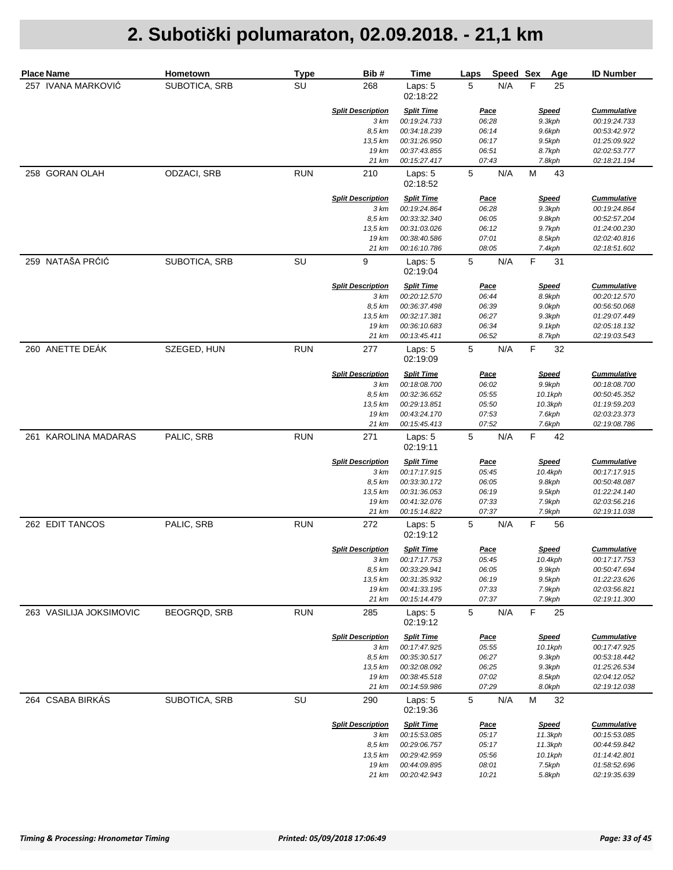| Place Name                     | Hometown      | <b>Type</b> | Bib#                             | Time                              | Speed Sex<br>Laps    | <u>Age</u>             | <b>ID Number</b>                   |
|--------------------------------|---------------|-------------|----------------------------------|-----------------------------------|----------------------|------------------------|------------------------------------|
| 257 IVANA MARKOVIĆ             | SUBOTICA, SRB | SU          | 268                              | Laps: 5<br>02:18:22               | 5<br>N/A             | F<br>25                |                                    |
|                                |               |             | <b>Split Description</b>         | <b>Split Time</b>                 | Pace                 | <b>Speed</b>           | <b>Cummulative</b>                 |
|                                |               |             | 3 km                             | 00:19:24.733                      | 06:28                | 9.3kph                 | 00:19:24.733                       |
|                                |               |             | 8,5 km<br>13,5 km                | 00:34:18.239<br>00:31:26.950      | 06:14<br>06:17       | 9.6kph<br>9.5kph       | 00:53:42.972<br>01:25:09.922       |
|                                |               |             | 19 km                            | 00:37:43.855                      | 06:51                | 8.7kph                 | 02:02:53.777                       |
|                                |               |             | 21 km                            | 00:15:27.417                      | 07:43                | 7.8kph                 | 02:18:21.194                       |
| <b>GORAN OLAH</b><br>258       | ODZACI, SRB   | <b>RUN</b>  | 210                              | Laps: 5<br>02:18:52               | 5<br>N/A             | M<br>43                |                                    |
|                                |               |             | <b>Split Description</b><br>3 km | <b>Split Time</b><br>00:19:24.864 | <b>Pace</b><br>06:28 | <b>Speed</b><br>9.3kph | <b>Cummulative</b><br>00:19:24.864 |
|                                |               |             | 8,5 km                           | 00:33:32.340                      | 06:05                | 9.8kph                 | 00:52:57.204                       |
|                                |               |             | 13,5 km                          | 00:31:03.026                      | 06:12                | 9.7kph                 | 01:24:00.230                       |
|                                |               |             | 19 km                            | 00:38:40.586                      | 07:01                | 8.5kph                 | 02:02:40.816                       |
|                                |               |             | 21 km                            | 00:16:10.786                      | 08:05                | 7.4kph                 | 02:18:51.602                       |
| 259 NATAŠA PRĆIĆ               | SUBOTICA, SRB | SU          | 9                                | Laps: 5<br>02:19:04               | 5<br>N/A             | F<br>31                |                                    |
|                                |               |             | <b>Split Description</b>         | <b>Split Time</b>                 | <u>Pace</u>          | <b>Speed</b>           | <b>Cummulative</b>                 |
|                                |               |             | 3 km                             | 00:20:12.570                      | 06:44                | 8.9kph                 | 00:20:12.570                       |
|                                |               |             | 8,5 km                           | 00:36:37.498                      | 06:39                | 9.0kph                 | 00:56:50.068                       |
|                                |               |             | 13,5 km<br>19 km                 | 00:32:17.381                      | 06:27                | 9.3kph                 | 01:29:07.449                       |
|                                |               |             | 21 km                            | 00:36:10.683<br>00:13:45.411      | 06:34<br>06:52       | 9.1kph<br>8.7kph       | 02:05:18.132<br>02:19:03.543       |
| 260 ANETTE DEÁK                | SZEGED, HUN   | <b>RUN</b>  | 277                              | Laps: 5<br>02:19:09               | 5<br>N/A             | F<br>32                |                                    |
|                                |               |             | <b>Split Description</b>         | <b>Split Time</b>                 | <u>Pace</u>          | <b>Speed</b>           | <b>Cummulative</b>                 |
|                                |               |             | 3 km                             | 00:18:08.700                      | 06:02                | 9.9kph                 | 00:18:08.700                       |
|                                |               |             | 8,5 km                           | 00:32:36.652                      | 05:55                | 10.1kph                | 00:50:45.352                       |
|                                |               |             | 13,5 km                          | 00:29:13.851                      | 05:50                | 10.3kph                | 01:19:59.203                       |
|                                |               |             | 19 km                            | 00:43:24.170                      | 07:53                | 7.6kph                 | 02:03:23.373                       |
|                                |               |             | 21 km                            | 00:15:45.413                      | 07:52                | 7.6kph                 | 02:19:08.786                       |
| <b>KAROLINA MADARAS</b><br>261 | PALIC, SRB    | <b>RUN</b>  | 271                              | Laps: 5<br>02:19:11               | 5<br>N/A             | $\mathsf F$<br>42      |                                    |
|                                |               |             | <b>Split Description</b>         | <b>Split Time</b>                 | <u>Pace</u>          | <b>Speed</b>           | <b>Cummulative</b>                 |
|                                |               |             | 3 km                             | 00:17:17.915                      | 05:45                | 10.4kph                | 00:17:17.915                       |
|                                |               |             | 8,5 km<br>13,5 km                | 00:33:30.172<br>00:31:36.053      | 06:05                | 9.8kph                 | 00:50:48.087<br>01:22:24.140       |
|                                |               |             | 19 km                            | 00:41:32.076                      | 06:19<br>07:33       | 9.5kph<br>7.9kph       | 02:03:56.216                       |
|                                |               |             | 21 km                            | 00:15:14.822                      | 07:37                | 7.9kph                 | 02:19:11.038                       |
| 262 EDIT TANCOS                | PALIC, SRB    | <b>RUN</b>  | 272                              | Laps: 5<br>02:19:12               | 5<br>N/A             | F<br>56                |                                    |
|                                |               |             | <b>Split Description</b>         | <b>Split Time</b>                 | <b>Pace</b>          | <b>Speed</b>           | <b>Cummulative</b>                 |
|                                |               |             | 3 km                             | 00:17:17.753                      | 05:45                | 10.4kph                | 00:17:17.753                       |
|                                |               |             | 8,5 km                           | 00:33:29.941                      | 06:05                | 9.9kph                 | 00:50:47.694                       |
|                                |               |             | 13.5 km                          | 00:31:35.932                      | 06:19                | 9.5kph                 | 01:22:23.626                       |
|                                |               |             | 19 km                            | 00:41:33.195                      | 07:33                | 7.9kph                 | 02:03:56.821                       |
|                                |               |             | 21 km                            | 00:15:14.479                      | 07:37                | 7.9kph                 | 02:19:11.300                       |
| 263 VASILIJA JOKSIMOVIC        | BEOGRQD, SRB  | <b>RUN</b>  | 285                              | Laps: 5<br>02:19:12               | 5<br>N/A             | F<br>25                |                                    |
|                                |               |             | <b>Split Description</b>         | <b>Split Time</b>                 | <u>Pace</u>          | <b>Speed</b>           | <b>Cummulative</b>                 |
|                                |               |             | 3 km                             | 00:17:47.925                      | 05:55                | 10.1kph                | 00:17:47.925                       |
|                                |               |             | 8,5 km<br>13,5 km                | 00:35:30.517<br>00:32:08.092      | 06:27<br>06:25       | 9.3kph<br>9.3kph       | 00:53:18.442<br>01:25:26.534       |
|                                |               |             | 19 km                            | 00:38:45.518                      | 07:02                | 8.5kph                 | 02:04:12.052                       |
|                                |               |             | 21 km                            | 00:14:59.986                      | 07:29                | 8.0kph                 | 02:19:12.038                       |
| 264 CSABA BIRKÁS               | SUBOTICA, SRB | SU          | 290                              | Laps: 5<br>02:19:36               | 5<br>N/A             | M<br>32                |                                    |
|                                |               |             | <b>Split Description</b>         | <b>Split Time</b>                 | <u>Pace</u>          | <b>Speed</b>           | <b>Cummulative</b>                 |
|                                |               |             | 3 km                             | 00:15:53.085                      | 05:17                | 11.3kph                | 00:15:53.085                       |
|                                |               |             | 8,5 km                           | 00:29:06.757                      | 05:17                | 11.3kph                | 00:44:59.842                       |
|                                |               |             | 13,5 km                          | 00:29:42.959                      | 05:56                | 10.1kph                | 01:14:42.801                       |
|                                |               |             | 19 km                            | 00:44:09.895                      | 08:01                | 7.5kph                 | 01:58:52.696                       |
|                                |               |             | 21 km                            | 00:20:42.943                      | 10:21                | 5.8kph                 | 02:19:35.639                       |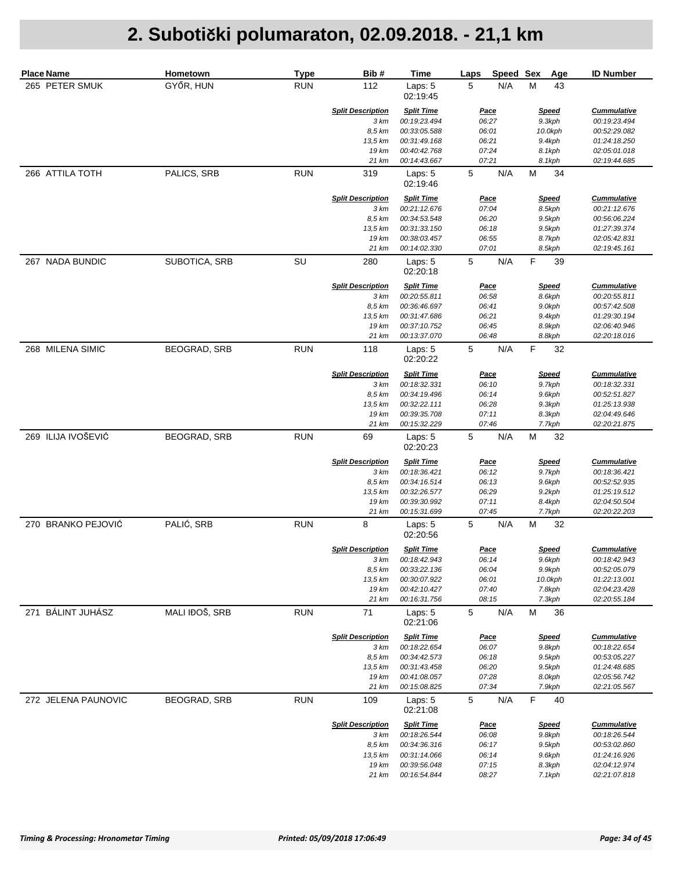| Place Name          | Hometown            | <b>Type</b> | Bib#                     | Time                          | Speed Sex<br>Laps | <b>Age</b>        | <b>ID Number</b>             |
|---------------------|---------------------|-------------|--------------------------|-------------------------------|-------------------|-------------------|------------------------------|
| 265 PETER SMUK      | GYŐR, HUN           | <b>RUN</b>  | 112                      | Laps: 5<br>02:19:45           | N/A<br>5          | М<br>43           |                              |
|                     |                     |             | <b>Split Description</b> | <b>Split Time</b>             | <b>Pace</b>       | <b>Speed</b>      | <b>Cummulative</b>           |
|                     |                     |             | 3 km                     | 00:19:23.494                  | 06:27             | 9.3kph            | 00:19:23.494                 |
|                     |                     |             | 8,5 km                   | 00:33:05.588                  | 06:01             | 10.0kph           | 00:52:29.082                 |
|                     |                     |             | 13,5 km<br>19 km         | 00:31:49.168<br>00:40:42.768  | 06:21<br>07:24    | 9.4kph<br>8.1kph  | 01:24:18.250<br>02:05:01.018 |
|                     |                     |             | 21 km                    | 00:14:43.667                  | 07:21             | 8.1kph            | 02:19:44.685                 |
| 266 ATTILA TOTH     | PALICS, SRB         | <b>RUN</b>  | 319                      | Laps: 5<br>02:19:46           | 5<br>N/A          | M<br>34           |                              |
|                     |                     |             | <b>Split Description</b> | <b>Split Time</b>             | <b>Pace</b>       | <b>Speed</b>      | <b>Cummulative</b>           |
|                     |                     |             | 3 km                     | 00:21:12.676                  | 07:04             | 8.5kph            | 00:21:12.676                 |
|                     |                     |             | 8,5 km                   | 00:34:53.548                  | 06:20             | 9.5kph            | 00:56:06.224                 |
|                     |                     |             | 13,5 km                  | 00:31:33.150                  | 06:18             | 9.5kph            | 01:27:39.374                 |
|                     |                     |             | 19 km<br>21 km           | 00:38:03.457<br>00:14:02.330  | 06:55<br>07:01    | 8.7kph<br>8.5kph  | 02:05:42.831<br>02:19:45.161 |
| 267 NADA BUNDIC     | SUBOTICA, SRB       | SU          | 280                      | Laps: 5                       | 5<br>N/A          | F<br>39           |                              |
|                     |                     |             | <b>Split Description</b> | 02:20:18<br><b>Split Time</b> | <u>Pace</u>       | <b>Speed</b>      | <b>Cummulative</b>           |
|                     |                     |             | 3 km                     | 00:20:55.811                  | 06:58             | 8.6kph            | 00:20:55.811                 |
|                     |                     |             | 8,5 km                   | 00:36:46.697                  | 06:41             | 9.0kph            | 00:57:42.508                 |
|                     |                     |             | 13,5 km                  | 00:31:47.686                  | 06:21             | 9.4kph            | 01:29:30.194                 |
|                     |                     |             | 19 km                    | 00:37:10.752                  | 06:45             | 8.9kph            | 02:06:40.946                 |
| 268 MILENA SIMIC    | <b>BEOGRAD, SRB</b> | <b>RUN</b>  | 21 km<br>118             | 00:13:37.070<br>Laps: 5       | 06:48<br>5<br>N/A | 8.8kph<br>F<br>32 | 02:20:18.016                 |
|                     |                     |             | <b>Split Description</b> | 02:20:22<br><b>Split Time</b> | <b>Pace</b>       | <b>Speed</b>      | <b>Cummulative</b>           |
|                     |                     |             | 3 km                     | 00:18:32.331                  | 06:10             | 9.7kph            | 00:18:32.331                 |
|                     |                     |             | 8,5 km                   | 00:34:19.496                  | 06:14             | 9.6kph            | 00:52:51.827                 |
|                     |                     |             | 13,5 km                  | 00:32:22.111                  | 06:28             | 9.3kph            | 01:25:13.938                 |
|                     |                     |             | 19 km                    | 00:39:35.708                  | 07:11             | 8.3kph            | 02:04:49.646                 |
| 269 ILIJA IVOŠEVIĆ  | <b>BEOGRAD, SRB</b> | <b>RUN</b>  | 21 km<br>69              | 00:15:32.229<br>Laps: 5       | 07:46<br>5<br>N/A | 7.7kph<br>M<br>32 | 02:20:21.875                 |
|                     |                     |             | <b>Split Description</b> | 02:20:23<br><b>Split Time</b> | <u>Pace</u>       | <b>Speed</b>      | <b>Cummulative</b>           |
|                     |                     |             | 3 km                     | 00:18:36.421                  | 06:12             | 9.7kph            | 00:18:36.421                 |
|                     |                     |             | 8,5 km                   | 00:34:16.514                  | 06:13             | 9.6kph            | 00:52:52.935                 |
|                     |                     |             | 13,5 km                  | 00:32:26.577                  | 06:29             | 9.2kph            | 01:25:19.512                 |
|                     |                     |             | 19 km                    | 00:39:30.992                  | 07:11             | 8.4kph            | 02:04:50.504                 |
| 270 BRANKO PEJOVIĆ  | PALIĆ, SRB          | <b>RUN</b>  | 21 km<br>8               | 00:15:31.699<br>Laps: 5       | 07:45<br>5<br>N/A | 7.7kph<br>M<br>32 | 02:20:22.203                 |
|                     |                     |             |                          | 02:20:56                      |                   |                   |                              |
|                     |                     |             | <b>Split Description</b> | <b>Split Time</b>             | <b>Pace</b>       | <b>Speed</b>      | <b>Cummulative</b>           |
|                     |                     |             | 3 km                     | 00:18:42.943                  | 06:14             | 9.6kph            | 00:18:42.943                 |
|                     |                     |             | 8,5 km<br>13,5 km        | 00:33:22.136<br>00:30:07.922  | 06:04<br>06:01    | 9.9kph<br>10.0kph | 00:52:05.079<br>01:22:13.001 |
|                     |                     |             | 19 km                    | 00:42:10.427                  | 07:40             | 7.8kph            | 02:04:23.428                 |
|                     |                     |             | 21 km                    | 00:16:31.756                  | 08:15             | 7.3kph            | 02:20:55.184                 |
| 271 BÁLINT JUHÁSZ   | MALI IĐOŠ, SRB      | <b>RUN</b>  | 71                       | Laps: 5<br>02:21:06           | 5<br>N/A          | M<br>36           |                              |
|                     |                     |             | <b>Split Description</b> | <b>Split Time</b>             | <u>Pace</u>       | <b>Speed</b>      | <b>Cummulative</b>           |
|                     |                     |             | 3 km                     | 00:18:22.654                  | 06:07             | 9.8kph            | 00:18:22.654                 |
|                     |                     |             | 8,5 km<br>13,5 km        | 00:34:42.573<br>00:31:43.458  | 06:18<br>06:20    | 9.5kph<br>9.5kph  | 00:53:05.227<br>01:24:48.685 |
|                     |                     |             | 19 km                    | 00:41:08.057                  | 07:28             | 8.0kph            | 02:05:56.742                 |
|                     |                     |             | 21 km                    | 00:15:08.825                  | 07:34             | 7.9kph            | 02:21:05.567                 |
| 272 JELENA PAUNOVIC | <b>BEOGRAD, SRB</b> | <b>RUN</b>  | 109                      | Laps: 5<br>02:21:08           | 5<br>N/A          | F<br>40           |                              |
|                     |                     |             | <b>Split Description</b> | <b>Split Time</b>             | <u>Pace</u>       | <b>Speed</b>      | <b>Cummulative</b>           |
|                     |                     |             | 3 km                     | 00:18:26.544                  | 06:08             | 9.8kph            | 00:18:26.544                 |
|                     |                     |             | 8,5 km                   | 00:34:36.316                  | 06:17             | 9.5kph            | 00:53:02.860                 |
|                     |                     |             | 13,5 km                  | 00:31:14.066                  | 06:14             | 9.6kph            | 01:24:16.926                 |
|                     |                     |             | 19 km<br>21 km           | 00:39:56.048<br>00:16:54.844  | 07:15<br>08:27    | 8.3kph<br>7.1kph  | 02:04:12.974<br>02:21:07.818 |
|                     |                     |             |                          |                               |                   |                   |                              |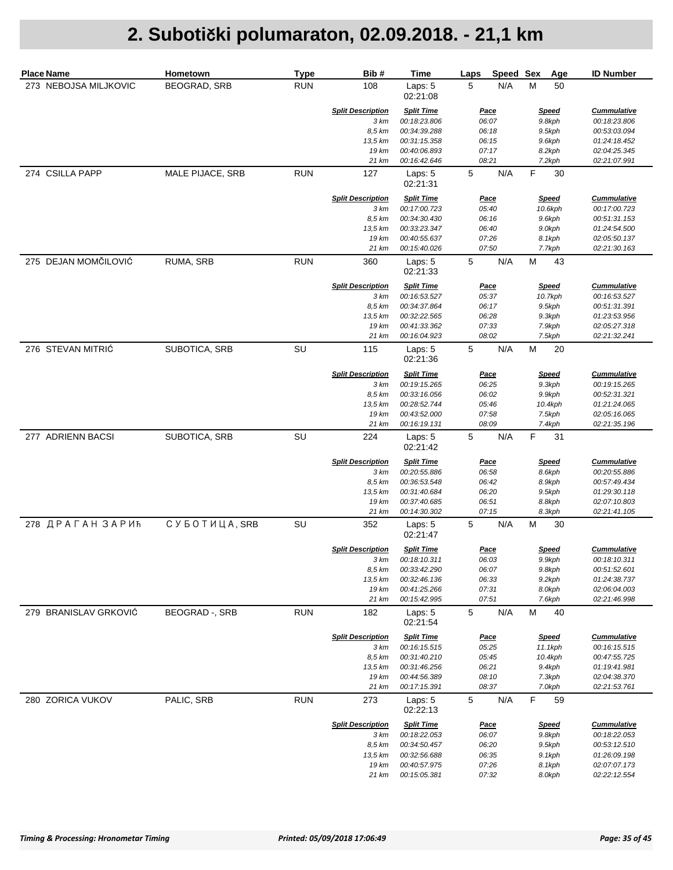| <b>Place Name</b>     | Hometown              | <b>Type</b> | Bib#                             | Time                              | Speed Sex<br>Laps | Age                     | <b>ID Number</b>                   |
|-----------------------|-----------------------|-------------|----------------------------------|-----------------------------------|-------------------|-------------------------|------------------------------------|
| 273 NEBOJSA MILJKOVIC | BEOGRAD, SRB          | <b>RUN</b>  | 108                              | Laps: 5<br>02:21:08               | 5<br>N/A          | M<br>50                 |                                    |
|                       |                       |             | <b>Split Description</b>         | <b>Split Time</b>                 | <b>Pace</b>       | <b>Speed</b>            | <b>Cummulative</b>                 |
|                       |                       |             | 3 km                             | 00:18:23.806                      | 06:07             | 9.8kph                  | 00:18:23.806                       |
|                       |                       |             | 8,5 km<br>13,5 km                | 00:34:39.288<br>00:31:15.358      | 06:18<br>06:15    | 9.5kph<br>9.6kph        | 00:53:03.094<br>01:24:18.452       |
|                       |                       |             | 19 km                            | 00:40:06.893                      | 07:17             | 8.2kph                  | 02:04:25.345                       |
|                       |                       |             | 21 km                            | 00:16:42.646                      | 08:21             | 7.2kph                  | 02:21:07.991                       |
| 274 CSILLA PAPP       | MALE PIJACE, SRB      | <b>RUN</b>  | 127                              | Laps: 5<br>02:21:31               | 5<br>N/A          | F<br>30                 |                                    |
|                       |                       |             | <b>Split Description</b><br>3 km | <b>Split Time</b><br>00:17:00.723 | Pace<br>05:40     | <b>Speed</b><br>10.6kph | <b>Cummulative</b><br>00:17:00.723 |
|                       |                       |             | 8,5 km                           | 00:34:30.430                      | 06:16             | 9.6kph                  | 00:51:31.153                       |
|                       |                       |             | 13,5 km                          | 00:33:23.347                      | 06:40             | 9.0kph                  | 01:24:54.500                       |
|                       |                       |             | 19 km                            | 00:40:55.637                      | 07:26             | 8.1kph                  | 02:05:50.137                       |
|                       |                       |             | 21 km                            | 00:15:40.026                      | 07:50             | 7.7kph                  | 02:21:30.163                       |
| 275 DEJAN MOMČILOVIĆ  | RUMA, SRB             | <b>RUN</b>  | 360                              | Laps: 5<br>02:21:33               | 5<br>N/A          | M<br>43                 |                                    |
|                       |                       |             | <b>Split Description</b>         | <b>Split Time</b>                 | <u>Pace</u>       | <b>Speed</b>            | <b>Cummulative</b>                 |
|                       |                       |             | 3 km                             | 00:16:53.527                      | 05:37             | 10.7kph                 | 00:16:53.527                       |
|                       |                       |             | 8,5 km                           | 00:34:37.864                      | 06:17             | 9.5kph                  | 00:51:31.391                       |
|                       |                       |             | 13,5 km<br>19 km                 | 00:32:22.565<br>00:41:33.362      | 06:28<br>07:33    | 9.3kph                  | 01:23:53.956<br>02:05:27.318       |
|                       |                       |             | 21 km                            | 00:16:04.923                      | 08:02             | 7.9kph<br>7.5kph        | 02:21:32.241                       |
| 276 STEVAN MITRIĆ     | SUBOTICA, SRB         | SU          | 115                              | Laps: 5<br>02:21:36               | 5<br>N/A          | M<br>20                 |                                    |
|                       |                       |             | <b>Split Description</b>         | <b>Split Time</b>                 | <u>Pace</u>       | <b>Speed</b>            | <b>Cummulative</b>                 |
|                       |                       |             | 3 km                             | 00:19:15.265                      | 06:25             | 9.3kph                  | 00:19:15.265                       |
|                       |                       |             | 8,5 km                           | 00:33:16.056                      | 06:02             | 9.9kph                  | 00:52:31.321                       |
|                       |                       |             | 13,5 km                          | 00:28:52.744                      | 05:46             | 10.4kph                 | 01:21:24.065                       |
|                       |                       |             | 19 km                            | 00:43:52.000                      | 07:58             | 7.5kph                  | 02:05:16.065                       |
|                       |                       |             | 21 km                            | 00:16:19.131                      | 08:09             | 7.4kph                  | 02:21:35.196                       |
| 277 ADRIENN BACSI     | SUBOTICA, SRB         | SU          | 224                              | Laps: 5<br>02:21:42               | 5<br>N/A          | F<br>31                 |                                    |
|                       |                       |             | <b>Split Description</b>         | <b>Split Time</b>                 | <u>Pace</u>       | <b>Speed</b>            | <b>Cummulative</b>                 |
|                       |                       |             | 3 km                             | 00:20:55.886                      | 06:58             | 8.6kph                  | 00:20:55.886                       |
|                       |                       |             | 8,5 km                           | 00:36:53.548                      | 06:42             | 8.9kph                  | 00:57:49.434                       |
|                       |                       |             | 13,5 km<br>19 km                 | 00:31:40.684<br>00:37:40.685      | 06:20<br>06:51    | 9.5kph<br>8.8kph        | 01:29:30.118<br>02:07:10.803       |
|                       |                       |             | 21 km                            | 00:14:30.302                      | 07:15             | 8.3kph                  | 02:21:41.105                       |
| 278 ДРАГАН ЗАРИЋ      | СУБОТИЦА, SRB         | SU          | 352                              | Laps: 5<br>02:21:47               | 5<br>N/A          | M<br>30                 |                                    |
|                       |                       |             | <b>Split Description</b>         | <b>Split Time</b>                 | Pace              | <b>Speed</b>            | <b>Cummulative</b>                 |
|                       |                       |             | 3 km                             | 00:18:10.311                      | 06:03             | 9.9kph                  | 00:18:10.311                       |
|                       |                       |             | 8,5 km                           | 00:33:42.290                      | 06:07             | 9.8kph                  | 00:51:52.601                       |
|                       |                       |             | 13,5 km                          | 00:32:46.136                      | 06:33             | 9.2kph                  | 01:24:38.737                       |
|                       |                       |             | 19 km                            | 00:41:25.266                      | 07:31             | 8.0kph                  | 02:06:04.003                       |
|                       |                       |             | 21 km                            | 00:15:42.995                      | 07:51             | 7.6kph                  | 02:21:46.998                       |
| 279 BRANISLAV GRKOVIĆ | <b>BEOGRAD -, SRB</b> | <b>RUN</b>  | 182                              | Laps: 5<br>02:21:54               | 5<br>N/A          | M<br>40                 |                                    |
|                       |                       |             | <b>Split Description</b>         | <b>Split Time</b>                 | <u>Pace</u>       | <b>Speed</b>            | <b>Cummulative</b>                 |
|                       |                       |             | 3 km                             | 00:16:15.515                      | 05:25             | 11.1kph                 | 00:16:15.515                       |
|                       |                       |             | 8,5 km                           | 00:31:40.210                      | 05:45             | 10.4kph                 | 00:47:55.725                       |
|                       |                       |             | 13,5 km                          | 00:31:46.256                      | 06:21<br>08:10    | 9.4kph                  | 01:19:41.981                       |
|                       |                       |             | 19 km<br>21 km                   | 00:44:56.389<br>00:17:15.391      | 08:37             | 7.3kph<br>7.0kph        | 02:04:38.370<br>02:21:53.761       |
| 280 ZORICA VUKOV      | PALIC, SRB            | <b>RUN</b>  | 273                              |                                   | 5<br>N/A          | F<br>59                 |                                    |
|                       |                       |             |                                  | Laps: 5<br>02:22:13               |                   |                         |                                    |
|                       |                       |             | <b>Split Description</b>         | <b>Split Time</b>                 | <u>Pace</u>       | <u>Speed</u>            | <b>Cummulative</b>                 |
|                       |                       |             | 3 km                             | 00:18:22.053                      | 06:07             | 9.8kph                  | 00:18:22.053                       |
|                       |                       |             | 8,5 km                           | 00:34:50.457                      | 06:20             | 9.5kph                  | 00:53:12.510                       |
|                       |                       |             | 13,5 km<br>19 km                 | 00:32:56.688<br>00:40:57.975      | 06:35<br>07:26    | 9.1kph<br>8.1kph        | 01:26:09.198<br>02:07:07.173       |
|                       |                       |             | 21 km                            | 00:15:05.381                      | 07:32             | 8.0kph                  | 02:22:12.554                       |
|                       |                       |             |                                  |                                   |                   |                         |                                    |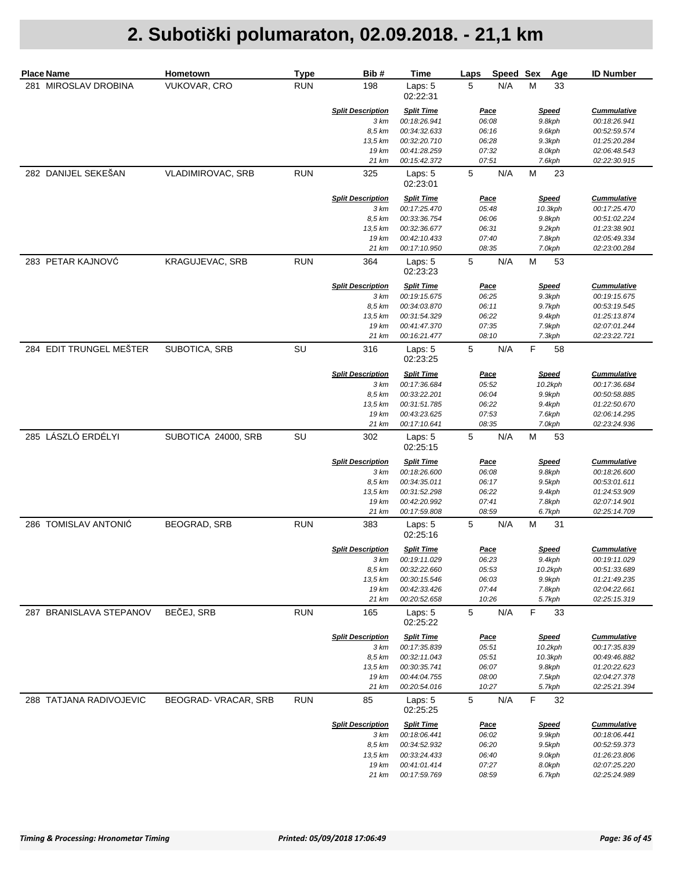| Place Name              | Hometown                 | <b>Type</b> | Bib#                             | Time                              | Laps                 | Speed Sex |   | Age                     | <b>ID Number</b>                   |
|-------------------------|--------------------------|-------------|----------------------------------|-----------------------------------|----------------------|-----------|---|-------------------------|------------------------------------|
| 281 MIROSLAV DROBINA    | <b>VUKOVAR, CRO</b>      | <b>RUN</b>  | 198                              | Laps: 5<br>02:22:31               | 5                    | N/A       | М | 33                      |                                    |
|                         |                          |             | <b>Split Description</b>         | <b>Split Time</b>                 | <b>Pace</b>          |           |   | <b>Speed</b>            | <b>Cummulative</b>                 |
|                         |                          |             | 3 km                             | 00:18:26.941                      | 06:08                |           |   | 9.8kph                  | 00:18:26.941                       |
|                         |                          |             | 8,5 km                           | 00:34:32.633                      | 06:16                |           |   | 9.6kph                  | 00:52:59.574                       |
|                         |                          |             | 13,5 km<br>19 km                 | 00:32:20.710<br>00:41:28.259      | 06:28<br>07:32       |           |   | 9.3kph<br>8.0kph        | 01:25:20.284<br>02:06:48.543       |
|                         |                          |             | 21 km                            | 00:15:42.372                      | 07:51                |           |   | 7.6kph                  | 02:22:30.915                       |
| 282 DANIJEL SEKEŠAN     | <b>VLADIMIROVAC, SRB</b> | <b>RUN</b>  | 325                              | Laps: 5<br>02:23:01               | 5                    | N/A       | M | 23                      |                                    |
|                         |                          |             | <b>Split Description</b>         | <b>Split Time</b>                 | <b>Pace</b>          |           |   | <b>Speed</b>            | <b>Cummulative</b>                 |
|                         |                          |             | 3 km<br>8,5 km                   | 00:17:25.470                      | 05:48                |           |   | 10.3kph                 | 00:17:25.470                       |
|                         |                          |             | 13,5 km                          | 00:33:36.754<br>00:32:36.677      | 06:06<br>06:31       |           |   | 9.8kph<br>9.2kph        | 00:51:02.224<br>01:23:38.901       |
|                         |                          |             | 19 km                            | 00:42:10.433                      | 07:40                |           |   | 7.8kph                  | 02:05:49.334                       |
|                         |                          |             | 21 km                            | 00:17:10.950                      | 08:35                |           |   | 7.0kph                  | 02:23:00.284                       |
| 283 PETAR KAJNOVĆ       | KRAGUJEVAC, SRB          | <b>RUN</b>  | 364                              | Laps: 5<br>02:23:23               | 5                    | N/A       | M | 53                      |                                    |
|                         |                          |             | <b>Split Description</b>         | <b>Split Time</b>                 | <u>Pace</u>          |           |   | <b>Speed</b>            | <b>Cummulative</b>                 |
|                         |                          |             | 3 km                             | 00:19:15.675                      | 06:25                |           |   | 9.3kph                  | 00:19:15.675                       |
|                         |                          |             | 8,5 km                           | 00:34:03.870                      | 06:11                |           |   | 9.7kph                  | 00:53:19.545                       |
|                         |                          |             | 13,5 km                          | 00:31:54.329                      | 06:22                |           |   | 9.4kph                  | 01:25:13.874                       |
|                         |                          |             | 19 km                            | 00:41:47.370                      | 07:35                |           |   | 7.9kph                  | 02:07:01.244<br>02:23:22.721       |
| 284 EDIT TRUNGEL MEŠTER | SUBOTICA, SRB            | SU          | 21 km<br>316                     | 00:16:21.477<br>Laps: 5           | 08:10<br>5           | N/A       | F | 7.3kph<br>58            |                                    |
|                         |                          |             |                                  | 02:23:25                          |                      |           |   |                         |                                    |
|                         |                          |             | <b>Split Description</b><br>3 km | <b>Split Time</b><br>00:17:36.684 | <u>Pace</u><br>05:52 |           |   | <b>Speed</b><br>10.2kph | <b>Cummulative</b><br>00:17:36.684 |
|                         |                          |             | 8,5 km                           | 00:33:22.201                      | 06:04                |           |   | 9.9kph                  | 00:50:58.885                       |
|                         |                          |             | 13,5 km                          | 00:31:51.785                      | 06:22                |           |   | 9.4kph                  | 01:22:50.670                       |
|                         |                          |             | 19 km                            | 00:43:23.625                      | 07:53                |           |   | 7.6kph                  | 02:06:14.295                       |
|                         |                          |             | 21 km                            | 00:17:10.641                      | 08:35                |           |   | 7.0kph                  | 02:23:24.936                       |
| 285 LÁSZLÓ ERDÉLYI      | SUBOTICA 24000, SRB      | SU          | 302                              | Laps: 5<br>02:25:15               | 5                    | N/A       | M | 53                      |                                    |
|                         |                          |             | <b>Split Description</b>         | <b>Split Time</b>                 | <u>Pace</u>          |           |   | <b>Speed</b>            | <b>Cummulative</b>                 |
|                         |                          |             | 3 km                             | 00:18:26.600                      | 06:08                |           |   | 9.8kph                  | 00:18:26.600                       |
|                         |                          |             | 8,5 km                           | 00:34:35.011                      | 06:17                |           |   | 9.5kph                  | 00:53:01.611                       |
|                         |                          |             | 13,5 km                          | 00:31:52.298                      | 06:22                |           |   | 9.4kph                  | 01:24:53.909                       |
|                         |                          |             | 19 km<br>21 km                   | 00:42:20.992<br>00:17:59.808      | 07:41<br>08:59       |           |   | 7.8kph<br>6.7kph        | 02:07:14.901<br>02:25:14.709       |
| 286 TOMISLAV ANTONIĆ    | <b>BEOGRAD, SRB</b>      | <b>RUN</b>  | 383                              | Laps: 5<br>02:25:16               | 5                    | N/A       | M | 31                      |                                    |
|                         |                          |             | <b>Split Description</b>         | <b>Split Time</b>                 | <b>Pace</b>          |           |   | <b>Speed</b>            | <b>Cummulative</b>                 |
|                         |                          |             | 3 km                             | 00:19:11.029                      | 06:23                |           |   | 9.4kph                  | 00:19:11.029                       |
|                         |                          |             | 8,5 km                           | 00:32:22.660                      | 05:53                |           |   | 10.2kph                 | 00:51:33.689                       |
|                         |                          |             | 13.5 km                          | 00:30:15.546                      | 06:03                |           |   | 9.9kph                  | 01:21:49.235                       |
|                         |                          |             | 19 km                            | 00:42:33.426                      | 07:44                |           |   | 7.8kph                  | 02:04:22.661                       |
|                         |                          |             | 21 km                            | 00:20:52.658                      | 10:26                |           |   | 5.7kph                  | 02:25:15.319                       |
| 287 BRANISLAVA STEPANOV | BEČEJ, SRB               | <b>RUN</b>  | 165                              | Laps: 5<br>02:25:22               | 5                    | N/A       | F | 33                      |                                    |
|                         |                          |             | <b>Split Description</b>         | <b>Split Time</b>                 | <u>Pace</u>          |           |   | <b>Speed</b>            | <b>Cummulative</b>                 |
|                         |                          |             | 3 km                             | 00:17:35.839                      | 05:51                |           |   | 10.2kph                 | 00:17:35.839                       |
|                         |                          |             | 8,5 km                           | 00:32:11.043                      | 05:51                |           |   | 10.3kph                 | 00:49:46.882                       |
|                         |                          |             | 13,5 km                          | 00:30:35.741                      | 06:07                |           |   | 9.8kph                  | 01:20:22.623                       |
|                         |                          |             | 19 km<br>21 km                   | 00:44:04.755<br>00:20:54.016      | 08:00<br>10:27       |           |   | 7.5kph<br>5.7kph        | 02:04:27.378<br>02:25:21.394       |
|                         |                          |             |                                  |                                   |                      |           | F |                         |                                    |
| 288 TATJANA RADIVOJEVIC | BEOGRAD-VRACAR, SRB      | <b>RUN</b>  | 85                               | Laps: 5<br>02:25:25               | 5                    | N/A       |   | 32                      |                                    |
|                         |                          |             | <b>Split Description</b>         | <b>Split Time</b>                 | <u>Pace</u>          |           |   | <b>Speed</b>            | <b>Cummulative</b>                 |
|                         |                          |             | 3 km                             | 00:18:06.441                      | 06:02                |           |   | 9.9kph                  | 00:18:06.441                       |
|                         |                          |             | 8,5 km                           | 00:34:52.932                      | 06:20                |           |   | 9.5kph                  | 00:52:59.373                       |
|                         |                          |             | 13,5 km<br>19 km                 | 00:33:24.433<br>00:41:01.414      | 06:40<br>07:27       |           |   | 9.0kph<br>8.0kph        | 01:26:23.806<br>02:07:25.220       |
|                         |                          |             | 21 km                            | 00:17:59.769                      | 08:59                |           |   | 6.7kph                  | 02:25:24.989                       |
|                         |                          |             |                                  |                                   |                      |           |   |                         |                                    |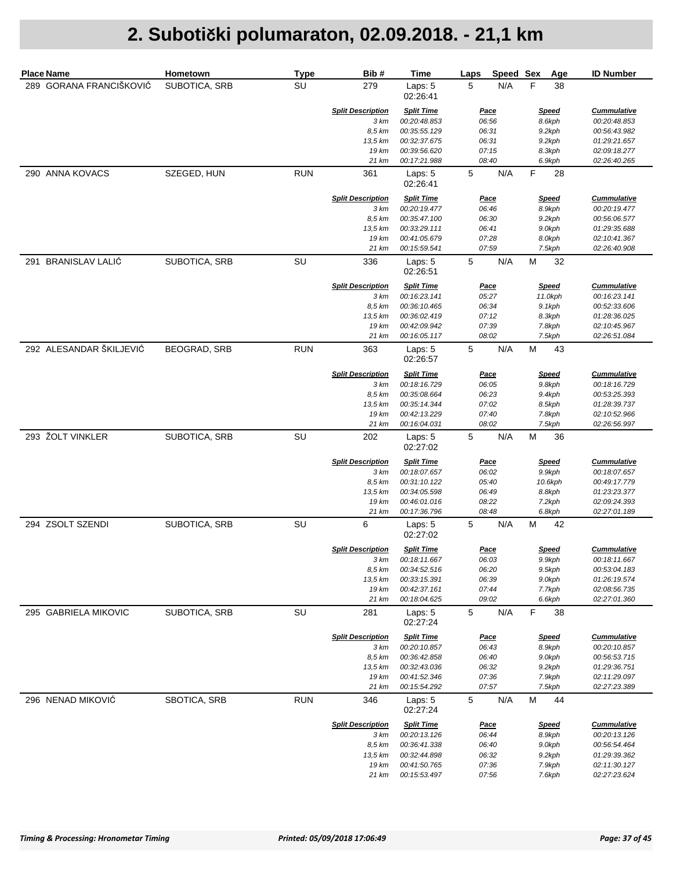| <b>Place Name</b>             | Hometown            | <b>Type</b> | Bib#                             | Time                              | Speed Sex<br>Laps    | Age                    | <b>ID Number</b>                   |
|-------------------------------|---------------------|-------------|----------------------------------|-----------------------------------|----------------------|------------------------|------------------------------------|
| 289 GORANA FRANCIŠKOVIĆ       | SUBOTICA, SRB       | SU          | 279                              | Laps: 5<br>02:26:41               | N/A<br>5             | F<br>38                |                                    |
|                               |                     |             | <b>Split Description</b>         | <b>Split Time</b>                 | Pace                 | <b>Speed</b>           | <b>Cummulative</b>                 |
|                               |                     |             | 3 km                             | 00:20:48.853                      | 06:56                | 8.6kph                 | 00:20:48.853                       |
|                               |                     |             | 8,5 km<br>13,5 km                | 00:35:55.129<br>00:32:37.675      | 06:31<br>06:31       | 9.2kph<br>9.2kph       | 00:56:43.982<br>01:29:21.657       |
|                               |                     |             | 19 km                            | 00:39:56.620                      | 07:15                | 8.3kph                 | 02:09:18.277                       |
|                               |                     |             | 21 km                            | 00:17:21.988                      | 08:40                | 6.9kph                 | 02:26:40.265                       |
| 290 ANNA KOVACS               | SZEGED, HUN         | <b>RUN</b>  | 361                              | Laps: 5<br>02:26:41               | $\mathbf 5$<br>N/A   | F<br>28                |                                    |
|                               |                     |             | <b>Split Description</b><br>3 km | <b>Split Time</b><br>00:20:19.477 | <u>Pace</u><br>06:46 | <b>Speed</b><br>8.9kph | <b>Cummulative</b><br>00:20:19.477 |
|                               |                     |             | 8,5 km                           | 00:35:47.100                      | 06:30                | 9.2kph                 | 00:56:06.577                       |
|                               |                     |             | 13,5 km                          | 00:33:29.111                      | 06:41                | 9.0kph                 | 01:29:35.688                       |
|                               |                     |             | 19 km                            | 00:41:05.679                      | 07:28                | 8.0kph                 | 02:10:41.367                       |
|                               |                     |             | 21 km                            | 00:15:59.541                      | 07:59                | 7.5kph                 | 02:26:40.908                       |
| <b>BRANISLAV LALIĆ</b><br>291 | SUBOTICA, SRB       | SU          | 336                              | Laps: 5<br>02:26:51               | 5<br>N/A             | M<br>32                |                                    |
|                               |                     |             | <b>Split Description</b>         | <b>Split Time</b>                 | <b>Pace</b>          | <b>Speed</b>           | <b>Cummulative</b>                 |
|                               |                     |             | 3 km                             | 00:16:23.141                      | 05:27                | 11.0kph                | 00:16:23.141                       |
|                               |                     |             | 8,5 km                           | 00:36:10.465                      | 06:34                | 9.1kph                 | 00:52:33.606                       |
|                               |                     |             | 13,5 km                          | 00:36:02.419<br>00:42:09.942      | 07:12                | 8.3kph                 | 01:28:36.025                       |
|                               |                     |             | 19 km<br>21 km                   | 00:16:05.117                      | 07:39<br>08:02       | 7.8kph<br>7.5kph       | 02:10:45.967<br>02:26:51.084       |
| 292 ALESANDAR ŠKILJEVIĆ       | <b>BEOGRAD, SRB</b> | <b>RUN</b>  | 363                              | Laps: 5<br>02:26:57               | 5<br>N/A             | M<br>43                |                                    |
|                               |                     |             | <b>Split Description</b>         | <b>Split Time</b>                 | <u>Pace</u>          | <b>Speed</b>           | <b>Cummulative</b>                 |
|                               |                     |             | 3 km                             | 00:18:16.729                      | 06:05                | 9.8kph                 | 00:18:16.729                       |
|                               |                     |             | 8,5 km                           | 00:35:08.664                      | 06:23                | 9.4kph                 | 00:53:25.393                       |
|                               |                     |             | 13,5 km                          | 00:35:14.344                      | 07:02                | 8.5kph                 | 01:28:39.737                       |
|                               |                     |             | 19 km                            | 00:42:13.229                      | 07:40                | 7.8kph                 | 02:10:52.966                       |
|                               |                     |             | 21 km                            | 00:16:04.031                      | 08:02                | 7.5kph                 | 02:26:56.997                       |
| 293 ŽOLT VINKLER              | SUBOTICA, SRB       | SU          | 202                              | Laps: 5<br>02:27:02               | 5<br>N/A             | M<br>36                |                                    |
|                               |                     |             | <b>Split Description</b>         | <b>Split Time</b>                 | <u>Pace</u>          | <b>Speed</b>           | <b>Cummulative</b>                 |
|                               |                     |             | 3 km                             | 00:18:07.657                      | 06:02                | 9.9kph                 | 00:18:07.657                       |
|                               |                     |             | 8,5 km<br>13,5 km                | 00:31:10.122<br>00:34:05.598      | 05:40<br>06:49       | 10.6kph<br>8.8kph      | 00:49:17.779<br>01:23:23.377       |
|                               |                     |             | 19 km                            | 00:46:01.016                      | 08:22                | 7.2kph                 | 02:09:24.393                       |
|                               |                     |             | 21 km                            | 00:17:36.796                      | 08:48                | 6.8kph                 | 02:27:01.189                       |
| 294 ZSOLT SZENDI              | SUBOTICA, SRB       | SU          | 6                                | Laps: 5<br>02:27:02               | 5<br>N/A             | M<br>42                |                                    |
|                               |                     |             | <b>Split Description</b>         | <b>Split Time</b>                 | Pace                 | <b>Speed</b>           | <b>Cummulative</b>                 |
|                               |                     |             | 3 km                             | 00:18:11.667                      | 06:03                | 9.9kph                 | 00:18:11.667                       |
|                               |                     |             | 8,5 km                           | 00:34:52.516                      | 06:20                | 9.5kph                 | 00:53:04.183                       |
|                               |                     |             | 13,5 km                          | 00:33:15.391                      | 06:39                | 9.0kph                 | 01:26:19.574                       |
|                               |                     |             | 19 km                            | 00:42:37.161                      | 07:44                | 7.7kph                 | 02:08:56.735<br>02:27:01.360       |
| 295 GABRIELA MIKOVIC          | SUBOTICA, SRB       | SU          | 21 km<br>281                     | 00:18:04.625<br>Laps: 5           | 09:02<br>5<br>N/A    | 6.6kph<br>F<br>38      |                                    |
|                               |                     |             | <b>Split Description</b>         | 02:27:24<br><b>Split Time</b>     | <u>Pace</u>          | <b>Speed</b>           | <b>Cummulative</b>                 |
|                               |                     |             | 3 km                             | 00:20:10.857                      | 06:43                | 8.9kph                 | 00:20:10.857                       |
|                               |                     |             | 8,5 km                           | 00:36:42.858                      | 06:40                | 9.0kph                 | 00:56:53.715                       |
|                               |                     |             | 13,5 km                          | 00:32:43.036                      | 06:32                | 9.2kph                 | 01:29:36.751                       |
|                               |                     |             | 19 km<br>21 km                   | 00:41:52.346<br>00:15:54.292      | 07:36<br>07:57       | 7.9kph                 | 02:11:29.097                       |
|                               |                     |             |                                  |                                   |                      | 7.5kph                 | 02:27:23.389                       |
| 296 NENAD MIKOVIĆ             | SBOTICA, SRB        | <b>RUN</b>  | 346                              | Laps: 5<br>02:27:24               | 5<br>N/A             | M<br>44                |                                    |
|                               |                     |             | <b>Split Description</b>         | <b>Split Time</b>                 | <u>Pace</u>          | <b>Speed</b>           | <b>Cummulative</b>                 |
|                               |                     |             | 3 km                             | 00:20:13.126                      | 06:44                | 8.9kph                 | 00:20:13.126                       |
|                               |                     |             | 8,5 km<br>13,5 km                | 00:36:41.338<br>00:32:44.898      | 06:40<br>06:32       | 9.0kph<br>9.2kph       | 00:56:54.464<br>01:29:39.362       |
|                               |                     |             | 19 km                            | 00:41:50.765                      | 07:36                | 7.9kph                 | 02:11:30.127                       |
|                               |                     |             | 21 km                            | 00:15:53.497                      | 07:56                | 7.6kph                 | 02:27:23.624                       |
|                               |                     |             |                                  |                                   |                      |                        |                                    |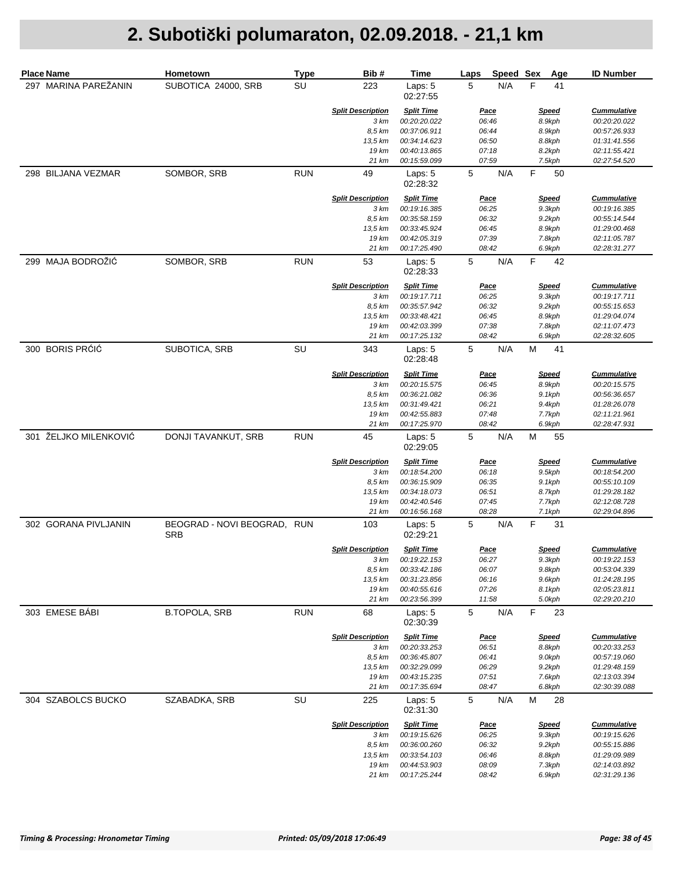|     | <b>Place Name</b>    | Hometown                              | <b>Type</b> | Bib#                             | Time                              | Speed Sex<br>Laps | Age                    | <b>ID Number</b>                   |
|-----|----------------------|---------------------------------------|-------------|----------------------------------|-----------------------------------|-------------------|------------------------|------------------------------------|
|     | 297 MARINA PAREŽANIN | SUBOTICA 24000, SRB                   | SU          | 223                              | Laps: 5<br>02:27:55               | 5<br>N/A          | F<br>41                |                                    |
|     |                      |                                       |             | <b>Split Description</b>         | <b>Split Time</b>                 | <b>Pace</b>       | <b>Speed</b>           | <b>Cummulative</b>                 |
|     |                      |                                       |             | 3 km                             | 00:20:20.022                      | 06:46             | 8.9kph                 | 00:20:20.022                       |
|     |                      |                                       |             | 8,5 km<br>13,5 km                | 00:37:06.911<br>00:34:14.623      | 06:44<br>06:50    | 8.9kph<br>8.8kph       | 00:57:26.933<br>01:31:41.556       |
|     |                      |                                       |             | 19 km                            | 00:40:13.865                      | 07:18             | 8.2kph                 | 02:11:55.421                       |
|     |                      |                                       |             | 21 km                            | 00:15:59.099                      | 07:59             | 7.5kph                 | 02:27:54.520                       |
|     | 298 BILJANA VEZMAR   | SOMBOR, SRB                           | <b>RUN</b>  | 49                               | Laps: 5<br>02:28:32               | 5<br>N/A          | F<br>50                |                                    |
|     |                      |                                       |             | <b>Split Description</b><br>3 km | <b>Split Time</b><br>00:19:16.385 | Pace<br>06:25     | <b>Speed</b><br>9.3kph | <b>Cummulative</b><br>00:19:16.385 |
|     |                      |                                       |             | 8,5 km                           | 00:35:58.159                      | 06:32             | 9.2kph                 | 00:55:14.544                       |
|     |                      |                                       |             | 13,5 km                          | 00:33:45.924                      | 06:45             | 8.9kph                 | 01:29:00.468                       |
|     |                      |                                       |             | 19 km                            | 00:42:05.319                      | 07:39             | 7.8kph                 | 02:11:05.787                       |
|     |                      |                                       |             | 21 km                            | 00:17:25.490                      | 08:42             | 6.9kph                 | 02:28:31.277                       |
|     | 299 MAJA BODROŽIĆ    | SOMBOR, SRB                           | <b>RUN</b>  | 53                               | Laps: 5<br>02:28:33               | 5<br>N/A          | F<br>42                |                                    |
|     |                      |                                       |             | <b>Split Description</b>         | <b>Split Time</b>                 | <u>Pace</u>       | <b>Speed</b>           | <b>Cummulative</b>                 |
|     |                      |                                       |             | 3 km                             | 00:19:17.711                      | 06:25             | 9.3kph                 | 00:19:17.711                       |
|     |                      |                                       |             | 8,5 km                           | 00:35:57.942                      | 06:32             | 9.2kph                 | 00:55:15.653                       |
|     |                      |                                       |             | 13,5 km<br>19 km                 | 00:33:48.421<br>00:42:03.399      | 06:45<br>07:38    | 8.9kph                 | 01:29:04.074<br>02:11:07.473       |
|     |                      |                                       |             | 21 km                            | 00:17:25.132                      | 08:42             | 7.8kph<br>6.9kph       | 02:28:32.605                       |
|     | 300 BORIS PRÓIÓ      | SUBOTICA, SRB                         | SU          | 343                              | Laps: 5<br>02:28:48               | 5<br>N/A          | M<br>41                |                                    |
|     |                      |                                       |             | <b>Split Description</b>         | <b>Split Time</b>                 | <u>Pace</u>       | <b>Speed</b>           | <b>Cummulative</b>                 |
|     |                      |                                       |             | 3 km                             | 00:20:15.575                      | 06:45             | 8.9kph                 | 00:20:15.575                       |
|     |                      |                                       |             | 8,5 km                           | 00:36:21.082                      | 06:36             | 9.1kph                 | 00:56:36.657                       |
|     |                      |                                       |             | 13,5 km                          | 00:31:49.421                      | 06:21             | 9.4kph                 | 01:28:26.078                       |
|     |                      |                                       |             | 19 km                            | 00:42:55.883                      | 07:48             | 7.7kph                 | 02:11:21.961                       |
|     |                      |                                       |             | 21 km                            | 00:17:25.970                      | 08:42             | 6.9kph                 | 02:28:47.931                       |
| 301 | ŽELJKO MILENKOVIĆ    | DONJI TAVANKUT, SRB                   | <b>RUN</b>  | 45                               | Laps: 5<br>02:29:05               | 5<br>N/A          | M<br>55                |                                    |
|     |                      |                                       |             | <b>Split Description</b>         | <b>Split Time</b>                 | <u>Pace</u>       | <b>Speed</b>           | <b>Cummulative</b>                 |
|     |                      |                                       |             | 3 km                             | 00:18:54.200                      | 06:18             | 9.5kph                 | 00:18:54.200                       |
|     |                      |                                       |             | 8,5 km                           | 00:36:15.909                      | 06:35             | 9.1kph                 | 00:55:10.109                       |
|     |                      |                                       |             | 13,5 km<br>19 km                 | 00:34:18.073<br>00:42:40.546      | 06:51             | 8.7kph                 | 01:29:28.182<br>02:12:08.728       |
|     |                      |                                       |             | 21 km                            | 00:16:56.168                      | 07:45<br>08:28    | 7.7kph<br>7.1kph       | 02:29:04.896                       |
|     | 302 GORANA PIVLJANIN | BEOGRAD - NOVI BEOGRAD,<br><b>SRB</b> | <b>RUN</b>  | 103                              | Laps: 5<br>02:29:21               | 5<br>N/A          | F<br>31                |                                    |
|     |                      |                                       |             | <b>Split Description</b>         | <b>Split Time</b>                 | Pace              | <u>Speed</u>           | <b>Cummulative</b>                 |
|     |                      |                                       |             | 3 km                             | 00:19:22.153                      | 06:27             | 9.3kph                 | 00:19:22.153                       |
|     |                      |                                       |             | 8,5 km                           | 00:33:42.186                      | 06:07             | 9.8kph                 | 00:53:04.339                       |
|     |                      |                                       |             | 13,5 km                          | 00:31:23.856                      | 06:16             | 9.6kph                 | 01:24:28.195                       |
|     |                      |                                       |             | 19 km                            | 00:40:55.616                      | 07:26             | 8.1kph                 | 02:05:23.811                       |
|     |                      |                                       |             | 21 km                            | 00:23:56.399                      | 11:58             | 5.0kph                 | 02:29:20.210                       |
|     | 303 EMESE BÁBI       | <b>B.TOPOLA, SRB</b>                  | <b>RUN</b>  | 68                               | Laps: 5<br>02:30:39               | 5<br>N/A          | F<br>23                |                                    |
|     |                      |                                       |             | <b>Split Description</b>         | <b>Split Time</b>                 | <u>Pace</u>       | <u>Speed</u>           | <b>Cummulative</b>                 |
|     |                      |                                       |             | 3 km                             | 00:20:33.253                      | 06:51             | 8.8kph                 | 00:20:33.253                       |
|     |                      |                                       |             | 8,5 km                           | 00:36:45.807                      | 06:41             | 9.0kph                 | 00:57:19.060                       |
|     |                      |                                       |             | 13,5 km                          | 00:32:29.099                      | 06:29             | 9.2kph                 | 01:29:48.159                       |
|     |                      |                                       |             | 19 km<br>21 km                   | 00:43:15.235<br>00:17:35.694      | 07:51<br>08:47    | 7.6kph<br>6.8kph       | 02:13:03.394<br>02:30:39.088       |
|     |                      |                                       |             |                                  |                                   |                   |                        |                                    |
|     | 304 SZABOLCS BUCKO   | SZABADKA, SRB                         | SU          | 225                              | Laps: 5<br>02:31:30               | 5<br>N/A          | ${\sf M}$<br>28        |                                    |
|     |                      |                                       |             | <b>Split Description</b>         | <b>Split Time</b>                 | <u>Pace</u>       | <b>Speed</b>           | <b>Cummulative</b>                 |
|     |                      |                                       |             | 3 km                             | 00:19:15.626                      | 06:25             | 9.3kph                 | 00:19:15.626                       |
|     |                      |                                       |             | 8,5 km                           | 00:36:00.260                      | 06:32             | 9.2kph                 | 00:55:15.886                       |
|     |                      |                                       |             | 13,5 km<br>19 km                 | 00:33:54.103                      | 06:46             | 8.8kph                 | 01:29:09.989                       |
|     |                      |                                       |             | 21 km                            | 00:44:53.903<br>00:17:25.244      | 08:09<br>08:42    | 7.3kph<br>6.9kph       | 02:14:03.892<br>02:31:29.136       |
|     |                      |                                       |             |                                  |                                   |                   |                        |                                    |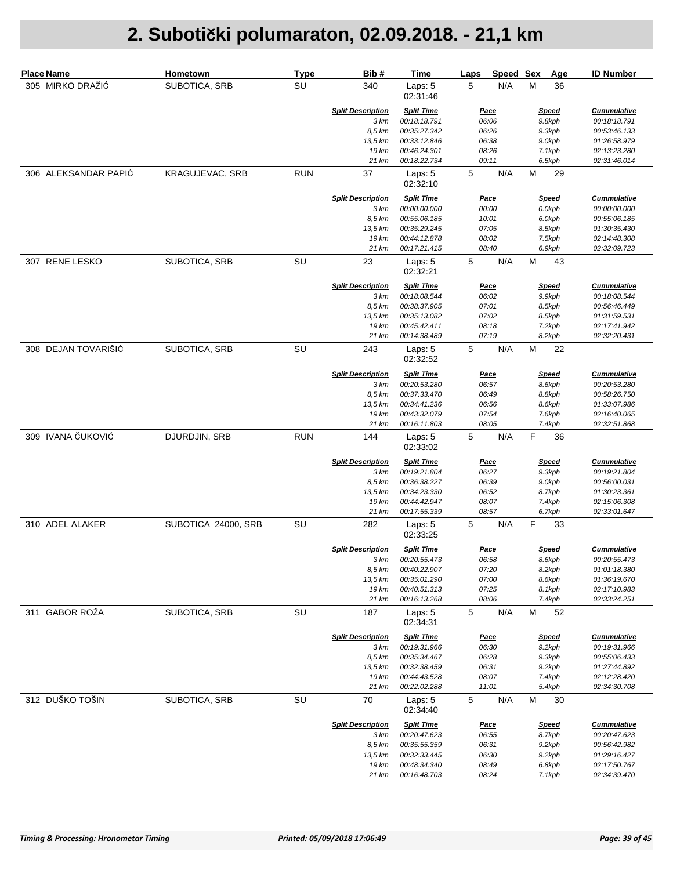| <b>Place Name</b>    | Hometown            | <b>Type</b> | Bib#                             | Time                                | Speed Sex<br>Laps           | Age                    | <b>ID Number</b>                   |
|----------------------|---------------------|-------------|----------------------------------|-------------------------------------|-----------------------------|------------------------|------------------------------------|
| 305 MIRKO DRAŽIĆ     | SUBOTICA, SRB       | SU          | 340                              | Laps: 5<br>02:31:46                 | 5<br>N/A                    | 36<br>М                |                                    |
|                      |                     |             | <b>Split Description</b>         | <b>Split Time</b>                   | <u>Pace</u>                 | <b>Speed</b>           | <b>Cummulative</b>                 |
|                      |                     |             | 3 km                             | 00:18:18.791                        | 06:06                       | 9.8kph                 | 00:18:18.791                       |
|                      |                     |             | 8,5 km                           | 00:35:27.342                        | 06:26                       | 9.3kph                 | 00:53:46.133                       |
|                      |                     |             | 13,5 km<br>19 km                 | 00:33:12.846<br>00:46:24.301        | 06:38<br>08:26              | 9.0kph<br>7.1kph       | 01:26:58.979<br>02:13:23.280       |
|                      |                     |             | 21 km                            | 00:18:22.734                        | 09:11                       | 6.5kph                 | 02:31:46.014                       |
| 306 ALEKSANDAR PAPIĆ | KRAGUJEVAC, SRB     | <b>RUN</b>  | 37                               | Laps: 5<br>02:32:10                 | 5<br>N/A                    | M<br>29                |                                    |
|                      |                     |             | <b>Split Description</b><br>3 km | <b>Split Time</b><br>00:00:00.000   | <u>Pace</u><br>00:00        | <b>Speed</b><br>0.0kph | <b>Cummulative</b><br>00:00:00.000 |
|                      |                     |             | 8,5 km                           | 00:55:06.185                        | 10:01                       | 6.0kph                 | 00:55:06.185                       |
|                      |                     |             | 13,5 km                          | 00:35:29.245                        | 07:05                       | 8.5kph                 | 01:30:35.430                       |
|                      |                     |             | 19 km                            | 00:44:12.878                        | 08:02                       | 7.5kph                 | 02:14:48.308                       |
|                      |                     |             | 21 km                            | 00:17:21.415                        | 08:40                       | 6.9kph                 | 02:32:09.723                       |
| 307 RENE LESKO       | SUBOTICA, SRB       | SU          | 23                               | Laps: 5<br>02:32:21                 | 5<br>N/A                    | M<br>43                |                                    |
|                      |                     |             | <b>Split Description</b>         | <b>Split Time</b>                   | <u>Pace</u>                 | <u>Speed</u>           | <b>Cummulative</b>                 |
|                      |                     |             | 3 km                             | 00:18:08.544                        | 06:02                       | 9.9kph                 | 00:18:08.544                       |
|                      |                     |             | 8,5 km                           | 00:38:37.905                        | 07:01                       | 8.5kph                 | 00:56:46.449                       |
|                      |                     |             | 13,5 km<br>19 km                 | 00:35:13.082<br>00:45:42.411        | 07:02<br>08:18              | 8.5kph<br>7.2kph       | 01:31:59.531<br>02:17:41.942       |
|                      |                     |             | 21 km                            | 00:14:38.489                        | 07:19                       | 8.2kph                 | 02:32:20.431                       |
| 308 DEJAN TOVARIŠIĆ  | SUBOTICA, SRB       | SU          | 243                              | Laps: 5<br>02:32:52                 | 5<br>N/A                    | M<br>22                |                                    |
|                      |                     |             | <b>Split Description</b>         | <b>Split Time</b>                   | <u>Pace</u>                 | <b>Speed</b>           | <b>Cummulative</b>                 |
|                      |                     |             | 3 km                             | 00:20:53.280                        | 06:57                       | 8.6kph                 | 00:20:53.280                       |
|                      |                     |             | 8,5 km                           | 00:37:33.470                        | 06:49                       | 8.8kph                 | 00:58:26.750                       |
|                      |                     |             | 13,5 km                          | 00:34:41.236                        | 06:56                       | 8.6kph                 | 01:33:07.986                       |
|                      |                     |             | 19 km                            | 00:43:32.079                        | 07:54                       | 7.6kph                 | 02:16:40.065                       |
| 309 IVANA ČUKOVIĆ    | DJURDJIN, SRB       | <b>RUN</b>  | 21 km<br>144                     | 00:16:11.803<br>Laps: 5<br>02:33:02 | 08:05<br>$\mathbf 5$<br>N/A | 7.4kph<br>F<br>36      | 02:32:51.868                       |
|                      |                     |             | <b>Split Description</b>         | <b>Split Time</b>                   | <u>Pace</u>                 | <u>Speed</u>           | <b>Cummulative</b>                 |
|                      |                     |             | 3 km                             | 00:19:21.804                        | 06:27                       | 9.3kph                 | 00:19:21.804                       |
|                      |                     |             | 8,5 km                           | 00:36:38.227                        | 06:39                       | 9.0kph                 | 00:56:00.031                       |
|                      |                     |             | 13,5 km                          | 00:34:23.330                        | 06:52                       | 8.7kph                 | 01:30:23.361                       |
|                      |                     |             | 19 km                            | 00:44:42.947                        | 08:07                       | 7.4kph                 | 02:15:06.308                       |
|                      |                     |             | 21 km                            | 00:17:55.339                        | 08:57                       | 6.7kph                 | 02:33:01.647                       |
| 310 ADEL ALAKER      | SUBOTICA 24000, SRB | SU          | 282                              | Laps: 5<br>02:33:25                 | 5<br>N/A                    | F<br>33                |                                    |
|                      |                     |             | <b>Split Description</b>         | <b>Split Time</b>                   | <u>Pace</u>                 | <b>Speed</b>           | <b>Cummulative</b>                 |
|                      |                     |             | 3 km                             | 00:20:55.473                        | 06:58                       | 8.6kph                 | 00:20:55.473                       |
|                      |                     |             | 8,5 km                           | 00:40:22.907                        | 07:20                       | 8.2kph                 | 01:01:18.380                       |
|                      |                     |             | 13,5 km<br>19 km                 | 00:35:01.290<br>00:40:51.313        | 07:00<br>07:25              | 8.6kph<br>8.1kph       | 01:36:19.670<br>02:17:10.983       |
|                      |                     |             | 21 km                            | 00:16:13.268                        | 08:06                       | 7.4kph                 | 02:33:24.251                       |
| 311 GABOR ROŽA       | SUBOTICA, SRB       | SU          | 187                              | Laps: 5<br>02:34:31                 | 5<br>N/A                    | M<br>52                |                                    |
|                      |                     |             | <b>Split Description</b>         | <b>Split Time</b>                   | <u>Pace</u>                 | <b>Speed</b>           | <b>Cummulative</b>                 |
|                      |                     |             | 3 km                             | 00:19:31.966                        | 06:30                       | 9.2kph                 | 00:19:31.966                       |
|                      |                     |             | 8,5 km                           | 00:35:34.467                        | 06:28                       | 9.3kph                 | 00:55:06.433                       |
|                      |                     |             | 13,5 km                          | 00:32:38.459                        | 06:31<br>08:07              | 9.2kph                 | 01:27:44.892                       |
|                      |                     |             | 19 km<br>21 km                   | 00:44:43.528<br>00:22:02.288        | 11:01                       | 7.4kph<br>5.4kph       | 02:12:28.420<br>02:34:30.708       |
| 312 DUŠKO TOŠIN      | SUBOTICA, SRB       | SU          | 70                               | Laps: 5                             | 5<br>N/A                    | M<br>30                |                                    |
|                      |                     |             |                                  | 02:34:40                            |                             |                        |                                    |
|                      |                     |             | <b>Split Description</b>         | <b>Split Time</b>                   | <u>Pace</u>                 | <u>Speed</u>           | <b>Cummulative</b>                 |
|                      |                     |             | 3 km                             | 00:20:47.623                        | 06:55                       | 8.7kph                 | 00:20:47.623                       |
|                      |                     |             | 8,5 km<br>13,5 km                | 00:35:55.359<br>00:32:33.445        | 06:31<br>06:30              | 9.2kph<br>9.2kph       | 00:56:42.982<br>01:29:16.427       |
|                      |                     |             | 19 km                            | 00:48:34.340                        | 08:49                       | 6.8kph                 | 02:17:50.767                       |
|                      |                     |             | 21 km                            | 00:16:48.703                        | 08:24                       | 7.1kph                 | 02:34:39.470                       |
|                      |                     |             |                                  |                                     |                             |                        |                                    |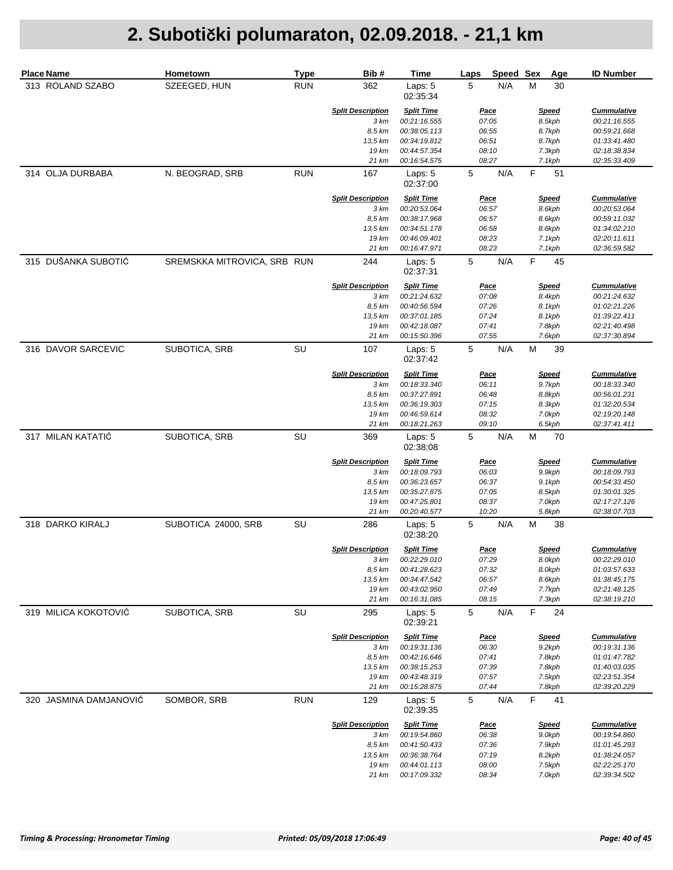| <b>Place Name</b>      | Hometown                    | <b>Type</b> | Bib#                             | Time                              | Speed Sex<br>Laps    | Age                    | <b>ID Number</b>                   |
|------------------------|-----------------------------|-------------|----------------------------------|-----------------------------------|----------------------|------------------------|------------------------------------|
| 313 ROLAND SZABO       | SZEEGED, HUN                | <b>RUN</b>  | 362                              | Laps: 5<br>02:35:34               | N/A<br>5             | М<br>30                |                                    |
|                        |                             |             | <b>Split Description</b><br>3 km | <b>Split Time</b><br>00:21:16.555 | <b>Pace</b><br>07:05 | <b>Speed</b><br>8.5kph | <b>Cummulative</b><br>00:21:16.555 |
|                        |                             |             | 8,5 km                           | 00:38:05.113                      | 06:55                | 8.7kph                 | 00:59:21.668                       |
|                        |                             |             | 13,5 km                          | 00:34:19.812                      | 06:51                | 8.7kph                 | 01:33:41.480                       |
|                        |                             |             | 19 km                            | 00:44:57.354                      | 08:10                | 7.3kph                 | 02:18:38.834                       |
|                        |                             |             | 21 km                            | 00:16:54.575                      | 08:27                | 7.1kph                 | 02:35:33.409                       |
| 314 OLJA DURBABA       | N. BEOGRAD, SRB             | <b>RUN</b>  | 167                              | Laps: 5<br>02:37:00               | 5<br>N/A             | F<br>51                |                                    |
|                        |                             |             | <b>Split Description</b>         | <b>Split Time</b>                 | <b>Pace</b>          | <b>Speed</b>           | <b>Cummulative</b>                 |
|                        |                             |             | 3 km<br>8.5 km                   | 00:20:53.064                      | 06:57                | 8.6kph                 | 00:20:53.064<br>00:59:11.032       |
|                        |                             |             | 13,5 km                          | 00:38:17.968<br>00:34:51.178      | 06:57<br>06:58       | 8.6kph<br>8.6kph       | 01:34:02.210                       |
|                        |                             |             | 19 km                            | 00:46:09.401                      | 08:23                | 7.1kph                 | 02:20:11.611                       |
|                        |                             |             | 21 km                            | 00:16:47.971                      | 08:23                | 7.1kph                 | 02:36:59.582                       |
| 315 DUŠANKA SUBOTIĆ    | SREMSKKA MITROVICA, SRB RUN |             | 244                              | Laps: 5<br>02:37:31               | 5<br>N/A             | F<br>45                |                                    |
|                        |                             |             | <b>Split Description</b>         | <b>Split Time</b>                 | <u>Pace</u>          | <b>Speed</b>           | <b>Cummulative</b>                 |
|                        |                             |             | 3 km                             | 00:21:24.632                      | 07:08                | 8.4kph                 | 00:21:24.632                       |
|                        |                             |             | 8,5 km                           | 00:40:56.594                      | 07:26                | 8.1kph                 | 01:02:21.226                       |
|                        |                             |             | 13,5 km                          | 00:37:01.185                      | 07:24                | 8.1kph                 | 01:39:22.411                       |
|                        |                             |             | 19 km<br>21 km                   | 00:42:18.087<br>00:15:50.396      | 07:41<br>07:55       | 7.8kph<br>7.6kph       | 02:21:40.498<br>02:37:30.894       |
| 316 DAVOR SARCEVIC     | SUBOTICA, SRB               | SU          | 107                              | Laps: 5<br>02:37:42               | 5<br>N/A             | M<br>39                |                                    |
|                        |                             |             | <b>Split Description</b>         | <b>Split Time</b>                 | <u>Pace</u>          | <b>Speed</b>           | <b>Cummulative</b>                 |
|                        |                             |             | 3 km                             | 00:18:33.340                      | 06:11                | 9.7kph                 | 00:18:33.340                       |
|                        |                             |             | 8,5 km                           | 00:37:27.891                      | 06:48                | 8.8kph                 | 00:56:01.231                       |
|                        |                             |             | 13,5 km                          | 00:36:19.303                      | 07:15                | 8.3kph                 | 01:32:20.534                       |
|                        |                             |             | 19 km                            | 00:46:59.614                      | 08:32                | 7.0kph                 | 02:19:20.148                       |
|                        |                             |             | 21 km                            | 00:18:21.263                      | 09:10                | 6.5kph                 | 02:37:41.411                       |
| 317 MILAN KATATIĆ      | SUBOTICA, SRB               | SU          | 369                              | Laps: 5<br>02:38:08               | 5<br>N/A             | M<br>70                |                                    |
|                        |                             |             | <b>Split Description</b>         | <b>Split Time</b>                 | <u>Pace</u>          | <b>Speed</b>           | <b>Cummulative</b>                 |
|                        |                             |             | 3 km                             | 00:18:09.793                      | 06:03                | 9.9kph                 | 00:18:09.793                       |
|                        |                             |             | 8,5 km                           | 00:36:23.657                      | 06:37                | 9.1kph                 | 00:54:33.450                       |
|                        |                             |             | 13,5 km                          | 00:35:27.875                      | 07:05                | 8.5kph                 | 01:30:01.325                       |
|                        |                             |             | 19 km<br>21 km                   | 00:47:25.801<br>00:20:40.577      | 08:37<br>10:20       | 7.0kph<br>5.8kph       | 02:17:27.126<br>02:38:07.703       |
| 318 DARKO KIRALJ       | SUBOTICA 24000, SRB         | SU          | 286                              | Laps: 5<br>02:38:20               | 5<br>N/A             | M<br>38                |                                    |
|                        |                             |             | <b>Split Description</b>         | <b>Split Time</b>                 | Pace                 | <b>Speed</b>           | <b>Cummulative</b>                 |
|                        |                             |             | 3 km                             | 00:22:29.010                      | 07:29                | 8.0kph                 | 00:22:29.010                       |
|                        |                             |             | 8,5 km                           | 00:41:28.623                      | 07:32                | 8.0kph                 | 01:03:57.633                       |
|                        |                             |             | 13,5 km                          | 00:34:47.542                      | 06:57                | 8.6kph                 | 01:38:45.175                       |
|                        |                             |             | 19 km                            | 00:43:02.950                      | 07:49                | 7.7kph                 | 02:21:48.125                       |
|                        |                             |             | 21 km                            | 00:16:31.085                      | 08:15                | 7.3kph                 | 02:38:19.210                       |
| 319 MILICA KOKOTOVIĆ   | SUBOTICA, SRB               | SU          | 295                              | Laps: 5<br>02:39:21               | 5<br>N/A             | F<br>24                |                                    |
|                        |                             |             | <b>Split Description</b>         | <b>Split Time</b>                 | <u>Pace</u>          | <b>Speed</b>           | <b>Cummulative</b>                 |
|                        |                             |             | 3 km                             | 00:19:31.136                      | 06:30                | 9.2kph                 | 00:19:31.136                       |
|                        |                             |             | 8,5 km                           | 00:42:16.646                      | 07:41                | 7.8kph                 | 01:01:47.782                       |
|                        |                             |             | 13,5 km<br>19 km                 | 00:38:15.253<br>00:43:48.319      | 07:39<br>07:57       | 7.8kph<br>7.5kph       | 01:40:03.035<br>02:23:51.354       |
|                        |                             |             | 21 km                            | 00:15:28.875                      | 07:44                | 7.8kph                 | 02:39:20.229                       |
| 320 JASMINA DAMJANOVIĆ | SOMBOR, SRB                 | <b>RUN</b>  | 129                              | Laps: 5                           | 5<br>N/A             | F<br>41                |                                    |
|                        |                             |             |                                  | 02:39:35                          |                      |                        |                                    |
|                        |                             |             | <b>Split Description</b>         | <b>Split Time</b>                 | <u>Pace</u>          | <b>Speed</b>           | <b>Cummulative</b>                 |
|                        |                             |             | 3 km                             | 00:19:54.860                      | 06:38                | 9.0kph                 | 00:19:54.860                       |
|                        |                             |             | 8,5 km<br>13,5 km                | 00:41:50.433<br>00:36:38.764      | 07:36<br>07:19       | 7.9kph<br>8.2kph       | 01:01:45.293<br>01:38:24.057       |
|                        |                             |             | 19 km                            | 00:44:01.113                      | 08:00                | 7.5kph                 | 02:22:25.170                       |
|                        |                             |             | 21 km                            | 00:17:09.332                      | 08:34                | 7.0kph                 | 02:39:34.502                       |
|                        |                             |             |                                  |                                   |                      |                        |                                    |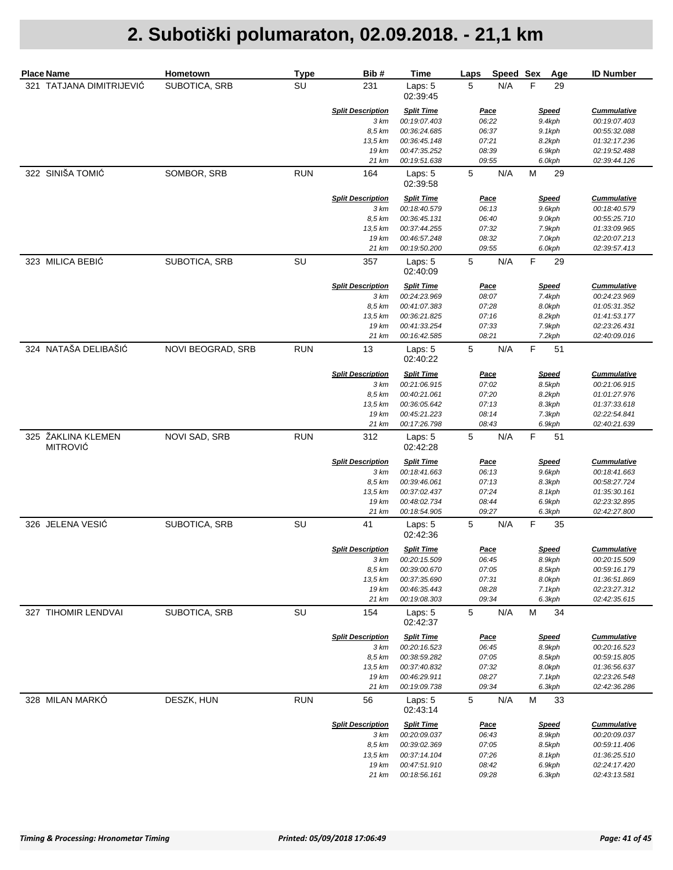| <b>Place Name</b>                     | Hometown          | <b>Type</b> | Bib#                     | Time                         | Speed Sex<br>Laps  | Age               | <b>ID Number</b>             |
|---------------------------------------|-------------------|-------------|--------------------------|------------------------------|--------------------|-------------------|------------------------------|
| 321 TATJANA DIMITRIJEVIĆ              | SUBOTICA, SRB     | SU          | 231                      | Laps: 5<br>02:39:45          | 5<br>N/A           | F<br>29           |                              |
|                                       |                   |             | <b>Split Description</b> | <b>Split Time</b>            | Pace               | <b>Speed</b>      | <b>Cummulative</b>           |
|                                       |                   |             | 3 km                     | 00:19:07.403                 | 06:22              | 9.4kph            | 00:19:07.403                 |
|                                       |                   |             | 8,5 km                   | 00:36:24.685                 | 06:37              | 9.1kph            | 00:55:32.088                 |
|                                       |                   |             | 13,5 km<br>19 km         | 00:36:45.148<br>00:47:35.252 | 07:21<br>08:39     | 8.2kph            | 01:32:17.236<br>02:19:52.488 |
|                                       |                   |             | 21 km                    | 00:19:51.638                 | 09:55              | 6.9kph<br>6.0kph  | 02:39:44.126                 |
| 322 SINIŠA TOMIĆ                      | SOMBOR, SRB       | <b>RUN</b>  | 164                      | Laps: 5<br>02:39:58          | 5<br>N/A           | M<br>29           |                              |
|                                       |                   |             | <b>Split Description</b> | <b>Split Time</b>            | <u>Pace</u>        | <b>Speed</b>      | <b>Cummulative</b>           |
|                                       |                   |             | 3 km<br>8,5 km           | 00:18:40.579<br>00:36:45.131 | 06:13<br>06:40     | 9.6kph<br>9.0kph  | 00:18:40.579<br>00:55:25.710 |
|                                       |                   |             | 13,5 km                  | 00:37:44.255                 | 07:32              | 7.9kph            | 01:33:09.965                 |
|                                       |                   |             | 19 km                    | 00:46:57.248                 | 08:32              | 7.0kph            | 02:20:07.213                 |
|                                       |                   |             | 21 km                    | 00:19:50.200                 | 09:55              | 6.0kph            | 02:39:57.413                 |
| 323 MILICA BEBIĆ                      | SUBOTICA, SRB     | SU          | 357                      | Laps: 5<br>02:40:09          | 5<br>N/A           | F<br>29           |                              |
|                                       |                   |             | <b>Split Description</b> | <b>Split Time</b>            | <u>Pace</u>        | <b>Speed</b>      | <b>Cummulative</b>           |
|                                       |                   |             | 3 km                     | 00:24:23.969                 | 08:07              | 7.4kph            | 00:24:23.969                 |
|                                       |                   |             | 8,5 km                   | 00:41:07.383                 | 07:28              | 8.0kph            | 01:05:31.352                 |
|                                       |                   |             | 13.5 km                  | 00:36:21.825                 | 07:16              | 8.2kph            | 01:41:53.177                 |
|                                       |                   |             | 19 km                    | 00:41:33.254                 | 07:33              | 7.9kph            | 02:23:26.431                 |
| 324 NATAŠA DELIBAŠIĆ                  | NOVI BEOGRAD, SRB | <b>RUN</b>  | 21 km<br>13              | 00:16:42.585<br>Laps: 5      | 08:21<br>5<br>N/A  | 7.2kph<br>F<br>51 | 02:40:09.016                 |
|                                       |                   |             |                          | 02:40:22                     |                    |                   |                              |
|                                       |                   |             | <b>Split Description</b> | <b>Split Time</b>            | <u>Pace</u>        | <b>Speed</b>      | <b>Cummulative</b>           |
|                                       |                   |             | 3 km                     | 00:21:06.915                 | 07:02              | 8.5kph            | 00:21:06.915                 |
|                                       |                   |             | 8,5 km<br>13,5 km        | 00:40:21.061<br>00:36:05.642 | 07:20<br>07:13     | 8.2kph<br>8.3kph  | 01:01:27.976<br>01:37:33.618 |
|                                       |                   |             | 19 km                    | 00:45:21.223                 | 08:14              | 7.3kph            | 02:22:54.841                 |
|                                       |                   |             | 21 km                    | 00:17:26.798                 | 08:43              | 6.9kph            | 02:40:21.639                 |
| 325 ŽAKLINA KLEMEN<br><b>MITROVIĆ</b> | NOVI SAD, SRB     | <b>RUN</b>  | 312                      | Laps: 5<br>02:42:28          | $\mathbf 5$<br>N/A | F<br>51           |                              |
|                                       |                   |             | <b>Split Description</b> | <b>Split Time</b>            | <u>Pace</u>        | <b>Speed</b>      | <b>Cummulative</b>           |
|                                       |                   |             | 3 km                     | 00:18:41.663                 | 06:13              | 9.6kph            | 00:18:41.663                 |
|                                       |                   |             | 8,5 km                   | 00:39:46.061                 | 07:13              | 8.3kph            | 00:58:27.724                 |
|                                       |                   |             | 13,5 km                  | 00:37:02.437                 | 07:24              | 8.1kph            | 01:35:30.161                 |
|                                       |                   |             | 19 km                    | 00:48:02.734                 | 08:44              | 6.9kph            | 02:23:32.895                 |
|                                       |                   |             | 21 km                    | 00:18:54.905                 | 09:27              | 6.3kph            | 02:42:27.800                 |
| 326 JELENA VESIÓ                      | SUBOTICA, SRB     | SU          | 41                       | Laps: 5<br>02:42:36          | 5<br>N/A           | F<br>35           |                              |
|                                       |                   |             | <b>Split Description</b> | <b>Split Time</b>            | Pace               | <b>Speed</b>      | <b>Cummulative</b>           |
|                                       |                   |             | 3 km                     | 00:20:15.509                 | 06:45              | 8.9kph            | 00:20:15.509                 |
|                                       |                   |             | 8,5 km                   | 00:39:00.670                 | 07:05              | 8.5kph            | 00:59:16.179                 |
|                                       |                   |             | 13,5 km<br>19 km         | 00:37:35.690<br>00:46:35.443 | 07:31<br>08:28     | 8.0kph<br>7.1kph  | 01:36:51.869<br>02:23:27.312 |
|                                       |                   |             | 21 km                    | 00:19:08.303                 | 09:34              | 6.3kph            | 02:42:35.615                 |
| 327 TIHOMIR LENDVAI                   | SUBOTICA, SRB     | SU          | 154                      | Laps: 5<br>02:42:37          | 5<br>N/A           | M<br>34           |                              |
|                                       |                   |             | <b>Split Description</b> | <b>Split Time</b>            | <u>Pace</u>        | <b>Speed</b>      | <b>Cummulative</b>           |
|                                       |                   |             | 3 km                     | 00:20:16.523                 | 06:45              | 8.9kph            | 00:20:16.523                 |
|                                       |                   |             | 8,5 km                   | 00:38:59.282                 | 07:05              | 8.5kph            | 00:59:15.805                 |
|                                       |                   |             | 13,5 km                  | 00:37:40.832                 | 07:32              | 8.0kph            | 01:36:56.637                 |
|                                       |                   |             | 19 km                    | 00:46:29.911                 | 08:27              | 7.1kph            | 02:23:26.548                 |
|                                       |                   |             | 21 km                    | 00:19:09.738                 | 09:34              | 6.3kph            | 02:42:36.286                 |
| 328 MILAN MARKÓ                       | DESZK, HUN        | <b>RUN</b>  | 56                       | Laps: 5<br>02:43:14          | 5<br>N/A           | M<br>33           |                              |
|                                       |                   |             | <b>Split Description</b> | <b>Split Time</b>            | <u>Pace</u>        | <u>Speed</u>      | <b>Cummulative</b>           |
|                                       |                   |             | 3 km                     | 00:20:09.037                 | 06:43              | 8.9kph            | 00:20:09.037                 |
|                                       |                   |             | 8,5 km                   | 00:39:02.369                 | 07:05              | 8.5kph            | 00:59:11.406                 |
|                                       |                   |             | 13,5 km                  | 00:37:14.104                 | 07:26              | 8.1kph            | 01:36:25.510                 |
|                                       |                   |             | 19 km                    | 00:47:51.910                 | 08:42              | 6.9kph            | 02:24:17.420                 |
|                                       |                   |             | 21 km                    | 00:18:56.161                 | 09:28              | 6.3kph            | 02:43:13.581                 |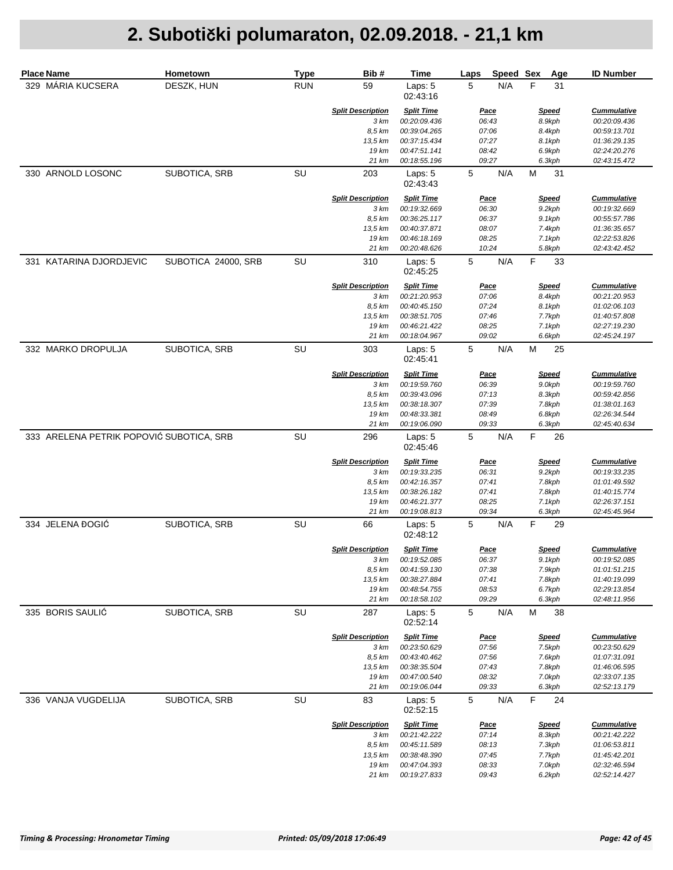| Place Name                               | Hometown            | <b>Type</b> | Bib#                     | Time                         | Laps<br>Speed  | Sex<br>Age       | <b>ID Number</b>             |
|------------------------------------------|---------------------|-------------|--------------------------|------------------------------|----------------|------------------|------------------------------|
| 329 MÁRIA KUCSERA                        | DESZK, HUN          | <b>RUN</b>  | 59                       | Laps: 5<br>02:43:16          | N/A<br>5       | F<br>31          |                              |
|                                          |                     |             | <b>Split Description</b> | <b>Split Time</b>            | <b>Pace</b>    | <u>Speed</u>     | <b>Cummulative</b>           |
|                                          |                     |             | 3 km<br>8,5 km           | 00:20:09.436<br>00:39:04.265 | 06:43<br>07:06 | 8.9kph<br>8.4kph | 00:20:09.436<br>00:59:13.701 |
|                                          |                     |             | 13,5 km                  | 00:37:15.434                 | 07:27          | 8.1kph           | 01:36:29.135                 |
|                                          |                     |             | 19 km                    | 00:47:51.141                 | 08:42          | 6.9kph           | 02:24:20.276                 |
|                                          |                     |             | 21 km                    | 00:18:55.196                 | 09:27          | 6.3kph           | 02:43:15.472                 |
| 330 ARNOLD LOSONC                        | SUBOTICA, SRB       | SU          | 203                      | Laps: 5<br>02:43:43          | 5<br>N/A       | M<br>31          |                              |
|                                          |                     |             | <b>Split Description</b> | <b>Split Time</b>            | <b>Pace</b>    | <u>Speed</u>     | <b>Cummulative</b>           |
|                                          |                     |             | 3 km                     | 00:19:32.669                 | 06:30          | 9.2kph           | 00:19:32.669                 |
|                                          |                     |             | 8,5 km                   | 00:36:25.117                 | 06:37          | 9.1kph           | 00:55:57.786                 |
|                                          |                     |             | 13,5 km                  | 00:40:37.871                 | 08:07          | 7.4kph           | 01:36:35.657                 |
|                                          |                     |             | 19 km<br>21 km           | 00:46:18.169<br>00:20:48.626 | 08:25<br>10:24 | 7.1kph<br>5.8kph | 02:22:53.826<br>02:43:42.452 |
| 331 KATARINA DJORDJEVIC                  | SUBOTICA 24000, SRB | SU          | 310                      | Laps: 5<br>02:45:25          | 5<br>N/A       | F<br>33          |                              |
|                                          |                     |             | <b>Split Description</b> | <b>Split Time</b>            | <u>Pace</u>    | <b>Speed</b>     | <b>Cummulative</b>           |
|                                          |                     |             | 3 km                     | 00:21:20.953                 | 07:06          | 8.4kph           | 00:21:20.953                 |
|                                          |                     |             | 8,5 km                   | 00:40:45.150                 | 07:24          | 8.1kph           | 01:02:06.103                 |
|                                          |                     |             | 13,5 km                  | 00:38:51.705                 | 07:46          | 7.7kph           | 01:40:57.808                 |
|                                          |                     |             | 19 km                    | 00:46:21.422                 | 08:25          | 7.1kph           | 02:27:19.230                 |
|                                          |                     |             | 21 km                    | 00:18:04.967                 | 09:02          | 6.6kph           | 02:45:24.197                 |
| 332 MARKO DROPULJA                       | SUBOTICA, SRB       | SU          | 303                      | Laps: 5<br>02:45:41          | 5<br>N/A       | M<br>25          |                              |
|                                          |                     |             | <b>Split Description</b> | <b>Split Time</b>            | <u>Pace</u>    | <b>Speed</b>     | <b>Cummulative</b>           |
|                                          |                     |             | 3 km                     | 00:19:59.760                 | 06:39          | 9.0kph           | 00:19:59.760                 |
|                                          |                     |             | 8,5 km                   | 00:39:43.096                 | 07:13          | 8.3kph           | 00:59:42.856                 |
|                                          |                     |             | 13,5 km                  | 00:38:18.307                 | 07:39          | 7.8kph           | 01:38:01.163                 |
|                                          |                     |             | 19 km                    | 00:48:33.381                 | 08:49          | 6.8kph           | 02:26:34.544                 |
|                                          |                     |             | 21 km                    | 00:19:06.090                 | 09:33          | 6.3kph           | 02:45:40.634                 |
| 333 ARELENA PETRIK POPOVIĆ SUBOTICA, SRB |                     | SU          | 296                      | Laps: 5<br>02:45:46          | 5<br>N/A       | F<br>26          |                              |
|                                          |                     |             | <b>Split Description</b> | <b>Split Time</b>            | <u>Pace</u>    | <b>Speed</b>     | <b>Cummulative</b>           |
|                                          |                     |             | 3 km                     | 00:19:33.235                 | 06:31          | 9.2kph           | 00:19:33.235                 |
|                                          |                     |             | 8,5 km                   | 00:42:16.357                 | 07:41          | 7.8kph           | 01:01:49.592                 |
|                                          |                     |             | 13,5 km                  | 00:38:26.182                 | 07:41          | 7.8kph           | 01:40:15.774                 |
|                                          |                     |             | 19 km                    | 00:46:21.377                 | 08:25          | 7.1kph           | 02:26:37.151                 |
|                                          |                     |             | 21 km                    | 00:19:08.813                 | 09:34          | 6.3kph           | 02:45:45.964                 |
| 334 JELENA ĐOGIĆ                         | SUBOTICA, SRB       | SU          | 66                       | Laps: 5<br>02:48:12          | 5<br>N/A       | F<br>29          |                              |
|                                          |                     |             | <b>Split Description</b> | <b>Split Time</b>            | Pace           | <b>Speed</b>     | <b>Cummulative</b>           |
|                                          |                     |             | 3 km                     | 00:19:52.085                 | 06:37          | 9.1kph           | 00:19:52.085                 |
|                                          |                     |             | 8,5 km                   | 00:41:59.130                 | 07:38          | 7.9kph           | 01:01:51.215                 |
|                                          |                     |             | 13,5 km                  | 00:38:27.884                 | 07:41          | 7.8kph           | 01:40:19.099                 |
|                                          |                     |             | 19 km                    | 00:48:54.755                 | 08:53          | 6.7kph           | 02:29:13.854                 |
|                                          |                     |             | 21 km                    | 00:18:58.102                 | 09:29          | 6.3kph           | 02:48:11.956                 |
| 335 BORIS SAULIĆ                         | SUBOTICA, SRB       | SU          | 287                      | Laps: 5<br>02:52:14          | 5<br>N/A       | M<br>38          |                              |
|                                          |                     |             | <b>Split Description</b> | <b>Split Time</b>            | <u>Pace</u>    | <u>Speed</u>     | <b>Cummulative</b>           |
|                                          |                     |             | 3 km                     | 00:23:50.629                 | 07:56          | 7.5kph           | 00:23:50.629                 |
|                                          |                     |             | 8,5 km                   | 00:43:40.462                 | 07:56          | 7.6kph           | 01:07:31.091                 |
|                                          |                     |             | 13,5 km                  | 00:38:35.504                 | 07:43          | 7.8kph           | 01:46:06.595                 |
|                                          |                     |             | 19 km                    | 00:47:00.540                 | 08:32          | 7.0kph           | 02:33:07.135                 |
|                                          |                     |             | 21 km                    | 00:19:06.044                 | 09:33          | 6.3kph           | 02:52:13.179                 |
| 336 VANJA VUGDELIJA                      | SUBOTICA, SRB       | SU          | 83                       | Laps: 5<br>02:52:15          | 5<br>N/A       | F<br>24          |                              |
|                                          |                     |             | <b>Split Description</b> | <b>Split Time</b>            | <u>Pace</u>    | <b>Speed</b>     | <b>Cummulative</b>           |
|                                          |                     |             | 3 km                     | 00:21:42.222                 | 07:14          | 8.3kph           | 00:21:42.222                 |
|                                          |                     |             | 8,5 km                   | 00:45:11.589                 | 08:13          | 7.3kph           | 01:06:53.811                 |
|                                          |                     |             | 13,5 km                  | 00:38:48.390                 | 07:45          | 7.7kph           | 01:45:42.201                 |
|                                          |                     |             | 19 km                    | 00:47:04.393                 | 08:33          | 7.0kph           | 02:32:46.594                 |
|                                          |                     |             | 21 km                    | 00:19:27.833                 | 09:43          | 6.2kph           | 02:52:14.427                 |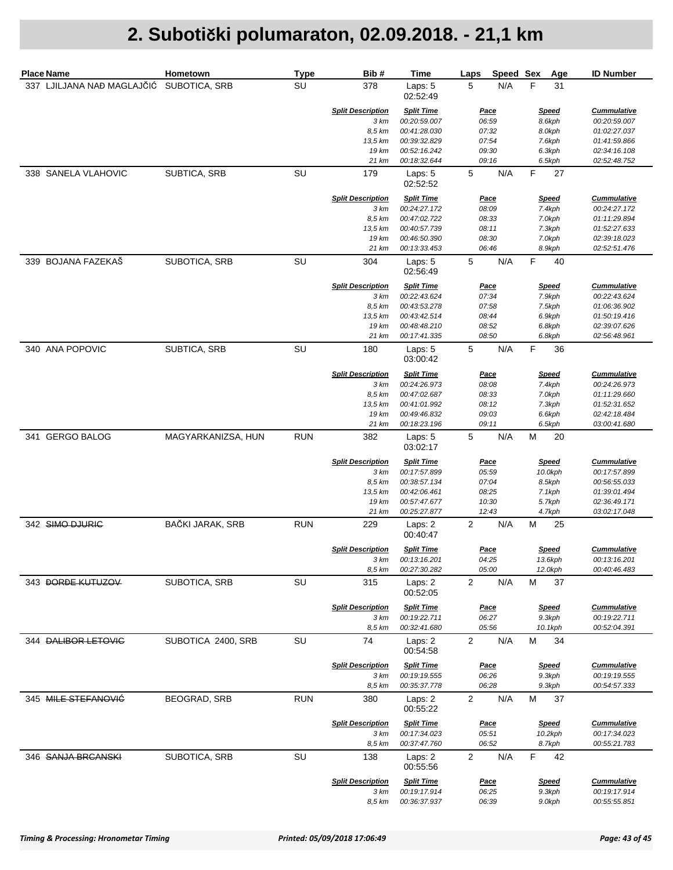| <b>Place Name</b>                        | Hometown           | <b>Type</b> | Bib#                             | Time                              | Speed Sex<br>Laps     | Age                    | <b>ID Number</b>                   |
|------------------------------------------|--------------------|-------------|----------------------------------|-----------------------------------|-----------------------|------------------------|------------------------------------|
| 337 LJILJANA NAĐ MAGLAJČIĆ SUBOTICA, SRB |                    | SU          | 378                              | Laps: 5<br>02:52:49               | 5<br>N/A              | F<br>31                |                                    |
|                                          |                    |             | <b>Split Description</b><br>3 km | <b>Split Time</b><br>00:20:59.007 | <b>Pace</b><br>06:59  | <b>Speed</b><br>8.6kph | <b>Cummulative</b><br>00:20:59.007 |
|                                          |                    |             | 8,5 km                           | 00:41:28.030                      | 07:32                 | 8.0kph                 | 01:02:27.037                       |
|                                          |                    |             | 13,5 km                          | 00:39:32.829                      | 07:54                 | 7.6kph                 | 01:41:59.866                       |
|                                          |                    |             | 19 km                            | 00:52:16.242                      | 09:30                 | 6.3kph                 | 02:34:16.108                       |
|                                          |                    |             | 21 km                            | 00:18:32.644                      | 09:16                 | 6.5kph                 | 02:52:48.752                       |
| 338 SANELA VLAHOVIC                      | SUBTICA, SRB       | SU          | 179                              | Laps: 5<br>02:52:52               | 5<br>N/A              | $\mathsf{F}$<br>27     |                                    |
|                                          |                    |             | <b>Split Description</b><br>3 km | <b>Split Time</b><br>00:24:27.172 | <b>Pace</b><br>08:09  | <b>Speed</b>           | <b>Cummulative</b><br>00:24:27.172 |
|                                          |                    |             | 8,5 km                           | 00:47:02.722                      | 08:33                 | 7.4kph<br>7.0kph       | 01:11:29.894                       |
|                                          |                    |             | 13,5 km                          | 00:40:57.739                      | 08:11                 | 7.3kph                 | 01:52:27.633                       |
|                                          |                    |             | 19 km                            | 00:46:50.390                      | 08:30                 | 7.0kph                 | 02:39:18.023                       |
|                                          |                    |             | 21 km                            | 00:13:33.453                      | 06:46                 | 8.9kph                 | 02:52:51.476                       |
| 339 BOJANA FAZEKAŠ                       | SUBOTICA, SRB      | SU          | 304                              | Laps: 5<br>02:56:49               | $\mathbf 5$<br>N/A    | F<br>40                |                                    |
|                                          |                    |             | <b>Split Description</b>         | <b>Split Time</b>                 | <u>Pace</u>           | <b>Speed</b>           | <b>Cummulative</b>                 |
|                                          |                    |             | 3 km                             | 00:22:43.624                      | 07:34                 | 7.9kph                 | 00:22:43.624                       |
|                                          |                    |             | 8,5 km<br>13,5 km                | 00:43:53.278<br>00:43:42.514      | 07:58                 | 7.5kph<br>6.9kph       | 01:06:36.902<br>01:50:19.416       |
|                                          |                    |             | 19 km                            | 00:48:48.210                      | 08:44<br>08:52        | 6.8kph                 | 02:39:07.626                       |
|                                          |                    |             | 21 km                            | 00:17:41.335                      | 08:50                 | 6.8kph                 | 02:56:48.961                       |
| 340 ANA POPOVIC                          | SUBTICA, SRB       | SU          | 180                              | Laps: 5<br>03:00:42               | 5<br>N/A              | F<br>36                |                                    |
|                                          |                    |             | <b>Split Description</b>         | <b>Split Time</b>                 | <u>Pace</u>           | <b>Speed</b>           | <b>Cummulative</b>                 |
|                                          |                    |             | 3 km                             | 00:24:26.973                      | 08:08                 | 7.4kph                 | 00:24:26.973                       |
|                                          |                    |             | 8,5 km                           | 00:47:02.687                      | 08:33                 | 7.0kph                 | 01:11:29.660                       |
|                                          |                    |             | 13,5 km                          | 00:41:01.992                      | 08:12                 | 7.3kph                 | 01:52:31.652                       |
|                                          |                    |             | 19 km                            | 00:49:46.832                      | 09:03                 | 6.6kph                 | 02:42:18.484                       |
| <b>GERGO BALOG</b><br>341                | MAGYARKANIZSA, HUN | <b>RUN</b>  | 21 km<br>382                     | 00:18:23.196<br>Laps: 5           | 09:11<br>5<br>N/A     | 6.5kph<br>M<br>20      | 03:00:41.680                       |
|                                          |                    |             | <b>Split Description</b>         | 03:02:17<br><b>Split Time</b>     | <u>Pace</u>           | <b>Speed</b>           | <b>Cummulative</b>                 |
|                                          |                    |             | 3 km                             | 00:17:57.899                      | 05:59                 | 10.0kph                | 00:17:57.899                       |
|                                          |                    |             | 8,5 km                           | 00:38:57.134                      | 07:04                 | 8.5kph                 | 00:56:55.033                       |
|                                          |                    |             | 13,5 km                          | 00:42:06.461                      | 08:25                 | 7.1kph                 | 01:39:01.494                       |
|                                          |                    |             | 19 km                            | 00:57:47.677                      | 10:30                 | 5.7kph                 | 02:36:49.171                       |
|                                          |                    |             | 21 km                            | 00:25:27.877                      | 12:43                 | 4.7kph                 | 03:02:17.048                       |
| 342 SIMO DJURIC                          | BAČKI JARAK, SRB   | <b>RUN</b>  | 229                              | Laps: 2<br>00:40:47               | $\overline{2}$<br>N/A | M<br>25                |                                    |
|                                          |                    |             | <b>Split Description</b>         | <b>Split Time</b>                 | <u>Pace</u>           | <u>Speed</u>           | <b>Cummulative</b>                 |
|                                          |                    |             | 3 km                             | 00:13:16.201                      | 04:25                 | 13.6kph                | 00:13:16.201                       |
|                                          |                    |             | 8,5 km                           | 00:27:30.282                      | 05:00                 | 12.0kph                | 00:40:46.483                       |
| 343 ĐORĐE KUTUZOV                        | SUBOTICA, SRB      | SU          | 315                              | Laps: 2<br>00:52:05               | $\overline{2}$<br>N/A | M<br>37                |                                    |
|                                          |                    |             | <b>Split Description</b>         | <b>Split Time</b>                 | <b>Pace</b>           | <b>Speed</b>           | <b>Cummulative</b>                 |
|                                          |                    |             | 3 km                             | 00:19:22.711                      | 06:27                 | 9.3kph                 | 00:19:22.711                       |
|                                          |                    |             | 8,5 km                           | 00:32:41.680                      | 05:56                 | 10.1kph                | 00:52:04.391                       |
| 344 DALIBOR LETOVIC                      | SUBOTICA 2400, SRB | SU          | 74                               | Laps: 2<br>00:54:58               | $\overline{2}$<br>N/A | M<br>34                |                                    |
|                                          |                    |             | <b>Split Description</b>         | <b>Split Time</b>                 | <u>Pace</u>           | <u>Speed</u>           | <b>Cummulative</b>                 |
|                                          |                    |             | 3 km                             | 00:19:19.555                      | 06:26                 | 9.3kph                 | 00:19:19.555                       |
|                                          |                    |             | 8,5 km                           | 00:35:37.778                      | 06:28                 | 9.3kph                 | 00:54:57.333                       |
| 345 MILE STEFANOVIĆ                      | BEOGRAD, SRB       | <b>RUN</b>  | 380                              | Laps: 2<br>00:55:22               | $\overline{c}$<br>N/A | M<br>37                |                                    |
|                                          |                    |             | <b>Split Description</b>         | <b>Split Time</b>                 | <b>Pace</b>           | <b>Speed</b>           | <b>Cummulative</b>                 |
|                                          |                    |             | 3 km<br>8,5 km                   | 00:17:34.023<br>00:37:47.760      | 05:51<br>06:52        | 10.2kph<br>8.7kph      | 00:17:34.023<br>00:55:21.783       |
|                                          |                    |             |                                  |                                   |                       |                        |                                    |
| 346 SANJA BRCANSKI                       | SUBOTICA, SRB      | SU          | 138                              | Laps: 2<br>00:55:56               | $\overline{2}$<br>N/A | F<br>42                |                                    |
|                                          |                    |             | <b>Split Description</b>         | <b>Split Time</b>                 | <u>Pace</u>           | <u>Speed</u>           | <b>Cummulative</b>                 |
|                                          |                    |             | 3 km                             | 00:19:17.914                      | 06:25                 | 9.3kph                 | 00:19:17.914                       |
|                                          |                    |             | 8,5 km                           | 00:36:37.937                      | 06:39                 | 9.0kph                 | 00:55:55.851                       |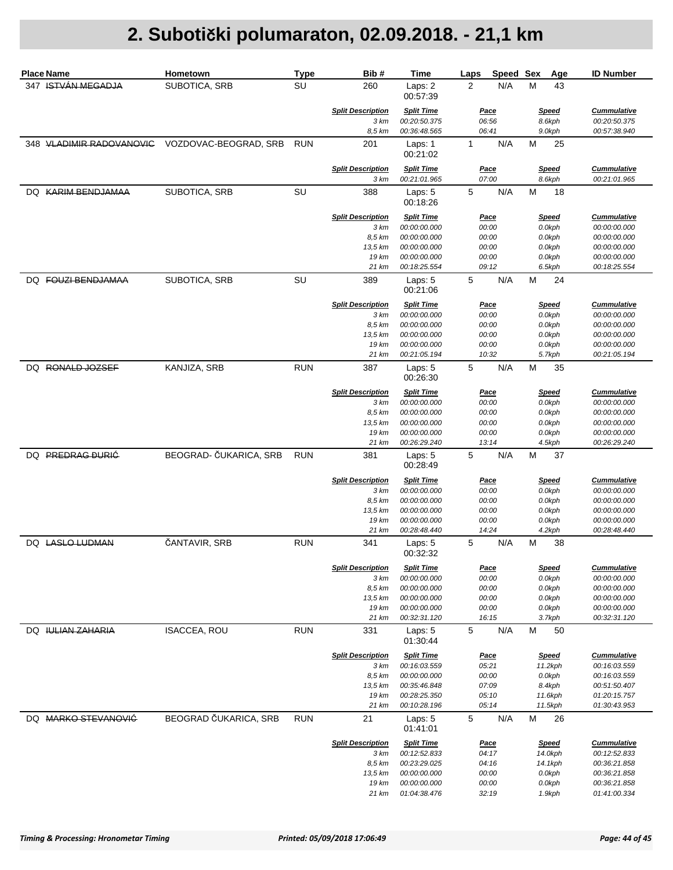|     | Place Name               | Hometown               | <b>Type</b> | Bib#                             | <b>Time</b>                       | Speed Sex<br>Laps    | Age               | <b>ID Number</b>                   |
|-----|--------------------------|------------------------|-------------|----------------------------------|-----------------------------------|----------------------|-------------------|------------------------------------|
|     | 347 ISTVÁN MEGADJA       | SUBOTICA, SRB          | SU          | 260                              | Laps: 2<br>00:57:39               | 2<br>N/A             | М<br>43           |                                    |
|     |                          |                        |             | <b>Split Description</b>         | <b>Split Time</b>                 | Pace                 | <b>Speed</b>      | <b>Cummulative</b>                 |
|     |                          |                        |             | 3 km<br>8,5 km                   | 00:20:50.375<br>00:36:48.565      | 06:56<br>06:41       | 8.6kph<br>9.0kph  | 00:20:50.375<br>00:57:38.940       |
|     | 348 VLADIMIR RADOVANOVIC | VOZDOVAC-BEOGRAD, SRB  | <b>RUN</b>  | 201                              | Laps: 1<br>00:21:02               | $\mathbf{1}$<br>N/A  | M<br>25           |                                    |
|     |                          |                        |             | <b>Split Description</b>         | <b>Split Time</b>                 | <u>Pace</u>          | <b>Speed</b>      | <b>Cummulative</b>                 |
|     |                          |                        |             | 3 km                             | 00:21:01.965                      | 07:00                | 8.6kph            | 00:21:01.965                       |
|     | DQ KARIM BENDJAMAA       | SUBOTICA, SRB          | SU          | 388                              | Laps: 5<br>00:18:26               | 5<br>N/A             | M<br>18           |                                    |
|     |                          |                        |             | <b>Split Description</b>         | <b>Split Time</b>                 | Pace                 | <b>Speed</b>      | <b>Cummulative</b>                 |
|     |                          |                        |             | 3 km<br>8,5 km                   | 00:00:00.000<br>00:00:00.000      | 00:00<br>00:00       | 0.0kph<br>0.0kph  | 00:00:00.000<br>00:00:00.000       |
|     |                          |                        |             | 13,5 km                          | 00:00:00.000                      | 00:00                | 0.0kph            | 00:00:00.000                       |
|     |                          |                        |             | 19 km                            | 00:00:00.000                      | 00:00                | 0.0kph            | 00:00:00.000                       |
|     |                          |                        |             | 21 km                            | 00:18:25.554                      | 09:12                | 6.5kph            | 00:18:25.554                       |
| DQ  | <b>FOUZI BENDJAMAA</b>   | SUBOTICA, SRB          | SU          | 389                              | Laps: 5<br>00:21:06               | 5<br>N/A             | M<br>24           |                                    |
|     |                          |                        |             | <b>Split Description</b>         | <b>Split Time</b>                 | Pace                 | <b>Speed</b>      | <b>Cummulative</b>                 |
|     |                          |                        |             | 3 km                             | 00:00:00.000                      | 00:00                | 0.0kph            | 00:00:00.000                       |
|     |                          |                        |             | 8.5 km<br>13,5 km                | 00:00:00.000<br>00:00:00.000      | 00:00<br>00:00       | 0.0kph<br>0.0kph  | 00:00:00.000<br>00:00:00.000       |
|     |                          |                        |             | 19 km                            | 00:00:00.000                      | 00:00                | 0.0kph            | 00:00:00.000                       |
|     |                          |                        |             | 21 km                            | 00:21:05.194                      | 10:32                | 5.7kph            | 00:21:05.194                       |
| DQ. | RONALD JOZSEF            | KANJIZA, SRB           | <b>RUN</b>  | 387                              | Laps: 5<br>00:26:30               | 5<br>N/A             | M<br>35           |                                    |
|     |                          |                        |             | <b>Split Description</b>         | <b>Split Time</b>                 | <u>Pace</u>          | <u>Speed</u>      | <b>Cummulative</b>                 |
|     |                          |                        |             | 3 km                             | 00:00:00.000                      | 00:00                | 0.0kph            | 00:00:00.000                       |
|     |                          |                        |             | 8,5 km                           | 00:00:00.000                      | 00:00                | 0.0kph            | 00:00:00.000                       |
|     |                          |                        |             | 13,5 km<br>19 km                 | 00:00:00.000                      | 00:00                | 0.0kph            | 00:00:00.000                       |
|     |                          |                        |             | 21 km                            | 00:00:00.000<br>00:26:29.240      | 00:00<br>13:14       | 0.0kph<br>4.5kph  | 00:00:00.000<br>00:26:29.240       |
|     | DQ PREDRAG ĐURIĆ         | BEOGRAD- ČUKARICA, SRB | <b>RUN</b>  | 381                              | Laps: 5<br>00:28:49               | 5<br>N/A             | M<br>37           |                                    |
|     |                          |                        |             | <b>Split Description</b><br>3 km | <b>Split Time</b><br>00:00:00.000 | <u>Pace</u><br>00:00 | <b>Speed</b>      | <b>Cummulative</b><br>00:00:00.000 |
|     |                          |                        |             | 8,5 km                           | 00:00:00.000                      | 00:00                | 0.0kph<br>0.0kph  | 00:00:00.000                       |
|     |                          |                        |             | 13,5 km                          | 00:00:00.000                      | 00:00                | 0.0kph            | 00:00:00.000                       |
|     |                          |                        |             | 19 km                            | 00:00:00.000                      | 00:00                | 0.0kph            | 00:00:00.000                       |
|     |                          |                        |             | 21 km                            | 00:28:48.440                      | 14:24                | 4.2kph            | 00:28:48.440                       |
|     | DQ LASLO LUDMAN          | ČANTAVIR, SRB          | <b>RUN</b>  | 341                              | Laps: 5<br>00:32:32               | 5<br>N/A             | M<br>38           |                                    |
|     |                          |                        |             | <b>Split Description</b>         | <b>Split Time</b>                 | <u>Pace</u>          | <b>Speed</b>      | <b>Cummulative</b>                 |
|     |                          |                        |             | 3 km                             | 00:00:00.000                      | 00:00                | 0.0kph            | 00:00:00.000                       |
|     |                          |                        |             | 8,5 km<br>13,5 km                | 00:00:00.000<br>00:00:00.000      | 00:00<br>00:00       | 0.0kph<br>0.0kph  | 00:00:00.000<br>00:00:00.000       |
|     |                          |                        |             | 19 km                            | 00:00:00.000                      | 00:00                | 0.0kph            | 00:00:00.000                       |
|     |                          |                        |             | 21 km                            | 00:32:31.120                      | 16:15                | 3.7kph            | 00:32:31.120                       |
|     | DQ IULIAN ZAHARIA        | <b>ISACCEA, ROU</b>    | <b>RUN</b>  | 331                              | Laps: $5$<br>01:30:44             | $\mathbf 5$<br>N/A   | M<br>50           |                                    |
|     |                          |                        |             | <b>Split Description</b>         | <b>Split Time</b>                 | <u>Pace</u>          | <b>Speed</b>      | <b>Cummulative</b>                 |
|     |                          |                        |             | 3 km                             | 00:16:03.559                      | 05:21                | 11.2kph           | 00:16:03.559                       |
|     |                          |                        |             | 8,5 km                           | 00:00:00.000                      | 00:00                | 0.0kph            | 00:16:03.559                       |
|     |                          |                        |             | 13,5 km<br>19 km                 | 00:35:46.848<br>00:28:25.350      | 07:09<br>05:10       | 8.4kph<br>11.6kph | 00:51:50.407<br>01:20:15.757       |
|     |                          |                        |             | 21 km                            | 00:10:28.196                      | 05:14                | 11.5kph           | 01:30:43.953                       |
|     | DQ MARKO STEVANOVIĆ      | BEOGRAD ČUKARICA, SRB  | <b>RUN</b>  | 21                               | Laps: 5<br>01:41:01               | $\mathbf 5$<br>N/A   | M<br>26           |                                    |
|     |                          |                        |             | <b>Split Description</b>         | <b>Split Time</b>                 | <u>Pace</u>          | <b>Speed</b>      | <b>Cummulative</b>                 |
|     |                          |                        |             | 3 km                             | 00:12:52.833                      | 04:17                | 14.0kph           | 00:12:52.833                       |
|     |                          |                        |             | 8,5 km                           | 00:23:29.025                      | 04:16                | 14.1kph           | 00:36:21.858                       |
|     |                          |                        |             | 13,5 km                          | 00:00:00.000                      | 00:00                | 0.0kph            | 00:36:21.858                       |
|     |                          |                        |             | 19 km                            | 00:00:00.000                      | 00:00                | 0.0kph            | 00:36:21.858                       |
|     |                          |                        |             | 21 km                            | 01:04:38.476                      | 32:19                | 1.9kph            | 01:41:00.334                       |